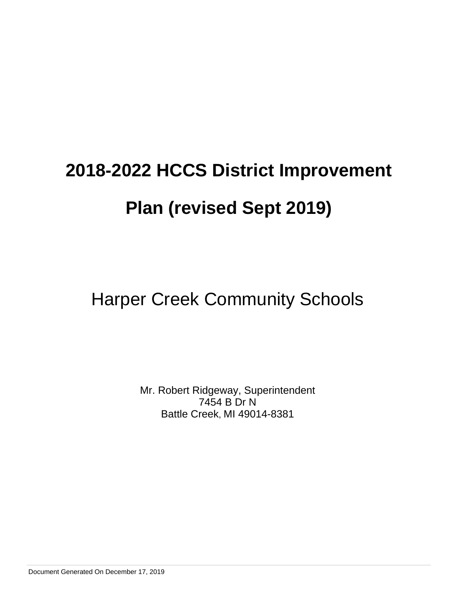## Harper Creek Community Schools

Mr. Robert Ridgeway, Superintendent 7454 B Dr N Battle Creek, MI 49014-8381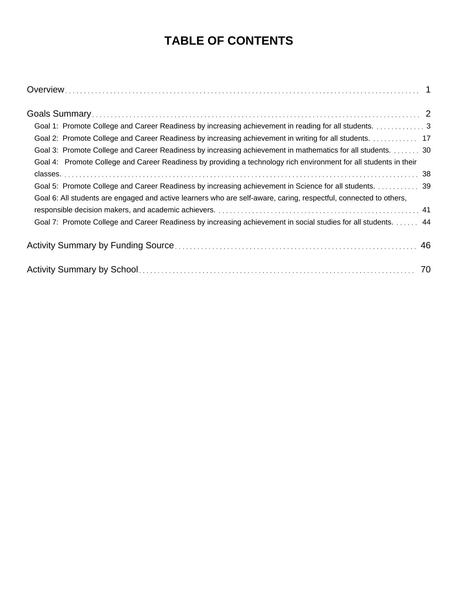## **TABLE OF CONTENTS**

| Goal 1: Promote College and Career Readiness by increasing achievement in reading for all students. 3             |  |
|-------------------------------------------------------------------------------------------------------------------|--|
| Goal 2: Promote College and Career Readiness by increasing achievement in writing for all students. 17            |  |
| Goal 3: Promote College and Career Readiness by increasing achievement in mathematics for all students. 30        |  |
| Goal 4: Promote College and Career Readiness by providing a technology rich environment for all students in their |  |
|                                                                                                                   |  |
| Goal 5: Promote College and Career Readiness by increasing achievement in Science for all students. 39            |  |
| Goal 6: All students are engaged and active learners who are self-aware, caring, respectful, connected to others, |  |
|                                                                                                                   |  |
| Goal 7: Promote College and Career Readiness by increasing achievement in social studies for all students. 44     |  |
|                                                                                                                   |  |
|                                                                                                                   |  |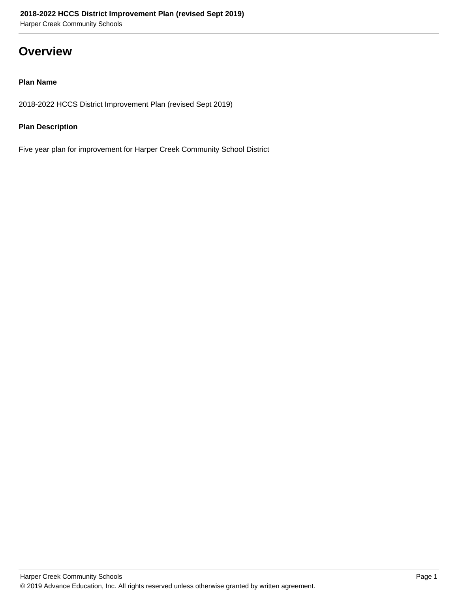### **Overview**

#### **Plan Name**

2018-2022 HCCS District Improvement Plan (revised Sept 2019)

#### **Plan Description**

Five year plan for improvement for Harper Creek Community School District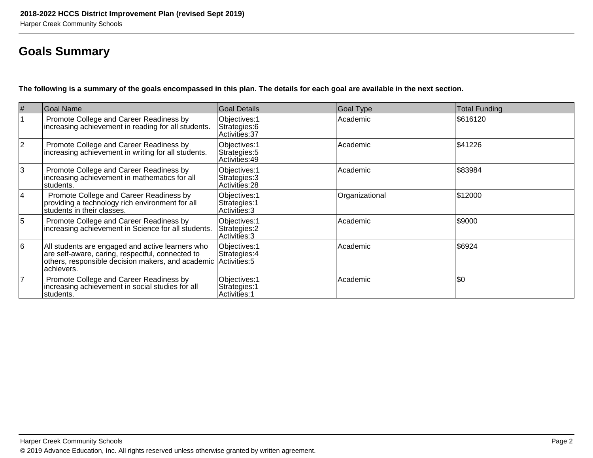## **Goals Summary**

**The following is a summary of the goals encompassed in this plan. The details for each goal are available in the next section.**

| #           | <b>Goal Name</b>                                                                                                                                                                      | <b>Goal Details</b>                              | <b>Goal Type</b> | <b>Total Funding</b> |
|-------------|---------------------------------------------------------------------------------------------------------------------------------------------------------------------------------------|--------------------------------------------------|------------------|----------------------|
|             | Promote College and Career Readiness by<br>increasing achievement in reading for all students.                                                                                        | Objectives: 1<br>Strategies: 6<br>Activities: 37 | Academic         | \$616120             |
| $ 2\rangle$ | Promote College and Career Readiness by<br>increasing achievement in writing for all students.                                                                                        | Objectives: 1<br>Strategies: 5<br>Activities: 49 | Academic         | \$41226              |
| 3           | Promote College and Career Readiness by<br>increasing achievement in mathematics for all<br>students.                                                                                 | Objectives: 1<br>Strategies: 3<br>Activities: 28 | Academic         | \$83984              |
| 14          | Promote College and Career Readiness by<br>providing a technology rich environment for all<br>students in their classes.                                                              | Objectives: 1<br>Strategies: 1<br>Activities: 3  | Organizational   | \$12000              |
| 5           | Promote College and Career Readiness by<br>increasing achievement in Science for all students.                                                                                        | Objectives: 1<br>Strategies: 2<br>Activities: 3  | Academic         | \$9000               |
| 16          | All students are engaged and active learners who<br>are self-aware, caring, respectful, connected to<br>others, responsible decision makers, and academic Activities: 5<br>achievers. | Objectives: 1<br>Strategies: 4                   | Academic         | \$6924               |
| 7           | Promote College and Career Readiness by<br>increasing achievement in social studies for all<br>students.                                                                              | Objectives: 1<br>Strategies: 1<br>Activities: 1  | Academic         | \$0                  |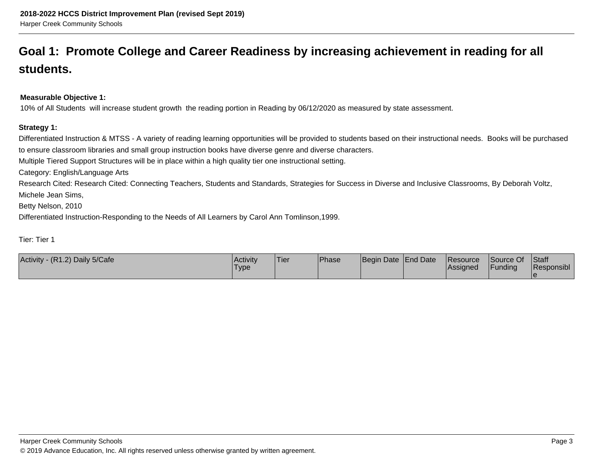## **Goal 1: Promote College and Career Readiness by increasing achievement in reading for allstudents.**

#### **Measurable Objective 1:**

10% of All Students will increase student growth the reading portion in Reading by 06/12/2020 as measured by state assessment.

#### **Strategy 1:**

Differentiated Instruction & MTSS - A variety of reading learning opportunities will be provided to students based on their instructional needs. Books will be purchasedto ensure classroom libraries and small group instruction books have diverse genre and diverse characters.Multiple Tiered Support Structures will be in place within a high quality tier one instructional setting. Category: English/Language Arts

 Research Cited: Research Cited: Connecting Teachers, Students and Standards, Strategies for Success in Diverse and Inclusive Classrooms, By Deborah Voltz,Michele Jean Sims,

Betty Nelson, 2010

Differentiated Instruction-Responding to the Needs of All Learners by Carol Ann Tomlinson,1999.

Tier: Tier 1

| (R1.2) Daily 5/Cafe<br><b>Activity</b> | <b>Activity</b><br>Type | <b>Tier</b> | Phase | Begin Date End Date |  | Resource<br> Assigned | Source Of<br>'Funding | Staff<br>Responsibl |
|----------------------------------------|-------------------------|-------------|-------|---------------------|--|-----------------------|-----------------------|---------------------|
|----------------------------------------|-------------------------|-------------|-------|---------------------|--|-----------------------|-----------------------|---------------------|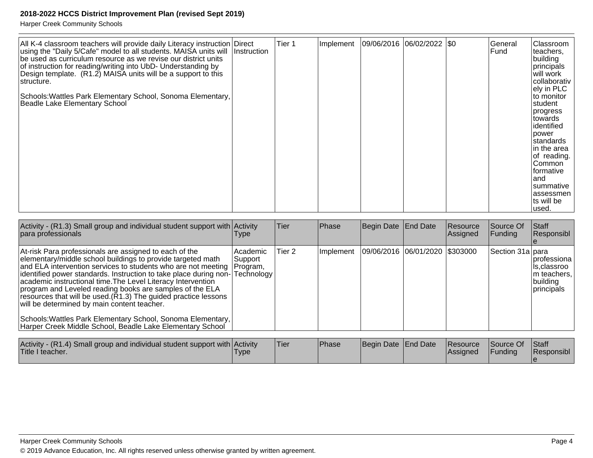| All K-4 classroom teachers will provide daily Literacy instruction Direct<br>using the "Daily 5/Cafe" model to all students. MAISA units will<br>be used as curriculum resource as we revise our district units<br>of instruction for reading/writing into UbD- Understanding by<br>Design template. $(R1.2)$ MAISA units will be a support to this<br> structure.<br>Schools: Wattles Park Elementary School, Sonoma Elementary,<br>Beadle Lake Elementary School | <b>Instruction</b> | Tier <sub>1</sub> | Implement | $ 09/06/2016 06/02/2022 $ \$0 |  |  | General<br>Fund | Classroom<br>teachers,<br>building<br>principals<br>will work<br>collaborativ<br>lely in PLC l<br>to monitor<br>student<br> progress<br>towards<br>identified<br>power<br>standards<br>in the area<br>of reading.<br>Common<br>formative<br>and<br>summative<br>assessmen<br>ts will be<br>used. |
|--------------------------------------------------------------------------------------------------------------------------------------------------------------------------------------------------------------------------------------------------------------------------------------------------------------------------------------------------------------------------------------------------------------------------------------------------------------------|--------------------|-------------------|-----------|-------------------------------|--|--|-----------------|--------------------------------------------------------------------------------------------------------------------------------------------------------------------------------------------------------------------------------------------------------------------------------------------------|
|--------------------------------------------------------------------------------------------------------------------------------------------------------------------------------------------------------------------------------------------------------------------------------------------------------------------------------------------------------------------------------------------------------------------------------------------------------------------|--------------------|-------------------|-----------|-------------------------------|--|--|-----------------|--------------------------------------------------------------------------------------------------------------------------------------------------------------------------------------------------------------------------------------------------------------------------------------------------|

| Activity - $(R1.3)$ Small group and individual student support with Activity<br>para professionals                                                                                                                                                                                                                                                                                                                                                                                                                                                                                                                                                | l ype                              | Tier   | Phase         | Begin Date   End Date          | <b>Resource</b><br>Assigned | Source Of<br><b>Funding</b> | Staff<br>Responsibl                                                    |
|---------------------------------------------------------------------------------------------------------------------------------------------------------------------------------------------------------------------------------------------------------------------------------------------------------------------------------------------------------------------------------------------------------------------------------------------------------------------------------------------------------------------------------------------------------------------------------------------------------------------------------------------------|------------------------------------|--------|---------------|--------------------------------|-----------------------------|-----------------------------|------------------------------------------------------------------------|
| At-risk Para professionals are assigned to each of the<br>elementary/middle school buildings to provide targeted math<br>and ELA intervention services to students who are not meeting<br>identified power standards. Instruction to take place during non-Technology<br>academic instructional time. The Level Literacy Intervention<br>program and Leveled reading books are samples of the ELA<br>resources that will be used. $(R1.3)$ The guided practice lessons<br>will be determined by main content teacher.<br>Schools: Wattles Park Elementary School, Sonoma Elementary,<br>Harper Creek Middle School, Beadle Lake Elementary School | l Academic<br> Support<br>Program, | Tier 2 | Implement     | 09/06/2016 06/01/2020 \$303000 |                             | Section 31a para            | Iprofessiona<br>Ils,classroo<br>m teachers,<br>building<br> principals |
| Activity - $(R1 4)$ Small group and individual student support with $A$ ctivity                                                                                                                                                                                                                                                                                                                                                                                                                                                                                                                                                                   |                                    | Tier   | <b>IPhase</b> | <b>IBegin Date IFnd Date</b>   | Resource                    | <b>Source Of</b>            | $\mathsf{Istaff}$                                                      |

| Activity - (R1.4) Small group and individual student support with Activity<br>Title I teacher. | 'Type | <b>Tier</b> | <sup>1</sup> Phase | Begin Date End Date |  | Resource<br>lAssianed | <b>Source Of</b><br>Funding | <b>Staff</b><br>Responsibl |
|------------------------------------------------------------------------------------------------|-------|-------------|--------------------|---------------------|--|-----------------------|-----------------------------|----------------------------|
|------------------------------------------------------------------------------------------------|-------|-------------|--------------------|---------------------|--|-----------------------|-----------------------------|----------------------------|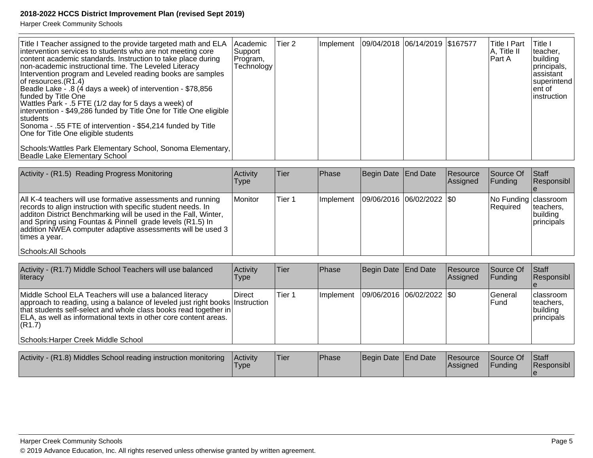| Title I Teacher assigned to the provide targeted math and ELA<br>intervention services to students who are not meeting core<br>content academic standards. Instruction to take place during<br>non-academic instructional time. The Leveled Literacy<br>Intervention program and Leveled reading books are samples<br>of resources. (R1.4)<br>Beadle Lake - .8 (4 days a week) of intervention - \$78,856<br>funded by Title One<br>Wattles Park - .5 FTE (1/2 day for 5 days a week) of<br> intervention - \$49,286 funded by Title One for Title One eligible  <br> students <br>Sonoma - .55 FTE of intervention - \$54,214 funded by Title<br>One for Title One eligible students<br>Schools: Wattles Park Elementary School, Sonoma Elementary, | Academic<br>Support<br>Program,<br>Technology | Tier 2 | Ilmplement | 09/04/2018  06/14/2019   \$167577 | ∣Title I Part<br> A, Title II<br>lPart A | lTitle I<br>Iteacher,<br>building<br> principals,<br>lassistant<br> superintend <br>lent of<br>linstruction |
|------------------------------------------------------------------------------------------------------------------------------------------------------------------------------------------------------------------------------------------------------------------------------------------------------------------------------------------------------------------------------------------------------------------------------------------------------------------------------------------------------------------------------------------------------------------------------------------------------------------------------------------------------------------------------------------------------------------------------------------------------|-----------------------------------------------|--------|------------|-----------------------------------|------------------------------------------|-------------------------------------------------------------------------------------------------------------|
| Beadle Lake Elementary School                                                                                                                                                                                                                                                                                                                                                                                                                                                                                                                                                                                                                                                                                                                        |                                               |        |            |                                   |                                          |                                                                                                             |

| Activity - (R1.5) Reading Progress Monitoring                                                                                                                                                                                                                                                                                                                       | Activity<br><b>Type</b> | Tier   | Phase     | Begin Date End Date           | Resource<br><b>Assigned</b> | Source Of<br>IFundina              | Staff<br>Responsibl                  |
|---------------------------------------------------------------------------------------------------------------------------------------------------------------------------------------------------------------------------------------------------------------------------------------------------------------------------------------------------------------------|-------------------------|--------|-----------|-------------------------------|-----------------------------|------------------------------------|--------------------------------------|
| All K-4 teachers will use formative assessments and running<br>records to align instruction with specific student needs. In<br>additon District Benchmarking will be used in the Fall, Winter,<br>and Spring using Fountas & Pinnell grade levels (R1.5) In<br>addition NWEA computer adaptive assessments will be used 3<br>∣times a vear.<br>Schools: All Schools | Monitor                 | Tier 1 | Implement | $ 09/06/2016 06/02/2022 $ \$0 |                             | No Funding   classroom<br>Required | Iteachers,<br>building<br>principals |

| Middle School ELA Teachers will use a balanced literacy<br> 09/06/2016  06/02/2022  \$0<br>Tier 1<br><b>IDirect</b><br>lGeneral<br><b>Ilmplement</b><br>approach to reading, using a balance of leveled just right books Instruction<br><b>Fund</b><br>Iteachers.<br>that students self-select and whole class books read together in<br>building<br>ELA, as well as informational texts in other core content areas.<br>principals<br> (R1.7) | Activity - (R1.7) Middle School Teachers will use balanced<br><b>literacy</b> | Activity<br>Type | Tier | <b>Phase</b> | Begin Date   End Date | Resource<br><b>Assigned</b> | Source Of<br>IFundina | <b>Staff</b><br>Responsibl |
|------------------------------------------------------------------------------------------------------------------------------------------------------------------------------------------------------------------------------------------------------------------------------------------------------------------------------------------------------------------------------------------------------------------------------------------------|-------------------------------------------------------------------------------|------------------|------|--------------|-----------------------|-----------------------------|-----------------------|----------------------------|
|                                                                                                                                                                                                                                                                                                                                                                                                                                                | Schools: Harper Creek Middle School                                           |                  |      |              |                       |                             |                       | <b>Iclassroom</b>          |

| Activity - (R1.8) Middles School reading instruction monitoring | <b>Activity</b><br>Type | 'Tier | <b>Phase</b> | Begin Date End Date | Resource<br><b>Assigned</b> | Source Of<br>Funding | <b>Staff</b><br>Responsibl |
|-----------------------------------------------------------------|-------------------------|-------|--------------|---------------------|-----------------------------|----------------------|----------------------------|
|                                                                 |                         |       |              |                     |                             |                      |                            |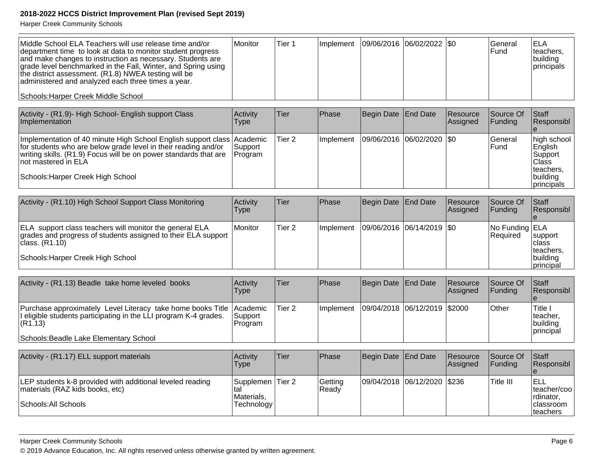Harper Creek Community Schools

| Middle School ELA Teachers will use release time and/or<br>department time to look at data to monitor student progress<br>and make changes to instruction as necessary. Students are<br>grade level benchmarked in the Fall, Winter, and Spring using<br>the district assessment. (R1.8) NWEA testing will be<br>administered and analyzed each three times a year. | Monitor                        | Tier 1            | Implement | 09/06/2016 | 06/02/2022 \\$0 |                      | General<br>Fund        | <b>ELA</b><br>teachers,<br>building<br>principals                     |
|---------------------------------------------------------------------------------------------------------------------------------------------------------------------------------------------------------------------------------------------------------------------------------------------------------------------------------------------------------------------|--------------------------------|-------------------|-----------|------------|-----------------|----------------------|------------------------|-----------------------------------------------------------------------|
| Schools: Harper Creek Middle School                                                                                                                                                                                                                                                                                                                                 |                                |                   |           |            |                 |                      |                        |                                                                       |
| Activity - (R1.9)- High School- English support Class<br>Implementation                                                                                                                                                                                                                                                                                             | Activity<br><b>Type</b>        | Tier              | Phase     | Begin Date | <b>End Date</b> | Resource<br>Assigned | Source Of<br>Funding   | Staff<br>Responsibl                                                   |
| Implementation of 40 minute High School English support class Academic<br>for students who are below grade level in their reading and/or<br>writing skills. (R1.9) Focus will be on power standards that are<br>not mastered in ELA                                                                                                                                 | Support<br>Program             | Tier <sub>2</sub> | Implement | 09/06/2016 | 06/02/2020      | I\$0                 | General<br>lFund       | high school<br>English<br>Support<br><b>Class</b><br>teachers.        |
| Schools: Harper Creek High School                                                                                                                                                                                                                                                                                                                                   |                                |                   |           |            |                 |                      |                        | building<br>principals                                                |
| Activity - (R1.10) High School Support Class Monitoring                                                                                                                                                                                                                                                                                                             | <b>Activity</b><br><b>Type</b> | Tier              | Phase     | Begin Date | <b>End Date</b> | Resource<br>Assigned | Source Of<br>Funding   | Staff<br>Responsibl                                                   |
| ELA support class teachers will monitor the general ELA<br>grades and progress of students assigned to their ELA support<br>class. (R1.10)<br>Schools: Harper Creek High School                                                                                                                                                                                     | Monitor                        | Tier <sub>2</sub> | Implement | 09/06/2016 | 06/14/2019      | I\$0                 | No Funding<br>Required | <b>ELA</b><br>support<br>Iclass<br>teachers.<br>building<br>principal |
|                                                                                                                                                                                                                                                                                                                                                                     |                                |                   |           |            |                 |                      |                        |                                                                       |
| Activity - (R1.13) Beadle take home leveled books                                                                                                                                                                                                                                                                                                                   | Activity<br><b>Type</b>        | Tier              | Phase     | Begin Date | <b>End Date</b> | Resource<br>Assigned | Source Of<br>Funding   | Staff<br>Responsibl                                                   |
| Purchase approximately Level Literacy take home books Title<br>eligible students participating in the LLI program K-4 grades.<br>(R1.13)                                                                                                                                                                                                                            | Academic<br>Support<br>Program | Tier <sub>2</sub> | Implement | 09/04/2018 | 06/12/2019      | \$2000               | Other                  | Title I<br>teacher,<br>building<br> principal                         |

Schools: Beadle Lake Elementary School

| Activity - (R1.17) ELL support materials                                                                             | <b>Activity</b><br>Type                      | lTier | <b>Phase</b>      | Begin Date End Date |                             | <b>Resource</b><br><b>Assigned</b> | <b>Source Of</b><br><b>IFundina</b> | <b>Staff</b><br><b>Responsibl</b>                            |
|----------------------------------------------------------------------------------------------------------------------|----------------------------------------------|-------|-------------------|---------------------|-----------------------------|------------------------------------|-------------------------------------|--------------------------------------------------------------|
| LEP students k-8 provided with additional leveled reading<br>materials (RAZ kids books, etc)<br>Schools: All Schools | Supplemen Tier 2<br>Materials.<br>Technology |       | Getting<br>lReadv |                     | 09/04/2018 06/12/2020 \$236 |                                    | Title III                           | ELL<br>Iteacher/coo<br>Irdinator,<br>Iclassroom<br>Iteachers |

#### Harper Creek Community Schools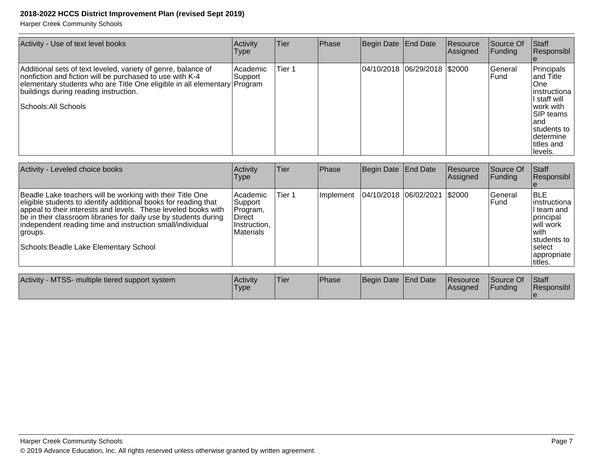| Activity - Use of text level books                                                                                                                                                                                                                                      | Activity<br><b>Type</b> | Tier   | Phase | Begin Date End Date          | Resource<br>Assigned | Source Of<br>Funding | Staff<br>Responsibl                                                                                                                                                  |
|-------------------------------------------------------------------------------------------------------------------------------------------------------------------------------------------------------------------------------------------------------------------------|-------------------------|--------|-------|------------------------------|----------------------|----------------------|----------------------------------------------------------------------------------------------------------------------------------------------------------------------|
| Additional sets of text leveled, variety of genre, balance of<br>nonfiction and fiction will be purchased to use with K-4<br>elementary students who are Title One eligible in all elementary Program<br>buildings during reading instruction.<br> Schools: All Schools | Academic <br>∣Support   | Tier 1 |       | 04/10/2018 06/29/2018 \$2000 |                      | General<br>lFund     | Principals<br>land Title<br>lOne:<br>linstructiona<br>I staff will<br>lwork with<br><b>SIP teams</b><br>land<br>students to<br>Idetermine<br>Ititles and<br> levels. |

| Activity - Leveled choice books                                                                                                                                                                                                                                                                                                                                                      | Activity<br><b>Type</b>                                                         | <b>Tier</b> | <b>Phase</b> | Begin Date End Date          | Resource<br>Assigned | Source Of<br>Funding | <b>Staff</b><br>Responsibl                                                                                                          |
|--------------------------------------------------------------------------------------------------------------------------------------------------------------------------------------------------------------------------------------------------------------------------------------------------------------------------------------------------------------------------------------|---------------------------------------------------------------------------------|-------------|--------------|------------------------------|----------------------|----------------------|-------------------------------------------------------------------------------------------------------------------------------------|
| Beadle Lake teachers will be working with their Title One<br>eligible students to identify additional books for reading that<br>appeal to their interests and levels. These leveled books with<br>be in their classroom libraries for daily use by students during<br>independent reading time and instruction small/individual<br>groups.<br>Schools: Beadle Lake Elementary School | l Academic<br>Support<br>Program,<br><b>Direct</b><br>Instruction,<br>Materials | Tier 1      | Implement    | 04/10/2018 06/02/2021 \$2000 |                      | General<br>lFund.    | IBLE<br>linstructiona<br>II team and<br>principal<br>will work<br>lwith<br>students to<br>Iselect<br><i>appropriate</i><br>Ititles. |
|                                                                                                                                                                                                                                                                                                                                                                                      |                                                                                 |             |              |                              |                      | .                    |                                                                                                                                     |

| Activity - MTSS- multiple tiered support system | <b>Activity</b> | <sup>1</sup> Tier | <sup>I</sup> Phase | Begin Date End Date | Resource        | Source Of | <b>IStaff</b> |
|-------------------------------------------------|-----------------|-------------------|--------------------|---------------------|-----------------|-----------|---------------|
|                                                 | 'Type           |                   |                    |                     | <b>Assigned</b> | Funding   | Responsibl    |
|                                                 |                 |                   |                    |                     |                 |           |               |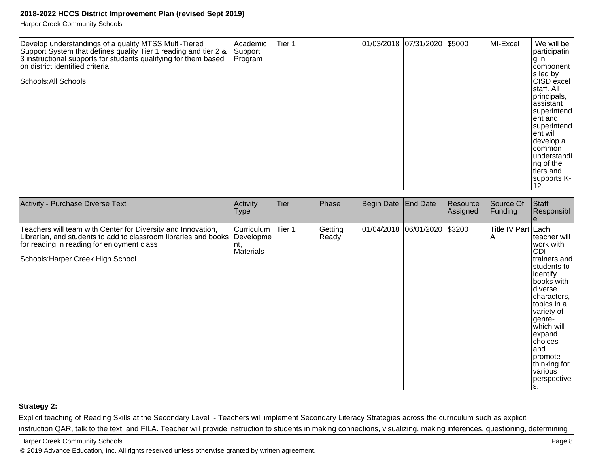Harper Creek Community Schools

| Develop understandings of a quality MTSS Multi-Tiered<br>Support System that defines quality Tier 1 reading and tier 2 &<br>3 instructional supports for students qualifying for them based<br>on district identified criteria.<br>Schools: All Schools | Academic<br>Support<br>Program | Tier <sub>1</sub> |  |  | 01/03/2018 07/31/2020 \$5000 |  | MI-Excel | We will be<br>participatin<br>∣g in<br>component<br>s led by<br>CISD excel<br>staff. All<br>principals,<br>assistant<br>superintend<br>ent and<br>superintend<br>ent will<br>develop a<br> common<br>understandi<br>ng of the<br>tiers and<br>supports K-<br>12. |
|---------------------------------------------------------------------------------------------------------------------------------------------------------------------------------------------------------------------------------------------------------|--------------------------------|-------------------|--|--|------------------------------|--|----------|------------------------------------------------------------------------------------------------------------------------------------------------------------------------------------------------------------------------------------------------------------------|
|---------------------------------------------------------------------------------------------------------------------------------------------------------------------------------------------------------------------------------------------------------|--------------------------------|-------------------|--|--|------------------------------|--|----------|------------------------------------------------------------------------------------------------------------------------------------------------------------------------------------------------------------------------------------------------------------------|

| Activity - Purchase Diverse Text                                                                                                                                                                                             | Activity<br>Type                       | Tier   | Phase            | Begin Date End Date          | Resource<br>Assigned | Source Of<br>Funding     | Staff<br>Responsibl                                                                                                                                                                                                                                                         |
|------------------------------------------------------------------------------------------------------------------------------------------------------------------------------------------------------------------------------|----------------------------------------|--------|------------------|------------------------------|----------------------|--------------------------|-----------------------------------------------------------------------------------------------------------------------------------------------------------------------------------------------------------------------------------------------------------------------------|
| Teachers will team with Center for Diversity and Innovation,<br>Librarian, and students to add to classroom libraries and books Developme<br>for reading in reading for enjoyment class<br>Schools: Harper Creek High School | <b>Curriculum</b><br> nt,<br>Materials | Tier 1 | Getting<br>Ready | 01/04/2018 06/01/2020 \$3200 |                      | Title IV Part Each<br>ΙA | lteacher will<br>work with<br><b>CDI</b><br>trainers and<br>students to<br>identify<br>books with<br> diverse<br>characters,<br>topics in a<br>variety of<br>genre-<br>which will<br>expand<br>choices<br>land<br>promote<br>thinking for<br>various<br> perspective<br>IS. |

#### **Strategy 2:**

Explicit teaching of Reading Skills at the Secondary Level - Teachers will implement Secondary Literacy Strategies across the curriculum such as explicitinstruction QAR, talk to the text, and FILA. Teacher will provide instruction to students in making connections, visualizing, making inferences, questioning, determining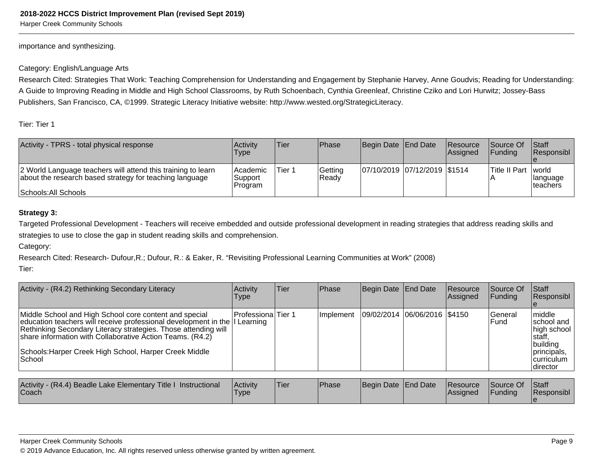Harper Creek Community Schools

importance and synthesizing.

#### Category: English/Language Arts

Research Cited: Strategies That Work: Teaching Comprehension for Understanding and Engagement by Stephanie Harvey, Anne Goudvis; Reading for Understanding:A Guide to Improving Reading in Middle and High School Classrooms, by Ruth Schoenbach, Cynthia Greenleaf, Christine Cziko and Lori Hurwitz; Jossey-BassPublishers, San Francisco, CA, ©1999. Strategic Literacy Initiative website: http://www.wested.org/StrategicLiteracy.

Tier: Tier 1

| Activity - TPRS - total physical response                                                                               | Activity<br>Type               | Tier   | <b>Phase</b>      | Begin Date End Date          | <b>Resource</b><br>Assigned | <b>Source Of</b><br><b>IFundina</b> | <b>Staff</b><br>Responsibl    |
|-------------------------------------------------------------------------------------------------------------------------|--------------------------------|--------|-------------------|------------------------------|-----------------------------|-------------------------------------|-------------------------------|
| 2 World Language teachers will attend this training to learn<br>about the research based strategy for teaching language | Academic<br>Support<br>Program | Tier 1 | Getting<br> Ready | 07/10/2019 07/12/2019 \$1514 |                             | <b>Title II Part   world</b>        | <b>Ilanguage</b><br>Iteachers |
| Schools: All Schools                                                                                                    |                                |        |                   |                              |                             |                                     |                               |

#### **Strategy 3:**

Targeted Professional Development - Teachers will receive embedded and outside professional development in reading strategies that address reading skills andstrategies to use to close the gap in student reading skills and comprehension.

Category:

Research Cited: Research- Dufour,R.; Dufour, R.: & Eaker, R. "Revisiting Professional Learning Communities at Work" (2008)

Tier:

| Activity - (R4.2) Rethinking Secondary Literacy                                                                                                                                                                                                                                                                                          | Activity<br>Type    | lTier | <b>Phase</b>     | Begin Date End Date          | Resource<br>Assigned | <b>Source Of</b><br><b>Funding</b> | <b>IStaff</b><br>Responsibl                                                                                  |
|------------------------------------------------------------------------------------------------------------------------------------------------------------------------------------------------------------------------------------------------------------------------------------------------------------------------------------------|---------------------|-------|------------------|------------------------------|----------------------|------------------------------------|--------------------------------------------------------------------------------------------------------------|
| Middle School and High School core content and special<br>education teachers will receive professional development in the   Learning<br>Rethinking Secondary Literacy strategies. Those attending will<br>share information with Collaborative Action Teams. (R4.2)<br>Schools: Harper Creek High School, Harper Creek Middle<br> School | lProfessionalTier 1 |       | <b>Implement</b> | 09/02/2014 06/06/2016 \$4150 |                      | lGeneral<br>lFund                  | middle<br>Ischool and<br>high school<br>Istaff,<br>building<br>principals,<br><i>curriculum</i><br> director |

| Activity - (R4.4) Beadle Lake Elementary Title I Instructional<br>Coach | <b>Activity</b><br><b>Type</b> | <sup>1</sup> Tier | <b>IPhase</b> | Begin Date End Date | <b>Resource</b><br><b>IAssigned</b> | Source Of<br>Funding | <b>Staff</b><br>Responsibl |
|-------------------------------------------------------------------------|--------------------------------|-------------------|---------------|---------------------|-------------------------------------|----------------------|----------------------------|
|                                                                         |                                |                   |               |                     |                                     |                      |                            |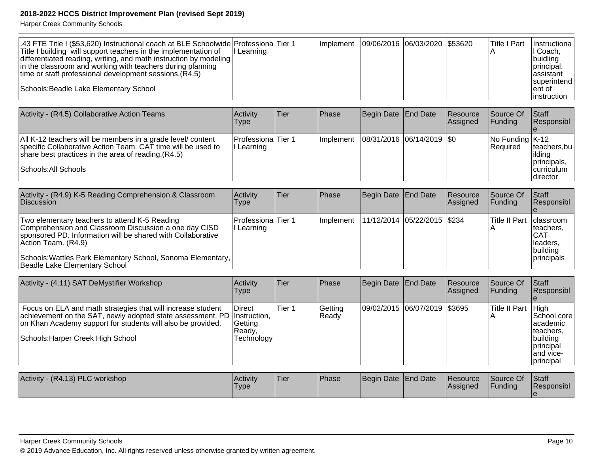| 1.43 FTE Title I (\$53,620) Instructional coach at BLE Schoolwide Professiona Tier 1<br>Title I building will support teachers in the implementation of | II Learning | <b>Ilmplement</b> | 09/06/2016  06/03/2020  \$53620 |  | lTitle I Part | Instructional<br>II Coach.        |
|---------------------------------------------------------------------------------------------------------------------------------------------------------|-------------|-------------------|---------------------------------|--|---------------|-----------------------------------|
| differentiated reading, writing, and math instruction by modeling<br>in the classroom and working with teachers during planning                         |             |                   |                                 |  |               | buidling<br>principal,            |
| time or staff professional development sessions. $(R4.5)$                                                                                               |             |                   |                                 |  |               | lassistant<br><b>Isuperintend</b> |
| Schools: Beadle Lake Elementary School                                                                                                                  |             |                   |                                 |  |               | lent of<br>linstruction           |

| Activity - (R4.5) Collaborative Action Teams                                                                                                                                                                | Activity<br>Type                  | Tier | <b>Phase</b>      | Begin Date End Date |                               | <b>Resource</b><br>Assigned | Source Of<br>IFundina                                                    | <b>Staff</b><br><b>Responsibl</b>                                        |
|-------------------------------------------------------------------------------------------------------------------------------------------------------------------------------------------------------------|-----------------------------------|------|-------------------|---------------------|-------------------------------|-----------------------------|--------------------------------------------------------------------------|--------------------------------------------------------------------------|
| All K-12 teachers will be members in a grade level/ content<br>specific Collaborative Action Team. CAT time will be used to<br>share best practices in the area of reading $(R4.5)$<br>Schools: All Schools | Professiona Tier 1<br> I Learning |      | <b>Ilmplement</b> |                     | $ 08/31/2016 06/14/2019 $ \$0 |                             | $\sqrt{\frac{1}{100}}$ Funding $\sqrt{\frac{1}{100}}$<br><b>Required</b> | teachers.bu <br>lilding<br>principals,<br><b>curriculum</b><br>Idirector |

| Activity - (R4.9) K-5 Reading Comprehension & Classroom<br><b>Discussion</b>                                                                                                                                                                                                                 | Activity<br><b>Type</b>        | <b>Tier</b> | <b>Phase</b> | Begin Date   End Date           | <b>Resource</b><br>Assigned | <b>Source Of</b><br>IFundina | lStaff<br><b>Responsibl</b>                                                      |
|----------------------------------------------------------------------------------------------------------------------------------------------------------------------------------------------------------------------------------------------------------------------------------------------|--------------------------------|-------------|--------------|---------------------------------|-----------------------------|------------------------------|----------------------------------------------------------------------------------|
| Two elementary teachers to attend K-5 Reading<br>Comprehension and Classroom Discussion a one day CISD<br>sponsored PD. Information will be shared with Collaborative<br>Action Team. (R4.9)<br>Schools: Wattles Park Elementary School, Sonoma Elementary,<br>Beadle Lake Elementary School | Professiona Tier 1<br>Learning |             | Ilmplement   | 11/12/2014   05/22/2015   \$234 |                             | <b>Title II Part</b>         | Iclassroom<br>Iteachers.<br>ICAT<br>lleaders.<br> building<br><i>Iprincipals</i> |

| Activity - (4.11) SAT DeMystifier Workshop                                                                                                                                                                                                 | Activity<br><b>Type</b>                    | Tier   | Phase            | Begin Date End Date |                                | Resource<br>Assigned | Source Of<br><b>IFundina</b> | Staff<br>Responsibl                                                                                  |
|--------------------------------------------------------------------------------------------------------------------------------------------------------------------------------------------------------------------------------------------|--------------------------------------------|--------|------------------|---------------------|--------------------------------|----------------------|------------------------------|------------------------------------------------------------------------------------------------------|
| Focus on ELA and math strategies that will increase student<br>achievement on the SAT, newly adopted state assessment. PD Instruction,<br>on Khan Academy support for students will also be provided.<br>Schools: Harper Creek High School | Direct<br> Getting<br>Ready,<br>Technology | Tier 1 | Getting<br>Ready |                     | 09/02/2015  06/07/2019  \$3695 |                      | Title II Part                | High<br>School core<br>lacademic<br>lteachers.<br>building<br> principal<br>land vice-<br>Iprincipal |
| Activity - (R4.13) PLC workshop                                                                                                                                                                                                            | Activity<br><b>Type</b>                    | Tier   | Phase            | Begin Date End Date |                                | Resource<br>Assigned | Source Of<br> Funding        | Staff<br>Responsibl                                                                                  |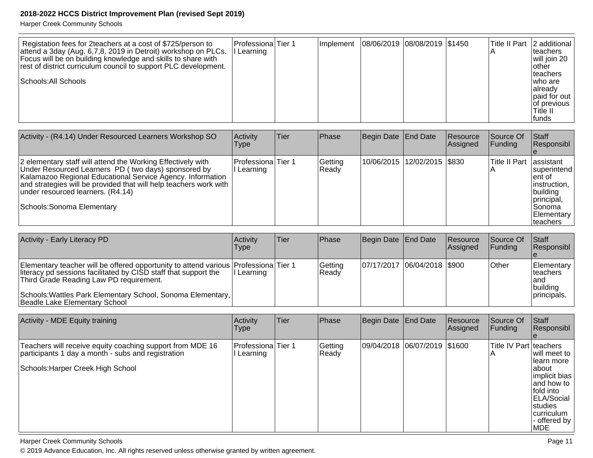Harper Creek Community Schools

| Registation fees for 2teachers at a cost of \$725/person to<br>attend a 3day (Aug. 6,7,8, 2019 in Detroit) workshop on PLCs.<br>Focus will be on building knowledge and skills to share with<br>rest of district curriculum council to support PLC development.<br>Schools: All Schools | <b>ProfessionalTier 1</b><br>l Learning | Implement | 08/06/2019  08/08/2019  \$1450 |  | Title II Part   2 additional<br>Iteachers<br>will join 20<br>lother<br>Iteachers<br>Iwho are<br>lalreadv<br>lpaid for out<br>lof previous |
|-----------------------------------------------------------------------------------------------------------------------------------------------------------------------------------------------------------------------------------------------------------------------------------------|-----------------------------------------|-----------|--------------------------------|--|-------------------------------------------------------------------------------------------------------------------------------------------|
|                                                                                                                                                                                                                                                                                         |                                         |           |                                |  | Title II<br><b>Ifunds</b>                                                                                                                 |

| Activity - (R4.14) Under Resourced Learners Workshop SO                                                                                                                                                                                                                                                                  | Activity<br>Type                  | Tier | <b>Phase</b>     | Begin Date End Date            | <b>Resource</b><br>Assigned | lSource Of<br><b>IFunding</b> | <b>Staff</b><br>Responsibl                                                                                                    |
|--------------------------------------------------------------------------------------------------------------------------------------------------------------------------------------------------------------------------------------------------------------------------------------------------------------------------|-----------------------------------|------|------------------|--------------------------------|-----------------------------|-------------------------------|-------------------------------------------------------------------------------------------------------------------------------|
| 2 elementary staff will attend the Working Effectively with<br>Under Resourced Learners PD (two days) sponsored by<br>Kalamazoo Regional Educational Service Agency. Information<br>and strategies will be provided that will help teachers work with<br>under resourced learners. (R4.14)<br>Schools: Sonoma Elementary | lProfessionalTier 1<br>l Learning |      | Getting<br>Ready | 10/06/2015  12/02/2015   \$830 |                             | <b>Title II Part</b>          | lassistant<br>Isuperintend<br>lent of<br>instruction,<br> building<br>principal,<br>ISonoma<br>Elementary<br><b>Iteachers</b> |

| <b>Activity - Early Literacy PD</b>                                                                                                                                                                                                                                                               | Activitv<br>Type | lTier | <b>Phase</b>      | Begin Date   End Date       | <b>Resource</b><br><b>Assigned</b> | <b>Source Of</b><br>IFundina | <b>Staff</b><br>Responsibl                                          |
|---------------------------------------------------------------------------------------------------------------------------------------------------------------------------------------------------------------------------------------------------------------------------------------------------|------------------|-------|-------------------|-----------------------------|------------------------------------|------------------------------|---------------------------------------------------------------------|
| Elementary teacher will be offered opportunity to attend various Professiona Tier 1<br>literacy pd sessions facilitated by CISD staff that support the<br>Third Grade Reading Law PD requirement.<br>Schools: Wattles Park Elementary School, Sonoma Elementary,<br>Beadle Lake Elementary School | II Learning      |       | Getting<br> Readv | 07/17/2017 06/04/2018 \$900 |                                    | <b>Other</b>                 | Elementary<br>Iteachers<br>land<br><u>Ibuildina</u><br>Iprincipals. |

| Activity - MDE Equity training                                                                                                                       | Activity<br> Type              | Tier | Phase            | Begin Date End Date          | Resource<br>Assigned | Source Of<br> Funding  | <b>Staff</b><br>Responsibl                                                                                                                                 |
|------------------------------------------------------------------------------------------------------------------------------------------------------|--------------------------------|------|------------------|------------------------------|----------------------|------------------------|------------------------------------------------------------------------------------------------------------------------------------------------------------|
| Teachers will receive equity coaching support from MDE 16<br>participants 1 day a month - subs and registration<br>Schools: Harper Creek High School | Professiona Tier 1<br>Learning |      | Getting<br>Ready | 09/04/2018 06/07/2019 \$1600 |                      | Title IV Part teachers | will meet to<br>llearn more<br>Iabout<br>implicit bias<br>land how to<br>fold into<br><b>ELA/Social</b><br>Istudies<br> curriculum<br>- offered by<br>IMDE |

Harper Creek Community Schools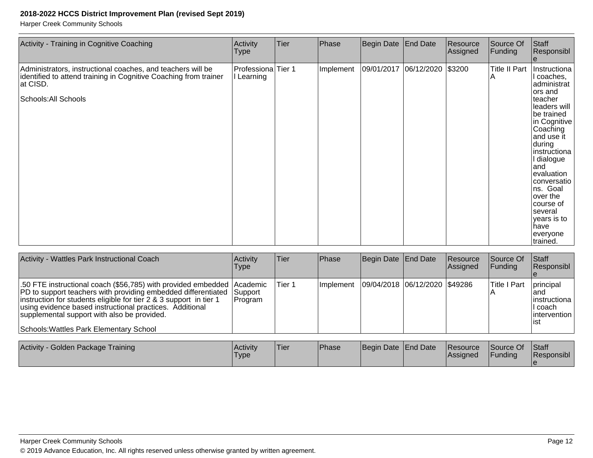| Activity - Training in Cognitive Coaching                                                                                                                           | Activity<br>Type                 | Tier | Phase     | Begin Date End Date          | Resource<br>Assigned | Source Of<br>Funding | Staff<br>Responsibl                                                                                                                                                                                                                                                                                                  |
|---------------------------------------------------------------------------------------------------------------------------------------------------------------------|----------------------------------|------|-----------|------------------------------|----------------------|----------------------|----------------------------------------------------------------------------------------------------------------------------------------------------------------------------------------------------------------------------------------------------------------------------------------------------------------------|
| Administrators, instructional coaches, and teachers will be<br>identified to attend training in Cognitive Coaching from trainer<br>at CISD.<br>Schools: All Schools | Professiona Tier 1<br>I Learning |      | Implement | 09/01/2017 06/12/2020 \$3200 |                      | Title II Part<br>ΙA  | Instructiona<br>I coaches,<br>administrat<br>ors and<br>teacher<br>leaders will<br>be trained<br>in Cognitive<br>Coaching<br>and use it<br>during<br>instructiona<br>I dialogue<br>land<br>evaluation<br>conversatio<br>ns. Goal<br>over the<br>course of<br>several<br>years is to<br>lhave<br>everyone<br>trained. |

| Activity - Wattles Park Instructional Coach                                                                                                                                                                                                                                                                                                                        | Activity<br>Type    | <b>Tier</b> | <b>Phase</b>      | Begin Date End Date |                                 | Resource<br>Assigned | Source Of<br> Fundina | <b>Staff</b><br>Responsibl                                               |
|--------------------------------------------------------------------------------------------------------------------------------------------------------------------------------------------------------------------------------------------------------------------------------------------------------------------------------------------------------------------|---------------------|-------------|-------------------|---------------------|---------------------------------|----------------------|-----------------------|--------------------------------------------------------------------------|
| 50 FTE instructional coach (\$56,785) with provided embedded Academic<br>PD to support teachers with providing embedded differentiated<br>instruction for students eligible for tier 2 & 3 support in tier 1<br>using evidence based instructional practices. Additional<br>supplemental support with also be provided.<br>Schools: Wattles Park Elementary School | Support<br> Program | Tier 1      | <b>Ilmplement</b> |                     | 09/04/2018  06/12/2020  \$49286 |                      | Title I Part          | principal<br>land<br>linstructiona<br>II coach.<br>lintervention<br>list |

| Activity - Golden Package Training | <b>Activity</b><br><b>Type</b> | <sup>I</sup> Tier | <b>Phase</b> | Begin Date End Date |  | <b>Resource</b><br><b>Assigned</b> | Source Of<br>Funding | Staff<br><b>Responsibl</b> |
|------------------------------------|--------------------------------|-------------------|--------------|---------------------|--|------------------------------------|----------------------|----------------------------|
|------------------------------------|--------------------------------|-------------------|--------------|---------------------|--|------------------------------------|----------------------|----------------------------|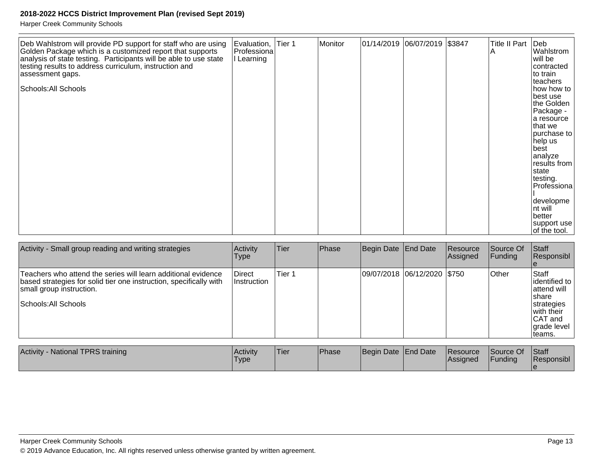| Deb Wahlstrom will provide PD support for staff who are using<br>Golden Package which is a customized report that supports<br>analysis of state testing. Participants will be able to use state<br>testing results to address curriculum, instruction and<br>assessment gaps.<br>Schools: All Schools | Evaluation,<br>Professiona<br>I Learning | Tier <sub>1</sub> | Monitor | 01/14/2019 06/07/2019 \$3847 |  |  | <b>Title II Part</b><br>ΙA | $ $ Deb<br>Wahlstrom<br>will be<br>contracted<br>to train<br>teachers<br>how how to<br>best use<br>the Golden<br>Package -<br>a resource<br>Ithat we<br>purchase to<br>help us<br> best<br>analyze<br>results from<br>Istate<br>testing.<br>Professiona<br>developme<br>Int will<br>lbetter<br> support use <br>of the tool. |
|-------------------------------------------------------------------------------------------------------------------------------------------------------------------------------------------------------------------------------------------------------------------------------------------------------|------------------------------------------|-------------------|---------|------------------------------|--|--|----------------------------|------------------------------------------------------------------------------------------------------------------------------------------------------------------------------------------------------------------------------------------------------------------------------------------------------------------------------|
|-------------------------------------------------------------------------------------------------------------------------------------------------------------------------------------------------------------------------------------------------------------------------------------------------------|------------------------------------------|-------------------|---------|------------------------------|--|--|----------------------------|------------------------------------------------------------------------------------------------------------------------------------------------------------------------------------------------------------------------------------------------------------------------------------------------------------------------------|

| Activity - Small group reading and writing strategies                                                                                                                                   | Activity<br><b>Type</b> | Tier              | Phase | Begin Date End Date           | <b>Resource</b><br> Assigned | Source Of<br>Funding | <b>Staff</b><br>Responsibl                                                                                         |
|-----------------------------------------------------------------------------------------------------------------------------------------------------------------------------------------|-------------------------|-------------------|-------|-------------------------------|------------------------------|----------------------|--------------------------------------------------------------------------------------------------------------------|
| Teachers who attend the series will learn additional evidence<br>based strategies for solid tier one instruction, specifically with<br>small group instruction.<br>Schools: All Schools | Direct<br>∣Instruction⊹ | Tier <sub>1</sub> |       | 09/07/2018  06/12/2020  \$750 |                              | Other                | Staff<br>lidentified to<br>lattend will<br>Ishare<br>strategies<br>with their<br>CAT and<br>grade level<br>Iteams. |
| <b>Activity - National TPRS training</b>                                                                                                                                                | Activity                | Tier              | Phase | Begin Date End Date           | Resource                     | Source Of            | Staff<br>.                                                                                                         |

| Activity - National TPRS training | Activity<br>'Type | <b>Tier</b> | <b>Phase</b> | Begin Date End Date | Resource<br><b>IAssianed</b> | Source Of<br>Funding | <b>Staff</b><br>Responsibl |
|-----------------------------------|-------------------|-------------|--------------|---------------------|------------------------------|----------------------|----------------------------|
|                                   |                   |             |              |                     |                              |                      |                            |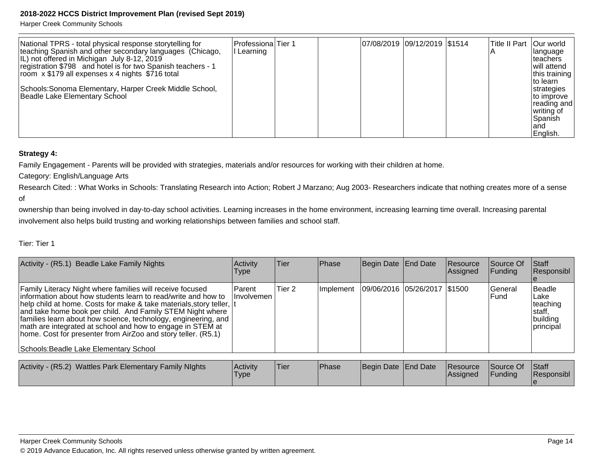Harper Creek Community Schools

| National TPRS - total physical response storytelling for<br>teaching Spanish and other secondary languages (Chicago,<br>IL) not offered in Michigan July 8-12, 2019<br>registration \$798 and hotel is for two Spanish teachers - 1<br>room x \$179 all expenses x 4 nights \$716 total<br>Schools: Sonoma Elementary, Harper Creek Middle School,<br>Beadle Lake Elementary School | Professiona Tier 1<br>l Learning |  |  | 07/08/2019 09/12/2019 \$1514 |  | Title II Part | Our world<br> language<br>Iteachers<br>will attend<br>this training<br>Ito learn<br>strategies<br>to improve<br> reading and <br>∣writing of<br>Spanish<br>land<br>English. |
|-------------------------------------------------------------------------------------------------------------------------------------------------------------------------------------------------------------------------------------------------------------------------------------------------------------------------------------------------------------------------------------|----------------------------------|--|--|------------------------------|--|---------------|-----------------------------------------------------------------------------------------------------------------------------------------------------------------------------|
|-------------------------------------------------------------------------------------------------------------------------------------------------------------------------------------------------------------------------------------------------------------------------------------------------------------------------------------------------------------------------------------|----------------------------------|--|--|------------------------------|--|---------------|-----------------------------------------------------------------------------------------------------------------------------------------------------------------------------|

#### **Strategy 4:**

Family Engagement - Parents will be provided with strategies, materials and/or resources for working with their children at home.

Category: English/Language Arts

Research Cited: : What Works in Schools: Translating Research into Action; Robert J Marzano; Aug 2003- Researchers indicate that nothing creates more of a sense of

ownership than being involved in day-to-day school activities. Learning increases in the home environment, increasing learning time overall. Increasing parental involvement also helps build trusting and working relationships between families and school staff.

#### Tier: Tier 1

| Activity - (R5.1) Beadle Lake Family Nights                                                                                                                                                                                                                                                                                                                                                                                                                                                                 | Activity<br>Type             | <b>Tier</b>       | <b>Phase</b>     | Begin Date End Date |                              | Resource<br>Assigned | Source Of<br><b>Funding</b> | <b>Staff</b><br>Responsibl                                      |
|-------------------------------------------------------------------------------------------------------------------------------------------------------------------------------------------------------------------------------------------------------------------------------------------------------------------------------------------------------------------------------------------------------------------------------------------------------------------------------------------------------------|------------------------------|-------------------|------------------|---------------------|------------------------------|----------------------|-----------------------------|-----------------------------------------------------------------|
| Family Literacy Night where families will receive focused<br>information about how students learn to read/write and how to<br>help child at home. Costs for make & take materials, story teller,  t<br>and take home book per child. And Family STEM Night where<br>families learn about how science, technology, engineering, and<br>math are integrated at school and how to engage in STEM at<br>home. Cost for presenter from AirZoo and story teller. (R5.1)<br>Schools: Beadle Lake Elementary School | <b>Parent</b><br>Ilnvolvemen | Tier <sub>2</sub> | <b>Implement</b> |                     | 09/06/2016 05/26/2017 \$1500 |                      | lGeneral<br>lFund           | Beadle<br>ILake<br>teaching<br>Istaff.<br>building<br>principal |

| Activity - (R5.2) Wattles Park Elementary Family Nights | l Acti∨it∨<br><b>Type</b> | 'Tier | <b>IPhase</b> | Begin Date End Date |  | <b>Resource</b><br><b>IAssianed</b> | Source Of<br>Funding | <b>Staff</b><br>Responsibl |
|---------------------------------------------------------|---------------------------|-------|---------------|---------------------|--|-------------------------------------|----------------------|----------------------------|
|---------------------------------------------------------|---------------------------|-------|---------------|---------------------|--|-------------------------------------|----------------------|----------------------------|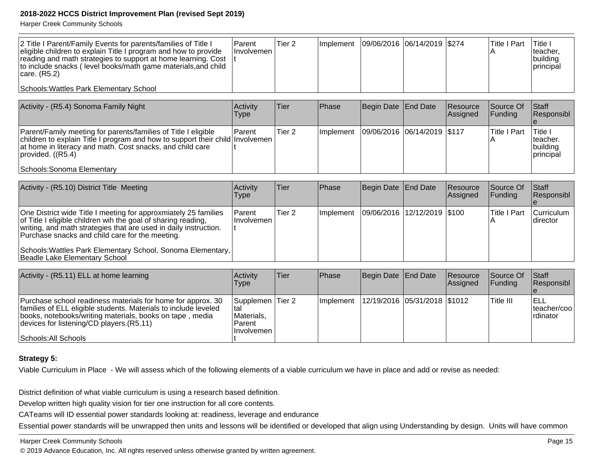Harper Creek Community Schools

| 2 Title I Parent/Family Events for parents/families of Title I<br>eligible children to explain Title I program and how to provide<br>reading and math strategies to support at home learning. Cost<br>to include snacks (level books/math game materials, and child<br> care. (R5.2) | l Parent<br><b>Involvemen</b> | Tier 2 | Implement   09/06/2016   06/14/2019   \$274 |  | <b>Title I Part</b> | <b>Title</b><br>Iteacher.<br> building<br> principal |
|--------------------------------------------------------------------------------------------------------------------------------------------------------------------------------------------------------------------------------------------------------------------------------------|-------------------------------|--------|---------------------------------------------|--|---------------------|------------------------------------------------------|
| Schools: Wattles Park Elementary School                                                                                                                                                                                                                                              |                               |        |                                             |  |                     |                                                      |

| Activity - (R5.4) Sonoma Family Night                                                                                                                                                                                                                               | Activitv<br>Type | Tier              | <b>IPhase</b> | Begin Date   End Date       | Resource<br><b>Assigned</b> | Source Of<br>IFundina | <b>Staff</b><br>Responsibl                                  |
|---------------------------------------------------------------------------------------------------------------------------------------------------------------------------------------------------------------------------------------------------------------------|------------------|-------------------|---------------|-----------------------------|-----------------------------|-----------------------|-------------------------------------------------------------|
| Parent/Family meeting for parents/families of Title I eligible<br> children to explain Title I program and how to support their child   Involvemen<br>at home in literacy and math. Cost snacks, and child care<br> provided. (R5.4) <br>Schools: Sonoma Elementary | <b>Parent</b>    | Tier <sub>2</sub> | Ilmplement    | 09/06/2016 06/14/2019 \$117 |                             | lTitle I Part         | <sup>1</sup> Title i<br>Iteacher.<br> building<br>principal |

| Activity - (R5.10) District Title Meeting                                                                                                                                                                                                               | Activity<br><b>Type</b>       | <b>Tier</b> | <b>Phase</b>     | Begin Date End Date           | Resource<br><b>Assigned</b> | Source Of<br><b>IFunding</b> | <b>Staff</b><br>Responsibl |
|---------------------------------------------------------------------------------------------------------------------------------------------------------------------------------------------------------------------------------------------------------|-------------------------------|-------------|------------------|-------------------------------|-----------------------------|------------------------------|----------------------------|
| One District wide Title I meeting for approxmiately 25 families<br>of Title I eligible children wih the goal of sharing reading,<br>writing, and math strategies that are used in daily instruction.<br>Purchase snacks and child care for the meeting. | <b>Parent</b><br>l Involvemen | Tier 2      | <b>Implement</b> | 09/06/2016  12/12/2019  \$100 |                             | lTitle I Part                | Curriculum<br>Idirector    |
| Schools: Wattles Park Elementary School, Sonoma Elementary,<br>Beadle Lake Elementary School                                                                                                                                                            |                               |             |                  |                               |                             |                              |                            |

| Activity - (R5.11) ELL at home learning                                                                                                                                                                                                                         | <b>Activity</b><br>Type                                          | Tier | <b>IPhase</b> | Begin Date   End Date            | Resource<br><b>Assigned</b> | <b>Source Of</b><br>IFundina | <b>Staff</b><br>Responsibl         |
|-----------------------------------------------------------------------------------------------------------------------------------------------------------------------------------------------------------------------------------------------------------------|------------------------------------------------------------------|------|---------------|----------------------------------|-----------------------------|------------------------------|------------------------------------|
| Purchase school readiness materials for home for approx. 30<br>families of ELL eligible students. Materials to include leveled<br>books, notebooks/writing materials, books on tape, media<br>devices for listening/CD players. (R5.11)<br>Schools: All Schools | Supplemen Tier 2<br>Ital<br>Materials,<br>Parent<br>I Involvemen |      | Ilmplement    | 12/19/2016   05/31/2018   \$1012 |                             | Title III                    | IELL<br> teacher/coo <br>Irdinator |

#### **Strategy 5:**

Viable Curriculum in Place - We will assess which of the following elements of a viable curriculum we have in place and add or revise as needed:

District definition of what viable curriculum is using a research based definition.

Develop written high quality vision for tier one instruction for all core contents.

CATeams will ID essential power standards looking at: readiness, leverage and endurance

Essential power standards will be unwrapped then units and lessons will be identified or developed that align using Understanding by design. Units will have common

#### Harper Creek Community Schools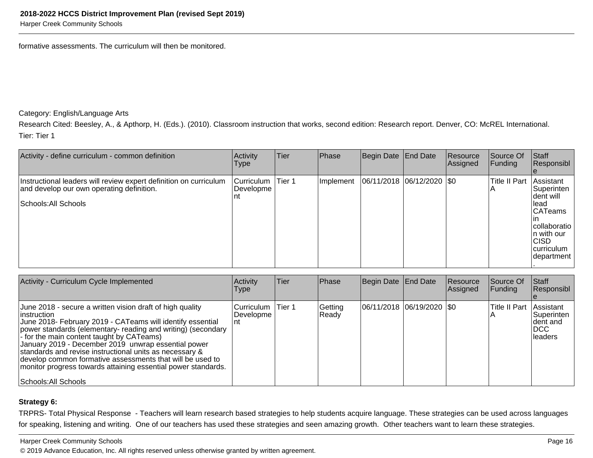Harper Creek Community Schools

formative assessments. The curriculum will then be monitored.

Category: English/Language Arts

Research Cited: Beesley, A., & Apthorp, H. (Eds.). (2010). Classroom instruction that works, second edition: Research report. Denver, CO: McREL International. Tier: Tier 1

| Activity - define curriculum - common definition                                                                                       | Activity<br>Type               | Tier   | Phase      | Begin Date End Date           | Resource<br>Assigned | Source Of<br>Funding | Staff<br>Responsibl                                                                                                                         |
|----------------------------------------------------------------------------------------------------------------------------------------|--------------------------------|--------|------------|-------------------------------|----------------------|----------------------|---------------------------------------------------------------------------------------------------------------------------------------------|
| Instructional leaders will review expert definition on curriculum<br>and develop our own operating definition.<br>Schools: All Schools | Curriculum<br>Developme<br>Int | Tier 1 | Ilmplement | $ 06/11/2018 06/12/2020 $ \$0 |                      | <b>Title II Part</b> | Assistant<br>Superinten<br>dent will<br>llead<br><b>CATeams</b><br>collaboratio<br>In with our<br>ICISD<br><i>curriculum</i><br>Idepartment |

| Activity - Curriculum Cycle Implemented                                                                                                                                                                                                                                                                                                                                                                                                                                                                                      | Activity<br><b>Type</b>          | <b>Tier</b> | Phase            | Begin Date End Date           | Resource<br>Assigned | Source Of<br><b>Funding</b> | <b>Staff</b><br>Responsibl                                |
|------------------------------------------------------------------------------------------------------------------------------------------------------------------------------------------------------------------------------------------------------------------------------------------------------------------------------------------------------------------------------------------------------------------------------------------------------------------------------------------------------------------------------|----------------------------------|-------------|------------------|-------------------------------|----------------------|-----------------------------|-----------------------------------------------------------|
| June 2018 - secure a written vision draft of high quality<br>linstruction<br>June 2018- February 2019 - CATeams will identify essential<br>power standards (elementary- reading and writing) (secondary<br>- for the main content taught by CATeams)<br>January 2019 - December 2019 unwrap essential power<br>standards and revise instructional units as necessary &<br>develop common formative assessments that will be used to<br>monitor progress towards attaining essential power standards.<br>Schools: All Schools | lCurriculum<br>l Developme<br>nt | Tier 1      | Getting<br>Ready | $ 06/11/2018 06/19/2020 $ \$0 |                      | <b>Title II Part</b>        | Assistant<br> Superinten<br>Ident and<br>IDCC<br>lleaders |

#### **Strategy 6:**

TRPRS- Total Physical Response - Teachers will learn research based strategies to help students acquire language. These strategies can be used across languagesfor speaking, listening and writing. One of our teachers has used these strategies and seen amazing growth. Other teachers want to learn these strategies.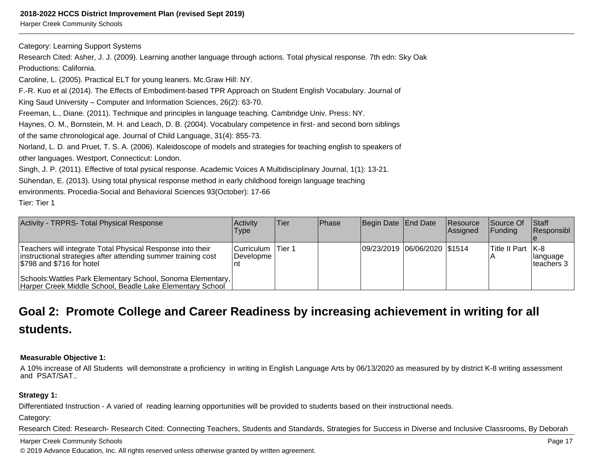Harper Creek Community Schools

Category: Learning Support Systems

 Research Cited: Asher, J. J. (2009). Learning another language through actions. Total physical response. 7th edn: Sky OakProductions: California.

Caroline, L. (2005). Practical ELT for young leaners. Mc.Graw Hill: NY.

F.-R. Kuo et al (2014). The Effects of Embodiment-based TPR Approach on Student English Vocabulary. Journal of

King Saud University – Computer and Information Sciences, 26(2): 63-70.

Freeman, L., Diane. (2011). Technique and principles in language teaching. Cambridge Univ. Press: NY.

Haynes, O. M., Bornstein, M. H. and Leach, D. B. (2004). Vocabulary competence in first- and second born siblings

of the same chronological age. Journal of Child Language, 31(4): 855-73.

Norland, L. D. and Pruet, T. S. A. (2006). Kaleidoscope of models and strategies for teaching english to speakers ofother languages. Westport, Connecticut: London.

Singh, J. P. (2011). Effective of total pysical response. Academic Voices A Multidisciplinary Journal, 1(1): 13-21.

Sühendan, E. (2013). Using total physical response method in early childhood foreign language teaching

environments. Procedia-Social and Behavioral Sciences 93(October): 17-66

Tier: Tier 1

| Activity - TRPRS- Total Physical Response                                                                                                                | <b>Activity</b><br>Type        | Tier    | <b>IPhase</b> | Begin Date End Date          | <b>Resource</b><br>Assigned | <b>Source Of</b><br>IFundina | <b>Staff</b><br><b>Responsibl</b> |
|----------------------------------------------------------------------------------------------------------------------------------------------------------|--------------------------------|---------|---------------|------------------------------|-----------------------------|------------------------------|-----------------------------------|
| Teachers will integrate Total Physical Response into their<br>instructional strategies after attending summer training cost<br>\$798 and \$716 for hotel | <b>Curriculum</b><br>Developme | ∣Tier 1 |               | 09/23/2019 06/06/2020 \$1514 |                             | Title II Part   K-8          | <b>Ilanguage</b><br>Iteachers 3   |
| Schools: Wattles Park Elementary School, Sonoma Elementary,<br>Harper Creek Middle School, Beadle Lake Elementary School                                 |                                |         |               |                              |                             |                              |                                   |

## **Goal 2: Promote College and Career Readiness by increasing achievement in writing for allstudents.**

#### **Measurable Objective 1:**

A 10% increase of All Students will demonstrate a proficiency in writing in English Language Arts by 06/13/2020 as measured by by district K-8 writing assessmentand PSAT/SAT..

#### **Strategy 1:**

Differentiated Instruction - A varied of reading learning opportunities will be provided to students based on their instructional needs.

Category:

Research Cited: Research- Research Cited: Connecting Teachers, Students and Standards, Strategies for Success in Diverse and Inclusive Classrooms, By Deborah

#### Harper Creek Community Schools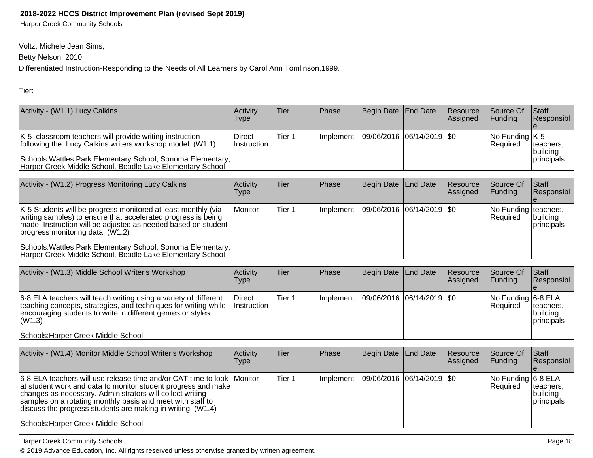Harper Creek Community Schools

Voltz, Michele Jean Sims,

Betty Nelson, 2010

Differentiated Instruction-Responding to the Needs of All Learners by Carol Ann Tomlinson,1999.

Tier:

| Activity - (W1.1) Lucy Calkins                                                                                                                                                                                                                   | <b>Activity</b><br>Type        | Tier   | <b>IPhase</b>     | Begin Date End Date         | <b>Resource</b><br>Assigned | <b>Source Of</b><br><b>IFunding</b>                                      | <b>Staff</b><br>Responsibl                   |
|--------------------------------------------------------------------------------------------------------------------------------------------------------------------------------------------------------------------------------------------------|--------------------------------|--------|-------------------|-----------------------------|-----------------------------|--------------------------------------------------------------------------|----------------------------------------------|
| K-5 classroom teachers will provide writing instruction<br>following the Lucy Calkins writers workshop model. (W1.1)<br>Schools: Wattles Park Elementary School, Sonoma Elementary,<br>Harper Creek Middle School, Beadle Lake Elementary School | l Direct<br><b>Instruction</b> | Tier 1 | <b>Ilmplement</b> | 09/06/2016  06/14/2019  \$0 |                             | $\sqrt{\frac{1}{100}}$ Funding $\sqrt{\frac{1}{100}}$<br><b>Required</b> | teachers,<br>Ibuildina<br><i>Iprincipals</i> |

| Activity - (W1.2) Progress Monitoring Lucy Calkins                                                                                                                                                                                       | <b>Activity</b><br><b>Type</b> | Tier   | <b>IPhase</b>     | Begin Date   End Date |                         | <b>Resource</b><br>Assigned | Source Of<br>IFundina              | <b>Staff</b><br>Responsibl |
|------------------------------------------------------------------------------------------------------------------------------------------------------------------------------------------------------------------------------------------|--------------------------------|--------|-------------------|-----------------------|-------------------------|-----------------------------|------------------------------------|----------------------------|
| K-5 Students will be progress monitored at least monthly (via<br>writing samples) to ensure that accelerated progress is being<br>made. Instruction will be adjusted as needed based on student<br>$ progress$ monitoring data. $(W1.2)$ | <i>I</i> Monitor               | Tier 1 | <b>Ilmplement</b> |                       | 09/06/2016 06/14/2019 0 |                             | No Funding teachers,<br>l Reauired | building<br>Iprincipals    |
| Schools: Wattles Park Elementary School, Sonoma Elementary,<br>Harper Creek Middle School, Beadle Lake Elementary School                                                                                                                 |                                |        |                   |                       |                         |                             |                                    |                            |

| Activity - (W1.3) Middle School Writer's Workshop                                                                                                                                                                                                     | Activity<br>Type             | Tier   | <b>IPhase</b> | Begin Date End Date |                         | <b>Resource</b><br><b>Assigned</b> | <b>Source Of</b><br>IFundina          | <b>Staff</b><br><b>Responsibl</b>             |
|-------------------------------------------------------------------------------------------------------------------------------------------------------------------------------------------------------------------------------------------------------|------------------------------|--------|---------------|---------------------|-------------------------|------------------------------------|---------------------------------------|-----------------------------------------------|
| 6-8 ELA teachers will teach writing using a variety of different<br>teaching concepts, strategies, and techniques for writing while<br>encouraging students to write in different genres or styles.<br>l(W1.3)<br>Schools: Harper Creek Middle School | Direct<br><b>Instruction</b> | Tier 1 | Ilmplement    |                     | 09/06/2016 06/14/2019 0 |                                    | No Funding 6-8 ELA<br><b>Required</b> | Iteachers,<br> building<br><i>Iprincipals</i> |

| Activity - (W1.4) Monitor Middle School Writer's Workshop                                                                                                                                                                                                                                                                                                                    | Activity<br><b>Type</b> | Tier   | <b>Phase</b>     | Begin Date   End Date |                         | Resource<br><b>Assigned</b> | <b>Source Of</b><br>IFundina          | <b>IStaff</b><br>Responsibl                  |
|------------------------------------------------------------------------------------------------------------------------------------------------------------------------------------------------------------------------------------------------------------------------------------------------------------------------------------------------------------------------------|-------------------------|--------|------------------|-----------------------|-------------------------|-----------------------------|---------------------------------------|----------------------------------------------|
| 6-8 ELA teachers will use release time and/or CAT time to look   Monitor<br>at student work and data to monitor student progress and make<br>changes as necessary. Administrators will collect writing<br>samples on a rotating monthly basis and meet with staff to<br>discuss the progress students are making in writing. $(W1.4)$<br>Schools: Harper Creek Middle School |                         | Tier 1 | <b>Implement</b> |                       | 09/06/2016 06/14/2019 0 |                             | No Funding 6-8 ELA<br><b>Required</b> | teachers,<br> building<br><i>Iprincipals</i> |

Harper Creek Community Schools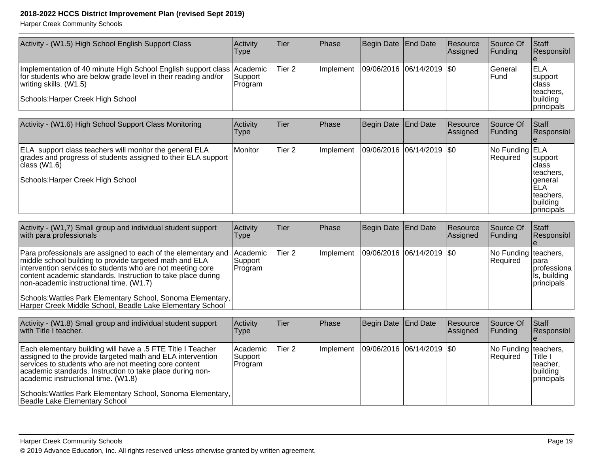| Activity - (W1.5) High School English Support Class                                                                                                                                                                                                                                                                                                                                                                           | Activity<br><b>Type</b>        | Tier              | Phase     | <b>Begin Date</b> | <b>End Date</b>             | Resource<br>Assigned | Source Of<br>Funding             | Staff<br>Responsibl                                                                    |
|-------------------------------------------------------------------------------------------------------------------------------------------------------------------------------------------------------------------------------------------------------------------------------------------------------------------------------------------------------------------------------------------------------------------------------|--------------------------------|-------------------|-----------|-------------------|-----------------------------|----------------------|----------------------------------|----------------------------------------------------------------------------------------|
| Implementation of 40 minute High School English support class<br>for students who are below grade level in their reading and/or<br>writing skills. (W1.5)<br>Schools: Harper Creek High School                                                                                                                                                                                                                                | Academic<br>Support<br>Program | Tier <sub>2</sub> | Implement | 09/06/2016        | 06/14/2019                  | $\sqrt{50}$          | General<br>Fund                  | <b>ELA</b><br>support<br>class<br>teachers,<br>building<br>principals                  |
|                                                                                                                                                                                                                                                                                                                                                                                                                               |                                |                   |           |                   |                             |                      |                                  |                                                                                        |
| Activity - (W1.6) High School Support Class Monitoring                                                                                                                                                                                                                                                                                                                                                                        | Activity<br><b>Type</b>        | Tier              | Phase     | <b>Begin Date</b> | <b>End Date</b>             | Resource<br>Assigned | Source Of<br>Funding             | Staff<br>Responsibl                                                                    |
| ELA support class teachers will monitor the general ELA<br>grades and progress of students assigned to their ELA support<br>class (W1.6)<br>Schools: Harper Creek High School                                                                                                                                                                                                                                                 | Monitor                        | Tier <sub>2</sub> | Implement |                   | 09/06/2016  06/14/2019  \$0 |                      | No Funding ELA<br>Required       | support<br>class<br>teachers,<br>general<br>ELA<br>teachers,<br>building<br>principals |
|                                                                                                                                                                                                                                                                                                                                                                                                                               |                                |                   |           |                   |                             |                      |                                  |                                                                                        |
| Activity - (W1,7) Small group and individual student support<br>with para professionals                                                                                                                                                                                                                                                                                                                                       | Activity<br><b>Type</b>        | Tier              | Phase     | <b>Begin Date</b> | <b>End Date</b>             | Resource<br>Assigned | Source Of<br>Funding             | Staff<br>Responsibl                                                                    |
| Para professionals are assigned to each of the elementary and<br>middle school building to provide targeted math and ELA<br>intervention services to students who are not meeting core<br>content academic standards. Instruction to take place during<br>non-academic instructional time. (W1.7)<br>Schools: Wattles Park Elementary School, Sonoma Elementary,<br>Harper Creek Middle School, Beadle Lake Elementary School | Academic<br>Support<br>Program | Tier <sub>2</sub> | Implement | 09/06/2016        | 06/14/2019                  | $\sqrt{50}$          | No Funding<br>Required           | teachers,<br>para<br>professiona<br>is, building<br>principals                         |
|                                                                                                                                                                                                                                                                                                                                                                                                                               |                                |                   |           |                   |                             |                      |                                  |                                                                                        |
| Activity - (W1.8) Small group and individual student support<br>with Title I teacher.                                                                                                                                                                                                                                                                                                                                         | Activity<br>Type               | Tier              | Phase     | <b>Begin Date</b> | <b>End Date</b>             | Resource<br>Assigned | Source Of<br>Funding             | Staff<br>Responsibl                                                                    |
| Each elementary building will have a .5 FTE Title I Teacher<br>assigned to the provide targeted math and ELA intervention<br>services to students who are not meeting core content<br>academic standards. Instruction to take place during non-<br>academic instructional time. (W1.8)                                                                                                                                        | Academic<br>Support<br>Program | Tier <sub>2</sub> | Implement |                   | 09/06/2016  06/14/2019  \$0 |                      | No Funding teachers,<br>Required | Title I<br>teacher,<br>building<br>principals                                          |
| Schools: Wattles Park Elementary School, Sonoma Elementary,<br>Beadle Lake Elementary School                                                                                                                                                                                                                                                                                                                                  |                                |                   |           |                   |                             |                      |                                  |                                                                                        |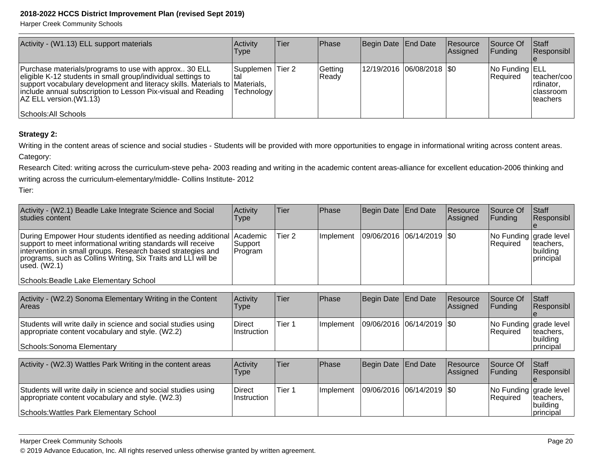Harper Creek Community Schools

| Activity - (W1.13) ELL support materials                                                                                                                                                                                                                                                                                | <b>Activity</b><br><b>Type</b> | lTier | <b>Phase</b>     | Begin Date   End Date       | Resource<br>Assigned | Source Of<br>IFundina             | Staff<br>Responsibl                                          |
|-------------------------------------------------------------------------------------------------------------------------------------------------------------------------------------------------------------------------------------------------------------------------------------------------------------------------|--------------------------------|-------|------------------|-----------------------------|----------------------|-----------------------------------|--------------------------------------------------------------|
| Purchase materials/programs to use with approx 30 ELL<br>eligible K-12 students in small group/individual settings to<br>support vocabulary development and literacy skills. Materials to Materials,<br>include annual subscription to Lesson Pix-visual and Reading<br>AZ ELL version. (W1.13)<br>Schools: All Schools | Supplemen Tier 2<br>Technology |       | Getting<br>Ready | 12/19/2016  06/08/2018  \$0 |                      | No Funding ELL<br><b>Required</b> | teacher/coo <br>Irdinator,<br>Iclassroom<br><b>Iteachers</b> |

#### **Strategy 2:**

Writing in the content areas of science and social studies - Students will be provided with more opportunities to engage in informational writing across content areas. Category:

Research Cited: writing across the curriculum-steve peha- 2003 reading and writing in the academic content areas-alliance for excellent education-2006 thinking andwriting across the curriculum-elementary/middle- Collins Institute- 2012

Tier:

| Activity - (W2.1) Beadle Lake Integrate Science and Social<br>studies content                                                                                                                                                                                                                                                     | Activity<br>Type    | Tier   | <b>IPhase</b> | Begin Date   End Date         | <b>Resource</b><br>Assigned | <b>Source Of</b><br>IFundina               | <b>Staff</b><br>Responsibl           |
|-----------------------------------------------------------------------------------------------------------------------------------------------------------------------------------------------------------------------------------------------------------------------------------------------------------------------------------|---------------------|--------|---------------|-------------------------------|-----------------------------|--------------------------------------------|--------------------------------------|
| During Empower Hour students identified as needing additional Academic<br>support to meet informational writing standards will receive<br>intervention in small groups. Research based strategies and<br>programs, such as Collins Writing, Six Traits and LLI will be<br> used. (W2.1)<br>Schools: Beadle Lake Elementary School | Support_<br>Program | Tier 2 | Ilmplement    | $ 09/06/2016 06/14/2019 $ \$0 |                             | No Funding grade level<br><b>IRequired</b> | Iteachers,<br> building<br>principal |

| Activity - (W2.2) Sonoma Elementary Writing in the Content<br><b>Areas</b>                                                                      | Activity<br>Type       | 'Tier  | <b>IPhase</b>     | Begin Date End Date         | <b>Resource</b><br><b>Assigned</b> | <b>Source Of</b><br><b>IFundina</b> | Staff<br>Responsibl                                            |
|-------------------------------------------------------------------------------------------------------------------------------------------------|------------------------|--------|-------------------|-----------------------------|------------------------------------|-------------------------------------|----------------------------------------------------------------|
| Students will write daily in science and social studies using<br>appropriate content vocabulary and style. (W2.2)<br>Schools: Sonoma Elementary | Direct<br>⊺Instruction | Tier 1 | <b>Ilmplement</b> | 09/06/2016  06/14/2019  \$0 |                                    | <b>Required</b>                     | No Funding grade level<br>Iteachers,<br> building<br>principal |

| Activity - (W2.3) Wattles Park Writing in the content areas                                                                                                  | Activity<br><b>Type</b> | Tier   | <b>Phase</b>     | Begin Date End Date         | <b>Resource</b><br><b>Assigned</b> | Source Of<br><b>IFundina</b> | <b>Staff</b><br>Responsibl                                                       |
|--------------------------------------------------------------------------------------------------------------------------------------------------------------|-------------------------|--------|------------------|-----------------------------|------------------------------------|------------------------------|----------------------------------------------------------------------------------|
| Students will write daily in science and social studies using<br>appropriate content vocabulary and style. (W2.3)<br>Schools: Wattles Park Elementary School | Direct<br>∣Instruction  | Tier 1 | <b>Implement</b> | 09/06/2016  06/14/2019  \$0 |                                    | <b>IRequired</b>             | $ No$ Funding $ grade$ level $ $<br>Iteachers,<br> building<br><i>Iprincipal</i> |

#### Harper Creek Community Schools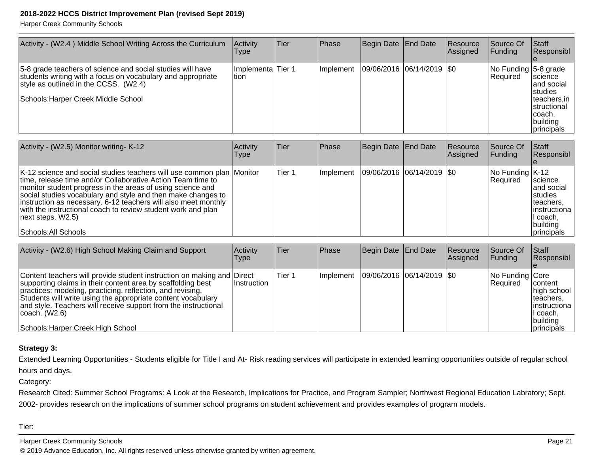Harper Creek Community Schools

| Activity - (W2.4) Middle School Writing Across the Curriculum                                                                                                                                             | Activity<br>Type            | Tier | Phase      | Begin Date End Date |                               | Resource<br>Assigned | Source Of<br><b>Funding</b>       | Staff<br>Responsibl                                                                                                    |
|-----------------------------------------------------------------------------------------------------------------------------------------------------------------------------------------------------------|-----------------------------|------|------------|---------------------|-------------------------------|----------------------|-----------------------------------|------------------------------------------------------------------------------------------------------------------------|
| 5-8 grade teachers of science and social studies will have<br>students writing with a focus on vocabulary and appropriate<br>style as outlined in the CCSS. (W2.4)<br>Schools: Harper Creek Middle School | Implementa Tier 1<br>ltion. |      | Ilmplement |                     | $ 09/06/2016 06/14/2019 $ \$0 |                      | No Funding 5-8 grade<br> Required | science<br>land social<br><b>Istudies</b><br>teachers, in<br>Istructional<br>Icoach,<br>building<br><i>Iprincipals</i> |

| Activity - (W2.5) Monitor writing- K-12                                                                                                                                                                                                                                                                                                                                                                                                           | Activity<br><b>Type</b> | Tier   | <b>Phase</b> | Begin Date End Date         | Resource<br><b>Assigned</b> | Source Of<br><b>Funding</b>                                       | <b>Staff</b><br>Responsibl                                                                                                           |
|---------------------------------------------------------------------------------------------------------------------------------------------------------------------------------------------------------------------------------------------------------------------------------------------------------------------------------------------------------------------------------------------------------------------------------------------------|-------------------------|--------|--------------|-----------------------------|-----------------------------|-------------------------------------------------------------------|--------------------------------------------------------------------------------------------------------------------------------------|
| K-12 science and social studies teachers will use common plan Monitor<br>time, release time and/or Collaborative Action Team time to<br>monitor student progress in the areas of using science and<br>social studies vocabulary and style and then make changes to<br>instruction as necessary. 6-12 teachers will also meet monthly<br>with the instructional coach to review student work and plan<br>next steps. W2.5)<br>Schools: All Schools |                         | Tier 1 | l Implement  | 09/06/2016  06/14/2019  \$0 |                             | $\sqrt{\frac{1}{100}}$ Funding $\sqrt{\frac{1}{100}}$<br>Required | <b>Science</b><br>land social<br><b>Istudies</b><br>Iteachers,<br>linstructiona<br>II coach,<br>building<br><i><b>principals</b></i> |

| Activity - (W2.6) High School Making Claim and Support                                                                                                                                                                                                                                                                                                                                        | Activity<br>Type | lTier. | <b>Phase</b> | Begin Date End Date         | <b>Resource</b><br><b>Assigned</b> | lSource Of<br> Funding        | <b>IStaff</b><br>Responsibl                                                                                  |
|-----------------------------------------------------------------------------------------------------------------------------------------------------------------------------------------------------------------------------------------------------------------------------------------------------------------------------------------------------------------------------------------------|------------------|--------|--------------|-----------------------------|------------------------------------|-------------------------------|--------------------------------------------------------------------------------------------------------------|
| Content teachers will provide student instruction on making and Direct<br>supporting claims in their content area by scaffolding best<br>practices: modeling, practicing, reflection, and revising.<br>Students will write using the appropriate content vocabulary<br>and style. Teachers will receive support from the instructional<br>⊺coach. (W2.6)<br>Schools: Harper Creek High School | ∣Instruction     | Tier 1 | Implement    | 09/06/2016  06/14/2019  \$0 |                                    | No Funding Core<br>l Reauired | <b>Icontent</b><br>high school<br>Iteachers.<br>linstructiona<br>I coach,<br> building<br><i>Iprincipals</i> |

#### **Strategy 3:**

Extended Learning Opportunities - Students eligible for Title I and At- Risk reading services will participate in extended learning opportunities outside of regular schoolhours and days.

Category:

Research Cited: Summer School Programs: A Look at the Research, Implications for Practice, and Program Sampler; Northwest Regional Education Labratory; Sept.2002- provides research on the implications of summer school programs on student achievement and provides examples of program models.

Tier:

Harper Creek Community Schools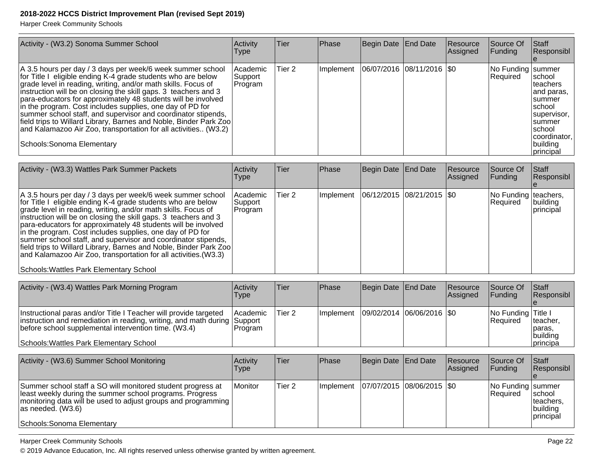Harper Creek Community Schools

| Activity - (W3.2) Sonoma Summer School                                                                                                                                                                                                                                                                                                                                                                                                                                                                                                                                                                                              | Activity<br><b>Type</b>          | <b>Tier</b> | Phase     | Begin Date End Date           | Resource<br>Assigned | Source Of<br><b>Funding</b>     | Staff<br>Responsibl                                                                                                                           |
|-------------------------------------------------------------------------------------------------------------------------------------------------------------------------------------------------------------------------------------------------------------------------------------------------------------------------------------------------------------------------------------------------------------------------------------------------------------------------------------------------------------------------------------------------------------------------------------------------------------------------------------|----------------------------------|-------------|-----------|-------------------------------|----------------------|---------------------------------|-----------------------------------------------------------------------------------------------------------------------------------------------|
| A 3.5 hours per day / 3 days per week/6 week summer school<br>for Title I eligible ending K-4 grade students who are below<br>grade level in reading, writing, and/or math skills. Focus of<br>instruction will be on closing the skill gaps. 3 teachers and 3<br>para-educators for approximately 48 students will be involved<br>in the program. Cost includes supplies, one day of PD for<br>summer school staff, and supervisor and coordinator stipends,<br>field trips to Willard Library, Barnes and Noble, Binder Park Zoo<br>and Kalamazoo Air Zoo, transportation for all activities (W3.2)<br>Schools: Sonoma Elementary | Academic<br> Support <br>Program | Tier 2      | Implement | $ 06/07/2016 08/11/2016 $ \$0 |                      | No Funding   summer<br>Required | school<br>Iteachers<br>and paras,<br>Isummer<br>Ischool<br>supervisor,<br>Isummer<br>Ischool<br>coordinator.<br>building<br><i>Iprincipal</i> |
|                                                                                                                                                                                                                                                                                                                                                                                                                                                                                                                                                                                                                                     |                                  |             |           |                               |                      |                                 |                                                                                                                                               |

| Activity - (W3.3) Wattles Park Summer Packets                                                                                                                                                                                                                                                                                                                                                                                                                                                                                                                                                                                                     | Activity<br><b>Type</b>             | Tier   | Phase     | Begin Date End Date           | Resource<br><b>Assigned</b> | Source Of<br><b>Funding</b>        | <b>Staff</b><br>Responsibl    |
|---------------------------------------------------------------------------------------------------------------------------------------------------------------------------------------------------------------------------------------------------------------------------------------------------------------------------------------------------------------------------------------------------------------------------------------------------------------------------------------------------------------------------------------------------------------------------------------------------------------------------------------------------|-------------------------------------|--------|-----------|-------------------------------|-----------------------------|------------------------------------|-------------------------------|
| A 3.5 hours per day / 3 days per week/6 week summer school<br>for Title I eligible ending K-4 grade students who are below<br>grade level in reading, writing, and/or math skills. Focus of<br>instruction will be on closing the skill gaps. 3 teachers and 3<br>para-educators for approximately 48 students will be involved<br>in the program. Cost includes supplies, one day of PD for<br>summer school staff, and supervisor and coordinator stipends,<br>field trips to Willard Library, Barnes and Noble, Binder Park Zoo<br>and Kalamazoo Air Zoo, transportation for all activities. (W3.3)<br>Schools: Wattles Park Elementary School | l Academic<br> Support_<br> Program | Tier 2 | Implement | $ 06/12/2015 08/21/2015 $ \$0 |                             | No Funding teachers,<br>l Reauired | <i>Ibuilding</i><br>principal |

| Activity - (W3.4) Wattles Park Morning Program                                                                                                                                                                                                  | Activity<br><b>Type</b>     | ∣Tier  | <b>IPhase</b>     | Begin Date End Date         | <b>Resource</b><br>Assigned | Source Of<br>IFundina                  | <b>Staff</b><br>Responsibl                          |
|-------------------------------------------------------------------------------------------------------------------------------------------------------------------------------------------------------------------------------------------------|-----------------------------|--------|-------------------|-----------------------------|-----------------------------|----------------------------------------|-----------------------------------------------------|
| Instructional paras and/or Title I Teacher will provide targeted<br>instruction and remediation in reading, writing, and math during Support<br>before school supplemental intervention time. (W3.4)<br>Schools: Wattles Park Elementary School | <b>Academic</b><br>IProgram | Tier 2 | <b>Ilmplement</b> | 09/02/2014  06/06/2016  \$0 |                             | No Funding Title I<br><b>IRequired</b> | Iteacher.<br>Iparas,<br>building<br><b>principa</b> |

| Activity - (W3.6) Summer School Monitoring                                                                                                                                                                                                       | <b>Activity</b><br>Type | lTier             | <b>IPhase</b> | Begin Date   End Date |                           | Resource<br><b>Assigned</b> | Source Of<br> Funding         | <b>Staff</b><br>Responsibl                             |
|--------------------------------------------------------------------------------------------------------------------------------------------------------------------------------------------------------------------------------------------------|-------------------------|-------------------|---------------|-----------------------|---------------------------|-----------------------------|-------------------------------|--------------------------------------------------------|
| Summer school staff a SO will monitored student progress at<br>least weekly during the summer school programs. Progress<br>  monitoring data will be used to adjust groups and programming  <br>las needed. (W3.6)<br>Schools: Sonoma Elementary | <i>I</i> Monitor        | Tier <sub>2</sub> | Ilmplement    |                       | 07/07/2015 08/06/2015 \$0 |                             | No Funding summer<br>Required | Ischool<br>Iteachers.<br> building<br><b>principal</b> |

Harper Creek Community Schools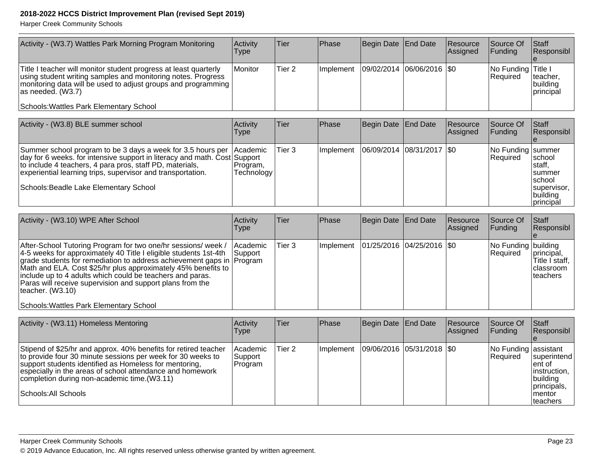| Activity - (W3.7) Wattles Park Morning Program Monitoring                                                                                                                                                                                                                                                                                                                                                                                                            | Activity<br>Type                   | Tier              | Phase     | Begin Date End Date         |                  | Resource<br>Assigned | Source Of<br>Funding             | Staff<br>Responsibl                                                                     |
|----------------------------------------------------------------------------------------------------------------------------------------------------------------------------------------------------------------------------------------------------------------------------------------------------------------------------------------------------------------------------------------------------------------------------------------------------------------------|------------------------------------|-------------------|-----------|-----------------------------|------------------|----------------------|----------------------------------|-----------------------------------------------------------------------------------------|
| Title I teacher will monitor student progress at least quarterly<br>using student writing samples and monitoring notes. Progress<br>monitoring data will be used to adjust groups and programming<br>as needed. (W3.7)                                                                                                                                                                                                                                               | Monitor                            | Tier <sub>2</sub> | Implement | 09/02/2014                  | 06/06/2016   \$0 |                      | No Funding Title I<br>Required   | teacher.<br>building<br>principal                                                       |
| Schools: Wattles Park Elementary School                                                                                                                                                                                                                                                                                                                                                                                                                              |                                    |                   |           |                             |                  |                      |                                  |                                                                                         |
| Activity - (W3.8) BLE summer school                                                                                                                                                                                                                                                                                                                                                                                                                                  | Activity<br><b>Type</b>            | <b>Tier</b>       | Phase     | <b>Begin Date</b>           | <b>End Date</b>  | Resource<br>Assigned | Source Of<br>Funding             | Staff<br>Responsibl                                                                     |
| Summer school program to be 3 days a week for 3.5 hours per<br>day for 6 weeks. for intensive support in literacy and math. Cost Support<br>to include 4 teachers, 4 para pros, staff PD, materials,<br>experiential learning trips, supervisor and transportation.<br>Schools: Beadle Lake Elementary School                                                                                                                                                        | Academic<br>Program,<br>Technology | Tier <sub>3</sub> | Implement | 06/09/2014                  | 08/31/2017       | I\$0                 | No Funding summer<br>Required    | school<br>staff,<br>summer<br>school<br>supervisor,<br>building<br>principal            |
| Activity - (W3.10) WPE After School                                                                                                                                                                                                                                                                                                                                                                                                                                  | Activity<br><b>Type</b>            | <b>Tier</b>       | Phase     | <b>Begin Date</b>           | <b>End Date</b>  | Resource<br>Assigned | Source Of<br>Funding             | Staff<br>Responsibl<br>e                                                                |
| After-School Tutoring Program for two one/hr sessions/ week /<br>4-5 weeks for approximately 40 Title I eligible students 1st-4th<br>grade students for remediation to address achievement gaps in Program<br>Math and ELA. Cost \$25/hr plus approximately 45% benefits to<br>include up to 4 adults which could be teachers and paras.<br>Paras will receive supervision and support plans from the<br>teacher. (W3.10)<br>Schools: Wattles Park Elementary School | Academic<br>Support                | Tier <sub>3</sub> | Implement | 01/25/2016 04/25/2016 \$0   |                  |                      | No Funding building<br>Required  | principal,<br>Title I staff,<br>classroom<br>teachers                                   |
|                                                                                                                                                                                                                                                                                                                                                                                                                                                                      |                                    |                   |           |                             |                  |                      |                                  |                                                                                         |
| Activity - (W3.11) Homeless Mentoring                                                                                                                                                                                                                                                                                                                                                                                                                                | Activity<br><b>Type</b>            | <b>Tier</b>       | Phase     | <b>Begin Date</b>           | <b>End Date</b>  | Resource<br>Assigned | Source Of<br>Funding             | Staff<br>Responsibl<br>$\boldsymbol{\Theta}$                                            |
| Stipend of \$25/hr and approx. 40% benefits for retired teacher<br>to provide four 30 minute sessions per week for 30 weeks to<br>support students identified as Homeless for mentoring,<br>especially in the areas of school attendance and homework<br>completion during non-academic time.(W3.11)<br>Schools: All Schools                                                                                                                                         | Academic<br>Support<br>Program     | Tier <sub>2</sub> | Implement | 09/06/2016 05/31/2018   \$0 |                  |                      | No Funding assistant<br>Required | superintend<br>ent of<br>instruction.<br>building<br>principals,<br>mentor<br>Iteachers |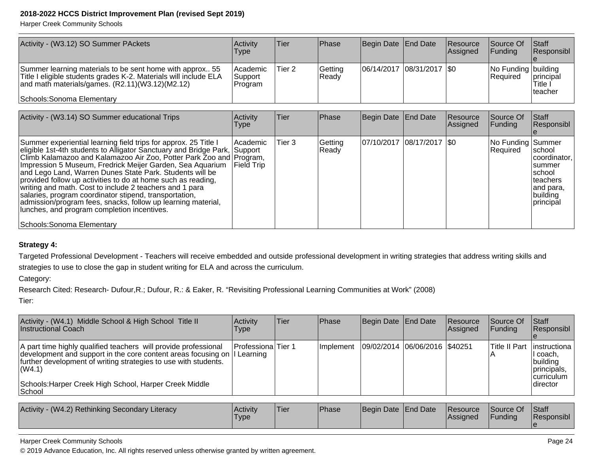Harper Creek Community Schools

| Activity - (W3.12) SO Summer PAckets                                                                                                                                                                            | <b>Activity</b><br><b>Type</b>   | lTier   | Phase            | Begin Date   End Date         | <b>Resource</b><br><b>Assigned</b> | Source Of<br><b>IFundina</b>     | <b>Staff</b><br>Responsibl       |
|-----------------------------------------------------------------------------------------------------------------------------------------------------------------------------------------------------------------|----------------------------------|---------|------------------|-------------------------------|------------------------------------|----------------------------------|----------------------------------|
| Summer learning materials to be sent home with approx 55<br>Title I eligible students grades K-2. Materials will include ELA<br>and math materials/games. $(R2.11)(W3.12)(M2.12)$<br>Schools: Sonoma Elementary | Academic <br>Support<br> Program | 'Tier 2 | Getting<br>Ready | $ 06/14/2017 08/31/2017 $ \$0 |                                    | No Funding building<br>IReauired | principal<br>Title i<br>Iteacher |

| Activity - (W3.14) SO Summer educational Trips                                                                                                                                                                                                                                                                                                                                                                                                                                                                                                                                                                                                                                 | Activity<br><b>Type</b>               | <b>Tier</b> | Phase            | Begin Date End Date        | Resource<br>Assigned | Source Of<br> Fundina         | lStaff<br>Responsibl                                                                               |
|--------------------------------------------------------------------------------------------------------------------------------------------------------------------------------------------------------------------------------------------------------------------------------------------------------------------------------------------------------------------------------------------------------------------------------------------------------------------------------------------------------------------------------------------------------------------------------------------------------------------------------------------------------------------------------|---------------------------------------|-------------|------------------|----------------------------|----------------------|-------------------------------|----------------------------------------------------------------------------------------------------|
| Summer experiential learning field trips for approx. 25 Title I<br>eligible 1st-4th students to Alligator Sanctuary and Bridge Park, Support<br>Climb Kalamazoo and Kalamazoo Air Zoo, Potter Park Zoo and Program,<br>Impression 5 Museum, Fredrick Meijer Garden, Sea Aquarium<br>and Lego Land, Warren Dunes State Park. Students will be<br>provided follow up activities to do at home such as reading,<br>writing and math. Cost to include 2 teachers and 1 para<br>salaries, program coordinator stipend, transportation,<br>admission/program fees, snacks, follow up learning material,<br>lunches, and program completion incentives.<br>Schools: Sonoma Elementary | <b>Academic</b><br><b>IField Trip</b> | Tier 3      | Getting<br>Ready | 07/10/2017 08/17/2017 \\$0 |                      | No Funding Summer<br>Required | Ischool<br> coordinator.<br>summer<br>Ischool<br>Iteachers<br>land para.<br>building<br> principal |

#### **Strategy 4:**

Targeted Professional Development - Teachers will receive embedded and outside professional development in writing strategies that address writing skills and

strategies to use to close the gap in student writing for ELA and across the curriculum.

Category:

Research Cited: Research- Dufour,R.; Dufour, R.: & Eaker, R. "Revisiting Professional Learning Communities at Work" (2008)

Tier:

| Activity - (W4.1) Middle School & High School Title II<br>Instructional Coach                                                                                                                                                                                                                  | <b>Activity</b><br>Type | Tier | <b>IPhase</b> | Begin Date End Date           | <b>Resource</b><br><b>Assigned</b> | <b>Source Of</b><br>IFundina | <b>Staff</b><br>Responsibl                                                                                |
|------------------------------------------------------------------------------------------------------------------------------------------------------------------------------------------------------------------------------------------------------------------------------------------------|-------------------------|------|---------------|-------------------------------|------------------------------------|------------------------------|-----------------------------------------------------------------------------------------------------------|
| A part time highly qualified teachers will provide professional<br>development and support in the core content areas focusing on   Learning<br>further development of writing strategies to use with students.<br> (W4.1)<br>Schools: Harper Creek High School, Harper Creek Middle<br>∣School | Professiona Tier 1      |      | Ilmplement    | 09/02/2014 06/06/2016 \$40251 |                                    |                              | Title II Part   instructiona  <br>II coach,<br>building<br>principals.<br><b>Icurriculum</b><br>Idirector |

| Activity - (W4.2) Rethinking Secondary Literacy | Activity<br><b>Type</b> | 'Tier | Phase | Begin Date End Date |  | <b>Resource</b><br><b>Assigned</b> | Source Of<br>Funding | Staff<br>Responsibl |
|-------------------------------------------------|-------------------------|-------|-------|---------------------|--|------------------------------------|----------------------|---------------------|
|-------------------------------------------------|-------------------------|-------|-------|---------------------|--|------------------------------------|----------------------|---------------------|

#### Harper Creek Community Schools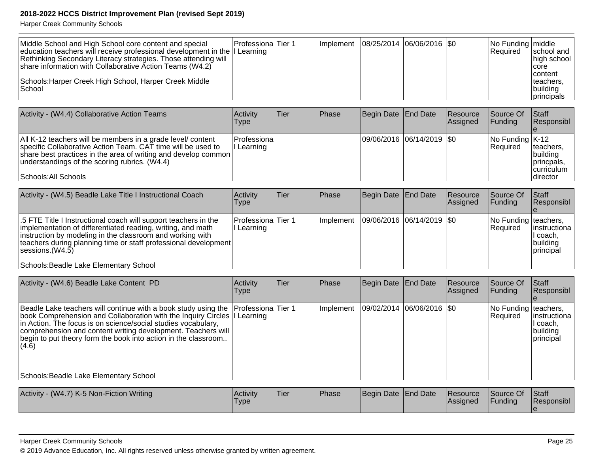Harper Creek Community Schools

| Middle School and High School core content and special<br>education teachers will receive professional development in the I Learning<br>Rethinking Secondary Literacy strategies. Those attending will<br>share information with Collaborative Action Teams (W4.2) | <b>ProfessionalTier 1</b> |  | Implement   08/25/2014   06/06/2016   \$0 |  | No Funding   middle<br><b>IRequired</b> | school and<br>high school<br><b>Icore</b><br><b>content</b> |
|--------------------------------------------------------------------------------------------------------------------------------------------------------------------------------------------------------------------------------------------------------------------|---------------------------|--|-------------------------------------------|--|-----------------------------------------|-------------------------------------------------------------|
| Schools: Harper Creek High School, Harper Creek Middle<br>!School                                                                                                                                                                                                  |                           |  |                                           |  |                                         | teachers.<br>building<br>Iprincipals                        |

| Activity - (W4.4) Collaborative Action Teams                                                                                                                                                                                                                          | Activity<br>Type          | lTier: | <b>IPhase</b> | Begin Date   End Date     | <b>Resource</b><br><b>Assigned</b> | Source Of<br>IFundina                                                    | <b>Staff</b><br><b>Responsibl</b>                                       |
|-----------------------------------------------------------------------------------------------------------------------------------------------------------------------------------------------------------------------------------------------------------------------|---------------------------|--------|---------------|---------------------------|------------------------------------|--------------------------------------------------------------------------|-------------------------------------------------------------------------|
| All K-12 teachers will be members in a grade level content<br>specific Collaborative Action Team. CAT time will be used to<br>share best practices in the area of writing and develop common<br>understandings of the scoring rubrics. (W4.4)<br>Schools: All Schools | Professiona<br>l Learning |        |               | 09/06/2016 06/14/2019 \$0 |                                    | $\sqrt{\frac{1}{100}}$ Funding $\sqrt{\frac{1}{100}}$<br><b>Required</b> | Iteachers.<br>Ibuildina<br>princpals,<br><b>curriculum</b><br>Idirector |

| Activity - (W4.5) Beadle Lake Title I Instructional Coach                                                                                                                                                                                                                                                                           | Activity<br>Type               | Tier | Phase      | Begin Date   End Date   | Resource<br>Assigned | Source Of<br>IFundina                   | <b>Staff</b><br>Responsibl                         |
|-------------------------------------------------------------------------------------------------------------------------------------------------------------------------------------------------------------------------------------------------------------------------------------------------------------------------------------|--------------------------------|------|------------|-------------------------|----------------------|-----------------------------------------|----------------------------------------------------|
| 5.5 FTE Title I Instructional coach will support teachers in the<br>implementation of differentiated reading, writing, and math<br>instruction by modeling in the classroom and working with<br>teachers during planning time or staff professional development<br>$ s$ essions. $(W4.5)$<br>Schools: Beadle Lake Elementary School | Professiona Tier 1<br>Learning |      | Ilmplement | 09/06/2016 06/14/2019 0 |                      | No Funding teachers,<br><b>Required</b> | linstructiona<br>I coach,<br>building<br>principal |

| Activity - (W4.6) Beadle Lake Content PD                                                                                                                                                                                                                                                                                                                                                 | Activity<br>Type                      | Tier | Phase     | Begin Date End Date       | Resource<br>Assigned | Source Of<br><b>Funding</b>        | Staff<br>Responsibl                               |
|------------------------------------------------------------------------------------------------------------------------------------------------------------------------------------------------------------------------------------------------------------------------------------------------------------------------------------------------------------------------------------------|---------------------------------------|------|-----------|---------------------------|----------------------|------------------------------------|---------------------------------------------------|
| Beadle Lake teachers will continue with a book study using the<br>book Comprehension and Collaboration with the Inquiry Circles  I<br>in Action. The focus is on science/social studies vocabulary,<br>comprehension and content writing development. Teachers will<br>begin to put theory form the book into action in the classroom<br>(4.6)<br>Schools: Beadle Lake Elementary School | <b>Professiona</b> Tier 1<br>Learning |      | Implement | 09/02/2014 06/06/2016 \$0 |                      | No Funding   teachers,<br>Required | instructiona<br>l coach,<br>building<br>principal |
|                                                                                                                                                                                                                                                                                                                                                                                          |                                       |      |           |                           |                      |                                    |                                                   |
| Activity - (W4.7) K-5 Non-Fiction Writing                                                                                                                                                                                                                                                                                                                                                | Activity<br>Type                      | Tier | Phase     | Begin Date End Date       | Resource<br>Assigned | Source Of<br><b>Funding</b>        | Staff<br>Responsibl                               |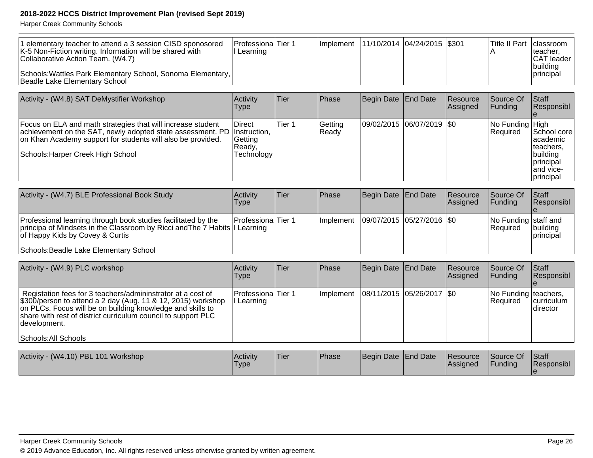| 1 elementary teacher to attend a 3 session CISD sponosored<br>K-5 Non-Fiction writing. Information will be shared with<br>Collaborative Action Team. (W4.7) | <b>IProfessionalTier 1</b><br>l Learning | Implement   11/10/2014   04/24/2015   \$301 |  | ITitle II Part Iclassroom | Iteacher.<br>CAT leader<br> building |
|-------------------------------------------------------------------------------------------------------------------------------------------------------------|------------------------------------------|---------------------------------------------|--|---------------------------|--------------------------------------|
| Schools: Wattles Park Elementary School, Sonoma Elementary,<br>Beadle Lake Elementary School                                                                |                                          |                                             |  |                           | <i>Iprincipal</i>                    |

| Activity - (W4.8) SAT DeMystifier Workshop                                                                                                                                                                                                 | Activity<br>Type                           | Tier   | Phase            | Begin Date End Date |                           | Resource<br>Assigned | Source Of<br> Funding              | <b>Staff</b><br>Responsibl                                                                          |
|--------------------------------------------------------------------------------------------------------------------------------------------------------------------------------------------------------------------------------------------|--------------------------------------------|--------|------------------|---------------------|---------------------------|----------------------|------------------------------------|-----------------------------------------------------------------------------------------------------|
| Focus on ELA and math strategies that will increase student<br>achievement on the SAT, newly adopted state assessment. PD Instruction,<br>on Khan Academy support for students will also be provided.<br>Schools: Harper Creek High School | Direct<br>Getting<br> Readv.<br>Technology | Tier 1 | Getting<br>Ready |                     | 09/02/2015 06/07/2019 \$0 |                      | No Funding High<br><b>Required</b> | School core<br>lacademic<br>lteachers.<br>building<br><b>I</b> principal<br>land vice-<br>principal |

| Activity - (W4.7) BLE Professional Book Study                                                                                                                                                                             | Activity<br>Type           | Tier | <b>Phase</b>      | Begin Date End Date         | Resource<br><b>Assigned</b> | Source Of<br>IFundina                    | <b>IStaff</b><br>Responsibl |
|---------------------------------------------------------------------------------------------------------------------------------------------------------------------------------------------------------------------------|----------------------------|------|-------------------|-----------------------------|-----------------------------|------------------------------------------|-----------------------------|
| Professional learning through book studies facilitated by the<br>principa of Mindsets in the Classroom by Ricci and The 7 Habits II Learning<br>of Happy Kids by Covey & Curtis<br>Schools: Beadle Lake Elementary School | <b>IProfessionalTier 1</b> |      | <b>Ilmplement</b> | 09/07/2015  05/27/2016  \$0 |                             | No Funding staff and<br><b>IRequired</b> | building<br>principal       |

| Activity - (W4.9) PLC workshop                                                                                                                                                                                                                                                                      | Activity<br>Type                 | Tier | <b>Phase</b>                              | Begin Date End Date         | Resource<br>Assigned | <b>Source Of</b><br><b>IFunding</b>     | lStaff<br>Responsibl           |
|-----------------------------------------------------------------------------------------------------------------------------------------------------------------------------------------------------------------------------------------------------------------------------------------------------|----------------------------------|------|-------------------------------------------|-----------------------------|----------------------|-----------------------------------------|--------------------------------|
| Registation fees for 3 teachers/admininstrator at a cost of<br>\$300/person to attend a 2 day (Aug. 11 & 12, 2015) workshop<br>on PLCs. Focus will be on building knowledge and skills to<br>share with rest of district curriculum council to support PLC<br> development.<br>Schools: All Schools | Professiona Tier 1<br>I Learning |      | Implement   08/11/2015   05/26/2017   \$0 |                             |                      | No Funding teachers,<br><b>Required</b> | <i>curriculum</i><br>Idirector |
| Activity - (W4 10) PRI 101 Workshop                                                                                                                                                                                                                                                                 | <b>Activity</b>                  | Tier | <b>IPhase</b>                             | <b>Begin Date Frid Date</b> | Resource             | <b>Source Of</b>                        | $\mathsf{Istaff}$              |

| Activity - (W4.10) PBL 101 Workshop | Activity<br>'Type | 'Tier | <b>IPhase</b> | Begin Date End Date | Resource<br><b>Assigned</b> | Source Of<br>Funding | <b>Staff</b><br><b>Responsibl</b> |
|-------------------------------------|-------------------|-------|---------------|---------------------|-----------------------------|----------------------|-----------------------------------|
|                                     |                   |       |               |                     |                             |                      |                                   |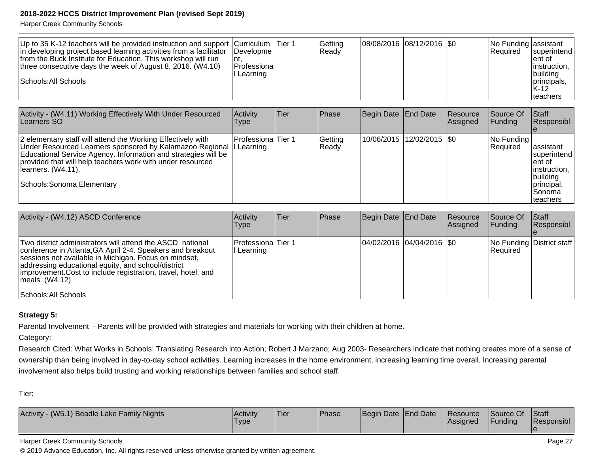Harper Creek Community Schools

| Up to 35 K-12 teachers will be provided instruction and support $\vert$ Curriculum $\vert$ Tier 1<br>In developing project based learning activities from a facilitator<br>from the Buck Institute for Education. This workshop will run<br>nt.<br>three consecutive days the week of August 8, 2016. (W4.10)<br>Schools: All Schools | Developme<br><b> Professional</b><br>I Learning |  | Getting<br>Ready | $ 08/08/2016 08/12/2016 $ \$0 |  |  | No Funding assistant<br><b>Required</b> | superintend <br>Tent of<br>linstruction,<br> building<br>principals,<br>$K-12$<br>Iteachers |
|---------------------------------------------------------------------------------------------------------------------------------------------------------------------------------------------------------------------------------------------------------------------------------------------------------------------------------------|-------------------------------------------------|--|------------------|-------------------------------|--|--|-----------------------------------------|---------------------------------------------------------------------------------------------|
|---------------------------------------------------------------------------------------------------------------------------------------------------------------------------------------------------------------------------------------------------------------------------------------------------------------------------------------|-------------------------------------------------|--|------------------|-------------------------------|--|--|-----------------------------------------|---------------------------------------------------------------------------------------------|

| Activity - (W4.11) Working Effectively With Under Resourced<br>Learners SO                                                                                                                                                                                                                                   | Activity<br>lype                         | Tier | <b>Phase</b>     | Begin Date   End Date       | <b>Resource</b><br>Assigned | Source Of<br><b>IFunding</b>     | <b>Staff</b><br>Responsibl                                                                               |
|--------------------------------------------------------------------------------------------------------------------------------------------------------------------------------------------------------------------------------------------------------------------------------------------------------------|------------------------------------------|------|------------------|-----------------------------|-----------------------------|----------------------------------|----------------------------------------------------------------------------------------------------------|
| 2 elementary staff will attend the Working Effectively with<br>Under Resourced Learners sponsored by Kalamazoo Regional<br>Educational Service Agency. Information and strategies will be<br>provided that will help teachers work with under resourced<br>Ilearners. (W4.11).<br>Schools: Sonoma Elementary | <b>Professiona</b> Tier 1<br>II Learning |      | Getting<br>Ready | 10/06/2015 12/02/2015   \$0 |                             | INo Fundina I<br><b>Required</b> | lassistant<br>superintend<br>lent of<br>linstruction,<br> building<br>principal,<br>lSonoma<br>Iteachers |

| Activity - (W4.12) ASCD Conference                                                                                                                                                                                                                                                                                                                      | <b>Activity</b><br><b>Type</b>   | lTier | <b>Phase</b> | Begin Date End Date         | Resource<br>Assigned | Source Of<br><b>Funding</b> | <b>IStaff</b><br>Responsibl |
|---------------------------------------------------------------------------------------------------------------------------------------------------------------------------------------------------------------------------------------------------------------------------------------------------------------------------------------------------------|----------------------------------|-------|--------------|-----------------------------|----------------------|-----------------------------|-----------------------------|
| Two district administrators will attend the ASCD national<br>conference in Atlanta, GA April 2-4. Speakers and breakout<br>sessions not available in Michigan. Focus on mindset,<br>addressing educational equity, and school/district<br>improvement. Cost to include registration, travel, hotel, and<br>$ $ meals. $(W4.12)$<br>Schools: All Schools | Professiona Tier 1<br>I Learning |       |              | 04/02/2016 04/04/2016   \$0 |                      | Required                    | No Funding District staff   |

#### **Strategy 5:**

Parental Involvement - Parents will be provided with strategies and materials for working with their children at home.

Category:

Research Cited: What Works in Schools: Translating Research into Action; Robert J Marzano; Aug 2003- Researchers indicate that nothing creates more of a sense ofownership than being involved in day-to-day school activities. Learning increases in the home environment, increasing learning time overall. Increasing parental involvement also helps build trusting and working relationships between families and school staff.

Tier:

| Activity - (W5.1) Beadle Lake Family Nights | Activity<br>Type | 'Tier | <b>Phase</b> | Begin Date End Date |  | <b>Resource</b><br><b>IAssigned</b> | Source Of<br>Funding | Staff<br><b>Responsibl</b> |
|---------------------------------------------|------------------|-------|--------------|---------------------|--|-------------------------------------|----------------------|----------------------------|
|---------------------------------------------|------------------|-------|--------------|---------------------|--|-------------------------------------|----------------------|----------------------------|

#### Harper Creek Community Schools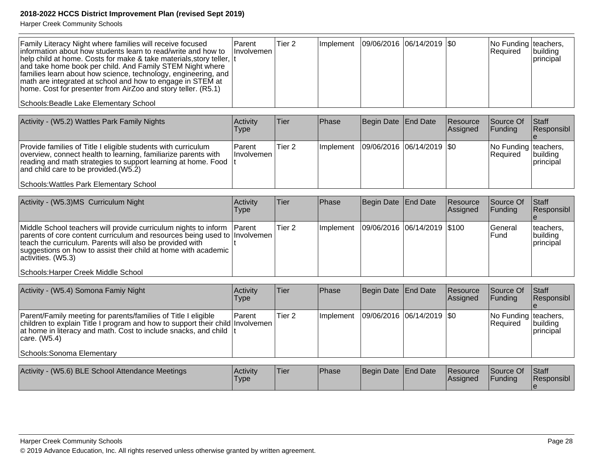| Family Literacy Night where families will receive focused<br>information about how students learn to read/write and how to<br>help child at home. Costs for make & take materials, story teller,  t<br>and take home book per child. And Family STEM Night where<br>families learn about how science, technology, engineering, and<br>math are integrated at school and how to engage in STEM at<br>home. Cost for presenter from AirZoo and story teller. (R5.1)<br>Schools: Beadle Lake Elementary School | Parent<br>Involvemen    | Tier <sub>2</sub> | Implement | 09/06/2016  06/14/2019  \$0 |                 |                      | No Funding<br>Required           | teachers,<br>building<br>principal |
|-------------------------------------------------------------------------------------------------------------------------------------------------------------------------------------------------------------------------------------------------------------------------------------------------------------------------------------------------------------------------------------------------------------------------------------------------------------------------------------------------------------|-------------------------|-------------------|-----------|-----------------------------|-----------------|----------------------|----------------------------------|------------------------------------|
|                                                                                                                                                                                                                                                                                                                                                                                                                                                                                                             |                         |                   |           |                             |                 |                      |                                  |                                    |
| Activity - (W5.2) Wattles Park Family Nights                                                                                                                                                                                                                                                                                                                                                                                                                                                                | Activity<br><b>Type</b> | Tier              | Phase     | Begin Date                  | <b>End Date</b> | Resource<br>Assigned | Source Of<br>Funding             | Staff<br>Responsibl                |
| Provide families of Title I eligible students with curriculum<br>overview, connect health to learning, familiarize parents with<br>reading and math strategies to support learning at home. Food<br>and child care to be provided.(W5.2)<br>Schools: Wattles Park Elementary School                                                                                                                                                                                                                         | Parent<br>Involvemen    | Tier <sub>2</sub> | Implement | 09/06/2016 06/14/2019       |                 | l\$0                 | No Funding teachers,<br>Required | building<br>principal              |
|                                                                                                                                                                                                                                                                                                                                                                                                                                                                                                             |                         |                   |           |                             |                 |                      |                                  |                                    |
| Activity - (W5.3)MS Curriculum Night                                                                                                                                                                                                                                                                                                                                                                                                                                                                        | Activity<br><b>Type</b> | Tier              | Phase     | Begin Date                  | <b>End Date</b> | Resource<br>Assigned | Source Of<br>Funding             | Staff<br>Responsibl                |
| Middle School teachers will provide curriculum nights to inform<br>parents of core content curriculum and resources being used to Involvemen<br>teach the curriculum. Parents will also be provided with<br>suggestions on how to assist their child at home with academic<br>activities. (W5.3)                                                                                                                                                                                                            | Parent                  | Tier <sub>2</sub> | Implement | 09/06/2016 06/14/2019       |                 | \$100                | General<br>Fund                  | teachers,<br>building<br>principal |
| Schools: Harper Creek Middle School                                                                                                                                                                                                                                                                                                                                                                                                                                                                         |                         |                   |           |                             |                 |                      |                                  |                                    |
|                                                                                                                                                                                                                                                                                                                                                                                                                                                                                                             |                         |                   |           |                             |                 |                      |                                  |                                    |
| Activity - (W5.4) Somona Famiy Night                                                                                                                                                                                                                                                                                                                                                                                                                                                                        | Activity<br><b>Type</b> | <b>Tier</b>       | Phase     | Begin Date                  | <b>End Date</b> | Resource<br>Assigned | Source Of<br>Funding             | Staff<br>Responsibl                |
| Parent/Family meeting for parents/families of Title I eligible<br>children to explain Title I program and how to support their child Involvemen<br>at home in literacy and math. Cost to include snacks, and child<br>care. (W5.4)                                                                                                                                                                                                                                                                          | Parent                  | Tier <sub>2</sub> | Implement | 09/06/2016 06/14/2019       |                 | l\$0                 | No Funding<br>Required           | teachers,<br>building<br>principal |
| <b>Schools: Sonoma Elementary</b>                                                                                                                                                                                                                                                                                                                                                                                                                                                                           |                         |                   |           |                             |                 |                      |                                  |                                    |
|                                                                                                                                                                                                                                                                                                                                                                                                                                                                                                             |                         |                   |           |                             |                 |                      |                                  |                                    |
| Activity - (W5.6) BLE School Attendance Meetings                                                                                                                                                                                                                                                                                                                                                                                                                                                            | Activity<br><b>Type</b> | <b>Tier</b>       | Phase     | Begin Date                  | <b>End Date</b> | Resource<br>Assigned | Source Of<br>Funding             | Staff<br>Responsibl<br>le.         |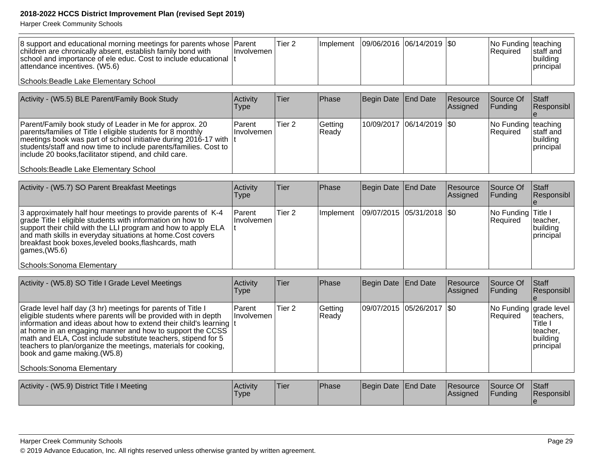| 8 support and educational morning meetings for parents whose Parent<br>children are chronically absent, establish family bond with<br>school and importance of ele educ. Cost to include educational It<br>attendance incentives. (W5.6) | Hnvolvemen I | Tier 2 | Implement   09/06/2016   06/14/2019   \$0 |  | No Funding teaching<br><b>Required</b> | Istaff and<br> building<br><b>principal</b> |
|------------------------------------------------------------------------------------------------------------------------------------------------------------------------------------------------------------------------------------------|--------------|--------|-------------------------------------------|--|----------------------------------------|---------------------------------------------|
| Schools: Beadle Lake Elementary School                                                                                                                                                                                                   |              |        |                                           |  |                                        |                                             |

| Activity - (W5.5) BLE Parent/Family Book Study                                                                                                                                                                                                                                                                                                                       | <b>Activity</b><br>Type | lTier             | <b>Phase</b>     | Begin Date   End Date |                             | Resource<br><b>Assigned</b> | Source Of<br><b>IFunding</b>           | <b>Staff</b><br>Responsibl                    |
|----------------------------------------------------------------------------------------------------------------------------------------------------------------------------------------------------------------------------------------------------------------------------------------------------------------------------------------------------------------------|-------------------------|-------------------|------------------|-----------------------|-----------------------------|-----------------------------|----------------------------------------|-----------------------------------------------|
| Parent/Family book study of Leader in Me for approx. 20<br>parents/families of Title I eligible students for 8 monthly<br>meetings book was part of school initiative during 2016-17 with  t<br>students/staff and now time to include parents/families. Cost to<br>include 20 books, facilitator stipend, and child care.<br>Schools: Beadle Lake Elementary School | l Parent<br>⊺Involvemen | Tier <sub>2</sub> | Getting<br>Ready |                       | 10/09/2017  06/14/2019  \$0 |                             | No Funding teaching<br><b>Required</b> | Istaff and<br> building<br><i>I</i> principal |

| Activity - (W5.7) SO Parent Breakfast Meetings                                                                                                                                                                                                                                                                                                                                | Activity<br>Type               | <b>Tier</b> | Phase      | Begin Date   End Date       | <b>Resource</b><br><b>Assigned</b> | Source Of<br><b>Funding</b>      | <b>Staff</b><br>Responsibl           |
|-------------------------------------------------------------------------------------------------------------------------------------------------------------------------------------------------------------------------------------------------------------------------------------------------------------------------------------------------------------------------------|--------------------------------|-------------|------------|-----------------------------|------------------------------------|----------------------------------|--------------------------------------|
| 3 approximately half hour meetings to provide parents of K-4<br>grade Title I eligible students with information on how to<br>support their child with the LLI program and how to apply ELA<br>and math skills in everyday situations at home. Cost covers<br>breakfast book boxes, leveled books, flashcards, math<br>$\mathsf{laames}$ (W5.6)<br>Schools: Sonoma Elementary | <b>Parent</b><br>∣Involvemen l | Tier 2      | ∣Implement | 09/07/2015  05/31/2018  \$0 |                                    | No Funding Title I<br>l Reauired | Iteacher,<br> building<br>Iprincipal |

| Activity - (W5.8) SO Title I Grade Level Meetings                                                                                                                                                                                                                                                                                                                                                                                                                  | Activity<br>Type            | Tier              | Phase            | Begin Date End Date |                             | Resource<br>Assigned | Source Of<br>Funding               | Staff<br>Responsibl                                              |
|--------------------------------------------------------------------------------------------------------------------------------------------------------------------------------------------------------------------------------------------------------------------------------------------------------------------------------------------------------------------------------------------------------------------------------------------------------------------|-----------------------------|-------------------|------------------|---------------------|-----------------------------|----------------------|------------------------------------|------------------------------------------------------------------|
| Grade level half day (3 hr) meetings for parents of Title I<br>eligible students where parents will be provided with in depth<br>information and ideas about how to extend their child's learning It<br>at home in an engaging manner and how to support the CCSS<br>math and ELA, Cost include substitute teachers, stipend for 5<br>teachers to plan/organize the meetings, materials for cooking,<br>book and game making. (W5.8)<br>Schools: Sonoma Elementary | <b>Parent</b><br>Involvemen | Tier <sub>2</sub> | Getting<br>Ready |                     | 09/07/2015 05/26/2017   \$0 |                      | No Funding grade level<br>Required | teachers,<br>Title I<br>teacher,<br>building<br><b>principal</b> |
| Activity - (W5.9) District Title I Meeting                                                                                                                                                                                                                                                                                                                                                                                                                         | Activity<br>Type            | Tier              | Phase            | Begin Date End Date |                             | Resource<br>Assigned | Source Of<br>Funding               | Staff<br>Responsibl                                              |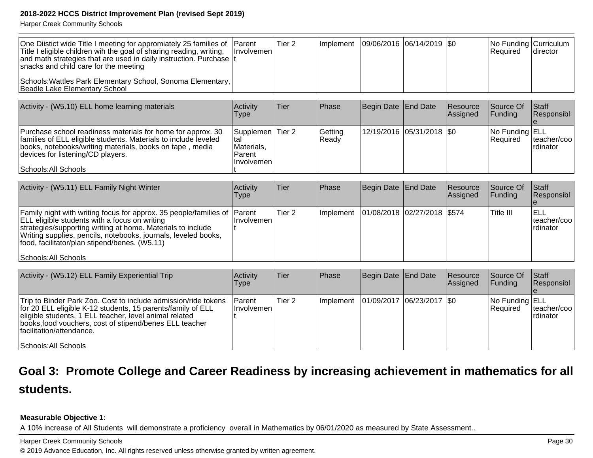Harper Creek Community Schools

| One Diistict wide Title I meeting for appromiately 25 families of Parent<br>Title I eligible children wih the goal of sharing reading, writing,<br>and math strategies that are used in daily instruction. Purchase It<br>snacks and child care for the meeting | Ilnvolvemen I | Tier 2 |  | Implement   09/06/2016   06/14/2019   \$0 | $ No$ Funding $ Cur)$ $ $<br><b>Required</b> | Idirector |
|-----------------------------------------------------------------------------------------------------------------------------------------------------------------------------------------------------------------------------------------------------------------|---------------|--------|--|-------------------------------------------|----------------------------------------------|-----------|
| Schools: Wattles Park Elementary School, Sonoma Elementary,<br>Beadle Lake Elementary School                                                                                                                                                                    |               |        |  |                                           |                                              |           |

| Activity - (W5.10) ELL home learning materials                                                                                                                                                                                                          | Activity<br>Type                                               | Tier | Phase            | Begin Date   End Date       | Resource<br><b>Assigned</b> | Source Of<br>IFundina             | Staff<br>Responsibl      |
|---------------------------------------------------------------------------------------------------------------------------------------------------------------------------------------------------------------------------------------------------------|----------------------------------------------------------------|------|------------------|-----------------------------|-----------------------------|-----------------------------------|--------------------------|
| Purchase school readiness materials for home for approx. 30<br>families of ELL eligible students. Materials to include leveled<br>books, notebooks/writing materials, books on tape, media<br>devices for listening/CD players.<br>Schools: All Schools | Supplemen Tier 2<br>Ital<br>Materials,<br>Parent<br>Involvemen |      | Getting<br>Ready | 12/19/2016  05/31/2018  \$0 |                             | No Funding ELL<br><b>Required</b> | teacher/coo<br>Irdinator |

| Activity - (W5.11) ELL Family Night Winter                                                                                                                                                                                                                                                                         | Activity<br><b>Type</b> | <b>Tier</b> | Phase             | Begin Date End Date         | Resource<br>Assigned | Source Of<br><b>IFunding</b> | <b>Staff</b><br>Responsibl       |
|--------------------------------------------------------------------------------------------------------------------------------------------------------------------------------------------------------------------------------------------------------------------------------------------------------------------|-------------------------|-------------|-------------------|-----------------------------|----------------------|------------------------------|----------------------------------|
| Family night with writing focus for approx. 35 people/families of Parent<br><b>ELL</b> eligible students with a focus on writing<br>strategies/supporting writing at home. Materials to include<br>Writing supplies, pencils, notebooks, journals, leveled books,<br>food, facilitator/plan stipend/benes. (W5.11) | Involvemen              | Tier 2      | <b>Ilmplement</b> | 01/08/2018 02/27/2018 \$574 |                      | lTitle III                   | ELL<br>Iteacher/coo<br>Irdinator |
| Schools: All Schools                                                                                                                                                                                                                                                                                               |                         |             |                   |                             |                      |                              |                                  |

| Activity - (W5.12) ELL Family Experiential Trip                                                                                                                                                                                                                                                         | Activity<br>Type                   | Tier              | <b>Phase</b>      | Begin Date   End Date       | Resource<br><b>Assigned</b> | <b>Source Of</b><br><b>IFunding</b>      | <b>Staff</b><br>Responsibl         |
|---------------------------------------------------------------------------------------------------------------------------------------------------------------------------------------------------------------------------------------------------------------------------------------------------------|------------------------------------|-------------------|-------------------|-----------------------------|-----------------------------|------------------------------------------|------------------------------------|
| Trip to Binder Park Zoo. Cost to include admission/ride tokens<br>for 20 ELL eligible K-12 students, 15 parents/family of ELL<br>eligible students, 1 ELL teacher, level animal related<br>books, food vouchers, cost of stipend/benes ELL teacher<br>Ifacilitation/attendance.<br>Schools: All Schools | <b>Parent</b><br><b>Involvemen</b> | Tier <sub>2</sub> | <b>Ilmplement</b> | 01/09/2017  06/23/2017  \$0 |                             | No Funding <b>ELL</b><br><b>Required</b> | lteacher/cool<br><b>I</b> rdinator |

## **Goal 3: Promote College and Career Readiness by increasing achievement in mathematics for allstudents.**

#### **Measurable Objective 1:**

A 10% increase of All Students will demonstrate a proficiency overall in Mathematics by 06/01/2020 as measured by State Assessment..

Harper Creek Community Schools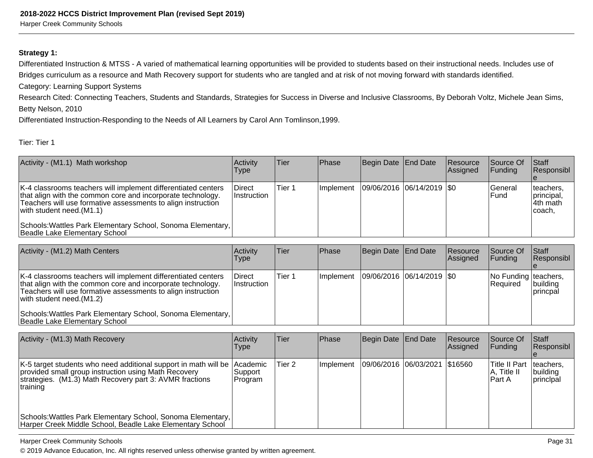#### **Strategy 1:**

Differentiated Instruction & MTSS - A varied of mathematical learning opportunities will be provided to students based on their instructional needs. Includes use ofBridges curriculum as a resource and Math Recovery support for students who are tangled and at risk of not moving forward with standards identified.

Category: Learning Support Systems

 Research Cited: Connecting Teachers, Students and Standards, Strategies for Success in Diverse and Inclusive Classrooms, By Deborah Voltz, Michele Jean Sims,Betty Nelson, 2010

Differentiated Instruction-Responding to the Needs of All Learners by Carol Ann Tomlinson,1999.

#### Tier: Tier 1

| Activity - (M1.1) Math workshop                                                                                                                                                                                                                                                                                             | Activity<br>Type                    | Tier   | Phase            | Begin Date End Date         | <b>Resource</b><br>Assigned | <b>Source Of</b><br> Funding | <b>Staff</b><br>Responsibl                      |
|-----------------------------------------------------------------------------------------------------------------------------------------------------------------------------------------------------------------------------------------------------------------------------------------------------------------------------|-------------------------------------|--------|------------------|-----------------------------|-----------------------------|------------------------------|-------------------------------------------------|
| K-4 classrooms teachers will implement differentiated centers<br>that align with the common core and incorporate technology.<br>Teachers will use formative assessments to align instruction<br>with student need. $(M1.1)$<br>Schools: Wattles Park Elementary School, Sonoma Elementary,<br>Beadle Lake Elementary School | <b>Direct</b><br><b>Instruction</b> | Tier 1 | <b>Implement</b> | 09/06/2016  06/14/2019  \$0 |                             | lGeneral<br>lFund            | teachers,<br>principal,<br>14th math<br>Icoach, |

| Activity - (M1.2) Math Centers                                                                                                                                                                                                                                                                                           | Activity<br>Type                    | <b>Tier</b> | <b>Phase</b> | Begin Date   End Date |                             | Resource<br><b>Assigned</b> | Source Of<br>IFundina            | <b>Staff</b><br>Responsibl  |
|--------------------------------------------------------------------------------------------------------------------------------------------------------------------------------------------------------------------------------------------------------------------------------------------------------------------------|-------------------------------------|-------------|--------------|-----------------------|-----------------------------|-----------------------------|----------------------------------|-----------------------------|
| K-4 classrooms teachers will implement differentiated centers<br>that align with the common core and incorporate technology.<br>Teachers will use formative assessments to align instruction<br>with student need.(M1.2)<br>Schools: Wattles Park Elementary School, Sonoma Elementary,<br>Beadle Lake Elementary School | <b>Direct</b><br><b>Instruction</b> | Tier 1      | Implement    |                       | 09/06/2016  06/14/2019  \$0 |                             | No Funding teachers,<br>Required | building<br><b>princpal</b> |

| Activity - (M1.3) Math Recovery                                                                                                                                                                         | <b>Activity</b><br>Type | lTier  | <b>Phase</b> | Begin Date End Date             | Resource<br> Assigned | Source Of<br>lFundina                    | <b>IStaff</b><br>Responsibl                |
|---------------------------------------------------------------------------------------------------------------------------------------------------------------------------------------------------------|-------------------------|--------|--------------|---------------------------------|-----------------------|------------------------------------------|--------------------------------------------|
| K-5 target students who need additional support in math will be Academic<br>provided small group instruction using Math Recovery<br>strategies. (M1.3) Math Recovery part 3: AVMR fractions<br>training | Support<br>Program      | Tier 2 | Implement    | 09/06/2016  06/03/2021  \$16560 |                       | Title II Part<br> A, Title II<br>lPart A | teachers,<br>building<br><i>Iprincipal</i> |
| Schools: Wattles Park Elementary School, Sonoma Elementary,<br>Harper Creek Middle School, Beadle Lake Elementary School                                                                                |                         |        |              |                                 |                       |                                          |                                            |

#### Harper Creek Community Schools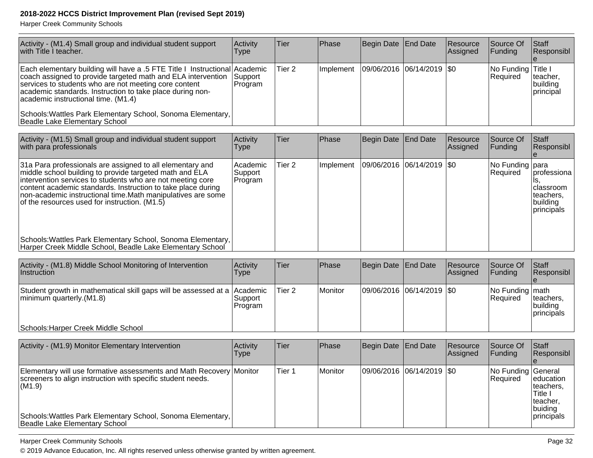Harper Creek Community Schools

| Activity - (M1.4) Small group and individual student support<br>with Title I teacher.                                                                                                                                                                                                                                                                               | Activity<br><b>Type</b>        | <b>Tier</b>       | Phase     | Begin Date   End Date |                           | Resource<br>Assigned | Source Of<br>Funding            | Staff<br>Responsibl                                                    |
|---------------------------------------------------------------------------------------------------------------------------------------------------------------------------------------------------------------------------------------------------------------------------------------------------------------------------------------------------------------------|--------------------------------|-------------------|-----------|-----------------------|---------------------------|----------------------|---------------------------------|------------------------------------------------------------------------|
| Each elementary building will have a .5 FTE Title I Instructional Academic<br>coach assigned to provide targeted math and ELA intervention<br>services to students who are not meeting core content<br>academic standards. Instruction to take place during non-<br>academic instructional time. (M1.4)                                                             | Support<br>Program             | Tier <sub>2</sub> | Implement | 09/06/2016            | $ 06/14/2019 $ \$0        |                      | No Funding<br>Required          | Title I<br>teacher,<br>building<br>principal                           |
| Schools: Wattles Park Elementary School, Sonoma Elementary,<br>Beadle Lake Elementary School                                                                                                                                                                                                                                                                        |                                |                   |           |                       |                           |                      |                                 |                                                                        |
| Activity - (M1.5) Small group and individual student support<br>with para professionals                                                                                                                                                                                                                                                                             | Activity<br><b>Type</b>        | Tier              | Phase     | <b>Begin Date</b>     | <b>End Date</b>           | Resource<br>Assigned | Source Of<br>Funding            | <b>Staff</b><br>Responsibl                                             |
| 31a Para professionals are assigned to all elementary and<br>middle school building to provide targeted math and ELA<br>intervention services to students who are not meeting core<br>content academic standards. Instruction to take place during<br>non-academic instructional time. Math manipulatives are some<br>of the resources used for instruction. (M1.5) | Academic<br>Support<br>Program | Tier <sub>2</sub> | Implement | 09/06/2016            | 06/14/2019                | \$0                  | No Funding para<br>Required     | professiona<br>Is.<br>classroom<br>teachers,<br>building<br>principals |
| Schools: Wattles Park Elementary School, Sonoma Elementary,<br>Harper Creek Middle School, Beadle Lake Elementary School                                                                                                                                                                                                                                            |                                |                   |           |                       |                           |                      |                                 |                                                                        |
| Activity - (M1.8) Middle School Monitoring of Intervention<br>Instruction                                                                                                                                                                                                                                                                                           | Activity<br><b>Type</b>        | Tier              | Phase     | <b>Begin Date</b>     | <b>End Date</b>           | Resource<br>Assigned | Source Of<br>Funding            | <b>Staff</b><br>Responsibl                                             |
| Student growth in mathematical skill gaps will be assessed at a<br>minimum quarterly.(M1.8)                                                                                                                                                                                                                                                                         | Academic<br>Support<br>Program | Tier <sub>2</sub> | Monitor   | 09/06/2016            | 06/14/2019                | \$0                  | No Funding   math<br>Required   | teachers,<br>building<br>principals                                    |
| Schools: Harper Creek Middle School                                                                                                                                                                                                                                                                                                                                 |                                |                   |           |                       |                           |                      |                                 |                                                                        |
| Activity - (M1.9) Monitor Elementary Intervention                                                                                                                                                                                                                                                                                                                   | Activity<br><b>Type</b>        | Tier              | Phase     | <b>Begin Date</b>     | <b>End Date</b>           | Resource<br>Assigned | Source Of<br>Funding            | <b>Staff</b><br>Responsibl                                             |
| Elementary will use formative assessments and Math Recovery Monitor<br>screeners to align instruction with specific student needs.<br>(M1.9)                                                                                                                                                                                                                        |                                | Tier 1            | Monitor   |                       | 09/06/2016 06/14/2019 \$0 |                      | No Funding General<br> Required | education<br>teachers,<br>Title I<br>teacher.<br>buiding               |
| Schools: Wattles Park Elementary School, Sonoma Elementary,<br>Beadle Lake Elementary School                                                                                                                                                                                                                                                                        |                                |                   |           |                       |                           |                      |                                 | principals                                                             |

Harper Creek Community Schools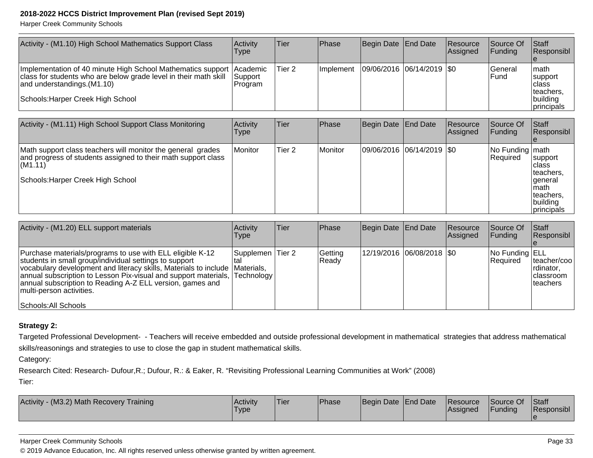Harper Creek Community Schools

| Activity - (M1.10) High School Mathematics Support Class                                                                                                                                            | Activity<br>Type                       | Tier   | <b>Phase</b>      | Begin Date End Date       | <b>Resource</b><br> Assigned | lSource Of<br><b>IFundina</b> | <b>Staff</b><br>Responsibl                                                 |
|-----------------------------------------------------------------------------------------------------------------------------------------------------------------------------------------------------|----------------------------------------|--------|-------------------|---------------------------|------------------------------|-------------------------------|----------------------------------------------------------------------------|
| Implementation of 40 minute High School Mathematics support<br>class for students who are below grade level in their math skill<br>and understandings. (M1.10)<br>Schools: Harper Creek High School | <b>IAcademic</b><br>Support<br>Program | Tier 2 | <b>Ilmplement</b> | 09/06/2016 06/14/2019 \$0 |                              | lGeneral<br>l Fund            | Imath<br><i>support</i><br>Iclass<br>Iteachers.<br> building<br>principals |
| Activity - (M1.11) High School Support Class Monitoring                                                                                                                                             | Activity                               | Tier   | Phase             | Begin Date End Date       | <b>Resource</b>              | Source Of                     | <b>Staff</b>                                                               |

| Activity - (M1.11) High School Support Class Monitoring                                                                                                                      | Activity<br>Type | lTier             | <b>IPhase</b> | Begin Date   End Date       | <b>Resource</b><br> Assigned | Source Of<br><b>Funding</b>    | <b>IStaff</b><br><b>Responsibl</b>                                                         |
|------------------------------------------------------------------------------------------------------------------------------------------------------------------------------|------------------|-------------------|---------------|-----------------------------|------------------------------|--------------------------------|--------------------------------------------------------------------------------------------|
| Math support class teachers will monitor the general grades<br>and progress of students assigned to their math support class<br>(M1.11)<br>Schools: Harper Creek High School | Monitor          | Tier <sub>2</sub> | Monitor       | 09/06/2016 06/14/2019   \$0 |                              | No Funding   math<br>IReauired | support<br>Iclass<br>Iteachers.<br>general<br>Imath<br>teachers.<br>building<br>principals |

| Activity - (M1.20) ELL support materials                                                                                                                                                                                                                                                                                                                                                          | <b>Activity</b><br>Type | lTier | <b>Phase</b>     | Begin Date End Date |                             | Resource<br>Assigned | Source Of<br><b>IFunding</b>      | Staff<br>Responsibl                                          |
|---------------------------------------------------------------------------------------------------------------------------------------------------------------------------------------------------------------------------------------------------------------------------------------------------------------------------------------------------------------------------------------------------|-------------------------|-------|------------------|---------------------|-----------------------------|----------------------|-----------------------------------|--------------------------------------------------------------|
| Purchase materials/programs to use with ELL eligible K-12<br>students in small group/individual settings to support<br>vocabulary development and literacy skills, Materials to include Materials,<br>annual subscription to Lesson Pix-visual and support materials, Technology<br>annual subscription to Reading A-Z ELL version, games and<br>multi-person activities.<br>Schools: All Schools | Supplemen Tier 2        |       | Getting<br>Ready |                     | 12/19/2016 06/08/2018   \$0 |                      | No Funding ELL<br><b>Required</b> | teacher/coo <br>Irdinator.<br>Iclassroom<br><b>Iteachers</b> |

#### **Strategy 2:**

Targeted Professional Development- - Teachers will receive embedded and outside professional development in mathematical strategies that address mathematicalskills/reasonings and strategies to use to close the gap in student mathematical skills.

Category:

Research Cited: Research- Dufour,R.; Dufour, R.: & Eaker, R. "Revisiting Professional Learning Communities at Work" (2008)

Tier:

| <b>Activity</b><br>v - (M3.2) Math Recovery Training | <b>Activity</b><br>Type | Tier | <b>Phase</b> | Begin Date End Date | <b>Resource</b><br><b>IAssigned</b> | Source Of<br>Funding | <b>Staff</b><br>Responsibl |
|------------------------------------------------------|-------------------------|------|--------------|---------------------|-------------------------------------|----------------------|----------------------------|
|                                                      |                         |      |              |                     |                                     |                      |                            |

#### Harper Creek Community Schools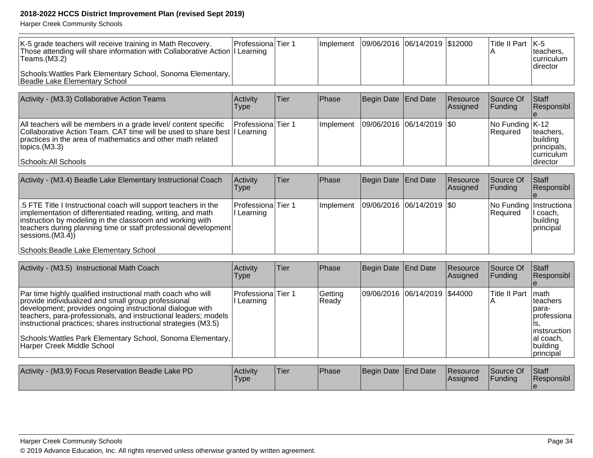| K-5 grade teachers will receive training in Math Recovery.<br>Those attending will share information with Collaborative Action II Learning<br>$ T$ eams. $(M3.2)$ | <b>ProfessionalTier 1</b> |  | Implement   09/06/2016   06/14/2019   \$12000 |  | $\vert$ Title II Part $\vert$ K-5 | Iteachers.<br><b>Icurriculum</b> |
|-------------------------------------------------------------------------------------------------------------------------------------------------------------------|---------------------------|--|-----------------------------------------------|--|-----------------------------------|----------------------------------|
| Schools: Wattles Park Elementary School, Sonoma Elementary,<br>Beadle Lake Elementary School                                                                      |                           |  |                                               |  |                                   | Idirector                        |

| Activity - (M3.3) Collaborative Action Teams                                                                                                                                                                                                                 | Activity<br>Type          | Tier | <b>IPhase</b> | Begin Date   End Date         | Resource<br>Assigned | <b>Source Of</b><br>IFundina                                                    | <b>Staff</b><br><b>Responsibl</b>                                               |
|--------------------------------------------------------------------------------------------------------------------------------------------------------------------------------------------------------------------------------------------------------------|---------------------------|------|---------------|-------------------------------|----------------------|---------------------------------------------------------------------------------|---------------------------------------------------------------------------------|
| All teachers will be members in a grade level/ content specific<br>Collaborative Action Team. CAT time will be used to share best  I Learning<br>practices in the area of mathematics and other math related<br>$ $ topics. $(M3.3)$<br>Schools: All Schools | <b>Professiona</b> Tier 1 |      | Ilmplement    | $ 09/06/2016 06/14/2019 $ \$0 |                      | $\sqrt{\frac{N_0}{N_1}}$ No Funding $\sqrt{\frac{K_1}{N_2}}$<br><b>Required</b> | teachers,<br><i>Ibuilding</i><br>principals,<br><b>Icurriculum</b><br>Idirector |

| Activity - (M3.4) Beadle Lake Elementary Instructional Coach                                                                                                                                                                                                                              | Activity<br>l ype                | Tier | Phase             | Begin Date   End Date         | Resource<br><b>Assigned</b> | <b>Source Of</b><br> Funding               | Staff<br>Responsibl                         |
|-------------------------------------------------------------------------------------------------------------------------------------------------------------------------------------------------------------------------------------------------------------------------------------------|----------------------------------|------|-------------------|-------------------------------|-----------------------------|--------------------------------------------|---------------------------------------------|
| 5.5 FTE Title I Instructional coach will support teachers in the<br>implementation of differentiated reading, writing, and math<br>instruction by modeling in the classroom and working with<br>teachers during planning time or staff professional development<br>$ s$ essions. $(M3.4)$ | Professiona Tier 1<br>I Learning |      | <b>Ilmplement</b> | $ 09/06/2016 06/14/2019 $ \$0 |                             | No Funding Instructiona<br><b>Required</b> | II coach,<br><u>Ibuildina</u><br>Iprincipal |
| Schools: Beadle Lake Elementary School                                                                                                                                                                                                                                                    |                                  |      |                   |                               |                             |                                            |                                             |

| Activity - (M3.5) Instructional Math Coach                                                                                                                                                                                                                                                                                                                                                                         | Activity<br>Type                 | lTier. | Phase            | Begin Date End Date |                                 | Resource<br>Assigned | Source Of<br> Fundina | Staff<br>Responsibl                                                                                         |
|--------------------------------------------------------------------------------------------------------------------------------------------------------------------------------------------------------------------------------------------------------------------------------------------------------------------------------------------------------------------------------------------------------------------|----------------------------------|--------|------------------|---------------------|---------------------------------|----------------------|-----------------------|-------------------------------------------------------------------------------------------------------------|
| Par time highly qualified instructional math coach who will<br>provide individualized and small group professional<br>development; provides ongoing instructional dialogue with<br>teachers, para-professionals, and instructional leaders; models<br>instructional practices; shares instructional strategies (M3.5)<br>Schools: Wattles Park Elementary School, Sonoma Elementary,<br>Harper Creek Middle School | Professiona Tier 1<br>l Learning |        | Getting<br>Ready |                     | 09/06/2016  06/14/2019  \$44000 |                      | Title II Part         | <b>Imath</b><br>Iteachers<br>Ipara-<br>Iprofessiona<br>linstsruction<br>Ial coach,<br>building<br>principal |

| Activity - (M3.9) Focus Reservation Beadle Lake PD | <b>Activity</b><br><b>Type</b> | 'Tier | <b>Phase</b> | Begin Date End Date | <b>Resource</b><br><b>Assigned</b> | Source Of<br>Funding | Staff<br>Responsibl |
|----------------------------------------------------|--------------------------------|-------|--------------|---------------------|------------------------------------|----------------------|---------------------|
|                                                    |                                |       |              |                     |                                    |                      |                     |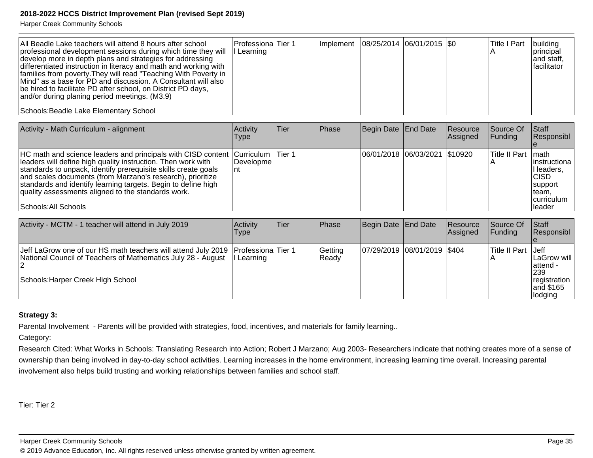Harper Creek Community Schools

| All Beadle Lake teachers will attend 8 hours after school<br>professional development sessions during which time they will<br>develop more in depth plans and strategies for addressing<br>differentiated instruction in literacy and math and working with<br>families from poverty. They will read "Teaching With Poverty in<br>Mind" as a base for PD and discussion. A Consultant will also<br>be hired to facilitate PD after school, on District PD days,<br>and/or during planing period meetings. (M3.9) | lProfessionalTier 1<br>Learning |  | Implement   08/25/2014   06/01/2015   \$0 |  | <b>Title I Part</b> | building<br><i>Iprincipal</i><br>and staff,<br><i><b>Ifacilitator</b></i> |
|------------------------------------------------------------------------------------------------------------------------------------------------------------------------------------------------------------------------------------------------------------------------------------------------------------------------------------------------------------------------------------------------------------------------------------------------------------------------------------------------------------------|---------------------------------|--|-------------------------------------------|--|---------------------|---------------------------------------------------------------------------|
| Schools: Beadle Lake Elementary School                                                                                                                                                                                                                                                                                                                                                                                                                                                                           |                                 |  |                                           |  |                     |                                                                           |

| Activity - Math Curriculum - alignment                                                                                                                                                                                                                                                                                                                                                                                          | Activity<br>Type | lTier: | <b>IPhase</b> | Begin Date End Date             | <b>Resource</b><br>Assigned | Source Of<br><b>Funding</b> | <b>Staff</b><br>Responsibl                                                                       |
|---------------------------------------------------------------------------------------------------------------------------------------------------------------------------------------------------------------------------------------------------------------------------------------------------------------------------------------------------------------------------------------------------------------------------------|------------------|--------|---------------|---------------------------------|-----------------------------|-----------------------------|--------------------------------------------------------------------------------------------------|
| HC math and science leaders and principals with CISD content Curriculum   Tier 1<br>leaders will define high quality instruction. Then work with<br>standards to unpack, identify prerequisite skills create goals<br>and scales documents (from Marzano's research), prioritize<br>standards and identify learning targets. Begin to define high<br>quality assessments aligned to the standards work.<br>Schools: All Schools | l Developme      |        |               | 06/01/2018 06/03/2021   \$10920 |                             | Title II Part I math        | linstructiona<br>I leaders,<br><b>CISD</b><br>support<br>Iteam.<br>Icurriculum<br><b>Ileader</b> |

| Activity - MCTM - 1 teacher will attend in July 2019                                                                                                                                    | Activity<br>Type | ∣Tier | Phase            | Begin Date   End Date |                             | <b>IResource</b><br>Assigned | Source Of<br>IFundina | <b>Staff</b><br><b>Responsibl</b>                                                                   |
|-----------------------------------------------------------------------------------------------------------------------------------------------------------------------------------------|------------------|-------|------------------|-----------------------|-----------------------------|------------------------------|-----------------------|-----------------------------------------------------------------------------------------------------|
| Jeff LaGrow one of our HS math teachers will attend July 2019   Professiona Tier 1<br>National Council of Teachers of Mathematics July 28 - August<br>Schools: Harper Creek High School | Learning         |       | Getting<br>Ready |                       | 07/29/2019 08/01/2019 \$404 |                              | Title II Part         | <b>I</b> Jeff<br>ILaGrow will I<br>lattend -<br><b>239</b><br>registration<br>land \$165<br>lodging |

### **Strategy 3:**

Parental Involvement - Parents will be provided with strategies, food, incentives, and materials for family learning..

Category:

Research Cited: What Works in Schools: Translating Research into Action; Robert J Marzano; Aug 2003- Researchers indicate that nothing creates more of a sense ofownership than being involved in day-to-day school activities. Learning increases in the home environment, increasing learning time overall. Increasing parental involvement also helps build trusting and working relationships between families and school staff.

Tier: Tier 2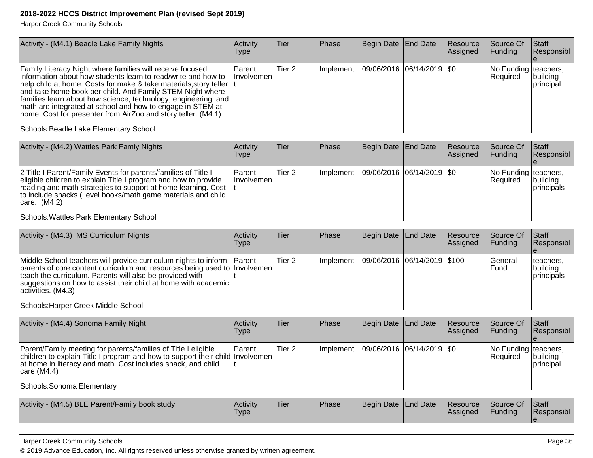Harper Creek Community Schools

| Activity - (M4.1) Beadle Lake Family Nights                                                                                                                                                                                                                                                                                                                                                                                                                                                                  | Activity<br><b>Type</b> | <b>Tier</b> | Phase     | Begin Date End Date         | Resource<br>Assigned | Source Of<br><b>Funding</b>      | Staff<br>Responsibl           |
|--------------------------------------------------------------------------------------------------------------------------------------------------------------------------------------------------------------------------------------------------------------------------------------------------------------------------------------------------------------------------------------------------------------------------------------------------------------------------------------------------------------|-------------------------|-------------|-----------|-----------------------------|----------------------|----------------------------------|-------------------------------|
| Family Literacy Night where families will receive focused<br>linformation about how students learn to read/write and how to<br>help child at home. Costs for make & take materials, story teller,  t<br>and take home book per child. And Family STEM Night where<br>families learn about how science, technology, engineering, and<br>math are integrated at school and how to engage in STEM at<br>home. Cost for presenter from AirZoo and story teller. (M4.1)<br>Schools: Beadle Lake Elementary School | l Parent<br>Ilnvolvemen | Tier 2      | Implement | 09/06/2016  06/14/2019  \$0 |                      | No Funding teachers,<br>Required | building<br><i>Iprincipal</i> |

| Activity - (M4.2) Wattles Park Famiy Nights                                                                                                                                                                                                                                                                                     | Activity<br>Type      | Tier              | Phase      | Begin Date End Date         | <b>Resource</b><br><b>Assigned</b> | <b>Source Of</b><br>IFundina            | <b>Staff</b><br>Responsibl      |
|---------------------------------------------------------------------------------------------------------------------------------------------------------------------------------------------------------------------------------------------------------------------------------------------------------------------------------|-----------------------|-------------------|------------|-----------------------------|------------------------------------|-----------------------------------------|---------------------------------|
| 2 Title I Parent/Family Events for parents/families of Title I<br>eligible children to explain Title I program and how to provide<br>reading and math strategies to support at home learning. Cost<br>to include snacks (level books/math game materials, and child<br> care. (M4.2)<br>Schools: Wattles Park Elementary School | ∣Parent<br>Involvemen | Tier <sub>2</sub> | Ilmplement | 09/06/2016  06/14/2019  \$0 |                                    | No Funding teachers,<br><b>Required</b> | building<br><i>I</i> principals |

| Activity - (M4.3) MS Curriculum Nights                                                                                                                                                                                                                                                                                                           | Activity<br><b>Type</b> | lTier. | Phase            | Begin Date End Date         | Resource<br><b>Assigned</b> | Source Of<br><b>IFundina</b> | Staff<br>Responsibl                          |
|--------------------------------------------------------------------------------------------------------------------------------------------------------------------------------------------------------------------------------------------------------------------------------------------------------------------------------------------------|-------------------------|--------|------------------|-----------------------------|-----------------------------|------------------------------|----------------------------------------------|
| Middle School teachers will provide curriculum nights to inform Parent<br>parents of core content curriculum and resources being used to Involvemen<br>teach the curriculum. Parents will also be provided with<br>suggestions on how to assist their child at home with academic  <br>activities. (M4.3)<br>Schools: Harper Creek Middle School |                         | Tier 2 | <b>Implement</b> | 09/06/2016 06/14/2019 \$100 |                             | lGeneral<br>lFund.           | teachers.<br> building<br><i>Iprincipals</i> |

| Activity - (M4.4) Sonoma Family Night                                                                                                                                                                                                                         | Activity<br><b>Type</b> | ∣Tier  | Phase      | Begin Date End Date           | <b>Resource</b><br><b>Assigned</b> | Source Of<br>IFundina                   | <b>Staff</b><br>Responsibl    |
|---------------------------------------------------------------------------------------------------------------------------------------------------------------------------------------------------------------------------------------------------------------|-------------------------|--------|------------|-------------------------------|------------------------------------|-----------------------------------------|-------------------------------|
| Parent/Family meeting for parents/families of Title I eligible<br>children to explain Title I program and how to support their child Involvemen<br>at home in literacy and math. Cost includes snack, and child<br> care (M4.4)<br>Schools: Sonoma Elementary | <b>Parent</b>           | Tier 2 | Ilmplement | $ 09/06/2016 06/14/2019 $ \$0 |                                    | No Funding teachers,<br><b>Required</b> | building<br><i>Iprincipal</i> |

| Activity - (M4.5) BLE Parent/Family book study | <b>Activity</b><br>I ype | 'Tier | <sup>'</sup> Phase | Begin Date End Date |  | <b>Resource</b><br><b>Assigned</b> | Source Of<br>Funding | Staff<br>Responsibl |
|------------------------------------------------|--------------------------|-------|--------------------|---------------------|--|------------------------------------|----------------------|---------------------|
|------------------------------------------------|--------------------------|-------|--------------------|---------------------|--|------------------------------------|----------------------|---------------------|

Harper Creek Community Schools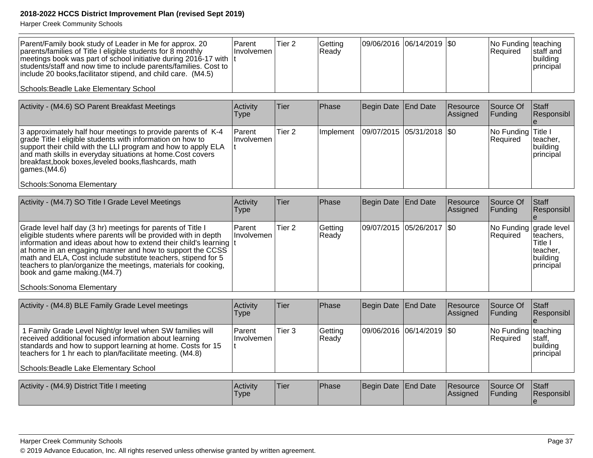| Parent/Family book study of Leader in Me for approx. 20<br>parents/families of Title I eligible students for 8 monthly<br>meetings book was part of school initiative during 2016-17 with  t<br>students/staff and now time to include parents/families. Cost to<br>include 20 books, facilitator stipend, and child care. (M4.5) | <b>IParent</b><br><b>Involvemen</b> | 'Tier 2 | Getting<br>Ready | 09/06/2016 06/14/2019 0 |  | No Funding teaching<br><b>IRequired</b> | Istaff and<br> building<br><i>Iprincipal</i> |
|-----------------------------------------------------------------------------------------------------------------------------------------------------------------------------------------------------------------------------------------------------------------------------------------------------------------------------------|-------------------------------------|---------|------------------|-------------------------|--|-----------------------------------------|----------------------------------------------|
| Schools: Beadle Lake Elementary School                                                                                                                                                                                                                                                                                            |                                     |         |                  |                         |  |                                         |                                              |

| Activity - (M4.6) SO Parent Breakfast Meetings                                                                                                                                                                                                                                                                                                                             | Activity<br>Type             | Tier   | <b>Phase</b> | Begin Date End Date |                             | Resource<br>Assigned | Source Of<br> Funding          | Staff<br>Responsibl                 |
|----------------------------------------------------------------------------------------------------------------------------------------------------------------------------------------------------------------------------------------------------------------------------------------------------------------------------------------------------------------------------|------------------------------|--------|--------------|---------------------|-----------------------------|----------------------|--------------------------------|-------------------------------------|
| 3 approximately half hour meetings to provide parents of K-4<br>grade Title I eligible students with information on how to<br>support their child with the LLI program and how to apply ELA<br>and math skills in everyday situations at home. Cost covers<br>breakfast, book boxes, leveled books, flashcards, math<br>$\vert$ games.(M4.6)<br>Schools: Sonoma Elementary | <b>Parent</b><br>∣Involvemen | Tier 2 | l Implement  |                     | 09/07/2015  05/31/2018  \$0 |                      | No Funding Title I<br>Required | teacher,<br> building<br>Iprincipal |

| Activity - (M4.7) SO Title I Grade Level Meetings                                                                                                                                                                                                                                                                                                                                                                                                                               | Activity<br><b>Type</b>   | Tier              | Phase            | Begin Date End Date |                            | Resource<br>Assigned | <b>Source Of</b><br><b>Funding</b> | <b>Staff</b><br>Responsibl                                          |
|---------------------------------------------------------------------------------------------------------------------------------------------------------------------------------------------------------------------------------------------------------------------------------------------------------------------------------------------------------------------------------------------------------------------------------------------------------------------------------|---------------------------|-------------------|------------------|---------------------|----------------------------|----------------------|------------------------------------|---------------------------------------------------------------------|
| Grade level half day (3 hr) meetings for parents of Title I<br>eligible students where parents will be provided with in depth<br>information and ideas about how to extend their child's learning It<br>at home in an engaging manner and how to support the CCSS<br>math and ELA, Cost include substitute teachers, stipend for 5<br>teachers to plan/organize the meetings, materials for cooking,<br>(M4.7) $ $ book and game making. $(M4.7)$<br>Schools: Sonoma Elementary | l Parent<br>⊺Involvemen l | Tier <sub>2</sub> | Getting<br>Ready |                     | 09/07/2015 05/26/2017 \\$0 |                      | No Funding grade level<br>Required | Iteachers,<br>Title I<br>Iteacher.<br>building<br><b>Iprincipal</b> |

| Activity - (M4.8) BLE Family Grade Level meetings                                                                                                                                                                                                                                                                                             | Activity<br>Type            | Tier                                                                                                                                                                                                                           | Phase            | Begin Date End Date        | Resource<br>Assigned | Source Of<br><b>IFunding</b>           | <b>Staff</b><br>Responsibl              |
|-----------------------------------------------------------------------------------------------------------------------------------------------------------------------------------------------------------------------------------------------------------------------------------------------------------------------------------------------|-----------------------------|--------------------------------------------------------------------------------------------------------------------------------------------------------------------------------------------------------------------------------|------------------|----------------------------|----------------------|----------------------------------------|-----------------------------------------|
| 1 Family Grade Level Night/gr level when SW families will<br>received additional focused information about learning<br>standards and how to support learning at home. Costs for 15<br>teachers for 1 hr each to plan/facilitate meeting. (M4.8)<br>Schools: Beadle Lake Elementary School                                                     | <b>Parent</b><br>Involvemen | 'Tier 3                                                                                                                                                                                                                        | Getting<br>Ready | 09/06/2016 06/14/2019 \\$0 |                      | No Funding teaching<br><b>Required</b> | Istaff,<br>building<br><b>principal</b> |
| $\mathbf{A}$ , $\mathbf{C}$ , $\mathbf{A}$ $\mathbf{A}$ , $\mathbf{A}$ $\mathbf{A}$ , $\mathbf{A}$ , $\mathbf{D}$ , $\mathbf{A}$ , $\mathbf{A}$ , $\mathbf{A}$ , $\mathbf{A}$ , $\mathbf{A}$ , $\mathbf{A}$ , $\mathbf{A}$ , $\mathbf{A}$ , $\mathbf{A}$ , $\mathbf{A}$ , $\mathbf{A}$ , $\mathbf{A}$ , $\mathbf{A}$ , $\mathbf{A}$ , $\math$ |                             | and the second second second the second second second the second second second second second second second second second second second second second second second second second second second second second second second sec | $\mathbf{D}$     |                            |                      |                                        |                                         |

| Activity - (M4.9) District Title I meeting | l Activitv<br><b>Type</b> | 'Tier | <b>IPhase</b> | Begin Date End Date | <b>Resource</b><br><b>Assigned</b> | Source Of<br>Funding | <b>Staff</b><br><b>Responsibl</b> |
|--------------------------------------------|---------------------------|-------|---------------|---------------------|------------------------------------|----------------------|-----------------------------------|
|                                            |                           |       |               |                     |                                    |                      |                                   |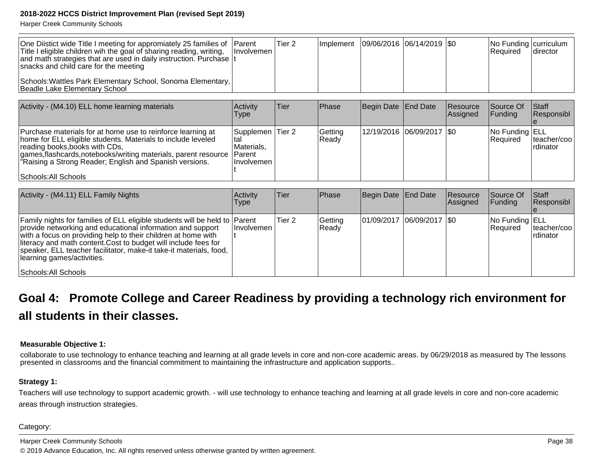Harper Creek Community Schools

| One Diistict wide Title I meeting for appromiately 25 families of Parent<br>Title I eligible children wih the goal of sharing reading, writing,<br>and math strategies that are used in daily instruction. Purchase It<br>snacks and child care for the meeting | ⊟Involvemen I | Tier <sub>2</sub> |  | Implement   09/06/2016   06/14/2019   \$0 | $ No$ Funding $ curricular $<br><b>Required</b> | Idirector |
|-----------------------------------------------------------------------------------------------------------------------------------------------------------------------------------------------------------------------------------------------------------------|---------------|-------------------|--|-------------------------------------------|-------------------------------------------------|-----------|
| Schools: Wattles Park Elementary School, Sonoma Elementary,<br>Beadle Lake Elementary School                                                                                                                                                                    |               |                   |  |                                           |                                                 |           |

| Activity - (M4.10) ELL home learning materials                                                                                                                                                                                                                                                                             | Activity<br>Type                                              | lTier. | <b>Phase</b>     | Begin Date End Date         | Resource<br>Assigned | Source Of<br><b>Funding</b> | <b>Staff</b><br><b>Responsibl</b> |
|----------------------------------------------------------------------------------------------------------------------------------------------------------------------------------------------------------------------------------------------------------------------------------------------------------------------------|---------------------------------------------------------------|--------|------------------|-----------------------------|----------------------|-----------------------------|-----------------------------------|
| Purchase materials for at home use to reinforce learning at<br>home for ELL eligible students. Materials to include leveled<br>reading books, books with CDs,<br>games, flashcards, notebooks/writing materials, parent resource Parent<br>"Raising a Strong Reader; English and Spanish versions.<br>Schools: All Schools | Supplemen Tier 2<br>∣tal<br>Materials,<br><b>Involvemen</b> l |        | Getting<br>Ready | 12/19/2016  06/09/2017  \$0 |                      | No Funding ELL<br>Required  | teacher/coo <br>Irdinator         |

| Activity - (M4.11) ELL Family Nights                                                                                                                                                                                                                                                                                                                                                                     | <b>Activity</b><br><b>Type</b> | Tier   | Phase            | Begin Date   End Date         | Resource<br>Assigned | Source Of<br>IFundina             | <b>Staff</b><br>Responsibl |
|----------------------------------------------------------------------------------------------------------------------------------------------------------------------------------------------------------------------------------------------------------------------------------------------------------------------------------------------------------------------------------------------------------|--------------------------------|--------|------------------|-------------------------------|----------------------|-----------------------------------|----------------------------|
| Family nights for families of ELL eligible students will be held to Parent<br>provide networking and educational information and support<br>with a focus on providing help to their children at home with<br>literacy and math content. Cost to budget will include fees for<br>speaker, ELL teacher facilitator, make-it take-it materials, food,<br>learning games/activities.<br>Schools: All Schools | Involvemen                     | Tier 2 | Getting<br>Ready | $ 01/09/2017 06/09/2017 $ \$0 |                      | No Funding ELL<br><b>Required</b> | lteacher/cool<br>Irdinator |

# **Goal 4: Promote College and Career Readiness by providing a technology rich environment forall students in their classes.**

#### **Measurable Objective 1:**

collaborate to use technology to enhance teaching and learning at all grade levels in core and non-core academic areas. by 06/29/2018 as measured by The lessonspresented in classrooms and the financial commitment to maintaining the infrastructure and application supports..

#### **Strategy 1:**

Teachers will use technology to support academic growth. - will use technology to enhance teaching and learning at all grade levels in core and non-core academicareas through instruction strategies.

#### Category: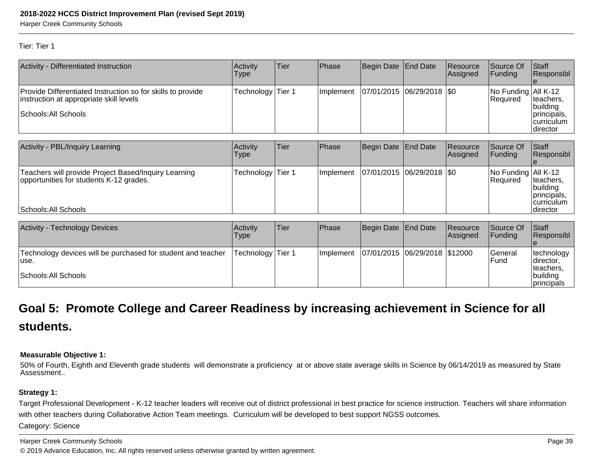Harper Creek Community Schools

#### Tier: Tier 1

| Activity - Differentiated Instruction                                                                  | Activity<br>Type | Tier   | Phase     | Begin Date End Date           |                    | Resource<br> Assigned | Source Of<br>Funding            | Staff<br>Responsibl                                  |
|--------------------------------------------------------------------------------------------------------|------------------|--------|-----------|-------------------------------|--------------------|-----------------------|---------------------------------|------------------------------------------------------|
| Provide Differentiated Instruction so for skills to provide<br>instruction at appropriate skill levels | Technology       | Tier 1 | Implement | 07/01/2015                    | $ 06/29/2018 $ \$0 |                       | No Funding All K-12<br>Required | teachers,<br>building                                |
| Schools: All Schools                                                                                   |                  |        |           |                               |                    |                       |                                 | principals,<br>Icurriculum<br> director              |
| Activity - PBL/Inquiry Learning                                                                        | Activity<br>Type | Tier   | Phase     | <b>Begin Date</b>             | <b>End Date</b>    | Resource<br>Assigned  | Source Of<br>Funding            | Staff<br>Responsibl                                  |
| Teachers will provide Project Based/Inquiry Learning<br>opportunities for students K-12 grades.        | Technology       | Tier 1 | Implement | 07/01/2015  06/29/2018  \$0   |                    |                       | No Funding All K-12<br>Required | lteachers.<br>building<br>principals,<br> curriculum |
| Schools: All Schools                                                                                   |                  |        |           |                               |                    |                       |                                 | Idirector                                            |
| <b>Activity - Technology Devices</b>                                                                   | Activity<br>Type | Tier   | Phase     | Begin Date                    | End Date           | Resource<br>Assigned  | Source Of<br>Funding            | Staff<br>Responsibl                                  |
| Technology devices will be purchased for student and teacher<br>use.                                   | Technology       | Tier 1 | Implement | 07/01/2015 06/29/2018 \$12000 |                    |                       | General<br>Fund                 | technology<br> director,<br>teachers,                |
| Schools: All Schools                                                                                   |                  |        |           |                               |                    |                       |                                 | building<br> principals                              |

# **Goal 5: Promote College and Career Readiness by increasing achievement in Science for allstudents.**

#### **Measurable Objective 1:**

50% of Fourth, Eighth and Eleventh grade students will demonstrate a proficiency at or above state average skills in Science by 06/14/2019 as measured by StateAssessment..

#### **Strategy 1:**

Target Professional Development - K-12 teacher leaders will receive out of district professional in best practice for science instruction. Teachers will share informationwith other teachers during Collaborative Action Team meetings. Curriculum will be developed to best support NGSS outcomes. Category: Science

Harper Creek Community Schoolss and the contract of the contract of the contract of the contract of the contract of the contract of the contract of the contract of the contract of the contract of the contract of the contract of the contract of the cont © 2019 Advance Education, Inc. All rights reserved unless otherwise granted by written agreement.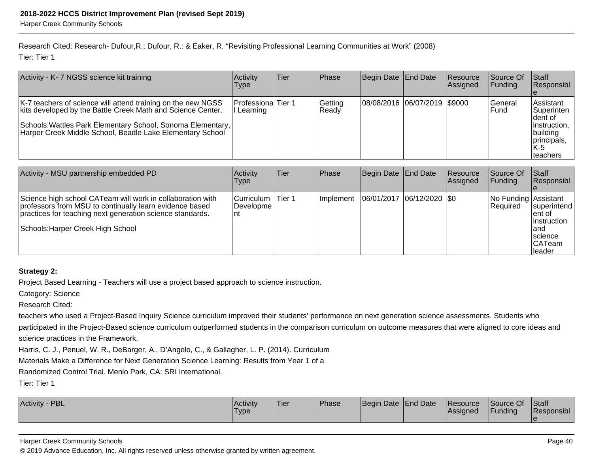Research Cited: Research- Dufour,R.; Dufour, R.: & Eaker, R. "Revisiting Professional Learning Communities at Work" (2008)Tier: Tier 1

| Activity - K- 7 NGSS science kit training                                                                                                                                                                                                               | <b>Activity</b><br>Type                              | Tier | Phase            | Begin Date   End Date        | <b>Resource</b><br>Assigned | Source Of<br> Funding   | <b>Staff</b><br><b>Responsibl</b>                                                                                |
|---------------------------------------------------------------------------------------------------------------------------------------------------------------------------------------------------------------------------------------------------------|------------------------------------------------------|------|------------------|------------------------------|-----------------------------|-------------------------|------------------------------------------------------------------------------------------------------------------|
| K-7 teachers of science will attend training on the new NGSS<br>kits developed by the Battle Creek Math and Science Center.<br>Schools: Wattles Park Elementary School, Sonoma Elementary,<br>Harper Creek Middle School, Beadle Lake Elementary School | <b>Professiona</b> Tier 1<br><sub>i</sub> l Learning |      | Getting<br>Ready | 08/08/2016 06/07/2019 \$9000 |                             | <b>Seneral</b><br>lFund | lAssistant<br><b>Superinten</b><br>Ident of<br>$ $ instruction,<br>building<br>Iprincipals.<br>IK-5<br>Iteachers |

| Activity - MSU partnership embedded PD                                                                                                                                                                                  | <b>Activity</b><br><b>Type</b>          | <b>Tier</b> | <b>Phase</b> | Begin Date   End Date       | Resource<br>Assigned | Source Of<br><b>IFundina</b>     | <b>Staff</b><br><b>Responsibl</b>                                                      |
|-------------------------------------------------------------------------------------------------------------------------------------------------------------------------------------------------------------------------|-----------------------------------------|-------------|--------------|-----------------------------|----------------------|----------------------------------|----------------------------------------------------------------------------------------|
| Science high school CATeam will work in collaboration with<br>professors from MSU to continually learn evidence based<br>practices for teaching next generation science standards.<br>Schools: Harper Creek High School | Curriculum   Tier 1<br>Developme<br>Int |             | Implement    | 06/01/2017  06/12/2020  \$0 |                      | No Funding Assistant<br>Required | superintend<br>lent of<br>linstruction<br>land<br>Iscience<br><b>CATeam</b><br>Ileader |

## **Strategy 2:**

Project Based Learning - Teachers will use a project based approach to science instruction.

Category: Science

Research Cited:

teachers who used a Project-Based Inquiry Science curriculum improved their students' performance on next generation science assessments. Students whoparticipated in the Project-Based science curriculum outperformed students in the comparison curriculum on outcome measures that were aligned to core ideas and

science practices in the Framework.

Harris, C. J., Penuel, W. R., DeBarger, A., D'Angelo, C., & Gallagher, L. P. (2014). Curriculum

Materials Make a Difference for Next Generation Science Learning: Results from Year 1 of a

Randomized Control Trial. Menlo Park, CA: SRI International.

Tier: Tier 1

| <b>PBL</b><br><b>Activity</b> | Activity<br>'Type | Tier | Phase | Begin Date End Date |  | Resource<br><b>Assigned</b> | Source Of<br>Funding | Staff<br>Responsibl |
|-------------------------------|-------------------|------|-------|---------------------|--|-----------------------------|----------------------|---------------------|
|-------------------------------|-------------------|------|-------|---------------------|--|-----------------------------|----------------------|---------------------|

#### Harper Creek Community Schools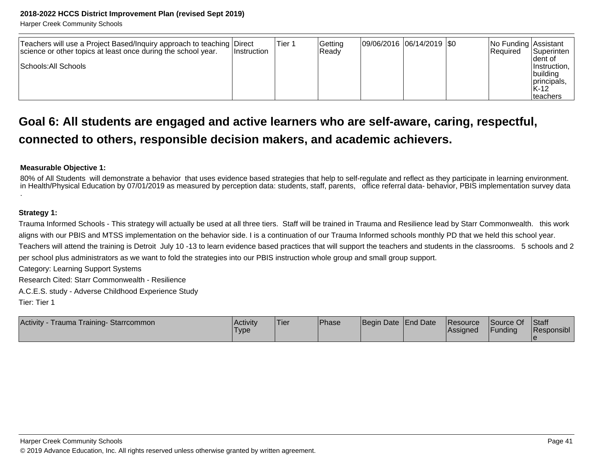Harper Creek Community Schools

| Teachers will use a Project Based/Inquiry approach to teaching Direct<br>science or other topics at least once during the school year. | <b>Instruction</b> | Tier 1 | Getting<br>lReadv | 09/06/2016 06/14/2019 \$0 |  | No Funding Assistant<br><b>Required</b> | <b>Superinten</b>                                                |
|----------------------------------------------------------------------------------------------------------------------------------------|--------------------|--------|-------------------|---------------------------|--|-----------------------------------------|------------------------------------------------------------------|
| Schools: All Schools                                                                                                                   |                    |        |                   |                           |  |                                         | Ident of<br>Ilnstruction.<br> building<br>principals,<br>$IK-12$ |
|                                                                                                                                        |                    |        |                   |                           |  |                                         | Iteachers                                                        |

# **Goal 6: All students are engaged and active learners who are self-aware, caring, respectful,connected to others, responsible decision makers, and academic achievers.**

#### **Measurable Objective 1:**

80% of All Students will demonstrate a behavior that uses evidence based strategies that help to self-regulate and reflect as they participate in learning environment.<br>in Health/Physical Education by 07/01/2019 as measur

#### **Strategy 1:**

Trauma Informed Schools - This strategy will actually be used at all three tiers. Staff will be trained in Trauma and Resilience lead by Starr Commonwealth. this workaligns with our PBIS and MTSS implementation on the behavior side. I is a continuation of our Trauma Informed schools monthly PD that we held this school year.

Teachers will attend the training is Detroit July 10 -13 to learn evidence based practices that will support the teachers and students in the classrooms. 5 schools and 2per school plus administrators as we want to fold the strategies into our PBIS instruction whole group and small group support.

Category: Learning Support Systems

Research Cited: Starr Commonwealth - Resilience

A.C.E.S. study - Adverse Childhood Experience Study

Tier: Tier 1

| Activity -<br>Trauma Training-Starrcommon | <b>Activity</b><br>Type | 'Tier | Phase | Begin Date End Date |  | <b>Resource</b><br><b>Assigned</b> | Source Of<br>Funding | <b>Staff</b><br>Responsibl |
|-------------------------------------------|-------------------------|-------|-------|---------------------|--|------------------------------------|----------------------|----------------------------|
|-------------------------------------------|-------------------------|-------|-------|---------------------|--|------------------------------------|----------------------|----------------------------|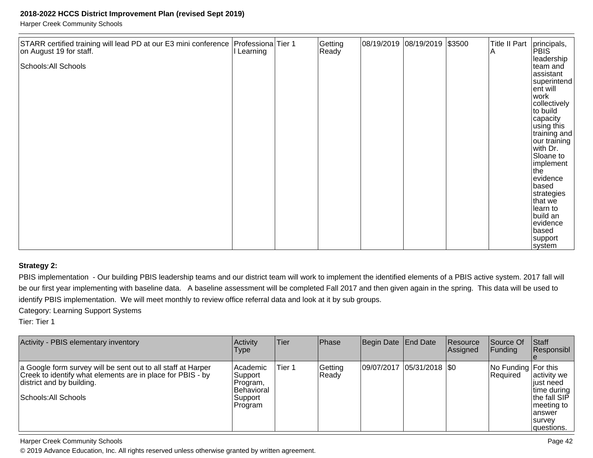Harper Creek Community Schools

| STARR certified training will lead PD at our E3 mini conference Professiona Tier 1<br>on August 19 for staff.<br>Schools: All Schools | I Learning | Getting<br>Ready | 08/19/2019 08/19/2019 \$3500 |  | <b>Title II Part</b><br>ΙA | principals,<br>PBIS <sup>®</sup><br>leadership<br>team and<br>assistant<br> superintend <br>ent will<br>work                                                         |
|---------------------------------------------------------------------------------------------------------------------------------------|------------|------------------|------------------------------|--|----------------------------|----------------------------------------------------------------------------------------------------------------------------------------------------------------------|
|                                                                                                                                       |            |                  |                              |  |                            | collectively<br>to build<br>capacity<br>using this<br> training and <br>our training<br>with Dr.<br>Sloane to<br>implement<br>the<br>evidence<br>based<br>strategies |
|                                                                                                                                       |            |                  |                              |  |                            | that we<br>learn to<br>build an<br>evidence<br>based<br>support<br>system                                                                                            |

#### **Strategy 2:**

PBIS implementation - Our building PBIS leadership teams and our district team will work to implement the identified elements of a PBIS active system. 2017 fall will be our first year implementing with baseline data. A baseline assessment will be completed Fall 2017 and then given again in the spring. This data will be used toidentify PBIS implementation. We will meet monthly to review office referral data and look at it by sub groups.

Category: Learning Support Systems

Tier: Tier 1

| Activity - PBIS elementary inventory                                                                                                                                            | Activity<br>Type                                                       | <b>Tier</b> | Phase            | Begin Date End Date |                            | <b>Resource</b><br>Assigned | <b>Source Of</b><br>IFundina     | Staff<br>Responsibl                                                                                                 |
|---------------------------------------------------------------------------------------------------------------------------------------------------------------------------------|------------------------------------------------------------------------|-------------|------------------|---------------------|----------------------------|-----------------------------|----------------------------------|---------------------------------------------------------------------------------------------------------------------|
| a Google form survey will be sent out to all staff at Harper<br>Creek to identify what elements are in place for PBIS - by<br>district and by building.<br>Schools: All Schools | Academic<br> Support <br>Program,<br>Behavioral<br> Support<br>Program | Tier 1      | Getting<br>Ready |                     | 09/07/2017 05/31/2018 \\$0 |                             | No Funding For this<br>IReauired | activity we<br>liust need<br>∣time during<br>the fall SIP<br>meeting to<br>lanswer<br><b>Isurvey</b><br> questions. |

Harper Creek Community Schools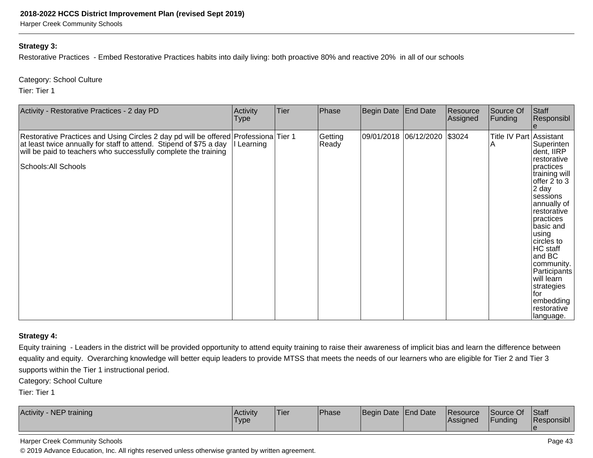Harper Creek Community Schools

#### **Strategy 3:**

Restorative Practices - Embed Restorative Practices habits into daily living: both proactive 80% and reactive 20% in all of our schools

Category: School Culture

Tier: Tier 1

| Activity - Restorative Practices - 2 day PD                                                                                                                                                                                                          | Activity<br><b>Type</b> | Tier | Phase            | Begin Date End Date |                       | Resource<br>Assigned | Source Of<br>Funding         | Staff<br>Responsibl                                                                                                                                                                                                                                                                                                           |
|------------------------------------------------------------------------------------------------------------------------------------------------------------------------------------------------------------------------------------------------------|-------------------------|------|------------------|---------------------|-----------------------|----------------------|------------------------------|-------------------------------------------------------------------------------------------------------------------------------------------------------------------------------------------------------------------------------------------------------------------------------------------------------------------------------|
| Restorative Practices and Using Circles 2 day pd will be offered Professiona Tier 1<br>at least twice annually for staff to attend. Stipend of \$75 a day<br>will be paid to teachers who successfully complete the training<br>Schools: All Schools | l Learning              |      | Getting<br>Ready | 09/01/2018          | $ 06/12/2020 $ \$3024 |                      | Title IV Part Assistant<br>A | Superinten<br>dent, IIRP<br>restorative<br>practices<br>training will<br>offer 2 to 3<br>2 day<br> sessions <br>annually of<br>restorative<br>practices<br>basic and<br>using<br>circles to<br>HC staff<br>and BC<br>community.<br>Participants<br>will learn<br>strategies<br>lfor.<br>embedding<br>restorative<br>language. |

#### **Strategy 4:**

Equity training - Leaders in the district will be provided opportunity to attend equity training to raise their awareness of implicit bias and learn the difference betweenequality and equity. Overarching knowledge will better equip leaders to provide MTSS that meets the needs of our learners who are eligible for Tier 2 and Tier 3supports within the Tier 1 instructional period.

Category: School Culture

Tier: Tier 1

| NEP training<br><b>Activity</b> | l Activitv<br>'Type | Ti≙r<br>1161 | Phase | Begin Date End Date | <b>Resource</b><br>lAssianed | Source Of<br><b>Funding</b> | Staff<br>Responsibl |
|---------------------------------|---------------------|--------------|-------|---------------------|------------------------------|-----------------------------|---------------------|
|                                 |                     |              |       |                     |                              |                             |                     |

#### Harper Creek Community Schools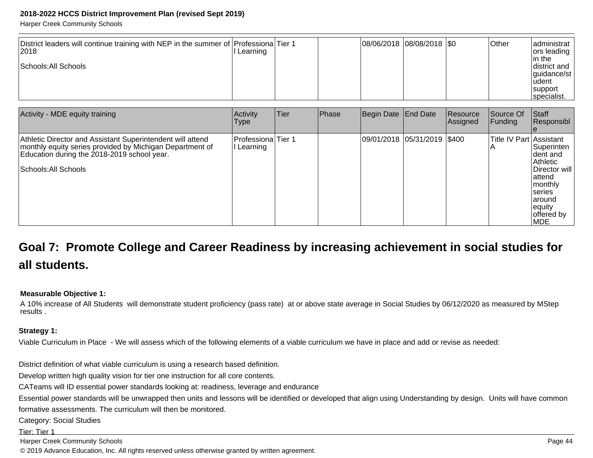Harper Creek Community Schools

| District leaders will continue training with NEP in the summer of Professiona Tier 1<br> 2018 | Learning |  | 08/06/2018 08/08/2018  \$0 | <b>Other</b> | ladministrat l<br> ors leading                     |
|-----------------------------------------------------------------------------------------------|----------|--|----------------------------|--------------|----------------------------------------------------|
| Schools: All Schools                                                                          |          |  |                            |              | lin the<br>district and<br>  quidance/st<br>ludent |
|                                                                                               |          |  |                            |              | support<br>specialist.                             |

| Activity - MDE equity training                                                                                                                                                                | Activity<br>Type                 | Tier | Phase | Begin Date End Date           | Resource<br> Assigned | Source Of<br><b>Funding</b> | Staff<br>Responsibl                                                                                                                          |
|-----------------------------------------------------------------------------------------------------------------------------------------------------------------------------------------------|----------------------------------|------|-------|-------------------------------|-----------------------|-----------------------------|----------------------------------------------------------------------------------------------------------------------------------------------|
| Athletic Director and Assistant Superintendent will attend<br>monthly equity series provided by Michigan Department of<br>Education during the 2018-2019 school year.<br>Schools: All Schools | Professiona Tier 1<br>l Learning |      |       | 09/01/2018  05/31/2019  \$400 |                       | Title IV Part Assistant     | Superinten<br>Ident and<br>Athletic<br>IDirector will l<br>lattend<br>  monthly<br>Iseries<br>laround<br>equity<br>offered by<br><b>IMDE</b> |

# **Goal 7: Promote College and Career Readiness by increasing achievement in social studies forall students.**

#### **Measurable Objective 1:**

A 10% increase of All Students will demonstrate student proficiency (pass rate) at or above state average in Social Studies by 06/12/2020 as measured by MStepresults .

#### **Strategy 1:**

Viable Curriculum in Place - We will assess which of the following elements of a viable curriculum we have in place and add or revise as needed:

District definition of what viable curriculum is using a research based definition.

Develop written high quality vision for tier one instruction for all core contents.

CATeams will ID essential power standards looking at: readiness, leverage and endurance

Essential power standards will be unwrapped then units and lessons will be identified or developed that align using Understanding by design. Units will have common

formative assessments. The curriculum will then be monitored.

Category: Social Studies

Tier: Tier 1

Harper Creek Community Schools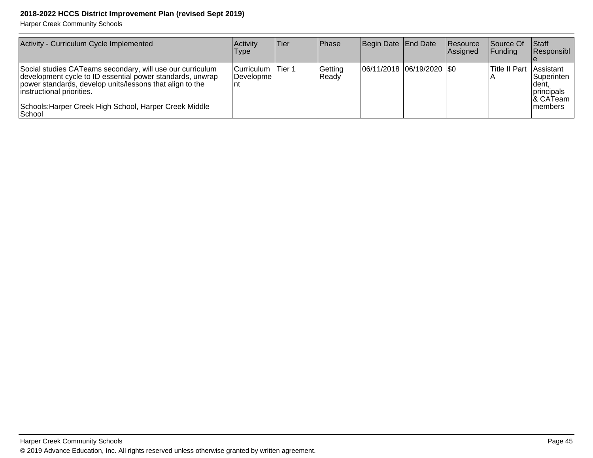| Activity - Curriculum Cycle Implemented                                                                                                                                                                                                                                              | <b>Activity</b><br><b>Type</b>                        | Tier | <b>IPhase</b>    | Begin Date   End Date         | <b>Resource</b><br><b>Assigned</b> | <b>Source Of</b><br><b>IFunding</b> | <b>Staff</b><br>Responsibl                                        |
|--------------------------------------------------------------------------------------------------------------------------------------------------------------------------------------------------------------------------------------------------------------------------------------|-------------------------------------------------------|------|------------------|-------------------------------|------------------------------------|-------------------------------------|-------------------------------------------------------------------|
| Social studies CATeams secondary, will use our curriculum<br>development cycle to ID essential power standards, unwrap<br>power standards, develop units/lessons that align to the<br>instructional priorities.<br>Schools: Harper Creek High School, Harper Creek Middle<br>∣School | Curriculum   Tier 1<br><i><b>IDevelopme</b></i><br>nt |      | Getting<br>Ready | $ 06/11/2018 06/19/2020 $ \$0 |                                    | Title II Part   Assistant           | <b>Superinten</b><br>∣dent,<br>principals<br>8 CATeam<br>Imembers |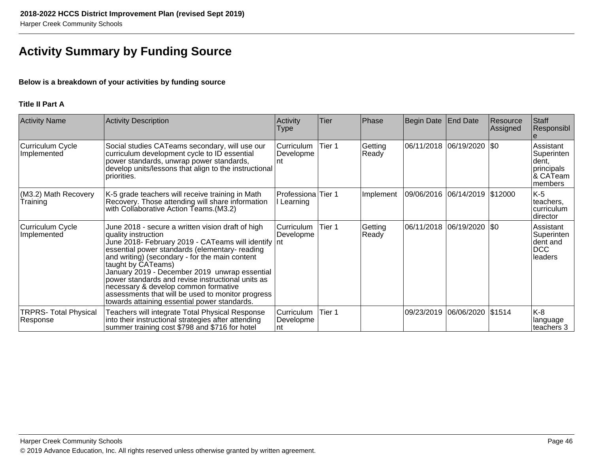# **Activity Summary by Funding Source**

### **Below is a breakdown of your activities by funding source**

### **Title II Part A**

| <b>Activity Name</b>                     | <b>Activity Description</b>                                                                                                                                                                                                                                                                                                                                                                                                                                                                                 | Activity<br>Type                | Tier   | Phase            | Begin Date | <b>End Date</b>               | Resource<br>Assigned | Staff<br>Responsibl                                                    |
|------------------------------------------|-------------------------------------------------------------------------------------------------------------------------------------------------------------------------------------------------------------------------------------------------------------------------------------------------------------------------------------------------------------------------------------------------------------------------------------------------------------------------------------------------------------|---------------------------------|--------|------------------|------------|-------------------------------|----------------------|------------------------------------------------------------------------|
| Curriculum Cycle<br>Implemented          | Social studies CATeams secondary, will use our<br>curriculum development cycle to ID essential<br>power standards, unwrap power standards,<br>develop units/lessons that align to the instructional<br>priorities.                                                                                                                                                                                                                                                                                          | Curriculum<br>Developme<br>Int  | Tier 1 | Getting<br>Ready |            | 06/11/2018  06/19/2020  \$0   |                      | Assistant<br>Superinten<br> dent,<br>principals<br>& CATeam<br>members |
| (M3.2) Math Recovery<br>Training         | K-5 grade teachers will receive training in Math<br>Recovery. Those attending will share information<br>with Collaborative Action Teams. (M3.2)                                                                                                                                                                                                                                                                                                                                                             | Professiona<br>l Learning       | Tier 1 | Implement        |            | 09/06/2016 06/14/2019 \$12000 |                      | K-5<br>lteachers.<br>curriculum<br> director                           |
| Curriculum Cycle<br>Implemented          | June 2018 - secure a written vision draft of high<br>quality instruction<br>June 2018- February 2019 - CATeams will identify nt<br>essential power standards (elementary-reading<br>and writing) (secondary - for the main content<br>taught by CATeams)<br>January 2019 - December 2019 unwrap essential<br>power standards and revise instructional units as<br>necessary & develop common formative<br>assessments that will be used to monitor progress<br>towards attaining essential power standards. | Curriculum<br>Developme         | Tier 1 | Getting<br>Ready | 06/11/2018 | $ 06/19/2020 $ \$0            |                      | Assistant<br>Superinten<br>Ident and<br>DCC<br>leaders                 |
| <b>TRPRS- Total Physical</b><br>Response | Teachers will integrate Total Physical Response<br>into their instructional strategies after attending<br>summer training cost \$798 and \$716 for hotel                                                                                                                                                                                                                                                                                                                                                    | Curriculum<br>Developme<br>∣nt. | Tier 1 |                  | 09/23/2019 | 06/06/2020 \$1514             |                      | K-8<br> language<br>teachers 3                                         |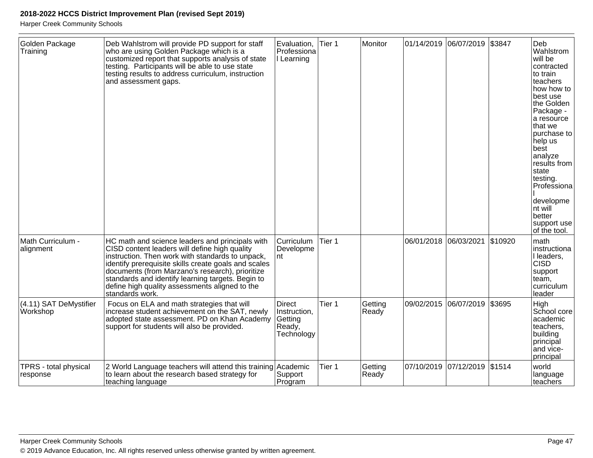| Golden Package<br>Training                | Deb Wahlstrom will provide PD support for staff<br>who are using Golden Package which is a<br>customized report that supports analysis of state<br>testing. Participants will be able to use state<br>testing results to address curriculum, instruction<br>and assessment gaps.                                                                                                          | Evaluation,<br>Professiona<br>I Learning                         | Tier 1 | Monitor          |                       | 01/14/2019 06/07/2019 \$3847 |         | Deb<br>Wahlstrom<br>will be<br>contracted<br>to train<br>teachers<br>how how to<br>best use<br>the Golden<br>Package -<br>a resource<br>that we<br>purchase to<br>help us<br>best<br>analyze<br>results from<br>state<br>testing.<br>Professiona<br>developme<br>nt will<br>better<br>support use<br>of the tool. |
|-------------------------------------------|-------------------------------------------------------------------------------------------------------------------------------------------------------------------------------------------------------------------------------------------------------------------------------------------------------------------------------------------------------------------------------------------|------------------------------------------------------------------|--------|------------------|-----------------------|------------------------------|---------|-------------------------------------------------------------------------------------------------------------------------------------------------------------------------------------------------------------------------------------------------------------------------------------------------------------------|
| Math Curriculum -<br>alignment            | HC math and science leaders and principals with<br>CISD content leaders will define high quality<br>instruction. Then work with standards to unpack,<br>identify prerequisite skills create goals and scales<br>documents (from Marzano's research), prioritize<br>standards and identify learning targets. Begin to<br>define high quality assessments aligned to the<br>standards work. | <b>Curriculum</b><br>Developme<br>nt                             | Tier 1 |                  | 06/01/2018 06/03/2021 |                              | \$10920 | math<br>instructiona<br>I leaders,<br><b>CISD</b><br>support<br>team,<br>curriculum<br>leader                                                                                                                                                                                                                     |
| (4.11) SAT DeMystifier<br><b>Workshop</b> | Focus on ELA and math strategies that will<br>increase student achievement on the SAT, newly<br>adopted state assessment. PD on Khan Academy<br>support for students will also be provided.                                                                                                                                                                                               | <b>Direct</b><br>Instruction,<br>Getting<br>Ready,<br>Technology | Tier 1 | Getting<br>Ready | 09/02/2015            | 06/07/2019                   | \$3695  | High<br>School core<br>academic<br>teachers,<br>building<br>principal<br>and vice-<br>principal                                                                                                                                                                                                                   |
| TPRS - total physical<br>response         | 2 World Language teachers will attend this training Academic<br>to learn about the research based strategy for<br>teaching language                                                                                                                                                                                                                                                       | Support<br>Program                                               | Tier 1 | Getting<br>Ready |                       | 07/10/2019 07/12/2019        | \$1514  | world<br>language<br>teachers                                                                                                                                                                                                                                                                                     |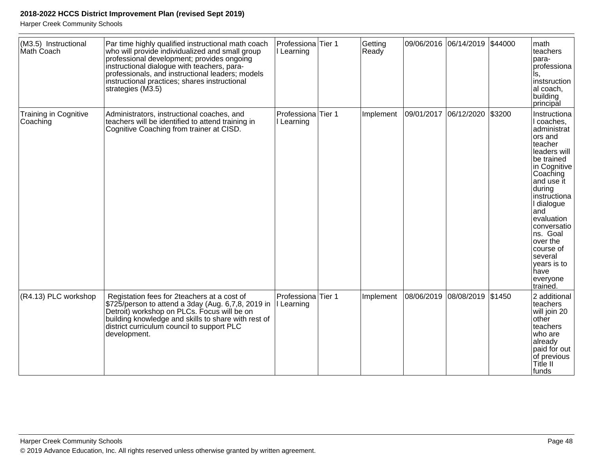| (M3.5) Instructional<br>Math Coach       | Par time highly qualified instructional math coach<br>who will provide individualized and small group<br>professional development; provides ongoing<br>instructional dialogue with teachers, para-<br>professionals, and instructional leaders; models<br>instructional practices; shares instructional<br>strategies (M3.5) | Professiona Tier 1<br>I Learning | Getting<br>Ready | 09/06/2016 06/14/2019 \$44000 |        | math<br>teachers<br>para-<br>professiona<br>ls.<br>instsruction<br>al coach,<br>building<br>principal                                                                                                                                                                                                              |
|------------------------------------------|------------------------------------------------------------------------------------------------------------------------------------------------------------------------------------------------------------------------------------------------------------------------------------------------------------------------------|----------------------------------|------------------|-------------------------------|--------|--------------------------------------------------------------------------------------------------------------------------------------------------------------------------------------------------------------------------------------------------------------------------------------------------------------------|
| <b>Training in Cognitive</b><br>Coaching | Administrators, instructional coaches, and<br>teachers will be identified to attend training in<br>Cognitive Coaching from trainer at CISD.                                                                                                                                                                                  | Professiona Tier 1<br>I Learning | Implement        | 09/01/2017 06/12/2020         | \$3200 | Instructiona<br>I coaches,<br>administrat<br>ors and<br>teacher<br>leaders will<br>be trained<br>in Cognitive<br>Coaching<br>and use it<br>during<br>instructiona<br>I dialogue<br>and<br>evaluation<br>conversatio<br>ns. Goal<br>over the<br>course of<br>several<br>years is to<br>have<br>everyone<br>trained. |
| (R4.13) PLC workshop                     | Registation fees for 2teachers at a cost of<br>\$725/person to attend a 3day (Aug. 6,7,8, 2019 in<br>Detroit) workshop on PLCs. Focus will be on<br>building knowledge and skills to share with rest of<br>district curriculum council to support PLC<br>development.                                                        | Professiona Tier 1<br>I Learning | Implement        | 08/06/2019 08/08/2019         | \$1450 | 2 additional<br>teachers<br>will join 20<br>other<br>teachers<br>who are<br>already<br>paid for out<br>of previous<br>Title II<br>lfunds                                                                                                                                                                           |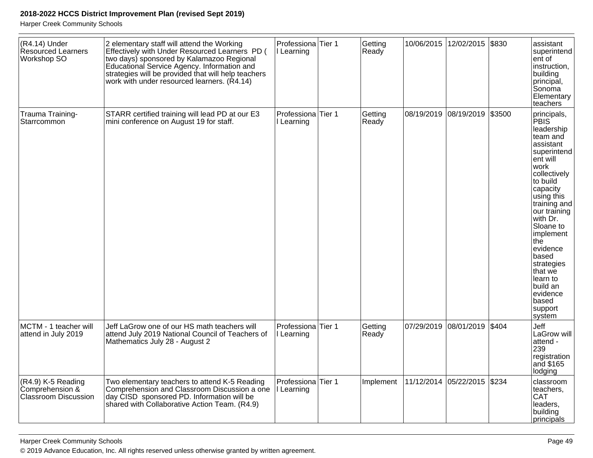| (R4.14) Under<br>Resourced Learners<br>Workshop SO                   | 2 elementary staff will attend the Working<br>Effectively with Under Resourced Learners PD (<br>two days) sponsored by Kalamazoo Regional<br>Educational Service Agency. Information and<br>strategies will be provided that will help teachers<br>work with under resourced learners. (R4.14) | Professiona Tier 1<br>I Learning            | Getting<br>Ready |            | 10/06/2015 12/02/2015         | \$830  | assistant<br>superintend<br>ent of<br>instruction,<br>building<br>principal,<br>Sonoma<br>Elementary<br>teachers                                                                                                                                                                                                                                        |
|----------------------------------------------------------------------|------------------------------------------------------------------------------------------------------------------------------------------------------------------------------------------------------------------------------------------------------------------------------------------------|---------------------------------------------|------------------|------------|-------------------------------|--------|---------------------------------------------------------------------------------------------------------------------------------------------------------------------------------------------------------------------------------------------------------------------------------------------------------------------------------------------------------|
| Trauma Training-<br>Starrcommon                                      | STARR certified training will lead PD at our E3<br>mini conference on August 19 for staff.                                                                                                                                                                                                     | Professiona Tier 1<br>I Learning            | Getting<br>Ready | 08/19/2019 | 08/19/2019                    | \$3500 | principals,<br><b>PBIS</b><br>leadership<br>team and<br>assistant<br>superintend<br>ent will<br>work<br>collectively<br>to build<br>capacity<br>using this<br>training and<br>our training<br>with Dr.<br>Sloane to<br>implement<br>the<br>evidence<br>based<br>strategies<br>that we<br>learn to<br>build an<br>evidence<br>based<br>support<br>system |
| MCTM - 1 teacher will<br>attend in July 2019                         | Jeff LaGrow one of our HS math teachers will<br>attend July 2019 National Council of Teachers of<br>Mathematics July 28 - August 2                                                                                                                                                             | Professiona <sup>Tier</sup> 1<br>I Learning | Getting<br>Ready | 07/29/2019 | 08/01/2019                    | \$404  | Jeff<br>LaGrow will<br>attend -<br>239<br>registration<br>and \$165<br>lodging                                                                                                                                                                                                                                                                          |
| (R4.9) K-5 Reading<br>Comprehension &<br><b>Classroom Discussion</b> | Two elementary teachers to attend K-5 Reading<br>Comprehension and Classroom Discussion a one<br>day CISD sponsored PD. Information will be<br>shared with Collaborative Action Team. (R4.9)                                                                                                   | Professiona <sup>Tier</sup> 1<br>I Learning | Implement        |            | 11/12/2014  05/22/2015  \$234 |        | classroom<br>teachers,<br><b>CAT</b><br>leaders,<br>building<br> principals                                                                                                                                                                                                                                                                             |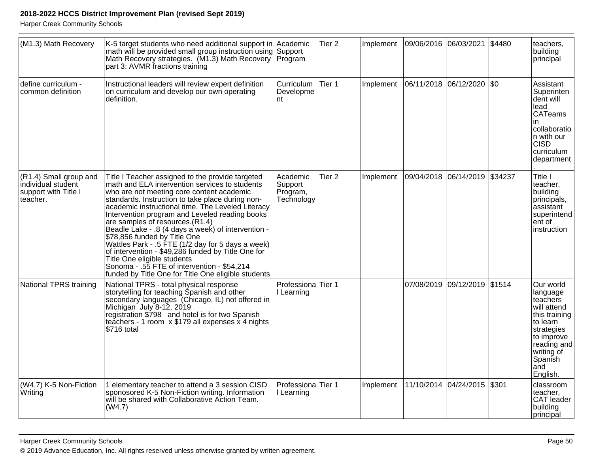| (M1.3) Math Recovery                                                             | K-5 target students who need additional support in Academic<br>math will be provided small group instruction using<br>Math Recovery strategies. (M1.3) Math Recovery<br>part 3: AVMR fractions training                                                                                                                                                                                                                                                                                                                                                                                                                                                                             | Support<br>Program                            | Tier <sub>2</sub> | Implement | 09/06/2016 06/03/2021 |                             | \$4480  | teachers,<br>building<br>principal                                                                                                                                   |
|----------------------------------------------------------------------------------|-------------------------------------------------------------------------------------------------------------------------------------------------------------------------------------------------------------------------------------------------------------------------------------------------------------------------------------------------------------------------------------------------------------------------------------------------------------------------------------------------------------------------------------------------------------------------------------------------------------------------------------------------------------------------------------|-----------------------------------------------|-------------------|-----------|-----------------------|-----------------------------|---------|----------------------------------------------------------------------------------------------------------------------------------------------------------------------|
| define curriculum -<br>common definition                                         | Instructional leaders will review expert definition<br>on curriculum and develop our own operating<br>definition.                                                                                                                                                                                                                                                                                                                                                                                                                                                                                                                                                                   | Curriculum<br>Developme<br>nt                 | Tier 1            | Implement |                       | 06/11/2018  06/12/2020  \$0 |         | Assistant<br>Superinten<br>dent will<br>lead<br><b>CATeams</b><br>in<br>collaboratio<br>n with our<br><b>CISD</b><br>curriculum<br>department                        |
| (R1.4) Small group and<br>individual student<br>support with Title I<br>teacher. | Title I Teacher assigned to the provide targeted<br>math and ELA intervention services to students<br>who are not meeting core content academic<br>standards. Instruction to take place during non-<br>academic instructional time. The Leveled Literacy<br>Intervention program and Leveled reading books<br>are samples of resources.(R1.4)<br>Beadle Lake - .8 (4 days a week) of intervention -<br>\$78,856 funded by Title One<br>Wattles Park - .5 FTE (1/2 day for 5 days a week)<br>of intervention - \$49,286 funded by Title One for<br>Title One eligible students<br>Sonoma - .55 FTE of intervention - \$54,214<br>funded by Title One for Title One eligible students | Academic<br>Support<br>Program,<br>Technology | Tier <sub>2</sub> | Implement | 09/04/2018 06/14/2019 |                             | \$34237 | Title I<br>teacher,<br>building<br>principals,<br>assistant<br>superintend<br>ent of<br>instruction                                                                  |
| National TPRS training                                                           | National TPRS - total physical response<br>storytelling for teaching Spanish and other<br>secondary languages (Chicago, IL) not offered in<br>Michigan July 8-12, 2019<br>registration \$798 and hotel is for two Spanish<br>teachers - 1 room x \$179 all expenses x 4 nights<br>\$716 total                                                                                                                                                                                                                                                                                                                                                                                       | Professiona<br>I Learning                     | Tier 1            |           | 07/08/2019            | 09/12/2019                  | \$1514  | Our world<br>language<br>teachers<br>will attend<br>this training<br>to learn<br>strategies<br>to improve<br>reading and<br>writing of<br>Spanish<br>and<br>English. |
| (W4.7) K-5 Non-Fiction<br>Writing                                                | 1 elementary teacher to attend a 3 session CISD<br>sponosored K-5 Non-Fiction writing. Information<br>will be shared with Collaborative Action Team.<br>(W4.7)                                                                                                                                                                                                                                                                                                                                                                                                                                                                                                                      | Professiona <sup>Tier</sup> 1<br>I Learning   |                   | Implement |                       | 11/10/2014 04/24/2015       | \$301   | classroom<br>teacher,<br>CAT leader<br>building<br>principal                                                                                                         |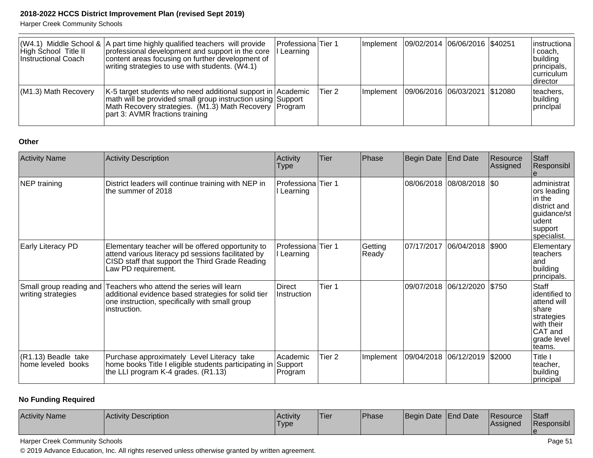Harper Creek Community Schools

| High School Title II<br>Instructional Coach | $ (W4.1)$ Middle School & $ A $ part time highly qualified teachers will provide<br>professional development and support in the core<br>content areas focusing on further development of<br>writing strategies to use with students. (W4.1) | Professiona Tier 1<br>l Learning |        | Implement | 09/02/2014 06/06/2016 \$40251 |  | linstructiona l<br>I coach,<br>building<br>principals,<br><b>Icurriculum</b><br> director |
|---------------------------------------------|---------------------------------------------------------------------------------------------------------------------------------------------------------------------------------------------------------------------------------------------|----------------------------------|--------|-----------|-------------------------------|--|-------------------------------------------------------------------------------------------|
| $(M1.3)$ Math Recovery                      | K-5 target students who need additional support in Academic<br>math will be provided small group instruction using Support<br>Math Recovery strategies. (M1.3) Math Recovery Program<br>part 3: AVMR fractions training                     |                                  | Tier 2 | Implement | 09/06/2016 06/03/2021 \$12080 |  | teachers,<br>building<br><i>Iprincipal</i>                                                |

#### **Other**

| <b>Activity Name</b>                          | Activity Description                                                                                                                                                              | Activity<br>Type                 | Tier   | Phase            | Begin Date | <b>End Date</b>           | Resource<br>Assigned | Staff<br>Responsibl                                                                                            |
|-----------------------------------------------|-----------------------------------------------------------------------------------------------------------------------------------------------------------------------------------|----------------------------------|--------|------------------|------------|---------------------------|----------------------|----------------------------------------------------------------------------------------------------------------|
| NEP training                                  | District leaders will continue training with NEP in<br>the summer of 2018                                                                                                         | Professiona Tier 1<br>Learning   |        |                  |            | 08/06/2018 08/08/2018 \$0 |                      | administrat<br>ors leading<br>lin the<br>district and<br>guidance/st<br>udent<br> support <br>specialist.      |
| Early Literacy PD                             | Elementary teacher will be offered opportunity to<br>attend various literacy pd sessions facilitated by<br>CISD staff that support the Third Grade Reading<br>Law PD requirement. | Professiona Tier 1<br>I Learning |        | Getting<br>Ready | 07/17/2017 | $ 06/04/2018 $ \$900      |                      | Elementary<br>teachers<br>land<br>building<br>principals.                                                      |
| Small group reading and<br>writing strategies | Teachers who attend the series will learn<br>additional evidence based strategies for solid tier<br>one instruction, specifically with small group<br>instruction.                | Direct<br>Instruction            | Tier 1 |                  |            | 09/07/2018 06/12/2020     | \$750                | Staff<br>identified to<br>attend will<br>share<br>strategies<br>with their<br>CAT and<br>grade level<br>teams. |
| (R1.13) Beadle take<br>home leveled books     | Purchase approximately Level Literacy take<br>home books Title I eligible students participating in<br>the LLI program K-4 grades. (R1.13)                                        | Academic<br>Support<br>Program   | Tier 2 | Implement        | 09/04/2018 | 06/12/2019                | \$2000               | Title I<br>teacher,<br>building<br>principal                                                                   |

# **No Funding Required**

| <b>Activity Name</b><br>Activity Description | <b>Activity</b><br>'Type | 'Tier | <b>Phase</b> | Begin Date End Date |  | <b>IResource</b><br><b>Assigned</b> | <b>Staff</b><br>Responsibl |
|----------------------------------------------|--------------------------|-------|--------------|---------------------|--|-------------------------------------|----------------------------|
|----------------------------------------------|--------------------------|-------|--------------|---------------------|--|-------------------------------------|----------------------------|

Harper Creek Community Schools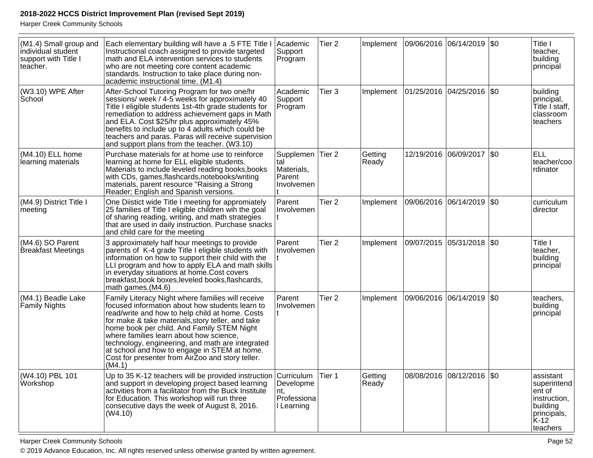Harper Creek Community Schools

| (M1.4) Small group and<br>individual student<br>support with Title I<br>teacher. | Each elementary building will have a .5 FTE Title I<br>Instructional coach assigned to provide targeted<br>math and ELA intervention services to students<br>who are not meeting core content academic<br>standards. Instruction to take place during non-<br>academic instructional time. (M1.4)                                                                                                                                                                       | Academic <br>Support<br>Program                        | Tier <sub>2</sub> | Implement        | 09/06/2016 06/14/2019 \$0  |                  | Title I<br>teacher,<br>building<br>principal                                                      |
|----------------------------------------------------------------------------------|-------------------------------------------------------------------------------------------------------------------------------------------------------------------------------------------------------------------------------------------------------------------------------------------------------------------------------------------------------------------------------------------------------------------------------------------------------------------------|--------------------------------------------------------|-------------------|------------------|----------------------------|------------------|---------------------------------------------------------------------------------------------------|
| (W3.10) WPE After<br>School                                                      | After-School Tutoring Program for two one/hr<br>sessions/ week / 4-5 weeks for approximately 40<br>Title I eligible students 1st-4th grade students for<br>remediation to address achievement gaps in Math<br>and ELA. Cost \$25/hr plus approximately 45%<br>benefits to include up to 4 adults which could be<br>teachers and paras. Paras will receive supervision<br>and support plans from the teacher. (W3.10)                                                    | Academic<br>Support<br>Program                         | Tier 3            | Implement        | 01/25/2016 04/25/2016 \$0  |                  | building<br>principal,<br>Title I staff,<br>classroom<br>teachers                                 |
| (M4.10) ELL home<br>learning materials                                           | Purchase materials for at home use to reinforce<br>learning at home for ELL eligible students.<br>Materials to include leveled reading books, books<br>with CDs, games, flashcards, notebooks/writing<br>materials, parent resource "Raising a Strong<br>Reader; English and Spanish versions.                                                                                                                                                                          | Supplemen<br>tal<br>Materials,<br>Parent<br>Involvemen | Tier 2            | Getting<br>Ready | 12/19/2016                 | 06/09/2017   \$0 | <b>ELL</b><br>teacher/coo<br>rdinator                                                             |
| (M4.9) District Title I<br>meeting                                               | One Diistict wide Title I meeting for appromiately<br>25 families of Title I eligible children wih the goal<br>of sharing reading, writing, and math strategies<br>that are used in daily instruction. Purchase snacks<br>and child care for the meeting                                                                                                                                                                                                                | Parent<br>Involvemen                                   | Tier <sub>2</sub> | Implement        | 09/06/2016 06/14/2019  \$0 |                  | curriculum<br>director                                                                            |
| (M4.6) SO Parent<br>Breakfast Meetings                                           | 3 approximately half hour meetings to provide<br>parents of K-4 grade Title I eligible students with<br>information on how to support their child with the<br>LLI program and how to apply ELA and math skills<br>in everyday situations at home.Cost covers<br>breakfast, book boxes, leveled books, flashcards,<br>math games.(M4.6)                                                                                                                                  | Parent<br>Involvemen                                   | Tier <sub>2</sub> | Implement        | 09/07/2015 05/31/2018  \$0 |                  | Title I<br>teacher,<br>building<br>principal                                                      |
| (M4.1) Beadle Lake<br><b>Family Nights</b>                                       | Family Literacy Night where families will receive<br>focused information about how students learn to<br>read/write and how to help child at home. Costs<br>for make & take materials, story teller, and take<br>home book per child. And Family STEM Night<br>where families learn about how science,<br>technology, engineering, and math are integrated<br>at school and how to engage in STEM at home.<br>Cost for presenter from AirZoo and story teller.<br>(M4.1) | Parent<br>Involvemen                                   | Tier <sub>2</sub> | Implement        | 09/06/2016                 | 06/14/2019 \\$0  | teachers,<br>building<br>principal                                                                |
| (W4.10) PBL 101<br>Workshop                                                      | Up to 35 K-12 teachers will be provided instruction Curriculum<br>and support in developing project based learning<br>activities from a facilitator from the Buck Institute<br>for Education. This workshop will run three<br>consecutive days the week of August 8, 2016.<br>(W4.10)                                                                                                                                                                                   | Developme<br>Int.<br>Professiona<br>I Learning         | Tier 1            | Getting<br>Ready | 08/08/2016 08/12/2016 \$0  |                  | assistant<br>superintend<br>ent of<br>instruction,<br>building<br>principals,<br>K-12<br>teachers |

Harper Creek Community Schools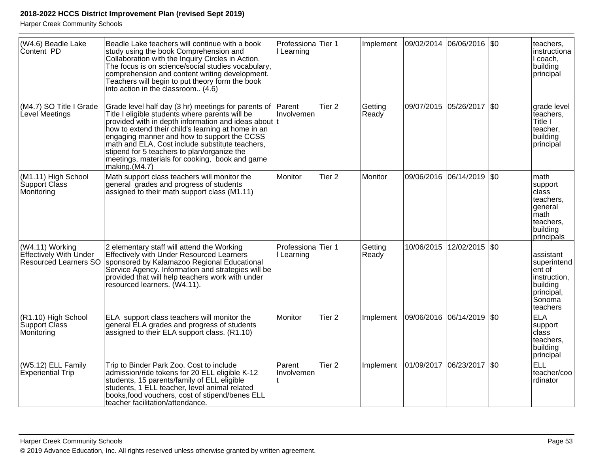| (W4.6) Beadle Lake<br>Content PD                                                 | Beadle Lake teachers will continue with a book<br>study using the book Comprehension and<br>Collaboration with the Inquiry Circles in Action.<br>The focus is on science/social studies vocabulary,<br>comprehension and content writing development.<br>Teachers will begin to put theory form the book<br>into action in the classroom (4.6)                                                                                           | Professiona Tier 1<br>I Learning |                   | Implement        | 09/02/2014 06/06/2016 \$0     |                 |      | teachers,<br>instructiona<br>I coach,<br>building<br>principal                                            |
|----------------------------------------------------------------------------------|------------------------------------------------------------------------------------------------------------------------------------------------------------------------------------------------------------------------------------------------------------------------------------------------------------------------------------------------------------------------------------------------------------------------------------------|----------------------------------|-------------------|------------------|-------------------------------|-----------------|------|-----------------------------------------------------------------------------------------------------------|
| (M4.7) SO Title I Grade<br>Level Meetings                                        | Grade level half day (3 hr) meetings for parents of<br>Title I eligible students where parents will be<br>provided with in depth information and ideas about t<br>how to extend their child's learning at home in an<br>engaging manner and how to support the CCSS<br>math and ELA, Cost include substitute teachers,<br>stipend for 5 teachers to plan/organize the<br>meetings, materials for cooking, book and game<br>making.(M4.7) | Parent<br>Involvemen             | Tier <sub>2</sub> | Getting<br>Ready | 09/07/2015                    | 05/26/2017 \$0  |      | grade level<br>teachers,<br>Title I<br>teacher,<br>building<br>principal                                  |
| (M1.11) High School<br>Support Class<br>Monitoring                               | Math support class teachers will monitor the<br>general grades and progress of students<br>assigned to their math support class (M1.11)                                                                                                                                                                                                                                                                                                  | Monitor                          | Tier <sub>2</sub> | Monitor          | 09/06/2016                    | 06/14/2019      | l\$o | math<br>support<br>$ {\rm class} $<br>teachers,<br>general<br>math<br>teachers,<br>building<br>principals |
| (W4.11) Working<br><b>Effectively With Under</b><br><b>Resourced Learners SO</b> | 2 elementary staff will attend the Working<br>Effectively with Under Resourced Learners<br>sponsored by Kalamazoo Regional Educational<br>Service Agency. Information and strategies will be<br>provided that will help teachers work with under<br>resourced learners. (W4.11).                                                                                                                                                         | Professiona Tier 1<br>Learning   |                   | Getting<br>Ready | 10/06/2015                    | 12/02/2015 \\$0 |      | assistant<br>superintend<br>$ $ ent of<br>instruction,<br>building<br>principal,<br>Sonoma<br>teachers    |
| (R1.10) High School<br>Support Class<br>Monitoring                               | ELA support class teachers will monitor the<br>general ELA grades and progress of students<br>assigned to their ELA support class. (R1.10)                                                                                                                                                                                                                                                                                               | Monitor                          | Tier <sub>2</sub> | Implement        | 09/06/2016  06/14/2019  \$0   |                 |      | <b>ELA</b><br>support<br>class<br>teachers,<br>building<br>principal                                      |
| (W5.12) ELL Family<br><b>Experiential Trip</b>                                   | Trip to Binder Park Zoo. Cost to include<br>admission/ride tokens for 20 ELL eligible K-12<br>students, 15 parents/family of ELL eligible<br>students, 1 ELL teacher, level animal related<br>books, food vouchers, cost of stipend/benes ELL<br>Iteacher facilitation/attendance.                                                                                                                                                       | Parent<br>Involvemen             | Tier <sub>2</sub> | Implement        | $ 01/09/2017 06/23/2017 $ \$0 |                 |      | <b>ELL</b><br>teacher/coo<br>rdinator                                                                     |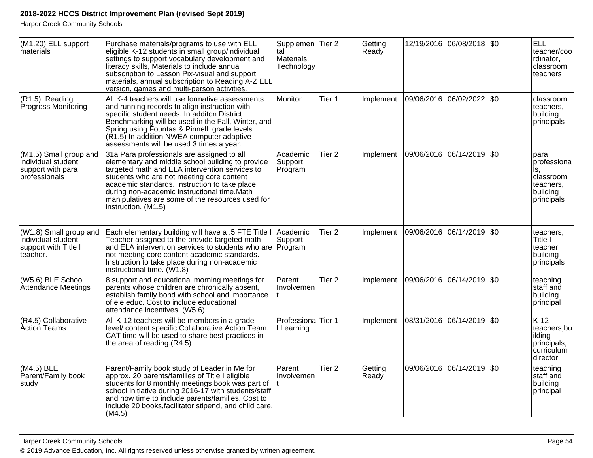| (M1.20) ELL support<br>materials                                                   | Purchase materials/programs to use with ELL<br>eligible K-12 students in small group/individual<br>settings to support vocabulary development and<br>literacy skills, Materials to include annual<br>subscription to Lesson Pix-visual and support<br>materials, annual subscription to Reading A-Z ELL<br>version, games and multi-person activities.                   | Supplemen Tier 2<br>tal<br>Materials,<br>Technology |                   | Getting<br>Ready |                       | 12/19/2016 06/08/2018 \$0 |             | <b>ELL</b><br>teacher/coo<br>rdinator,<br>classroom<br>teachers                |
|------------------------------------------------------------------------------------|--------------------------------------------------------------------------------------------------------------------------------------------------------------------------------------------------------------------------------------------------------------------------------------------------------------------------------------------------------------------------|-----------------------------------------------------|-------------------|------------------|-----------------------|---------------------------|-------------|--------------------------------------------------------------------------------|
| (R1.5) Reading<br>Progress Monitoring                                              | All K-4 teachers will use formative assessments<br>and running records to align instruction with<br>specific student needs. In additon District<br>Benchmarking will be used in the Fall, Winter, and<br>Spring using Fountas & Pinnell grade levels<br>(R1.5) In addition NWEA computer adaptive<br>assessments will be used 3 times a year.                            | Monitor                                             | Tier 1            | Implement        |                       | 09/06/2016 06/02/2022     | <b>SO</b>   | classroom<br>teachers,<br>building<br>principals                               |
| (M1.5) Small group and<br>individual student<br>support with para<br>professionals | 31a Para professionals are assigned to all<br>elementary and middle school building to provide<br>targeted math and ELA intervention services to<br>students who are not meeting core content<br>academic standards. Instruction to take place<br>during non-academic instructional time.Math<br>manipulatives are some of the resources used for<br>instruction. (M1.5) | Academic<br>Support<br>Program                      | Tier <sub>2</sub> | Implement        | 09/06/2016 06/14/2019 |                           | \$0         | para<br>professiona<br>ls,<br>classroom<br>teachers,<br>building<br>principals |
| (W1.8) Small group and<br>individual student<br>support with Title I<br>teacher.   | Each elementary building will have a .5 FTE Title I<br>Teacher assigned to the provide targeted math<br>and ELA intervention services to students who are<br>not meeting core content academic standards.<br>Instruction to take place during non-academic<br>instructional time. (W1.8)                                                                                 | Academic<br>Support<br>Program                      | Tier <sub>2</sub> | Implement        | 09/06/2016            | 06/14/2019                | $\sqrt{50}$ | teachers.<br>Title I<br>teacher,<br>building<br>principals                     |
| (W5.6) BLE School<br>Attendance Meetings                                           | 8 support and educational morning meetings for<br>parents whose children are chronically absent,<br>establish family bond with school and importance<br>of ele educ. Cost to include educational<br>attendance incentives. (W5.6)                                                                                                                                        | Parent<br>Involvemen                                | Tier <sub>2</sub> | Implement        |                       | 09/06/2016 06/14/2019 \$0 |             | teaching<br>staff and<br>building<br>principal                                 |
| (R4.5) Collaborative<br>Action Teams                                               | All K-12 teachers will be members in a grade<br>level/ content specific Collaborative Action Team.<br>CAT time will be used to share best practices in<br>the area of reading.(R4.5)                                                                                                                                                                                     | Professiona Tier 1<br>I Learning                    |                   | Implement        |                       | 08/31/2016 06/14/2019 S0  |             | $K-12$<br>teachers, bu<br>ilding<br>principals,<br>curriculum<br>director      |
| (M4.5) BLE<br>Parent/Family book<br>study                                          | Parent/Family book study of Leader in Me for<br>approx. 20 parents/families of Title I eligible<br>students for 8 monthly meetings book was part of<br>school initiative during 2016-17 with students/staff<br>and now time to include parents/families. Cost to<br>include 20 books, facilitator stipend, and child care.<br>(M4.5)                                     | Parent<br>Involvemen                                | Tier <sub>2</sub> | Getting<br>Ready |                       | 09/06/2016 06/14/2019     | $ $ \$0     | teaching<br>staff and<br>building<br>principal                                 |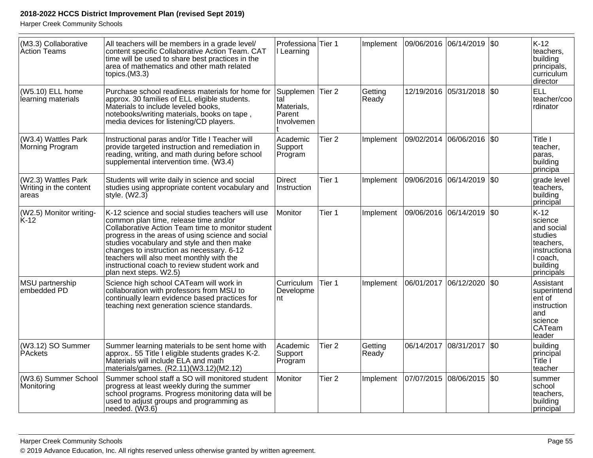| (M3.3) Collaborative<br>Action Teams                   | All teachers will be members in a grade level/<br>content specific Collaborative Action Team. CAT<br>time will be used to share best practices in the<br>area of mathematics and other math related<br>topics.(M3.3)                                                                                                                                                                                                    | Professiona Tier 1<br>I Learning                              |                   | Implement        |            | 09/06/2016 06/14/2019 \$0  | K-12<br>teachers,<br>building<br>principals,<br>curriculum<br>director                                      |
|--------------------------------------------------------|-------------------------------------------------------------------------------------------------------------------------------------------------------------------------------------------------------------------------------------------------------------------------------------------------------------------------------------------------------------------------------------------------------------------------|---------------------------------------------------------------|-------------------|------------------|------------|----------------------------|-------------------------------------------------------------------------------------------------------------|
| (W5.10) ELL home<br>learning materials                 | Purchase school readiness materials for home for<br>approx. 30 families of ELL eligible students.<br>Materials to include leveled books,<br>notebooks/writing materials, books on tape,<br>media devices for listening/CD players.                                                                                                                                                                                      | Supplemen Tier 2<br>tal<br>Materials,<br>Parent<br>Involvemen |                   | Getting<br>Ready |            | 12/19/2016 05/31/2018 \\$0 | <b>ELL</b><br>teacher/coo<br>rdinator                                                                       |
| (W3.4) Wattles Park<br>Morning Program                 | Instructional paras and/or Title I Teacher will<br>provide targeted instruction and remediation in<br>reading, writing, and math during before school<br>supplemental intervention time. (W3.4)                                                                                                                                                                                                                         | Academic<br>Support<br>Program                                | Tier <sub>2</sub> | Implement        | 09/02/2014 | 06/06/2016   \$0           | Title I<br>teacher,<br>paras.<br>building<br>principă                                                       |
| (W2.3) Wattles Park<br>Writing in the content<br>areas | Students will write daily in science and social<br>studies using appropriate content vocabulary and<br>style. $(W2.3)$                                                                                                                                                                                                                                                                                                  | <b>Direct</b><br>Instruction                                  | Tier 1            | Implement        | 09/06/2016 | 06/14/2019 \$0             | grade level<br>teachers,<br>building<br>principal                                                           |
| (W2.5) Monitor writing-<br>K-12                        | K-12 science and social studies teachers will use<br>common plan time, release time and/or<br>Collaborative Action Team time to monitor student<br>progress in the areas of using science and social<br>studies vocabulary and style and then make<br>changes to instruction as necessary. 6-12<br>teachers will also meet monthly with the<br>instructional coach to review student work and<br>plan next steps. W2.5) | Monitor                                                       | Tier 1            | Implement        |            | 09/06/2016 06/14/2019 \$0  | K-12<br>science<br>and social<br>studies<br>teachers,<br>instructiona<br>I coach,<br>building<br>principals |
| MSU partnership<br>embedded PD                         | Science high school CATeam will work in<br>collaboration with professors from MSU to<br>continually learn evidence based practices for<br>teaching next generation science standards.                                                                                                                                                                                                                                   | Curriculum<br>Developme<br>nt                                 | Tier 1            | Implement        | 06/01/2017 | 06/12/2020 \$0             | Assistant<br>superintend<br>ent of<br>instruction<br>and<br>science<br><b>CATeam</b><br>leader              |
| (W3.12) SO Summer<br>PAckets                           | Summer learning materials to be sent home with<br>approx 55 Title I eligible students grades K-2.<br>Materials will include ELA and math<br>materials/games. (R2.11)(W3.12)(M2.12)                                                                                                                                                                                                                                      | Academic<br>Support<br>Program                                | Tier <sub>2</sub> | Getting<br>Ready | 06/14/2017 | 08/31/2017   \$0           | building<br>principal<br>Title I<br>teacher                                                                 |
| (W3.6) Summer School<br>Monitoring                     | Summer school staff a SO will monitored student<br>progress at least weekly during the summer<br>school programs. Progress monitoring data will be<br>used to adjust groups and programming as<br>needed. $(W3.6)$                                                                                                                                                                                                      | Monitor                                                       | Tier <sub>2</sub> | Implement        |            | 07/07/2015 08/06/2015 \$0  | summer<br>school<br>teachers,<br>building<br>principal                                                      |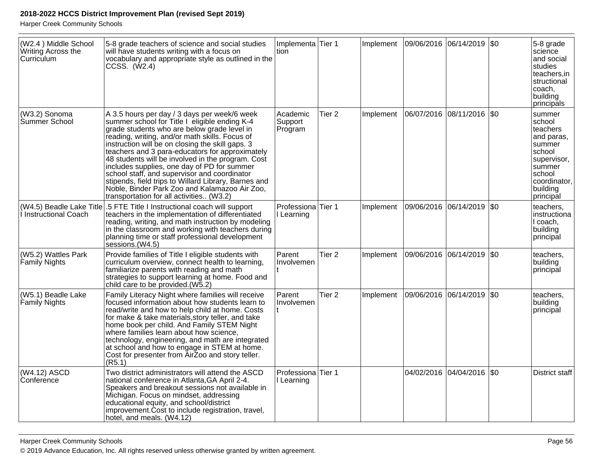| (W2.4) Middle School<br>Writing Across the<br>Curriculum | 5-8 grade teachers of science and social studies<br>will have students writing with a focus on<br>vocabulary and appropriate style as outlined in the<br>CCSS. (W2.4)                                                                                                                                                                                                                                                                                                                                                                                                                                          | Implementa Tier 1<br>ltion                |                   | Implement | 09/06/2016  06/14/2019  \$0 |                           | 5-8 grade<br>science<br>and social<br>studies<br>teachers, in<br>structional<br>coach,<br>building<br>principals                           |
|----------------------------------------------------------|----------------------------------------------------------------------------------------------------------------------------------------------------------------------------------------------------------------------------------------------------------------------------------------------------------------------------------------------------------------------------------------------------------------------------------------------------------------------------------------------------------------------------------------------------------------------------------------------------------------|-------------------------------------------|-------------------|-----------|-----------------------------|---------------------------|--------------------------------------------------------------------------------------------------------------------------------------------|
| (W3.2) Sonoma<br>Summer School                           | A 3.5 hours per day / 3 days per week/6 week<br>summer school for Title I eligible ending K-4<br>grade students who are below grade level in<br>reading, writing, and/or math skills. Focus of<br>instruction will be on closing the skill gaps. 3<br>teachers and 3 para-educators for approximately<br>48 students will be involved in the program. Cost<br>includes supplies, one day of PD for summer<br>school staff, and supervisor and coordinator<br>stipends, field trips to Willard Library, Barnes and<br>Noble, Binder Park Zoo and Kalamazoo Air Zoo,<br>transportation for all activities (W3.2) | Academic<br>Support<br>Program            | Tier <sub>2</sub> | Implement | 06/07/2016  08/11/2016  \$0 |                           | summer<br>school<br>teachers<br>and paras,<br>summer<br>school<br>supervisor,<br>summer<br>school<br>coordinator,<br>building<br>principal |
| I Instructional Coach                                    | (W4.5) Beadle Lake Title .5 FTE Title I Instructional coach will support<br>teachers in the implementation of differentiated<br>reading, writing, and math instruction by modeling<br>in the classroom and working with teachers during<br>planning time or staff professional development<br>sessions.(W4.5)                                                                                                                                                                                                                                                                                                  | Professiona <sup>Tier</sup> 1<br>Learning |                   | Implement | 09/06/2016  06/14/2019  \$0 |                           | teachers,<br>instructiona<br>I coach,<br>building<br>principal                                                                             |
| (W5.2) Wattles Park<br>Family Nights                     | Provide families of Title I eligible students with<br>curriculum overview, connect health to learning,<br>familiarize parents with reading and math<br>strategies to support learning at home. Food and<br>child care to be provided (W5.2)                                                                                                                                                                                                                                                                                                                                                                    | Parent<br>Involvemen                      | Tier <sub>2</sub> | Implement | 09/06/2016  06/14/2019  \$0 |                           | teachers,<br>building<br>principal                                                                                                         |
| (W5.1) Beadle Lake<br><b>Family Nights</b>               | Family Literacy Night where families will receive<br>focused information about how students learn to<br>read/write and how to help child at home. Costs<br>for make & take materials, story teller, and take<br>home book per child. And Family STEM Night<br>where families learn about how science,<br>technology, engineering, and math are integrated<br>at school and how to engage in STEM at home.<br>Cost for presenter from AirZoo and story teller.<br>(R5.1)                                                                                                                                        | Parent<br>Involvemen                      | Tier <sub>2</sub> | Implement | 09/06/2016  06/14/2019  \$0 |                           | teachers,<br>building<br>principal                                                                                                         |
| (W4.12) ASCD<br>Conference                               | Two district administrators will attend the ASCD<br>national conference in Atlanta, GA April 2-4.<br>Speakers and breakout sessions not available in<br>Michigan. Focus on mindset, addressing<br>educational equity, and school/district<br>improvement. Cost to include registration, travel,<br>hotel, and meals. (W4.12)                                                                                                                                                                                                                                                                                   | Professiona Tier 1<br>l Learning          |                   |           |                             | 04/02/2016 04/04/2016 \$0 | <b>District staff</b>                                                                                                                      |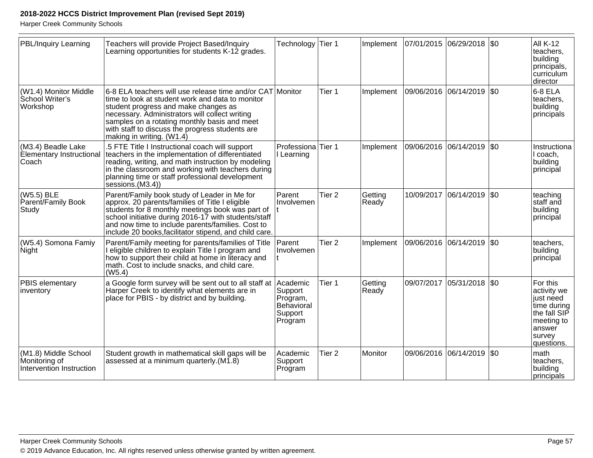| <b>PBL/Inquiry Learning</b>                                       | Teachers will provide Project Based/Inquiry<br>Learning opportunities for students K-12 grades.                                                                                                                                                                                                                                         | Technology                                                          | Tier 1            | Implement        |            | 07/01/2015 06/29/2018 \$0   |              | <b>All K-12</b><br>teachers.<br>building<br>principals,<br>curriculum<br>director                                   |
|-------------------------------------------------------------------|-----------------------------------------------------------------------------------------------------------------------------------------------------------------------------------------------------------------------------------------------------------------------------------------------------------------------------------------|---------------------------------------------------------------------|-------------------|------------------|------------|-----------------------------|--------------|---------------------------------------------------------------------------------------------------------------------|
| (W1.4) Monitor Middle<br>School Writer's<br>Workshop              | 6-8 ELA teachers will use release time and/or CAT Monitor<br>time to look at student work and data to monitor<br>student progress and make changes as<br>necessary. Administrators will collect writing<br>samples on a rotating monthly basis and meet<br>with staff to discuss the progress students are<br>making in writing. (W1.4) |                                                                     | Tier 1            | Implement        |            | 09/06/2016 06/14/2019       | \$0          | $6-8$ ELA<br>teachers.<br>building<br>principals                                                                    |
| (M3.4) Beadle Lake<br><b>Elementary Instructional</b><br>Coach    | .5 FTE Title I Instructional coach will support<br>teachers in the implementation of differentiated<br>reading, writing, and math instruction by modeling<br>in the classroom and working with teachers during<br>planning time or staff professional development<br>sessions.(M3.4))                                                   | Professiona<br>I Learning                                           | <b>Tier 1</b>     | Implement        |            | 09/06/2016 06/14/2019       | \$0          | Instructiona<br>I coach,<br>building<br>principal                                                                   |
| (W5.5) BLE<br>Parent/Family Book<br>Study                         | Parent/Family book study of Leader in Me for<br>approx. 20 parents/families of Title I eligible<br>students for 8 monthly meetings book was part of<br>school initiative during 2016-17 with students/staff<br>and now time to include parents/families. Cost to<br>include 20 books, facilitator stipend, and child care.              | Parent<br>Involvemen                                                | Tier <sub>2</sub> | Getting<br>Ready | 10/09/2017 | 06/14/2019                  | \$0          | teaching<br>staff and<br>building<br>principal                                                                      |
| (W5.4) Somona Famiy<br>Night                                      | Parent/Family meeting for parents/families of Title<br>I eligible children to explain Title I program and<br>how to support their child at home in literacy and<br>math. Cost to include snacks, and child care.<br>(W5.4)                                                                                                              | Parent<br>Involvemen                                                | Tier <sub>2</sub> | Implement        |            | 09/06/2016 06/14/2019       | \$0          | teachers,<br>building<br>principal                                                                                  |
| PBIS elementary<br>inventory                                      | a Google form survey will be sent out to all staff at<br>Harper Creek to identify what elements are in<br>place for PBIS - by district and by building.                                                                                                                                                                                 | Academic<br>Support<br>Program,<br>Behavioral<br>Support<br>Program | Tier 1            | Getting<br>Ready |            | 09/07/2017  05/31/2018  \$0 |              | For this<br>activity we<br>just need<br>time during<br>the fall SIP<br>meeting to<br>answer<br>survey<br>questions. |
| (M1.8) Middle School<br>Monitoring of<br>Intervention Instruction | Student growth in mathematical skill gaps will be<br>assessed at a minimum quarterly. (M1.8)                                                                                                                                                                                                                                            | Academic<br>Support<br>Program                                      | Tier <sub>2</sub> | <b>Monitor</b>   |            | 09/06/2016 06/14/2019       | $ 30\rangle$ | math<br>teachers,<br>building<br>principals                                                                         |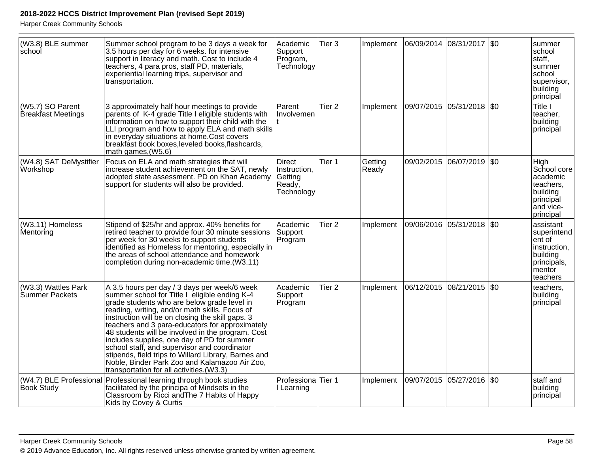| (W3.8) BLE summer<br>school                   | Summer school program to be 3 days a week for<br>3.5 hours per day for 6 weeks. for intensive<br>support in literacy and math. Cost to include 4<br>teachers, 4 para pros, staff PD, materials,<br>experiential learning trips, supervisor and<br>transportation.                                                                                                                                                                                                                                                                                                                                              | Academic<br>Support<br>Program,<br>Technology                    | Tier 3            | Implement        | 06/09/2014 08/31/2017 \$0 |                       |           | summer<br>school<br>staff,<br>summer<br>school<br>supervisor,<br>building<br>principal              |
|-----------------------------------------------|----------------------------------------------------------------------------------------------------------------------------------------------------------------------------------------------------------------------------------------------------------------------------------------------------------------------------------------------------------------------------------------------------------------------------------------------------------------------------------------------------------------------------------------------------------------------------------------------------------------|------------------------------------------------------------------|-------------------|------------------|---------------------------|-----------------------|-----------|-----------------------------------------------------------------------------------------------------|
| (W5.7) SO Parent<br><b>Breakfast Meetings</b> | 3 approximately half hour meetings to provide<br>parents of K-4 grade Title I eligible students with<br>information on how to support their child with the<br>LLI program and how to apply ELA and math skills<br>in everyday situations at home.Cost covers<br>breakfast book boxes, leveled books, flashcards,<br>math games, (W5.6)                                                                                                                                                                                                                                                                         | Parent<br>Involvemen                                             | Tier <sub>2</sub> | Implement        | 09/07/2015                | $ 05/31/2018 $ \$0    |           | Title I<br>teacher,<br>building<br>principal                                                        |
| (W4.8) SAT DeMystifier<br>Workshop            | Focus on ELA and math strategies that will<br>increase student achievement on the SAT, newly<br>adopted state assessment. PD on Khan Academy<br>support for students will also be provided.                                                                                                                                                                                                                                                                                                                                                                                                                    | <b>Direct</b><br>Instruction,<br>Getting<br>Ready,<br>Technology | Tier 1            | Getting<br>Ready |                           | 09/02/2015 06/07/2019 | <b>SO</b> | High<br>School core<br>academic<br>teachers,<br>building<br>principal<br>and vice-<br>principal     |
| (W3.11) Homeless<br>Mentoring                 | Stipend of \$25/hr and approx. 40% benefits for<br>retired teacher to provide four 30 minute sessions<br>per week for 30 weeks to support students<br>identified as Homeless for mentoring, especially in<br>the areas of school attendance and homework<br>completion during non-academic time.(W3.11)                                                                                                                                                                                                                                                                                                        | Academic<br>Support<br>Program                                   | Tier <sub>2</sub> | Implement        | 09/06/2016                | 05/31/2018 \\$0       |           | assistant<br>superintend<br>ent of<br>instruction,<br>building<br>principals,<br>mentor<br>teachers |
| (W3.3) Wattles Park<br>Summer Packets         | A 3.5 hours per day / 3 days per week/6 week<br>summer school for Title I eligible ending K-4<br>grade students who are below grade level in<br>reading, writing, and/or math skills. Focus of<br>instruction will be on closing the skill gaps. 3<br>teachers and 3 para-educators for approximately<br>48 students will be involved in the program. Cost<br>includes supplies, one day of PD for summer<br>school staff, and supervisor and coordinator<br>stipends, field trips to Willard Library, Barnes and<br>Noble, Binder Park Zoo and Kalamazoo Air Zoo,<br>transportation for all activities.(W3.3) | Academic<br>Support<br>Program                                   | Tier <sub>2</sub> | Implement        | 06/12/2015 08/21/2015 \$0 |                       |           | teachers,<br>building<br>principal                                                                  |
| (W4.7) BLE Professional<br><b>Book Study</b>  | Professional learning through book studies<br>facilitated by the principa of Mindsets in the<br>Classroom by Ricci and The 7 Habits of Happy<br>Kids by Covey & Curtis                                                                                                                                                                                                                                                                                                                                                                                                                                         | Professiona Tier 1<br>I Learning                                 |                   | Implement        | 09/07/2015 05/27/2016 \$0 |                       |           | staff and<br>building<br>principal                                                                  |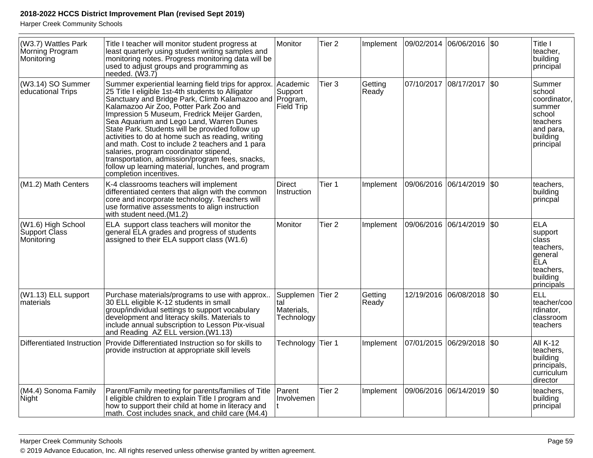| (W3.7) Wattles Park<br>Morning Program<br>Monitoring | Title I teacher will monitor student progress at<br>least quarterly using student writing samples and<br>monitoring notes. Progress monitoring data will be<br>used to adjust groups and programming as<br>needed. (W3.7)                                                                                                                                                                                                                                                                                                                                                                                                                | Monitor                                       | Tier <sub>2</sub> | Implement        |            | 09/02/2014 06/06/2016 \$0   |         | Title I<br>teacher,<br>building<br>principal                                                                |
|------------------------------------------------------|------------------------------------------------------------------------------------------------------------------------------------------------------------------------------------------------------------------------------------------------------------------------------------------------------------------------------------------------------------------------------------------------------------------------------------------------------------------------------------------------------------------------------------------------------------------------------------------------------------------------------------------|-----------------------------------------------|-------------------|------------------|------------|-----------------------------|---------|-------------------------------------------------------------------------------------------------------------|
| (W3.14) SO Summer<br>educational Trips               | Summer experiential learning field trips for approx.<br>25 Title I eligible 1st-4th students to Alligator<br>Sanctuary and Bridge Park, Climb Kalamazoo and<br>Kalamazoo Air Zoo, Potter Park Zoo and<br>Impression 5 Museum, Fredrick Meijer Garden,<br>Sea Aquarium and Lego Land, Warren Dunes<br>State Park. Students will be provided follow up<br>activities to do at home such as reading, writing<br>and math. Cost to include 2 teachers and 1 para<br>salaries, program coordinator stipend,<br>transportation, admission/program fees, snacks,<br>follow up learning material, lunches, and program<br>completion incentives. | Academic<br>Support<br>Program,<br>Field Trip | Tier <sub>3</sub> | Getting<br>Ready | 07/10/2017 | 08/17/2017 \$0              |         | Summer<br>school<br>coordinator,<br>summer<br>school<br>teachers<br>and para,<br>building<br>principal      |
| (M1.2) Math Centers                                  | K-4 classrooms teachers will implement<br>differentiated centers that align with the common<br>core and incorporate technology. Teachers will<br>use formative assessments to align instruction<br>with student need.(M1.2)                                                                                                                                                                                                                                                                                                                                                                                                              | <b>Direct</b><br>Instruction                  | Tier 1            | Implement        |            | 09/06/2016  06/14/2019  \$0 |         | teachers,<br>building<br>princpal                                                                           |
| (W1.6) High School<br>Support Class<br>Monitoring    | ELA support class teachers will monitor the<br>general ELA grades and progress of students<br>assigned to their ELA support class (W1.6)                                                                                                                                                                                                                                                                                                                                                                                                                                                                                                 | Monitor                                       | Tier <sub>2</sub> | Implement        |            | 09/06/2016  06/14/2019  \$0 |         | <b>ELA</b><br>support<br>class<br>teachers,<br>general<br><b>ELA</b><br>teachers,<br>building<br>principals |
| (W1.13) ELL support<br>materials                     | Purchase materials/programs to use with approx<br>30 ELL eligible K-12 students in small<br>group/individual settings to support vocabulary<br>development and literacy skills. Materials to<br>include annual subscription to Lesson Pix-visual<br>and Reading AZ ELL version. (W1.13)                                                                                                                                                                                                                                                                                                                                                  | Supplemen<br>ltal<br>Materials,<br>Technology | Tier 2            | Getting<br>Ready |            | 12/19/2016 06/08/2018       | $ $ \$0 | <b>ELL</b><br>teacher/coo<br>rdinator,<br>classroom<br>teachers                                             |
| <b>Differentiated Instruction</b>                    | Provide Differentiated Instruction so for skills to<br>provide instruction at appropriate skill levels                                                                                                                                                                                                                                                                                                                                                                                                                                                                                                                                   | Technology                                    | Tier 1            | Implement        | 07/01/2015 | 06/29/2018                  | \$0     | <b>All K-12</b><br>teachers,<br>building<br>principals,<br>curriculum<br>director                           |
| (M4.4) Sonoma Family<br><b>Night</b>                 | Parent/Family meeting for parents/families of Title<br> I eligible children to explain Title I program and<br>how to support their child at home in literacy and<br>math. Cost includes snack, and child care (M4.4)                                                                                                                                                                                                                                                                                                                                                                                                                     | Parent<br>Involvemen                          | Tier <sub>2</sub> | Implement        |            | 09/06/2016 06/14/2019       | \$0     | teachers,<br>building<br>principal                                                                          |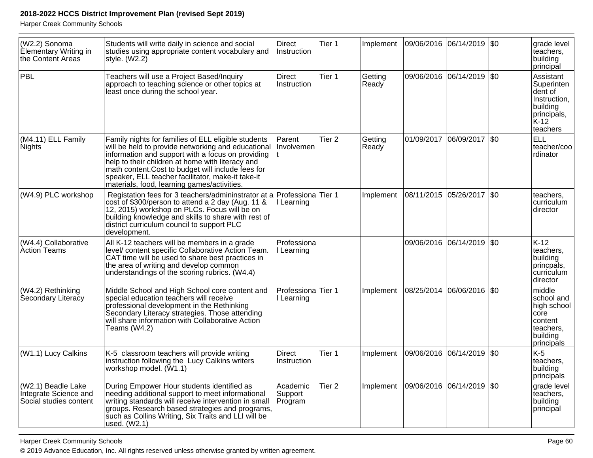Harper Creek Community Schools

| (W2.2) Sonoma<br>Elementary Writing in<br>the Content Areas           | Students will write daily in science and social<br>studies using appropriate content vocabulary and<br>style. $(W2.2)$                                                                                                                                                                                                                                                       | <b>Direct</b><br>Instruction   | Tier 1            | Implement        |            | 09/06/2016  06/14/2019  \$0 |         | grade level<br>teachers,<br>building<br>principal                                                 |
|-----------------------------------------------------------------------|------------------------------------------------------------------------------------------------------------------------------------------------------------------------------------------------------------------------------------------------------------------------------------------------------------------------------------------------------------------------------|--------------------------------|-------------------|------------------|------------|-----------------------------|---------|---------------------------------------------------------------------------------------------------|
| PBL                                                                   | Teachers will use a Project Based/Inquiry<br>approach to teaching science or other topics at<br>least once during the school year.                                                                                                                                                                                                                                           | <b>Direct</b><br>Instruction   | Tier 1            | Getting<br>Ready |            | 09/06/2016 06/14/2019 \$0   |         | Assistant<br>Superinten<br>dent of<br>Instruction,<br>building<br>principals,<br>K-12<br>teachers |
| (M4.11) ELL Family<br>Nights                                          | Family nights for families of ELL eligible students<br>will be held to provide networking and educational<br>information and support with a focus on providing<br>help to their children at home with literacy and<br>math content. Cost to budget will include fees for<br>speaker, ELL teacher facilitator, make-it take-it<br>materials, food, learning games/activities. | Parent<br>Involvemen           | Tier <sub>2</sub> | Getting<br>Ready | 01/09/2017 | 06/09/2017                  | \$0     | <b>ELL</b><br>teacher/coo<br>rdinator                                                             |
| (W4.9) PLC workshop                                                   | Registation fees for 3 teachers/admininstrator at a<br>cost of \$300/person to attend a 2 day (Aug. 11 &<br>12, 2015) workshop on PLCs. Focus will be on<br>building knowledge and skills to share with rest of<br>district curriculum council to support PLC<br>development.                                                                                                | Professiona<br>Learning        | Tier 1            | Implement        |            | 08/11/2015  05/26/2017  \$0 |         | teachers,<br>curriculum<br>director                                                               |
| (W4.4) Collaborative<br>Action Teams                                  | All K-12 teachers will be members in a grade<br>level/ content specific Collaborative Action Team.<br>CAT time will be used to share best practices in<br>the area of writing and develop common<br>understandings of the scoring rubrics. (W4.4)                                                                                                                            | Professiona<br>Learning        |                   |                  |            | 09/06/2016 06/14/2019 \$0   |         | $K-12$<br>teachers,<br>building<br>princpals,<br>curriculum<br>director                           |
| (W4.2) Rethinking<br>Secondary Literacy                               | Middle School and High School core content and<br>special education teachers will receive<br>professional development in the Rethinking<br>Secondary Literacy strategies. Those attending<br>will share information with Collaborative Action<br>Teams (W4.2)                                                                                                                | Professiona<br>I Learning      | Tier 1            | Implement        |            | 08/25/2014 06/06/2016       | $ $ \$0 | middle<br>school and<br>high school<br>core<br>content<br>teachers,<br>building<br>principals     |
| (W1.1) Lucy Calkins                                                   | K-5 classroom teachers will provide writing<br>instruction following the Lucy Calkins writers<br>workshop model. (W1.1)                                                                                                                                                                                                                                                      | <b>Direct</b><br>Instruction   | Tier 1            | Implement        |            | 09/06/2016 06/14/2019       | \$0     | K-5<br>teachers,<br>building<br>principals                                                        |
| (W2.1) Beadle Lake<br>Integrate Science and<br>Social studies content | During Empower Hour students identified as<br>needing additional support to meet informational<br>writing standards will receive intervention in small<br>groups. Research based strategies and programs,<br>such as Collins Writing, Six Traits and LLI will be<br>used. (W2.1)                                                                                             | Academic<br>Support<br>Program | Tier <sub>2</sub> | Implement        |            | 09/06/2016  06/14/2019  \$0 |         | grade level<br>teachers,<br>building<br>principal                                                 |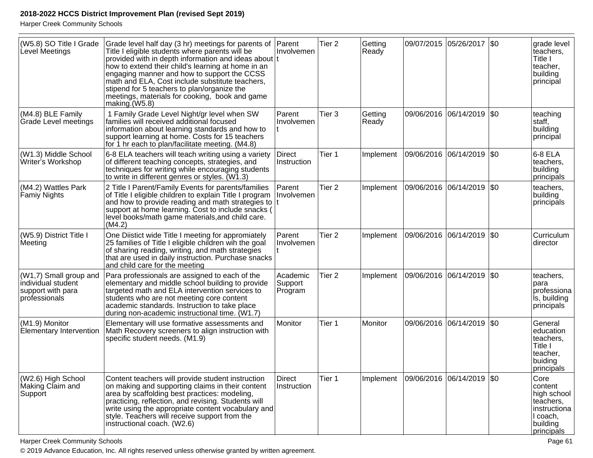Harper Creek Community Schools

| (W5.8) SO Title I Grade<br>Level Meetings                                             | Grade level half day (3 hr) meetings for parents of<br>Title I eligible students where parents will be<br>provided with in depth information and ideas about t<br>how to extend their child's learning at home in an<br>engaging manner and how to support the CCSS<br>math and ELA, Cost include substitute teachers,<br>stipend for 5 teachers to plan/organize the<br>meetings, materials for cooking, book and game<br>making.(W5.8) | Parent<br>Involvemen           | Tier <sub>2</sub> | Getting<br>Ready |            | 09/07/2015 05/26/2017 \$0   |           | grade level<br>teachers,<br>Title I<br>teacher,<br>building<br>principal                          |
|---------------------------------------------------------------------------------------|------------------------------------------------------------------------------------------------------------------------------------------------------------------------------------------------------------------------------------------------------------------------------------------------------------------------------------------------------------------------------------------------------------------------------------------|--------------------------------|-------------------|------------------|------------|-----------------------------|-----------|---------------------------------------------------------------------------------------------------|
| (M4.8) BLE Family<br><b>Grade Level meetings</b>                                      | 1 Family Grade Level Night/gr level when SW<br>families will received additional focused<br>information about learning standards and how to<br>support learning at home. Costs for 15 teachers<br>for 1 hr each to plan/facilitate meeting. (M4.8)                                                                                                                                                                                       | Parent<br>Involvemen           | Tier <sub>3</sub> | Getting<br>Ready |            | 09/06/2016 06/14/2019       | \$0       | teaching<br>staff,<br>building<br>principal                                                       |
| (W1.3) Middle School<br>Writer's Workshop                                             | 6-8 ELA teachers will teach writing using a variety<br>of different teaching concepts, strategies, and<br>techniques for writing while encouraging students<br>to write in different genres or styles. (W1.3)                                                                                                                                                                                                                            | Direct<br>Instruction          | Tier 1            | Implement        | 09/06/2016 | 06/14/2019                  | \$0       | 6-8 ELA<br>teachers,<br>building<br>principals                                                    |
| (M4.2) Wattles Park<br><b>Famiy Nights</b>                                            | 2 Title I Parent/Family Events for parents/families<br>of Title I eligible children to explain Title I program<br>and how to provide reading and math strategies to  t<br>support at home learning. Cost to include snacks (<br>level books/math game materials, and child care.<br>(M4.2)                                                                                                                                               | Parent<br>Involvemen           | Tier <sub>2</sub> | Implement        |            | 09/06/2016 06/14/2019 \$0   |           | teachers,<br>building<br>principals                                                               |
| (W5.9) District Title I<br>Meeting                                                    | One Diistict wide Title I meeting for appromiately<br>25 families of Title I eligible children wih the goal<br>of sharing reading, writing, and math strategies<br>that are used in daily instruction. Purchase snacks<br>and child care for the meeting                                                                                                                                                                                 | Parent<br>Involvemen           | Tier <sub>2</sub> | Implement        | 09/06/2016 | 06/14/2019                  | \$0       | Curriculum<br>director                                                                            |
| $ (W1,7)$ Small group and<br>individual student<br>support with para<br>professionals | Para professionals are assigned to each of the<br>elementary and middle school building to provide<br>targeted math and ELA intervention services to<br>students who are not meeting core content<br>academic standards. Instruction to take place<br>during non-academic instructional time. (W1.7)                                                                                                                                     | Academic<br>Support<br>Program | Tier <sub>2</sub> | Implement        |            | 09/06/2016 06/14/2019       | \$0       | teachers,<br>para<br>professiona<br>ls, building<br>principals                                    |
| (M1.9) Monitor<br><b>Elementary Intervention</b>                                      | Elementary will use formative assessments and<br>Math Recovery screeners to align instruction with<br>specific student needs. (M1.9)                                                                                                                                                                                                                                                                                                     | Monitor                        | Tier 1            | Monitor          | 09/06/2016 | 06/14/2019                  | <b>SO</b> | General<br>education<br>teachers,<br>Title I<br>teacher,<br>buiding<br>principals                 |
| (W2.6) High School<br>Making Claim and<br>Support                                     | Content teachers will provide student instruction<br>on making and supporting claims in their content<br>area by scaffolding best practices: modeling,<br>practicing, reflection, and revising. Students will<br>write using the appropriate content vocabulary and<br>style. Teachers will receive support from the<br>instructional coach. (W2.6)                                                                                      | <b>Direct</b><br>Instruction   | Tier 1            | Implement        |            | 09/06/2016  06/14/2019  \$0 |           | Core<br>content<br>high school<br>teachers,<br>instructiona<br>I coach,<br>building<br>principals |

Harper Creek Community Schools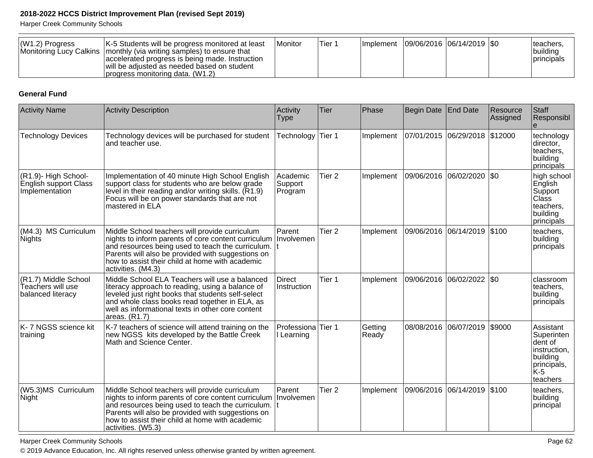Harper Creek Community Schools

| $ (W1.2)$ Progress | K-5 Students will be progress monitored at least<br>Monitoring Lucy Calkins   monthly (via writing samples) to ensure that<br>accelerated progress is being made. Instruction<br>will be adjusted as needed based on student<br>Iprogress monitoring data. (W1.2) | <b>IMonitor</b> | Tier 1 |  | Implement   09/06/2016   06/14/2019   \$0 |  |  | Iteachers,<br>Ibuildina<br><i>Iprincipals</i> |
|--------------------|-------------------------------------------------------------------------------------------------------------------------------------------------------------------------------------------------------------------------------------------------------------------|-----------------|--------|--|-------------------------------------------|--|--|-----------------------------------------------|
|--------------------|-------------------------------------------------------------------------------------------------------------------------------------------------------------------------------------------------------------------------------------------------------------------|-----------------|--------|--|-------------------------------------------|--|--|-----------------------------------------------|

## **General Fund**

| <b>Activity Name</b>                                            | <b>Activity Description</b>                                                                                                                                                                                                                                                                    | Activity<br><b>Type</b>          | Tier              | Phase            | <b>Begin Date</b> | <b>End Date</b>               | Resource<br>Assigned | Staff<br>Responsibl                                                                               |
|-----------------------------------------------------------------|------------------------------------------------------------------------------------------------------------------------------------------------------------------------------------------------------------------------------------------------------------------------------------------------|----------------------------------|-------------------|------------------|-------------------|-------------------------------|----------------------|---------------------------------------------------------------------------------------------------|
| <b>Technology Devices</b>                                       | Technology devices will be purchased for student<br>and teacher use.                                                                                                                                                                                                                           | Technology                       | Tier 1            | Implement        |                   | 07/01/2015 06/29/2018 \$12000 |                      | technology<br>director,<br>teachers,<br>building<br>principals                                    |
| (R1.9)- High School-<br>English support Class<br>Implementation | Implementation of 40 minute High School English<br>support class for students who are below grade<br>level in their reading and/or writing skills. (R1.9)<br>Focus will be on power standards that are not<br>mastered in ELA                                                                  | Academic<br>Support<br>Program   | Tier <sub>2</sub> | Implement        | 09/06/2016        | 06/02/2020                    | l\$0                 | high school<br>English<br>Support<br><b>Class</b><br>teachers,<br>building<br>principals          |
| (M4.3) MS Curriculum<br>Nights                                  | Middle School teachers will provide curriculum<br>nights to inform parents of core content curriculum<br>and resources being used to teach the curriculum. $ t $<br>Parents will also be provided with suggestions on<br>how to assist their child at home with academic<br>activities. (M4.3) | Parent<br>Involvemen             | Tier <sub>2</sub> | Implement        |                   | 09/06/2016 06/14/2019         | \$100                | teachers,<br>building<br>principals                                                               |
| (R1.7) Middle School<br>Teachers will use<br>balanced literacy  | Middle School ELA Teachers will use a balanced<br>literacy approach to reading, using a balance of<br>leveled just right books that students self-select<br>and whole class books read together in ELA, as<br>well as informational texts in other core content<br>areas. (R1.7)               | <b>Direct</b><br>Instruction     | Tier 1            | Implement        | 09/06/2016        | 06/02/2022 \$0                |                      | classroom<br>teachers,<br>building<br>principals                                                  |
| K- 7 NGSS science kit<br>training                               | K-7 teachers of science will attend training on the<br>new NGSS kits developed by the Battle Creek<br>Math and Science Center.                                                                                                                                                                 | Professiona Tier 1<br>I Learning |                   | Getting<br>Ready |                   | 08/08/2016 06/07/2019 \$9000  |                      | Assistant<br>Superinten<br>dent of<br>instruction,<br>building<br>principals,<br>lk-5<br>teachers |
| (W5.3)MS Curriculum<br>Night                                    | Middle School teachers will provide curriculum<br>nights to inform parents of core content curriculum<br>and resources being used to teach the curriculum. It<br>Parents will also be provided with suggestions on<br>how to assist their child at home with academic<br>activities. (W5.3)    | Parent<br>Involvemen             | Tier <sub>2</sub> | Implement        |                   | 09/06/2016 06/14/2019 \$100   |                      | teachers,<br>building<br>principal                                                                |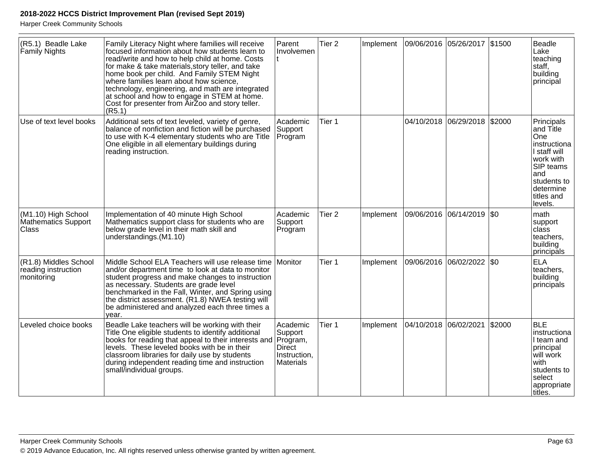| (R5.1) Beadle Lake<br>Family Nights                        | Family Literacy Night where families will receive<br>focused information about how students learn to<br>read/write and how to help child at home. Costs<br>for make & take materials, story teller, and take<br>home book per child. And Family STEM Night<br>where families learn about how science,<br>technology, engineering, and math are integrated<br>at school and how to engage in STEM at home.<br>Cost for presenter from AirZoo and story teller.<br>(R5.1) | Parent<br>Involvemen                                                          | Tier <sub>2</sub> | Implement |            | 09/06/2016 05/26/2017 \$1500 |         | Beadle<br>Lake<br>teaching<br>staff,<br>building<br>principal                                                                                        |
|------------------------------------------------------------|-------------------------------------------------------------------------------------------------------------------------------------------------------------------------------------------------------------------------------------------------------------------------------------------------------------------------------------------------------------------------------------------------------------------------------------------------------------------------|-------------------------------------------------------------------------------|-------------------|-----------|------------|------------------------------|---------|------------------------------------------------------------------------------------------------------------------------------------------------------|
| Use of text level books                                    | Additional sets of text leveled, variety of genre,<br>balance of nonfiction and fiction will be purchased<br>to use with K-4 elementary students who are Title<br>One eligible in all elementary buildings during<br>reading instruction.                                                                                                                                                                                                                               | Academic<br>Support<br>Program                                                | Tier 1            |           |            | 04/10/2018 06/29/2018 \$2000 |         | Principals<br>and Title<br>One<br>instructiona<br>I staff will<br>work with<br>SIP teams<br>and<br>students to<br>determine<br>titles and<br>levels. |
| (M1.10) High School<br>Mathematics Support<br><b>Class</b> | Implementation of 40 minute High School<br>Mathematics support class for students who are<br>below grade level in their math skill and<br>understandings.(M1.10)                                                                                                                                                                                                                                                                                                        | Academic<br>Support<br>Program                                                | Tier <sub>2</sub> | Implement |            | 09/06/2016 06/14/2019        | $ $ \$0 | math<br>support<br>class<br>teachers,<br>building<br>principals                                                                                      |
| (R1.8) Middles School<br>reading instruction<br>monitoring | Middle School ELA Teachers will use release time<br>and/or department time to look at data to monitor<br>student progress and make changes to instruction<br>as necessary. Students are grade level<br>benchmarked in the Fall, Winter, and Spring using<br>the district assessment. (R1.8) NWEA testing will<br>be administered and analyzed each three times a<br>year.                                                                                               | Monitor                                                                       | Tier 1            | Implement |            | 09/06/2016 06/02/2022        | \$0     | <b>ELA</b><br>teachers.<br>building<br>principals                                                                                                    |
| Leveled choice books                                       | Beadle Lake teachers will be working with their<br>Title One eligible students to identify additional<br>books for reading that appeal to their interests and<br>levels. These leveled books with be in their<br>classroom libraries for daily use by students<br>during independent reading time and instruction<br>small/individual groups.                                                                                                                           | Academic<br>Support<br>Program,<br><b>Direct</b><br>Instruction,<br>Materials | Tier 1            | Implement | 04/10/2018 | 06/02/2021                   | \$2000  | <b>BLE</b><br>instructiona<br>I team and<br>principal<br>will work<br>with<br>students to<br>select<br>appropriate<br>titles.                        |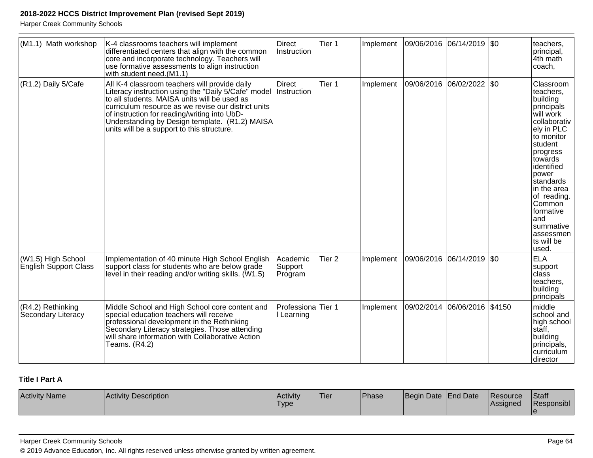Harper Creek Community Schools

| (M1.1) Math workshop                        | K-4 classrooms teachers will implement<br>differentiated centers that align with the common<br>core and incorporate technology. Teachers will<br>use formative assessments to align instruction<br>with student need.(M1.1)                                                                                                                                 | <b>Direct</b><br>Instruction   | Tier 1            | Implement | 09/06/2016 06/14/2019 \$0 |                            |        | teachers,<br>principal,<br>4th math<br>coach,                                                                                                                                                                                                                                                 |
|---------------------------------------------|-------------------------------------------------------------------------------------------------------------------------------------------------------------------------------------------------------------------------------------------------------------------------------------------------------------------------------------------------------------|--------------------------------|-------------------|-----------|---------------------------|----------------------------|--------|-----------------------------------------------------------------------------------------------------------------------------------------------------------------------------------------------------------------------------------------------------------------------------------------------|
| $(R1.2)$ Daily 5/Cafe                       | All K-4 classroom teachers will provide daily<br>Literacy instruction using the "Daily 5/Cafe" model<br>to all students. MAISA units will be used as<br>curriculum resource as we revise our district units<br>of instruction for reading/writing into UbD-<br>Understanding by Design template. (R1.2) MAISA<br>units will be a support to this structure. | <b>Direct</b><br>Instruction   | Tier 1            | Implement |                           | 09/06/2016 06/02/2022  \$0 |        | Classroom<br>teachers,<br>building<br>principals<br>will work<br>collaborativ<br>ely in PLC<br>to monitor<br>student<br>progress<br>towards<br>identified<br>power<br>standards<br>in the area<br>of reading.<br>Common<br>formative<br>land<br>summative<br>assessmen<br>ts will be<br>used. |
| (W1.5) High School<br>English Support Class | Implementation of 40 minute High School English<br>support class for students who are below grade<br>level in their reading and/or writing skills. (W1.5)                                                                                                                                                                                                   | Academic<br>Support<br>Program | Tier <sub>2</sub> | Implement |                           | 09/06/2016 06/14/2019 \$0  |        | <b>ELA</b><br>support<br>class<br>teachers.<br>building<br>principals                                                                                                                                                                                                                         |
| (R4.2) Rethinking<br>Secondary Literacy     | Middle School and High School core content and<br>special education teachers will receive<br>professional development in the Rethinking<br>Secondary Literacy strategies. Those attending<br>will share information with Collaborative Action<br>Teams. (R4.2)                                                                                              | Professiona<br>I Learning      | Tier 1            | Implement | 09/02/2014                | 06/06/2016                 | \$4150 | middle<br>school and<br>high school<br>staff.<br>building<br>principals,<br> curriculum<br>ldirector                                                                                                                                                                                          |

# **Title I Part A**

| <b>Activity Name</b> | <b>Activity Description</b> | Activity<br>'Type | 'Tier | 'Phase | Begin Date End Date | <b>IResource</b><br><b>Assigned</b> | <b>Staff</b><br>Responsibl |
|----------------------|-----------------------------|-------------------|-------|--------|---------------------|-------------------------------------|----------------------------|
|                      |                             |                   |       |        |                     |                                     |                            |

#### Harper Creek Community Schools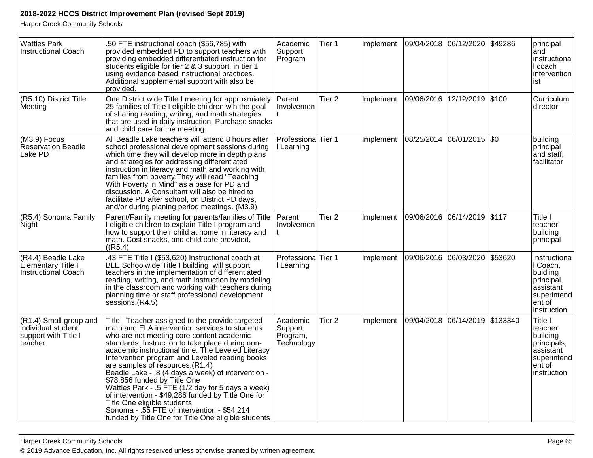Harper Creek Community Schools

| <b>Wattles Park</b><br><b>Instructional Coach</b>                                | .50 FTE instructional coach (\$56,785) with<br>provided embedded PD to support teachers with<br>providing embedded differentiated instruction for<br>students eligible for tier 2 & 3 support in tier 1<br>using evidence based instructional practices.<br>Additional supplemental support with also be<br>provided.                                                                                                                                                                                                                                                                                                                                                                | Academic<br>Support<br>Program                | Tier 1            | Implement | 09/04/2018 06/12/2020 |                | \$49286  | principal<br>and<br>instructiona<br>I coach<br>intervention<br>ist                                      |
|----------------------------------------------------------------------------------|--------------------------------------------------------------------------------------------------------------------------------------------------------------------------------------------------------------------------------------------------------------------------------------------------------------------------------------------------------------------------------------------------------------------------------------------------------------------------------------------------------------------------------------------------------------------------------------------------------------------------------------------------------------------------------------|-----------------------------------------------|-------------------|-----------|-----------------------|----------------|----------|---------------------------------------------------------------------------------------------------------|
| (R5.10) District Title<br>Meeting                                                | One District wide Title I meeting for approxmiately<br>25 families of Title I eligible children wih the goal<br>of sharing reading, writing, and math strategies<br>that are used in daily instruction. Purchase snacks<br>and child care for the meeting.                                                                                                                                                                                                                                                                                                                                                                                                                           | Parent<br>Involvemen                          | Tier <sub>2</sub> | Implement | 09/06/2016            | 12/12/2019     | \$100    | Curriculum<br>director                                                                                  |
| $(M3.9)$ Focus<br><b>Reservation Beadle</b><br>Lake PD                           | All Beadle Lake teachers will attend 8 hours after<br>school professional development sessions during<br>which time they will develop more in depth plans<br>and strategies for addressing differentiated<br>instruction in literacy and math and working with<br>families from poverty. They will read "Teaching<br>With Poverty in Mind" as a base for PD and<br>discussion. A Consultant will also be hired to<br>facilitate PD after school, on District PD days,<br>and/or during planing period meetings. (M3.9)                                                                                                                                                               | Professiona Tier 1<br>Learning                |                   | Implement | 08/25/2014            | 06/01/2015 \$0 |          | building<br>principal<br>and staff,<br>facilitator                                                      |
| (R5.4) Sonoma Family<br>Night                                                    | Parent/Family meeting for parents/families of Title<br>I eligible children to explain Title I program and<br>how to support their child at home in literacy and<br>math. Cost snacks, and child care provided.<br>((R5.4)                                                                                                                                                                                                                                                                                                                                                                                                                                                            | Parent<br>Involvemen                          | Tier <sub>2</sub> | Implement | 09/06/2016 06/14/2019 |                | \$117    | Title I<br>teacher.<br>building<br>principal                                                            |
| (R4.4) Beadle Lake<br><b>Elementary Title I</b><br>Instructional Coach           | .43 FTE Title I (\$53,620) Instructional coach at<br>BLE Schoolwide Title I building will support<br>teachers in the implementation of differentiated<br>reading, writing, and math instruction by modeling<br>in the classroom and working with teachers during<br>planning time or staff professional development<br>sessions.(R4.5)                                                                                                                                                                                                                                                                                                                                               | Professiona Tier 1<br>I Learning              |                   | Implement | 09/06/2016 06/03/2020 |                | \$53620  | Instructiona<br>I Coach,<br>buidling<br>principal,<br>assistant<br>superintend<br>ent of<br>instruction |
| (R1.4) Small group and<br>individual student<br>support with Title I<br>teacher. | Title I Teacher assigned to the provide targeted<br>math and ELA intervention services to students<br>who are not meeting core content academic<br>standards. Instruction to take place during non-<br>academic instructional time. The Leveled Literacy<br>Intervention program and Leveled reading books<br>are samples of resources. (R1.4)<br>Beadle Lake - .8 (4 days a week) of intervention -<br>\$78,856 funded by Title One<br>Wattles Park - .5 FTE (1/2 day for 5 days a week)<br>of intervention - \$49,286 funded by Title One for<br>Title One eligible students<br>Sonoma - .55 FTE of intervention - \$54,214<br>funded by Title One for Title One eligible students | Academic<br>Support<br>Program,<br>Technology | Tier <sub>2</sub> | Implement | 09/04/2018 06/14/2019 |                | \$133340 | Title I<br>teacher,<br>building<br>principals,<br>assistant<br>superintend<br>ent of<br>instruction     |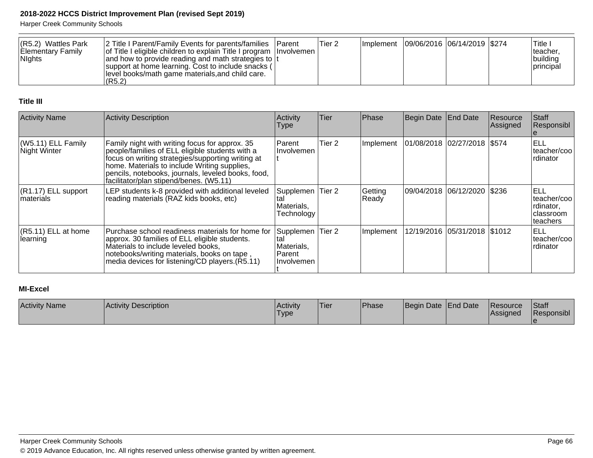Harper Creek Community Schools

| $(R5.2)$ Wattles Park<br>Elementary Family<br><b>Nights</b> | 2 Title I Parent/Family Events for parents/families   Parent<br>of Title I eligible children to explain Title I program Involvemen<br>and how to provide reading and math strategies to It<br> support at home learning. Cost to include snacks (<br>level books/math game materials, and child care. | Tier 2 |  | Implement   09/06/2016   06/14/2019   \$274 | ، Title T<br>lteacher.<br> buildina<br>Iprincipal |
|-------------------------------------------------------------|-------------------------------------------------------------------------------------------------------------------------------------------------------------------------------------------------------------------------------------------------------------------------------------------------------|--------|--|---------------------------------------------|---------------------------------------------------|
|                                                             | (R5.2)                                                                                                                                                                                                                                                                                                |        |  |                                             |                                                   |

#### **Title III**

| <b>Activity Name</b>                 | <b>Activity Description</b>                                                                                                                                                                                                                                                                             | Activity<br> Type                                      | Tier              | Phase            | Begin Date End Date           |                              | Resource<br>Assigned | Staff<br>Responsibl                                          |
|--------------------------------------|---------------------------------------------------------------------------------------------------------------------------------------------------------------------------------------------------------------------------------------------------------------------------------------------------------|--------------------------------------------------------|-------------------|------------------|-------------------------------|------------------------------|----------------------|--------------------------------------------------------------|
| $(W5.11)$ ELL Family<br>Night Winter | Family night with writing focus for approx. 35<br>people/families of ELL eligible students with a<br>focus on writing strategies/supporting writing at<br>home. Materials to include Writing supplies,<br>pencils, notebooks, journals, leveled books, food,<br>facilitator/plan stipend/benes. (W5.11) | Parent<br>l Involvemen                                 | Tier 2            | Implement        | 01/08/2018 02/27/2018 \\$574  |                              |                      | ELL<br>lteacher/coo<br>Irdinator                             |
| $(R1.17)$ ELL support<br>∣materials  | LEP students k-8 provided with additional leveled<br>reading materials (RAZ kids books, etc)                                                                                                                                                                                                            | Supplemen<br>Materials.<br>Technology                  | Tier 2            | Getting<br>Ready | 09/04/2018  06/12/2020  \$236 |                              |                      | ELL<br>lteacher/coo<br>Irdinator,<br> classroom<br>lteachers |
| $(R5.11)$ ELL at home<br>learning    | Purchase school readiness materials for home for<br>approx. 30 families of ELL eligible students.<br>Materials to include leveled books,<br>notebooks/writing materials, books on tape,<br>media devices for listening/CD players.(R5.11)                                                               | Supplemen<br>tal<br>Materials,<br>Parent<br>Involvemen | Tier <sub>2</sub> | Implement        |                               | 12/19/2016 05/31/2018 \$1012 |                      | IELL<br>lteacher/coo<br>Irdinator                            |

# **MI-Excel**

| <b>Activity Name</b> | <b>Activity Description</b> | Activity<br><sup>1</sup> Type | 'Tier | Phase | Begin Date End Date | <b>Resource</b><br><b>IAssigned</b> | Staff<br>Responsibl |
|----------------------|-----------------------------|-------------------------------|-------|-------|---------------------|-------------------------------------|---------------------|
|                      |                             |                               |       |       |                     |                                     |                     |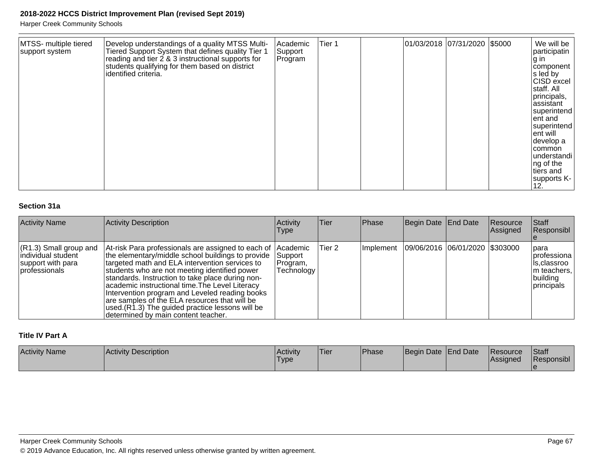Harper Creek Community Schools

| MTSS- multiple tiered<br>support system | Develop understandings of a quality MTSS Multi-<br>Tiered Support System that defines quality Tier 1<br>reading and tier 2 & 3 instructional supports for<br>students qualifying for them based on district<br>identified criteria. | Academic<br>Support<br>Program | Tier 1 |  |  | 01/03/2018 07/31/2020 \$5000 |  | We will be<br>participatin<br>∣g in<br> component  <br>s led by<br>CISD excel<br>staff. All<br>principals,<br>assistant<br>superintend<br>ent and<br>superintend<br>ent will<br>develop a<br> common<br> understandi  <br>ng of the<br>tiers and<br>supports K-<br>12. |
|-----------------------------------------|-------------------------------------------------------------------------------------------------------------------------------------------------------------------------------------------------------------------------------------|--------------------------------|--------|--|--|------------------------------|--|------------------------------------------------------------------------------------------------------------------------------------------------------------------------------------------------------------------------------------------------------------------------|
|-----------------------------------------|-------------------------------------------------------------------------------------------------------------------------------------------------------------------------------------------------------------------------------------|--------------------------------|--------|--|--|------------------------------|--|------------------------------------------------------------------------------------------------------------------------------------------------------------------------------------------------------------------------------------------------------------------------|

## **Section 31a**

| <b>Activity Name</b>                                                                                  | <b>Activity Description</b>                                                                                                                                                                                                                                                                                                                                                                                                                                                                                              | Activity<br>Type                  | ∣Tier∶ | Phase     | Begin Date End Date            | Resource<br>Assigned | Staff<br>Responsibl                                                                    |
|-------------------------------------------------------------------------------------------------------|--------------------------------------------------------------------------------------------------------------------------------------------------------------------------------------------------------------------------------------------------------------------------------------------------------------------------------------------------------------------------------------------------------------------------------------------------------------------------------------------------------------------------|-----------------------------------|--------|-----------|--------------------------------|----------------------|----------------------------------------------------------------------------------------|
| $(R1.3)$ Small group and<br>lindividual student<br>support with para<br><i><b>I</b></i> professionals | At-risk Para professionals are assigned to each of Academic<br>the elementary/middle school buildings to provide<br>targeted math and ELA intervention services to<br>students who are not meeting identified power<br>standards. Instruction to take place during non-<br>academic instructional time. The Level Literacy<br>Intervention program and Leveled reading books<br>are samples of the ELA resources that will be<br>used. (R1.3) The guided practice lessons will be<br>determined by main content teacher. | Support<br>Program,<br>Technology | Tier 2 | Implement | 09/06/2016 06/01/2020 \$303000 |                      | para<br> professiona <br>Is.classroo<br>Im teachers,<br>building<br><i>Iprincipals</i> |

#### **Title IV Part A**

| <b>Activity Name</b> | <b>Activity Description</b> | <b>Activity</b><br>'Type | 'Tier | Phase | Begin Date End Date | <b>IResource</b><br><b>IAssigned</b> | Staff<br>Responsibl |
|----------------------|-----------------------------|--------------------------|-------|-------|---------------------|--------------------------------------|---------------------|
|                      |                             |                          |       |       |                     |                                      |                     |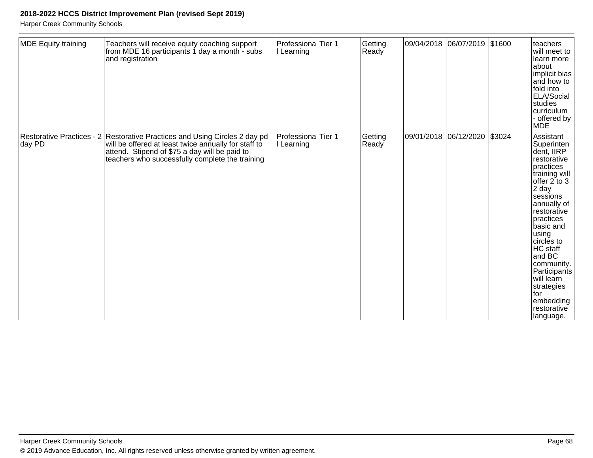| <b>MDE Equity training</b> | Teachers will receive equity coaching support<br>from MDE 16 participants 1 day a month - subs<br>and registration                                                                                                                     | Professiona Tier 1<br>I Learning            | Getting<br>Ready |            | 09/04/2018 06/07/2019 \$1600 |        | teachers<br>will meet to<br>learn more<br>about<br>implicit bias<br>and how to<br>fold into<br>ELA/Social<br>studies<br>curriculum<br>- offered by<br><b>MDE</b>                                                                                                                                                                            |
|----------------------------|----------------------------------------------------------------------------------------------------------------------------------------------------------------------------------------------------------------------------------------|---------------------------------------------|------------------|------------|------------------------------|--------|---------------------------------------------------------------------------------------------------------------------------------------------------------------------------------------------------------------------------------------------------------------------------------------------------------------------------------------------|
| day PD                     | Restorative Practices - 2 Restorative Practices and Using Circles 2 day pd<br>will be offered at least twice annually for staff to<br>attend. Stipend of \$75 a day will be paid to<br>teachers who successfully complete the training | Professiona <sup>Tier</sup> 1<br>I Learning | Getting<br>Ready | 09/01/2018 | 06/12/2020                   | \$3024 | Assistant<br>Superinten<br>dent, IIRP<br>restorative<br>practices<br>training will<br>offer $2$ to $3$<br>2 day<br>sessions<br>annually of<br>restorative<br>practices<br>basic and<br>using<br>circles to<br>HC staff<br>and BC<br>community.<br>Participants<br>will learn<br>strategies<br>lfor<br>embedding<br>restorative<br>language. |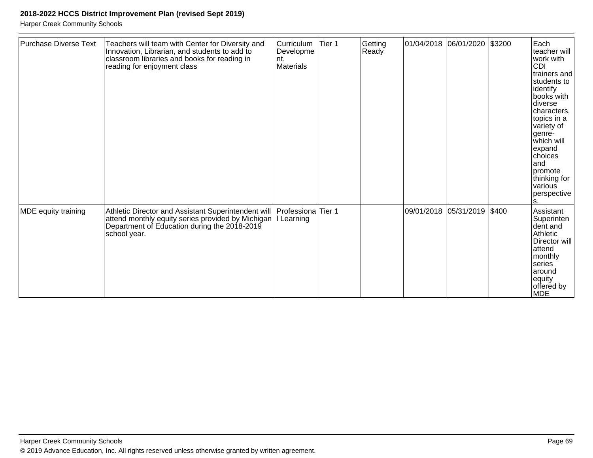| <b>Purchase Diverse Text</b> | Teachers will team with Center for Diversity and<br>Innovation, Librarian, and students to add to<br>classroom libraries and books for reading in<br>reading for enjoyment class     | Curriculum<br>Developme<br>nt,<br>Materials | Tier 1 | Getting<br>Ready |                       | \$3200 | Each<br>teacher will<br>work with<br><b>CDI</b><br>ltrainers and<br>students to<br>identify<br>books with<br>diverse<br>characters,<br>topics in a<br>variety of<br>genre-<br>which will<br>expand<br>choices<br>land<br>promote<br>thinking for<br>various<br>perspective<br>s. |
|------------------------------|--------------------------------------------------------------------------------------------------------------------------------------------------------------------------------------|---------------------------------------------|--------|------------------|-----------------------|--------|----------------------------------------------------------------------------------------------------------------------------------------------------------------------------------------------------------------------------------------------------------------------------------|
| MDE equity training          | Athletic Director and Assistant Superintendent will<br>attend monthly equity series provided by Michigan  I Learning<br>Department of Education during the 2018-2019<br>school year. | Professiona Tier 1                          |        |                  | 09/01/2018 05/31/2019 | \$400  | Assistant<br>Superinten<br>dent and<br>Athletic<br>Director will<br>attend<br>monthly<br>series<br>around<br>equity<br>offered by<br><b>MDE</b>                                                                                                                                  |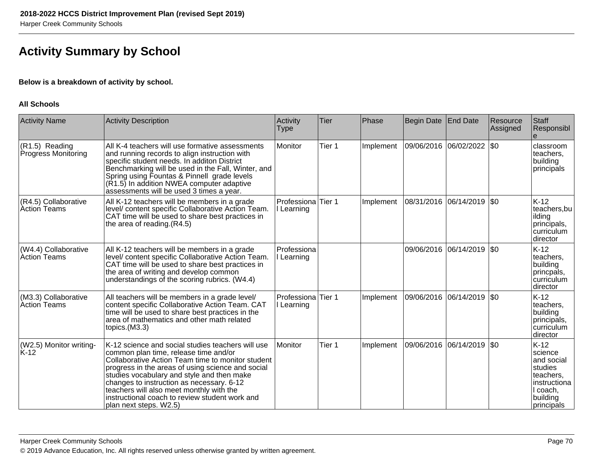# **Activity Summary by School**

### **Below is a breakdown of activity by school.**

#### **All Schools**

| <b>Activity Name</b>                        | <b>Activity Description</b>                                                                                                                                                                                                                                                                                                                                                                                             | Activity<br><b>Type</b>   | Tier   | Phase     | Begin Date End Date   |            | Resource<br>Assigned | Staff<br>Responsibl                                                                                           |
|---------------------------------------------|-------------------------------------------------------------------------------------------------------------------------------------------------------------------------------------------------------------------------------------------------------------------------------------------------------------------------------------------------------------------------------------------------------------------------|---------------------------|--------|-----------|-----------------------|------------|----------------------|---------------------------------------------------------------------------------------------------------------|
| (R1.5) Reading<br>Progress Monitoring       | All K-4 teachers will use formative assessments<br>and running records to align instruction with<br>specific student needs. In additon District<br>Benchmarking will be used in the Fall, Winter, and<br>Spring using Fountas & Pinnell grade levels<br>(R1.5) In addition NWEA computer adaptive<br>assessments will be used 3 times a year.                                                                           | Monitor                   | Tier 1 | Implement | 09/06/2016            | 06/02/2022 | \$0                  | classroom<br>teachers.<br>building<br>principals                                                              |
| (R4.5) Collaborative<br><b>Action Teams</b> | All K-12 teachers will be members in a grade<br>level/ content specific Collaborative Action Team.<br>CAT time will be used to share best practices in<br>the area of reading.(R4.5)                                                                                                                                                                                                                                    | Professiona<br>I Learning | Tier 1 | Implement | 08/31/2016            | 06/14/2019 | <b>SO</b>            | $K-12$<br>teachers, bu<br>ilding<br>principals,<br>curriculum<br>director                                     |
| (W4.4) Collaborative<br>Action Teams        | All K-12 teachers will be members in a grade<br>level/ content specific Collaborative Action Team.<br>CAT time will be used to share best practices in<br>the area of writing and develop common<br>understandings of the scoring rubrics. (W4.4)                                                                                                                                                                       | Professiona<br>Learning   |        |           | 09/06/2016            | 06/14/2019 | \$0                  | $K-12$<br>teachers.<br>building<br>princpals,<br>curriculum<br>director                                       |
| (M3.3) Collaborative<br>Action Teams        | All teachers will be members in a grade level/<br>content specific Collaborative Action Team. CAT<br>time will be used to share best practices in the<br>area of mathematics and other math related<br>topics.(M3.3)                                                                                                                                                                                                    | Professiona<br>I Learning | Tier 1 | Implement | 09/06/2016            | 06/14/2019 | \$0                  | $K-12$<br>teachers,<br>building<br>principals,<br>curriculum<br>director                                      |
| (W2.5) Monitor writing-<br>K-12             | K-12 science and social studies teachers will use<br>common plan time, release time and/or<br>Collaborative Action Team time to monitor student<br>progress in the areas of using science and social<br>studies vocabulary and style and then make<br>changes to instruction as necessary. 6-12<br>teachers will also meet monthly with the<br>instructional coach to review student work and<br>plan next steps. W2.5) | Monitor                   | Tier 1 | Implement | 09/06/2016 06/14/2019 |            | \$0                  | $K-12$<br>science<br>and social<br>studies<br>teachers,<br>instructiona<br>I coach,<br>building<br>principals |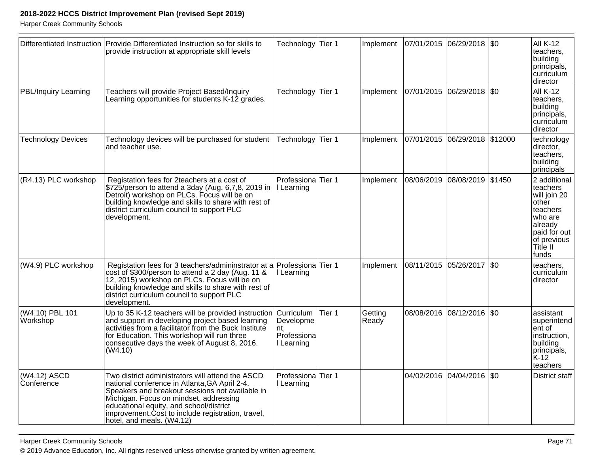|                                    | Differentiated Instruction   Provide Differentiated Instruction so for skills to<br>provide instruction at appropriate skill levels                                                                                                                                                                                          | Technology Tier 1                             |        | Implement        | 07/01/2015 06/29/2018 50      |                              | <b>All K-12</b><br>teachers.<br>building<br>principals,<br>curriculum<br>director                                                       |
|------------------------------------|------------------------------------------------------------------------------------------------------------------------------------------------------------------------------------------------------------------------------------------------------------------------------------------------------------------------------|-----------------------------------------------|--------|------------------|-------------------------------|------------------------------|-----------------------------------------------------------------------------------------------------------------------------------------|
| <b>PBL/Inquiry Learning</b>        | Teachers will provide Project Based/Inquiry<br>Learning opportunities for students K-12 grades.                                                                                                                                                                                                                              | Technology Tier 1                             |        | Implement        | 07/01/2015                    | 06/29/2018 \$0               | <b>All K-12</b><br>teachers,<br>building<br>principals,<br>curriculum<br>director                                                       |
| <b>Technology Devices</b>          | Technology devices will be purchased for student<br>and teacher use.                                                                                                                                                                                                                                                         | Technology Tier 1                             |        | Implement        | 07/01/2015 06/29/2018 \$12000 |                              | technology<br>director,<br>teachers,<br>building<br>principals                                                                          |
| (R4.13) PLC workshop               | Registation fees for 2teachers at a cost of<br>\$725/person to attend a 3day (Aug. 6,7,8, 2019 in<br>Detroit) workshop on PLCs. Focus will be on<br>building knowledge and skills to share with rest of<br>district curriculum council to support PLC<br>development.                                                        | Professiona Tier 1<br>I Learning              |        | Implement        |                               | 08/06/2019 08/08/2019 \$1450 | 2 additional<br>teachers<br>will join 20<br>other<br>teachers<br>who are<br>already<br>paid for out<br>of previous<br>Title II<br>funds |
| (W4.9) PLC workshop                | Registation fees for 3 teachers/admininstrator at a Professiona Tier 1<br>cost of \$300/person to attend a 2 day (Aug. 11 &<br>12, 2015) workshop on PLCs. Focus will be on<br>building knowledge and skills to share with rest of<br>district curriculum council to support PLC<br>development.                             | I Learning                                    |        | Implement        | 08/11/2015 05/26/2017   \$0   |                              | teachers,<br>curriculum<br>director                                                                                                     |
| (W4.10) PBL 101<br><b>Workshop</b> | Up to 35 K-12 teachers will be provided instruction Curriculum<br>and support in developing project based learning<br>activities from a facilitator from the Buck Institute<br>for Education. This workshop will run three<br>consecutive days the week of August 8, 2016.<br>(W4.10)                                        | Developme<br>nt,<br>Professiona<br>I Learning | Tier 1 | Getting<br>Ready |                               | 08/08/2016 08/12/2016 \$0    | assistant<br>superintend<br>ent of<br>instruction,<br>building<br>principals,<br>lk-12<br>teachers                                      |
| (W4.12) ASCD<br>Conference         | Two district administrators will attend the ASCD<br>national conference in Atlanta, GA April 2-4.<br>Speakers and breakout sessions not available in<br>Michigan. Focus on mindset, addressing<br>educational equity, and school/district<br>improvement. Cost to include registration, travel,<br>hotel, and meals. (W4.12) | Professiona <sup>Tier</sup> 1<br>I Learning   |        |                  |                               | 04/02/2016 04/04/2016 \$0    | District staff                                                                                                                          |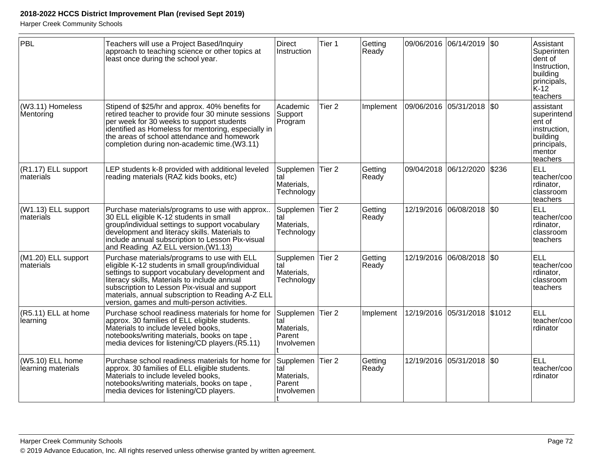| PBL                                    | Teachers will use a Project Based/Inquiry<br>approach to teaching science or other topics at<br>least once during the school year.                                                                                                                                                                                                                     | <b>Direct</b><br>Instruction                                  | Tier 1            | Getting<br>Ready |            | 09/06/2016 06/14/2019 \$0    | Assistant<br>Superinten<br>dent of<br>Instruction,<br>building<br>principals,<br>K-12<br>teachers    |
|----------------------------------------|--------------------------------------------------------------------------------------------------------------------------------------------------------------------------------------------------------------------------------------------------------------------------------------------------------------------------------------------------------|---------------------------------------------------------------|-------------------|------------------|------------|------------------------------|------------------------------------------------------------------------------------------------------|
| (W3.11) Homeless<br>Mentoring          | Stipend of \$25/hr and approx. 40% benefits for<br>retired teacher to provide four 30 minute sessions<br>per week for 30 weeks to support students<br>identified as Homeless for mentoring, especially in<br>the areas of school attendance and homework<br>completion during non-academic time.(W3.11)                                                | Academic<br>Support<br>Program                                | Tier <sub>2</sub> | Implement        | 09/06/2016 | 05/31/2018   \$0             | assistant<br>superintend<br>lent of<br>instruction,<br>building<br>principals,<br>mentor<br>teachers |
| (R1.17) ELL support<br>materials       | LEP students k-8 provided with additional leveled<br>reading materials (RAZ kids books, etc)                                                                                                                                                                                                                                                           | Supplemen<br>tal<br>Materials,<br>Technology                  | Tier <sub>2</sub> | Getting<br>Ready |            | 09/04/2018 06/12/2020 \$236  | <b>ELL</b><br>teacher/coo<br>rdinator,<br>classroom<br>teachers                                      |
| $(W1.13)$ ELL support<br>materials     | Purchase materials/programs to use with approx<br>30 ELL eligible K-12 students in small<br>group/individual settings to support vocabulary<br>development and literacy skills. Materials to<br>include annual subscription to Lesson Pix-visual<br>and Reading AZ ELL version. (W1.13)                                                                | Supplemen<br>tal<br>Materials,<br>Technology                  | Tier 2            | Getting<br>Ready |            | 12/19/2016 06/08/2018 \$0    | <b>ELL</b><br>teacher/coo<br>rdinator,<br>classroom<br>teachers                                      |
| (M1.20) ELL support<br>materials       | Purchase materials/programs to use with ELL<br>eligible K-12 students in small group/individual<br>settings to support vocabulary development and<br>literacy skills, Materials to include annual<br>subscription to Lesson Pix-visual and support<br>materials, annual subscription to Reading A-Z ELL<br>version, games and multi-person activities. | Supplemen<br>tal<br>Materials,<br>Technology                  | Tier <sub>2</sub> | Getting<br>Ready |            | 12/19/2016 06/08/2018 \$0    | <b>ELL</b><br>teacher/coo<br>rdinator,<br>classroom<br>teachers                                      |
| (R5.11) ELL at home<br>learning        | Purchase school readiness materials for home for<br>approx. 30 families of ELL eligible students.<br>Materials to include leveled books,<br>notebooks/writing materials, books on tape,<br>media devices for listening/CD players.(R5.11)                                                                                                              | Supplemen Tier 2<br>tal<br>Materials,<br>Parent<br>Involvemen |                   | Implement        |            | 12/19/2016 05/31/2018 \$1012 | <b>ELL</b><br>teacher/coo<br>rdinator                                                                |
| (W5.10) ELL home<br>learning materials | Purchase school readiness materials for home for<br>approx. 30 families of ELL eligible students.<br>Materials to include leveled books,<br>notebooks/writing materials, books on tape,<br>media devices for listening/CD players.                                                                                                                     | Supplemen<br>tal<br>Materials,<br>Parent<br>Involvemen        | Tier 2            | Getting<br>Ready | 12/19/2016 | 05/31/2018 \$0               | <b>ELL</b><br>teacher/coo<br>rdinator                                                                |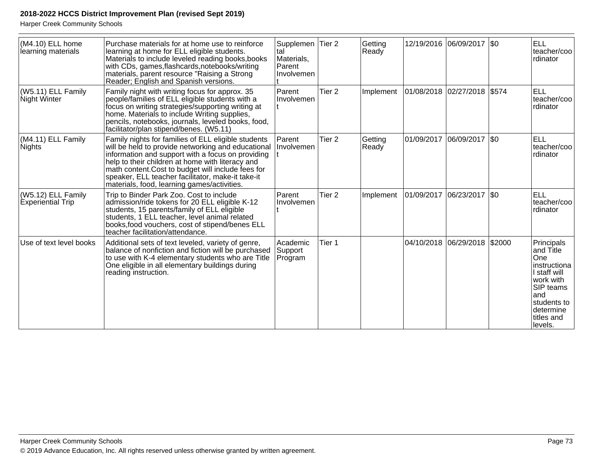| (M4.10) ELL home<br>learning materials         | Purchase materials for at home use to reinforce<br>learning at home for ELL eligible students.<br>Materials to include leveled reading books, books<br>with CDs, games, flashcards, notebooks/writing<br>materials, parent resource "Raising a Strong<br>Reader; English and Spanish versions.                                                                              | Supplemen<br>tal<br>Materials,<br>Parent<br>Involvemen | Tier <sub>2</sub> | Getting<br>Ready |            | 12/19/2016 06/09/2017 \$0    |              | <b>ELL</b><br>teacher/coo<br>rdinator                                                                                                                       |
|------------------------------------------------|-----------------------------------------------------------------------------------------------------------------------------------------------------------------------------------------------------------------------------------------------------------------------------------------------------------------------------------------------------------------------------|--------------------------------------------------------|-------------------|------------------|------------|------------------------------|--------------|-------------------------------------------------------------------------------------------------------------------------------------------------------------|
| (W5.11) ELL Family<br>Night Winter             | Family night with writing focus for approx. 35<br>people/families of ELL eligible students with a<br>focus on writing strategies/supporting writing at<br>home. Materials to include Writing supplies,<br>pencils, notebooks, journals, leveled books, food,<br>facilitator/plan stipend/benes. (W5.11)                                                                     | Parent<br>Involvemen                                   | Tier <sub>2</sub> | Implement        |            | 01/08/2018 02/27/2018 \$574  |              | <b>ELL</b><br>teacher/coo<br>rdinator                                                                                                                       |
| (M4.11) ELL Family<br><b>Nights</b>            | Family nights for families of ELL eligible students<br>will be held to provide networking and educational<br>information and support with a focus on providing<br>help to their children at home with literacy and<br>math content.Cost to budget will include fees for<br>speaker, ELL teacher facilitator, make-it take-it<br>materials, food, learning games/activities. | Parent<br>Involvemen                                   | Tier <sub>2</sub> | Getting<br>Ready | 01/09/2017 | 06/09/2017                   | $ 30\rangle$ | <b>ELL</b><br>teacher/coo<br>rdinator                                                                                                                       |
| (W5.12) ELL Family<br><b>Experiential Trip</b> | Trip to Binder Park Zoo. Cost to include<br>admission/ride tokens for 20 ELL eligible K-12<br>students, 15 parents/family of ELL eligible<br>students, 1 ELL teacher, level animal related<br>books, food vouchers, cost of stipend/benes ELL<br>teacher facilitation/attendance.                                                                                           | Parent<br>Involvemen                                   | Tier <sub>2</sub> | Implement        | 01/09/2017 | 06/23/2017   \$0             |              | <b>ELL</b><br>teacher/coo<br>rdinator                                                                                                                       |
| Use of text level books                        | Additional sets of text leveled, variety of genre,<br>balance of nonfiction and fiction will be purchased<br>to use with K-4 elementary students who are Title<br>One eligible in all elementary buildings during<br>reading instruction.                                                                                                                                   | Academic<br>Support<br>Program                         | Tier 1            |                  |            | 04/10/2018 06/29/2018 \$2000 |              | Principals<br>and Title<br>One<br>instructiona<br>I staff will<br>work with<br><b>SIP teams</b><br>and<br>students to<br>determine<br>titles and<br>levels. |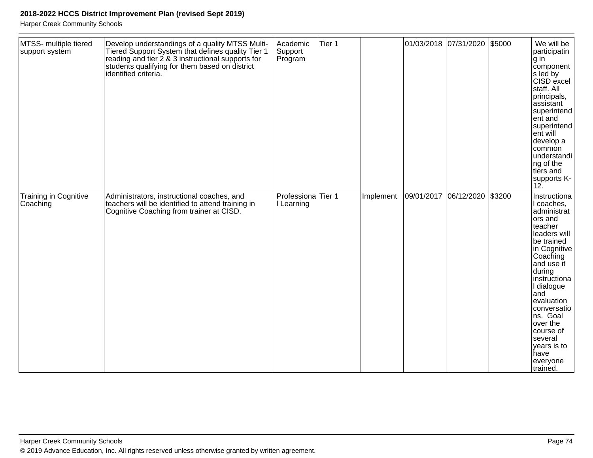| MTSS- multiple tiered<br>support system | Develop understandings of a quality MTSS Multi-<br>Tiered Support System that defines quality Tier 1<br>reading and tier 2 & 3 instructional supports for<br>students qualifying for them based on district<br>identified criteria. | Academic<br>Support<br>Program              | Tier 1 |           |            | 01/03/2018 07/31/2020 | \$5000 | We will be<br>participatin<br>g in<br>component<br>s led by<br>CISD excel<br>staff. All<br>principals,<br>assistant<br>superintend<br>ent and<br>superintend<br>ent will<br>develop a<br>common<br>understandi<br>ng of the<br>tiers and<br>supports K-<br>12.                                                      |
|-----------------------------------------|-------------------------------------------------------------------------------------------------------------------------------------------------------------------------------------------------------------------------------------|---------------------------------------------|--------|-----------|------------|-----------------------|--------|---------------------------------------------------------------------------------------------------------------------------------------------------------------------------------------------------------------------------------------------------------------------------------------------------------------------|
| Training in Cognitive<br>Coaching       | Administrators, instructional coaches, and<br>teachers will be identified to attend training in<br>Cognitive Coaching from trainer at CISD.                                                                                         | Professiona <sup>Tier</sup> 1<br>I Learning |        | Implement | 09/01/2017 | 06/12/2020 \$3200     |        | Instructiona<br>I coaches,<br>administrat<br>ors and<br>teacher<br>leaders will<br>be trained<br>in Cognitive<br>Coaching<br>and use it<br>during<br>instructiona<br>I dialogue<br>and<br>evaluation<br>conversatio<br>ns. Goal<br>over the<br>course of<br>several<br>years is to<br>have<br>everyone<br>ltrained. |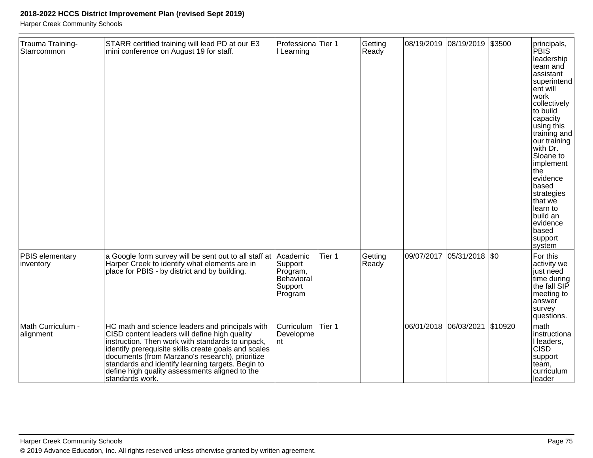| Trauma Training-<br>Starrcommon | STARR certified training will lead PD at our E3<br>mini conference on August 19 for staff.                                                                                                                                                                                                                                                                                                | Professiona <sup>Tier</sup> 1<br>I Learning             |        | Getting<br>Ready |            | 08/19/2019 08/19/2019         | \$3500 | principals,<br>PBIS<br>leadership<br>team and<br>assistant<br>superintend<br>ent will<br>work<br>collectively<br>to build<br>capacity<br>using this<br>training and<br>our training<br>with Dr.<br>Sloane to<br>implement<br> the<br>evidence<br>based<br>strategies<br>that we<br>learn to<br>build an<br>evidence<br>based<br>support<br>system |
|---------------------------------|-------------------------------------------------------------------------------------------------------------------------------------------------------------------------------------------------------------------------------------------------------------------------------------------------------------------------------------------------------------------------------------------|---------------------------------------------------------|--------|------------------|------------|-------------------------------|--------|---------------------------------------------------------------------------------------------------------------------------------------------------------------------------------------------------------------------------------------------------------------------------------------------------------------------------------------------------|
| PBIS elementary<br>inventory    | a Google form survey will be sent out to all staff at Academic<br>Harper Creek to identify what elements are in<br>place for PBIS - by district and by building.                                                                                                                                                                                                                          | Support<br>Program,<br>Behavioral<br>Support<br>Program | Tier 1 | Getting<br>Ready | 09/07/2017 | $ 05/31/2018 $ \$0            |        | For this<br>activity we<br>just need<br>time during<br>the fall SIP<br>meeting to<br>answer<br>survey<br>questions.                                                                                                                                                                                                                               |
| Math Curriculum -<br>alignment  | HC math and science leaders and principals with<br>CISD content leaders will define high quality<br>instruction. Then work with standards to unpack,<br>identify prerequisite skills create goals and scales<br>documents (from Marzano's research), prioritize<br>standards and identify learning targets. Begin to<br>define high quality assessments aligned to the<br>standards work. | Curriculum<br>Developme<br>nt                           | Tier 1 |                  |            | 06/01/2018 06/03/2021 \$10920 |        | math<br>instructiona<br>I leaders,<br><b>CISD</b><br>support<br>team,<br>curriculum<br>lleader                                                                                                                                                                                                                                                    |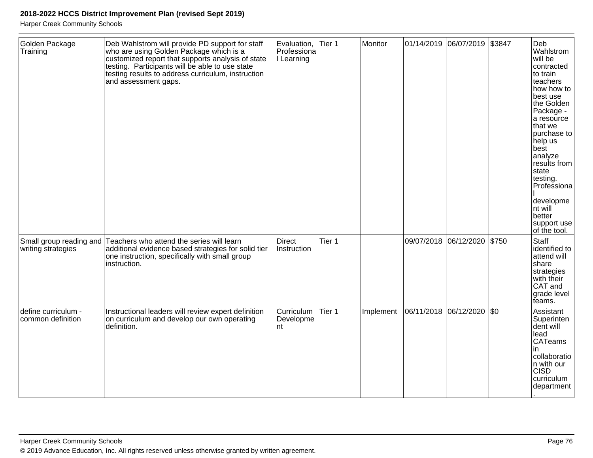| Golden Package<br>Training               | Deb Wahlstrom will provide PD support for staff<br>who are using Golden Package which is a<br>customized report that supports analysis of state<br>testing. Participants will be able to use state<br>testing results to address curriculum, instruction<br>and assessment gaps. | Evaluation,<br>Professiona<br>I Learning | Tier 1 | Monitor   |                       | 01/14/2019  06/07/2019  \$3847 |         | Deb<br>Wahlstrom<br>will be<br>contracted<br>to train<br>teachers<br>how how to<br>best use<br>the Golden<br>Package -<br>a resource<br>that we<br>purchase to<br>help us<br>best<br>analyze<br>results from<br>state<br>testing.<br>Professiona<br>developme<br>nt will<br>better<br>support use<br>of the tool. |
|------------------------------------------|----------------------------------------------------------------------------------------------------------------------------------------------------------------------------------------------------------------------------------------------------------------------------------|------------------------------------------|--------|-----------|-----------------------|--------------------------------|---------|-------------------------------------------------------------------------------------------------------------------------------------------------------------------------------------------------------------------------------------------------------------------------------------------------------------------|
| writing strategies                       | Small group reading and Teachers who attend the series will learn<br>additional evidence based strategies for solid tier<br>one instruction, specifically with small group<br>instruction.                                                                                       | <b>Direct</b><br>Instruction             | Tier 1 |           |                       | 09/07/2018 06/12/2020          | \$750   | Staff<br>identified to<br>attend will<br>share<br>strategies<br>with their<br>CAT and<br>grade level<br>teams.                                                                                                                                                                                                    |
| define curriculum -<br>common definition | Instructional leaders will review expert definition<br>on curriculum and develop our own operating<br>definition.                                                                                                                                                                | Curriculum<br>Developme<br>nt            | Tier 1 | Implement | 06/11/2018 06/12/2020 |                                | $ $ \$0 | Assistant<br>Superinten<br>dent will<br>lead<br><b>CATeams</b><br><i>in</i><br>collaboratio<br>In with our<br><b>CISD</b><br>curriculum<br>department                                                                                                                                                             |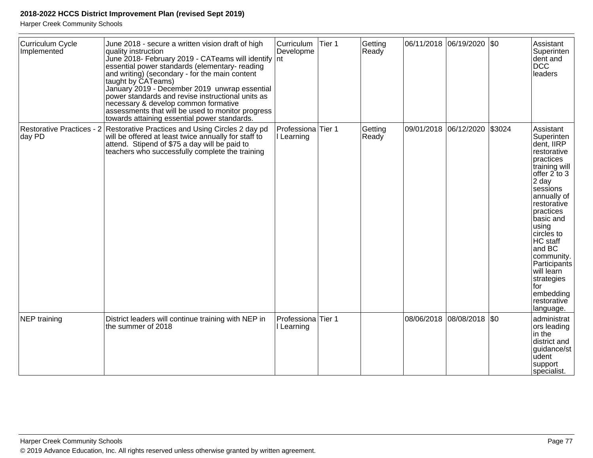| Curriculum Cycle<br>Implemented     | June 2018 - secure a written vision draft of high<br>quality instruction<br>June 2018- February 2019 - CATeams will identify<br>essential power standards (elementary- reading<br>and writing) (secondary - for the main content<br>taught by CATeams)<br>January 2019 - December 2019 unwrap essential<br>power standards and revise instructional units as<br>necessary & develop common formative<br>assessments that will be used to monitor progress<br>towards attaining essential power standards. | Curriculum<br>Developme<br>Int   | Tier 1 | Getting<br>Ready |                       | 06/11/2018  06/19/2020  \$0 |        | Assistant<br>Superinten<br>dent and<br><b>DCC</b><br>leaders                                                                                                                                                                                                                                                                               |
|-------------------------------------|-----------------------------------------------------------------------------------------------------------------------------------------------------------------------------------------------------------------------------------------------------------------------------------------------------------------------------------------------------------------------------------------------------------------------------------------------------------------------------------------------------------|----------------------------------|--------|------------------|-----------------------|-----------------------------|--------|--------------------------------------------------------------------------------------------------------------------------------------------------------------------------------------------------------------------------------------------------------------------------------------------------------------------------------------------|
| Restorative Practices - 2<br>day PD | Restorative Practices and Using Circles 2 day pd<br>will be offered at least twice annually for staff to<br>attend. Stipend of \$75 a day will be paid to<br>teachers who successfully complete the training                                                                                                                                                                                                                                                                                              | Professiona<br>I Learning        | Tier 1 | Getting<br>Ready | 09/01/2018 06/12/2020 |                             | \$3024 | Assistant<br>Superinten<br>dent, IIRP<br>restorative<br>practices<br>training will<br>offer $2$ to $3$<br>2 day<br>sessions<br>annually of<br>restorative<br>practices<br>basic and<br>using<br>circles to<br>HC staff<br>and BC<br>community.<br>Participants<br>will learn<br>strategies<br>for<br>embedding<br>restorative<br>language. |
| NEP training                        | District leaders will continue training with NEP in<br>the summer of 2018                                                                                                                                                                                                                                                                                                                                                                                                                                 | Professiona Tier 1<br>I Learning |        |                  |                       | 08/06/2018  08/08/2018  \$0 |        | administrat<br>ors leading<br>in the<br>district and<br>guidance/st<br>udent<br>support<br>specialist.                                                                                                                                                                                                                                     |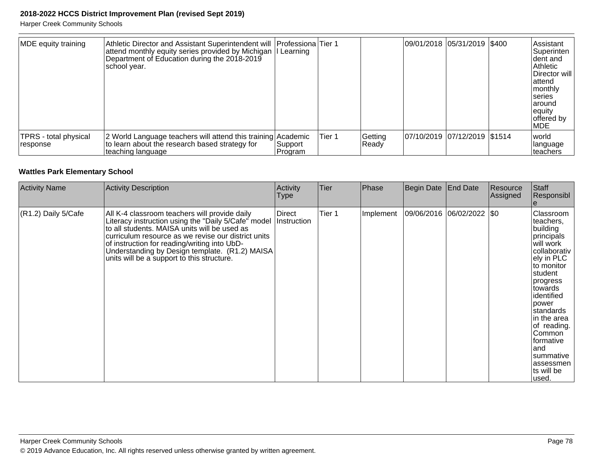Harper Creek Community Schools

| MDE equity training                | Athletic Director and Assistant Superintendent will   Professiona Tier 1<br>attend monthly equity series provided by Michigan  I Learning<br>Department of Education during the 2018-2019<br> school year. |                    |        |                  | 09/01/2018  05/31/2019  \$400 |  | Assistant<br> Superinten<br>Ident and<br>Athletic<br>Director will<br>lattend<br>monthly<br><b>Iseries</b><br>laround<br>equity<br>offered by<br><b>IMDE</b> |
|------------------------------------|------------------------------------------------------------------------------------------------------------------------------------------------------------------------------------------------------------|--------------------|--------|------------------|-------------------------------|--|--------------------------------------------------------------------------------------------------------------------------------------------------------------|
| TPRS - total physical<br> response | 2 World Language teachers will attend this training Academic<br>to learn about the research based strategy for<br>teaching language                                                                        | Support<br>Program | Tier 1 | Getting<br>Ready | 07/10/2019 07/12/2019 \$1514  |  | <i>world</i><br> language<br>Iteachers                                                                                                                       |

#### **Wattles Park Elementary School**

| <b>Activity Name</b> | Activity Description                                                                                                                                                                                                                                                                                                                                        | Activity<br>Type             | <b>Tier</b> | Phase     | Begin Date | <b>End Date</b> | Resource<br> Assigned | Staff<br>Responsibl                                                                                                                                                                                                                                                                                      |
|----------------------|-------------------------------------------------------------------------------------------------------------------------------------------------------------------------------------------------------------------------------------------------------------------------------------------------------------------------------------------------------------|------------------------------|-------------|-----------|------------|-----------------|-----------------------|----------------------------------------------------------------------------------------------------------------------------------------------------------------------------------------------------------------------------------------------------------------------------------------------------------|
| (R1.2) Daily 5/Cafe  | All K-4 classroom teachers will provide daily<br>Literacy instruction using the "Daily 5/Cafe" model<br>to all students. MAISA units will be used as<br>curriculum resource as we revise our district units<br>of instruction for reading/writing into UbD-<br>Understanding by Design template. (R1.2) MAISA<br>units will be a support to this structure. | <b>Direct</b><br>Instruction | Tier 1      | Implement | 09/06/2016 | 06/02/2022 \$0  |                       | Classroom<br>teachers,<br>building<br> principals <br>will work<br>collaborativ<br>ely in PLC<br>to monitor<br>student<br> progress<br>∣towards<br>lidentified<br>power<br> standards <br>in the area<br>of reading.<br>Common<br> formative<br>land<br> summative<br>lassessmen<br>ts will be<br>lused. |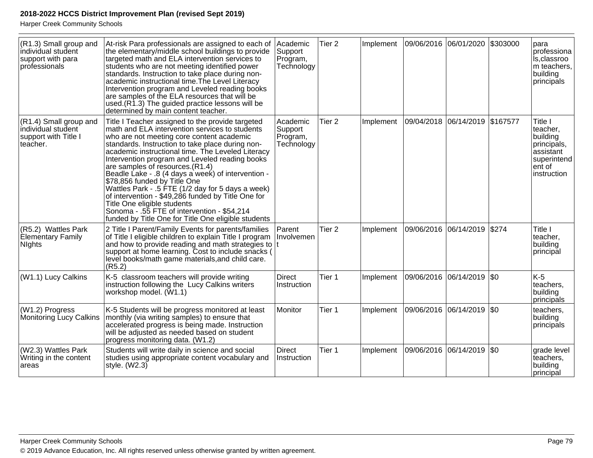| (R1.3) Small group and<br>individual student<br>support with para<br>professionals | At-risk Para professionals are assigned to each of<br>the elementary/middle school buildings to provide<br>targeted math and ELA intervention services to<br>students who are not meeting identified power<br>standards. Instruction to take place during non-<br>academic instructional time. The Level Literacy<br>Intervention program and Leveled reading books<br>are samples of the ELA resources that will be<br>used.(R1.3) The guided practice lessons will be<br>determined by main content teacher.                                                                                                                                                                       | Academic<br>Support<br>Program,<br>Technology | Tier 2            | Implement | 09/06/2016 06/01/2020          |                             | \$303000 | para<br>professiona<br>ls, classroo<br>m teachers,<br>building<br>principals                        |
|------------------------------------------------------------------------------------|--------------------------------------------------------------------------------------------------------------------------------------------------------------------------------------------------------------------------------------------------------------------------------------------------------------------------------------------------------------------------------------------------------------------------------------------------------------------------------------------------------------------------------------------------------------------------------------------------------------------------------------------------------------------------------------|-----------------------------------------------|-------------------|-----------|--------------------------------|-----------------------------|----------|-----------------------------------------------------------------------------------------------------|
| (R1.4) Small group and<br>individual student<br>support with Title I<br>teacher.   | Title I Teacher assigned to the provide targeted<br>math and ELA intervention services to students<br>who are not meeting core content academic<br>standards. Instruction to take place during non-<br>academic instructional time. The Leveled Literacy<br>Intervention program and Leveled reading books<br>are samples of resources. (R1.4)<br>Beadle Lake - .8 (4 days a week) of intervention -<br>\$78,856 funded by Title One<br>Wattles Park - .5 FTE (1/2 day for 5 days a week)<br>of intervention - \$49,286 funded by Title One for<br>Title One eligible students<br>Sonoma - .55 FTE of intervention - \$54,214<br>funded by Title One for Title One eligible students | Academic<br>Support<br>Program,<br>Technology | Tier <sub>2</sub> | Implement | 09/04/2018 06/14/2019 \$167577 |                             |          | Title I<br>teacher,<br>building<br>principals,<br>assistant<br>superintend<br>ent of<br>instruction |
| (R5.2) Wattles Park<br><b>Elementary Family</b><br><b>Nights</b>                   | 2 Title I Parent/Family Events for parents/families<br>of Title I eligible children to explain Title I program<br>and how to provide reading and math strategies to $ t $<br>support at home learning. Cost to include snacks (<br>level books/math game materials, and child care.<br>(R5.2)                                                                                                                                                                                                                                                                                                                                                                                        | Parent<br>Involvemen                          | Tier <sub>2</sub> | Implement | 09/06/2016                     | 06/14/2019                  | \$274    | Title I<br>teacher,<br>building<br>principal                                                        |
| (W1.1) Lucy Calkins                                                                | K-5 classroom teachers will provide writing<br>instruction following the Lucy Calkins writers<br>workshop model. (W1.1)                                                                                                                                                                                                                                                                                                                                                                                                                                                                                                                                                              | <b>Direct</b><br>Instruction                  | Tier 1            | Implement |                                | 09/06/2016  06/14/2019  \$0 |          | $K-5$<br>teachers,<br>building<br>principals                                                        |
| (W1.2) Progress<br>Monitoring Lucy Calkins                                         | K-5 Students will be progress monitored at least<br>monthly (via writing samples) to ensure that<br>accelerated progress is being made. Instruction<br>will be adjusted as needed based on student<br>progress monitoring data. (W1.2)                                                                                                                                                                                                                                                                                                                                                                                                                                               | Monitor                                       | Tier 1            | Implement |                                | 09/06/2016  06/14/2019      | \$0      | teachers,<br>building<br>principals                                                                 |
| (W2.3) Wattles Park<br>Writing in the content<br>areas                             | Students will write daily in science and social<br>studies using appropriate content vocabulary and<br>style. (W2.3)                                                                                                                                                                                                                                                                                                                                                                                                                                                                                                                                                                 | Direct<br>Instruction                         | Tier 1            | Implement |                                | 09/06/2016  06/14/2019      | \$0      | grade level<br>teachers,<br>building<br>principal                                                   |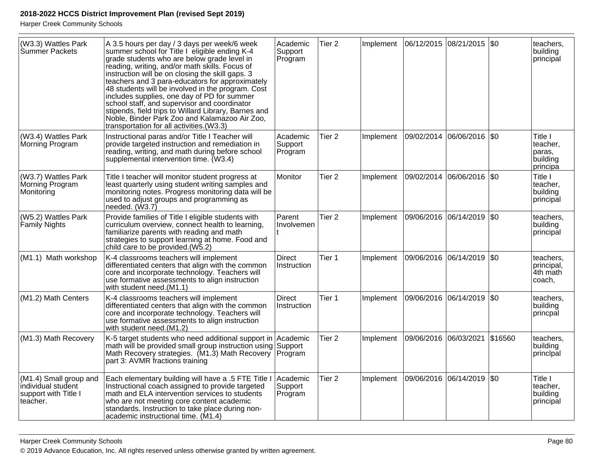| (W3.3) Wattles Park<br>Summer Packets                                            | A 3.5 hours per day / 3 days per week/6 week<br>summer school for Title I eligible ending K-4<br>grade students who are below grade level in<br>reading, writing, and/or math skills. Focus of<br>instruction will be on closing the skill gaps. 3<br>teachers and 3 para-educators for approximately<br>48 students will be involved in the program. Cost<br>includes supplies, one day of PD for summer<br>school staff, and supervisor and coordinator<br>stipends, field trips to Willard Library, Barnes and<br>Noble, Binder Park Zoo and Kalamazoo Air Zoo,<br>transportation for all activities.(W3.3) | Academic<br>Support<br>Program | Tier <sub>2</sub> | Implement |                       | 06/12/2015 08/21/2015 \$0 |             | teachers.<br>building<br>principal                    |
|----------------------------------------------------------------------------------|----------------------------------------------------------------------------------------------------------------------------------------------------------------------------------------------------------------------------------------------------------------------------------------------------------------------------------------------------------------------------------------------------------------------------------------------------------------------------------------------------------------------------------------------------------------------------------------------------------------|--------------------------------|-------------------|-----------|-----------------------|---------------------------|-------------|-------------------------------------------------------|
| (W3.4) Wattles Park<br>Morning Program                                           | Instructional paras and/or Title I Teacher will<br>provide targeted instruction and remediation in<br>reading, writing, and math during before school<br>supplemental intervention time. (W3.4)                                                                                                                                                                                                                                                                                                                                                                                                                | Academic<br>Support<br>Program | Tier <sub>2</sub> | Implement | 09/02/2014            | 06/06/2016                | $ $ \$0     | Title I<br>teacher,<br>paras,<br>building<br>principa |
| (W3.7) Wattles Park<br>Morning Program<br>Monitoring                             | Title I teacher will monitor student progress at<br>least quarterly using student writing samples and<br>monitoring notes. Progress monitoring data will be<br>used to adjust groups and programming as<br>needed. (W3.7)                                                                                                                                                                                                                                                                                                                                                                                      | Monitor                        | Tier <sub>2</sub> | Implement |                       | 09/02/2014 06/06/2016 \$0 |             | Title I<br>teacher,<br>building<br>principal          |
| (W5.2) Wattles Park<br>Family Nights                                             | Provide families of Title I eligible students with<br>curriculum overview, connect health to learning,<br>familiarize parents with reading and math<br>strategies to support learning at home. Food and<br>child care to be provided.(W5.2)                                                                                                                                                                                                                                                                                                                                                                    | Parent<br>Involvemen           | Tier <sub>2</sub> | Implement |                       | 09/06/2016 06/14/2019     | \$0         | teachers,<br>building<br>principal                    |
| (M1.1) Math workshop                                                             | K-4 classrooms teachers will implement<br>differentiated centers that align with the common<br>core and incorporate technology. Teachers will<br>use formative assessments to align instruction<br>with student need.(M1.1)                                                                                                                                                                                                                                                                                                                                                                                    | <b>Direct</b><br>Instruction   | Tier 1            | Implement |                       | 09/06/2016 06/14/2019 \$0 |             | teachers,<br>principal,<br>4th math<br>coach,         |
| (M1.2) Math Centers                                                              | K-4 classrooms teachers will implement<br>differentiated centers that align with the common<br>core and incorporate technology. Teachers will<br>use formative assessments to align instruction<br>with student need.(M1.2)                                                                                                                                                                                                                                                                                                                                                                                    | <b>Direct</b><br>Instruction   | Tier 1            | Implement |                       | 09/06/2016 06/14/2019 \$0 |             | teachers,<br>building<br>princpal                     |
| (M1.3) Math Recovery                                                             | K-5 target students who need additional support in<br>math will be provided small group instruction using<br>Math Recovery strategies. (M1.3) Math Recovery<br>part 3: AVMR fractions training                                                                                                                                                                                                                                                                                                                                                                                                                 | Academic<br>Support<br>Program | Tier <sub>2</sub> | Implement | 09/06/2016 06/03/2021 |                           | \$16560     | teachers,<br>building<br>principal                    |
| (M1.4) Small group and<br>individual student<br>support with Title I<br>teacher. | Each elementary building will have a .5 FTE Title I<br>Instructional coach assigned to provide targeted<br>math and ELA intervention services to students<br>who are not meeting core content academic<br>standards. Instruction to take place during non-<br>academic instructional time. (M1.4)                                                                                                                                                                                                                                                                                                              | Academic<br>Support<br>Program | Tier <sub>2</sub> | Implement | 09/06/2016 06/14/2019 |                           | $\sqrt{50}$ | Title I<br>teacher,<br>building<br>principal          |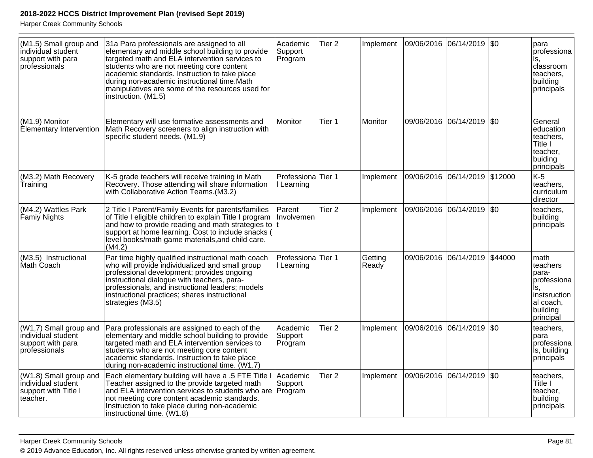| (M1.5) Small group and<br>individual student<br>support with para<br>professionals | 31a Para professionals are assigned to all<br>elementary and middle school building to provide<br>targeted math and ELA intervention services to<br>students who are not meeting core content<br>academic standards. Instruction to take place<br>during non-academic instructional time.Math<br>manipulatives are some of the resources used for<br>instruction. (M1.5) | Academic<br>Support<br>Program   | Tier <sub>2</sub> | Implement        | 09/06/2016  06/14/2019  \$0   |                       |         | para<br>professiona<br>Is,<br>classroom<br>teachers,<br>building<br>principals                          |
|------------------------------------------------------------------------------------|--------------------------------------------------------------------------------------------------------------------------------------------------------------------------------------------------------------------------------------------------------------------------------------------------------------------------------------------------------------------------|----------------------------------|-------------------|------------------|-------------------------------|-----------------------|---------|---------------------------------------------------------------------------------------------------------|
| (M1.9) Monitor<br>Elementary Intervention                                          | Elementary will use formative assessments and<br>Math Recovery screeners to align instruction with<br>specific student needs. (M1.9)                                                                                                                                                                                                                                     | Monitor                          | Tier 1            | Monitor          | 09/06/2016                    | 06/14/2019            | \$0     | General<br>education<br>teachers.<br>Title I<br>teacher,<br>buiding<br>principals                       |
| (M3.2) Math Recovery<br>Training                                                   | K-5 grade teachers will receive training in Math<br>Recovery. Those attending will share information<br>with Collaborative Action Teams. (M3.2)                                                                                                                                                                                                                          | Professiona Tier 1<br>I Learning |                   | Implement        | 09/06/2016 06/14/2019 \$12000 |                       |         | $K-5$<br>teachers,<br>curriculum<br>director                                                            |
| (M4.2) Wattles Park<br>Famiy Nights                                                | 2 Title I Parent/Family Events for parents/families<br>of Title I eligible children to explain Title I program<br>and how to provide reading and math strategies to<br>support at home learning. Cost to include snacks (<br>level books/math game materials, and child care.<br>(M4.2)                                                                                  | Parent<br>Involvemen             | Tier <sub>2</sub> | Implement        | 09/06/2016  06/14/2019  \$0   |                       |         | teachers,<br>building<br>principals                                                                     |
| (M3.5) Instructional<br>Math Coach                                                 | Par time highly qualified instructional math coach<br>who will provide individualized and small group<br>professional development; provides ongoing<br>instructional dialogue with teachers, para-<br>professionals, and instructional leaders; models<br>instructional practices; shares instructional<br>strategies (M3.5)                                             | Professiona Tier 1<br>I Learning |                   | Getting<br>Ready |                               | 09/06/2016 06/14/2019 | \$44000 | math<br>lteachers<br>para-<br>professiona<br>Is,<br>instsruction<br>∣al coach,<br>building<br>principal |
| (W1,7) Small group and<br>individual student<br>support with para<br>professionals | Para professionals are assigned to each of the<br>elementary and middle school building to provide<br>targeted math and ELA intervention services to<br>students who are not meeting core content<br>academic standards. Instruction to take place<br>during non-academic instructional time. (W1.7)                                                                     | Academic<br>Support<br>Program   | Tier <sub>2</sub> | Implement        | 09/06/2016  06/14/2019  \$0   |                       |         | teachers,<br>para<br>professiona<br>ls, building<br>principals                                          |
| (W1.8) Small group and<br>individual student<br>support with Title I<br>teacher.   | Each elementary building will have a .5 FTE Title I<br>Teacher assigned to the provide targeted math<br>and ELA intervention services to students who are<br>not meeting core content academic standards.<br>Instruction to take place during non-academic<br>instructional time. (W1.8)                                                                                 | Academic<br>Support<br>Program   | Tier 2            | Implement        | 09/06/2016                    | 06/14/2019            | \$0     | teachers,<br>Title I<br>teacher,<br>building<br>principals                                              |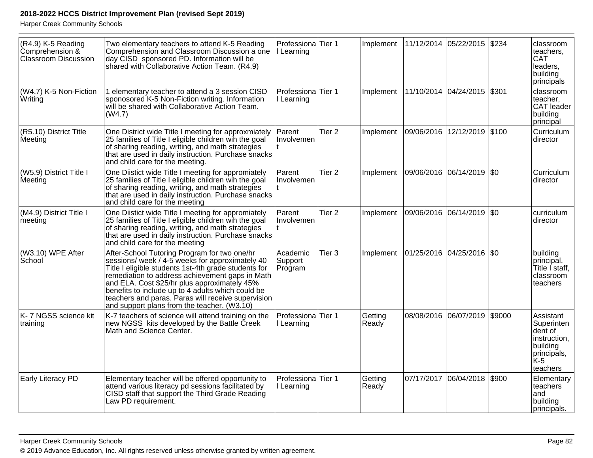| (R4.9) K-5 Reading<br>Comprehension &<br><b>Classroom Discussion</b> | Two elementary teachers to attend K-5 Reading<br>Comprehension and Classroom Discussion a one<br>day CISD sponsored PD. Information will be<br>shared with Collaborative Action Team. (R4.9)                                                                                                                                                                                                                         | Professiona Tier 1<br>Learning   |                   | Implement        | 11/12/2014 05/22/2015         | \$234  | classroom<br>teachers.<br><b>CAT</b><br>leaders,<br>building<br>principals                        |
|----------------------------------------------------------------------|----------------------------------------------------------------------------------------------------------------------------------------------------------------------------------------------------------------------------------------------------------------------------------------------------------------------------------------------------------------------------------------------------------------------|----------------------------------|-------------------|------------------|-------------------------------|--------|---------------------------------------------------------------------------------------------------|
| (W4.7) K-5 Non-Fiction<br>Writing                                    | 1 elementary teacher to attend a 3 session CISD<br>sponosored K-5 Non-Fiction writing. Information<br>will be shared with Collaborative Action Team.<br>(W4.7)                                                                                                                                                                                                                                                       | Professiona Tier 1<br>I Learning |                   | Implement        | 11/10/2014  04/24/2015  \$301 |        | classroom<br>teacher,<br><b>CAT</b> leader<br>building<br>principal                               |
| (R5.10) District Title<br>Meeting                                    | One District wide Title I meeting for approxmiately<br>25 families of Title I eligible children win the goal<br>of sharing reading, writing, and math strategies<br>that are used in daily instruction. Purchase snacks<br>and child care for the meeting.                                                                                                                                                           | Parent<br>Involvemen             | Tier <sub>2</sub> | Implement        | 09/06/2016 12/12/2019 \$100   |        | Curriculum<br>director                                                                            |
| (W5.9) District Title I<br>Meeting                                   | One Diistict wide Title I meeting for appromiately<br>25 families of Title I eligible children wih the goal<br>of sharing reading, writing, and math strategies<br>that are used in daily instruction. Purchase snacks<br>and child care for the meeting                                                                                                                                                             | Parent<br>Involvemen             | Tier <sub>2</sub> | Implement        | 09/06/2016  06/14/2019  \$0   |        | Curriculum<br>director                                                                            |
| (M4.9) District Title I<br>meeting                                   | One Diistict wide Title I meeting for appromiately<br>25 families of Title I eligible children win the goal<br>of sharing reading, writing, and math strategies<br>that are used in daily instruction. Purchase snacks<br>and child care for the meeting                                                                                                                                                             | Parent<br>Involvemen             | Tier <sub>2</sub> | Implement        | 09/06/2016  06/14/2019  \$0   |        | curriculum<br>director                                                                            |
| (W3.10) WPE After<br>School                                          | After-School Tutoring Program for two one/hr<br>sessions/ week / 4-5 weeks for approximately 40<br>Title I eligible students 1st-4th grade students for<br>remediation to address achievement gaps in Math<br>and ELA. Cost \$25/hr plus approximately 45%<br>benefits to include up to 4 adults which could be<br>teachers and paras. Paras will receive supervision<br>and support plans from the teacher. (W3.10) | Academic<br>Support<br>Program   | Tier <sub>3</sub> | Implement        | 01/25/2016  04/25/2016  \$0   |        | building<br>principal,<br>Title I staff,<br>classroom<br>teachers                                 |
| K-7 NGSS science kit<br>training                                     | K-7 teachers of science will attend training on the<br>new NGSS kits developed by the Battle Creek<br>Math and Science Center.                                                                                                                                                                                                                                                                                       | Professiona<br>I Learning        | Tier 1            | Getting<br>Ready | 08/08/2016 06/07/2019         | \$9000 | Assistant<br>Superinten<br>dent of<br>instruction,<br>building<br>principals,<br>lk-5<br>teachers |
| <b>Early Literacy PD</b>                                             | Elementary teacher will be offered opportunity to<br>attend various literacy pd sessions facilitated by<br>CISD staff that support the Third Grade Reading<br>Law PD requirement.                                                                                                                                                                                                                                    | Professiona<br>I Learning        | Tier 1            | Getting<br>Ready | 07/17/2017 06/04/2018         | \$900  | Elementary<br>teachers<br>and<br>building<br>principals.                                          |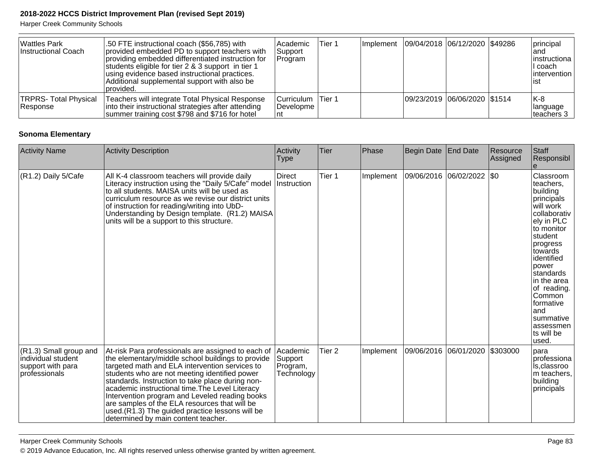Harper Creek Community Schools

| <b>Wattles Park</b><br>Instructional Coach | .50 FTE instructional coach (\$56,785) with<br>provided embedded PD to support teachers with<br>providing embedded differentiated instruction for<br>students eligible for tier 2 & 3 support in tier 1<br>using evidence based instructional practices.<br>Additional supplemental support with also be<br>provided. | Academic<br>Support<br>Program                | Tier 1 | Implement   09/04/2018   06/12/2020   \$49286 |  | principal<br>land<br>linstructiona<br>II coach<br>lintervention<br>lıst |
|--------------------------------------------|-----------------------------------------------------------------------------------------------------------------------------------------------------------------------------------------------------------------------------------------------------------------------------------------------------------------------|-----------------------------------------------|--------|-----------------------------------------------|--|-------------------------------------------------------------------------|
| TRPRS- Total Physical<br>Response          | Teachers will integrate Total Physical Response<br>into their instructional strategies after attending<br>summer training cost \$798 and \$716 for hotel                                                                                                                                                              | Curriculum Tier 1<br><i><b>IDevelopme</b></i> |        | 09/23/2019 06/06/2020 \$1514                  |  | IK-8<br><b>Ilanguage</b><br>teachers 3                                  |

#### **Sonoma Elementary**

| <b>Activity Name</b>                                                                               | Activity Description                                                                                                                                                                                                                                                                                                                                                                                                                                                                                           | Activity<br><b>Type</b>                       | Tier              | Phase     | Begin Date | <b>End Date</b>             | Resource<br>Assigned | Staff<br>Responsibl                                                                                                                                                                                                                                                                            |
|----------------------------------------------------------------------------------------------------|----------------------------------------------------------------------------------------------------------------------------------------------------------------------------------------------------------------------------------------------------------------------------------------------------------------------------------------------------------------------------------------------------------------------------------------------------------------------------------------------------------------|-----------------------------------------------|-------------------|-----------|------------|-----------------------------|----------------------|------------------------------------------------------------------------------------------------------------------------------------------------------------------------------------------------------------------------------------------------------------------------------------------------|
| (R1.2) Daily 5/Cafe                                                                                | All K-4 classroom teachers will provide daily<br>Literacy instruction using the "Daily 5/Cafe" model<br>to all students. MAISA units will be used as<br>curriculum resource as we revise our district units<br>of instruction for reading/writing into UbD-<br>Understanding by Design template. (R1.2) MAISA<br>units will be a support to this structure.                                                                                                                                                    | <b>Direct</b><br>Instruction                  | Tier 1            | Implement |            | 09/06/2016  06/02/2022  \$0 |                      | Classroom<br>teachers.<br>building<br>principals<br>will work<br>collaborativ<br>ely in PLC<br>to monitor<br>student<br>progress<br>towards<br>identified<br>Ipower<br>standards<br>in the area<br>of reading.<br>Common<br>formative<br>land<br>summative<br>assessmen<br>ts will be<br>used. |
| $(R1.3)$ Small group and<br>individual student<br>support with para<br><i><b>professionals</b></i> | At-risk Para professionals are assigned to each of<br>the elementary/middle school buildings to provide<br>targeted math and ELA intervention services to<br>students who are not meeting identified power<br>standards. Instruction to take place during non-<br>academic instructional time. The Level Literacy<br>Intervention program and Leveled reading books<br>are samples of the ELA resources that will be<br>used.(R1.3) The guided practice lessons will be<br>determined by main content teacher. | Academic<br>Support<br>Program,<br>Technology | Tier <sub>2</sub> | Implement |            | 09/06/2016  06/01/2020      | \$303000             | Ipara<br>professiona<br>Is,classroo<br>m teachers,<br>building<br>principals                                                                                                                                                                                                                   |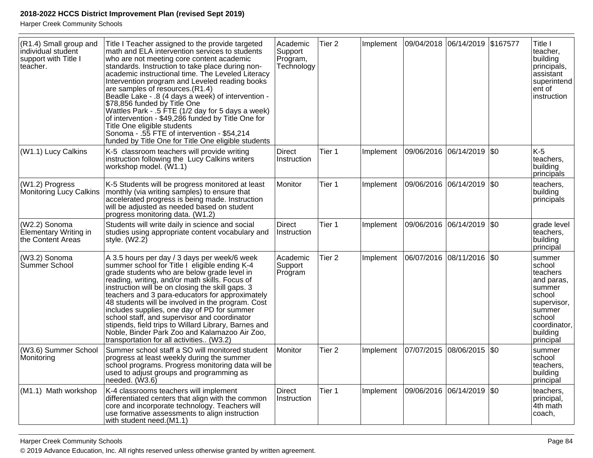| (R1.4) Small group and<br>individual student<br>support with Title I<br>teacher. | Title I Teacher assigned to the provide targeted<br>math and ELA intervention services to students<br>who are not meeting core content academic<br>standards. Instruction to take place during non-<br>academic instructional time. The Leveled Literacy<br>Intervention program and Leveled reading books<br>are samples of resources. (R1.4)<br>Beadle Lake - .8 (4 days a week) of intervention -<br>\$78,856 funded by Title One<br>Wattles Park - .5 FTE (1/2 day for 5 days a week)<br>of intervention - \$49,286 funded by Title One for<br>Title One eligible students<br>Sonoma - .55 FTE of intervention - \$54,214<br>funded by Title One for Title One eligible students | Academic<br>Support<br>Program,<br>Technology | Tier <sub>2</sub> | Implement | 09/04/2018 06/14/2019 \$167577 |  | Title I<br>teacher,<br>building<br>principals,<br>assistant<br>superintend<br>ent of<br>instruction                                        |
|----------------------------------------------------------------------------------|--------------------------------------------------------------------------------------------------------------------------------------------------------------------------------------------------------------------------------------------------------------------------------------------------------------------------------------------------------------------------------------------------------------------------------------------------------------------------------------------------------------------------------------------------------------------------------------------------------------------------------------------------------------------------------------|-----------------------------------------------|-------------------|-----------|--------------------------------|--|--------------------------------------------------------------------------------------------------------------------------------------------|
| (W1.1) Lucy Calkins                                                              | K-5 classroom teachers will provide writing<br>instruction following the Lucy Calkins writers<br>workshop model. (W1.1)                                                                                                                                                                                                                                                                                                                                                                                                                                                                                                                                                              | Direct<br>Instruction                         | Tier 1            | Implement | 09/06/2016 06/14/2019 \$0      |  | $K-5$<br>teachers,<br>building<br>principals                                                                                               |
| (W1.2) Progress<br>Monitoring Lucy Calkins                                       | K-5 Students will be progress monitored at least<br>monthly (via writing samples) to ensure that<br>accelerated progress is being made. Instruction<br>will be adjusted as needed based on student<br>progress monitoring data. (W1.2)                                                                                                                                                                                                                                                                                                                                                                                                                                               | Monitor                                       | Tier 1            | Implement | 09/06/2016 06/14/2019 \$0      |  | teachers,<br>building<br>principals                                                                                                        |
| (W2.2) Sonoma<br>Elementary Writing in<br>the Content Areas                      | Students will write daily in science and social<br>studies using appropriate content vocabulary and<br>style. $(W2.2)$                                                                                                                                                                                                                                                                                                                                                                                                                                                                                                                                                               | <b>Direct</b><br>Instruction                  | Tier 1            | Implement | 09/06/2016 06/14/2019 \$0      |  | grade level<br>teachers,<br>building<br>principal                                                                                          |
| (W3.2) Sonoma<br>Summer School                                                   | A 3.5 hours per day / 3 days per week/6 week<br>summer school for Title I eligible ending K-4<br>grade students who are below grade level in<br>reading, writing, and/or math skills. Focus of<br>instruction will be on closing the skill gaps. 3<br>teachers and 3 para-educators for approximately<br>48 students will be involved in the program. Cost<br>includes supplies, one day of PD for summer<br>school staff, and supervisor and coordinator<br>stipends, field trips to Willard Library, Barnes and<br>Noble, Binder Park Zoo and Kalamazoo Air Zoo,<br>transportation for all activities (W3.2)                                                                       | Academic<br>Support<br>Program                | Tier <sub>2</sub> | Implement | 06/07/2016  08/11/2016  \$0    |  | summer<br>school<br>teachers<br>and paras,<br>summer<br>school<br>supervisor,<br>summer<br>school<br>coordinator,<br>building<br>principal |
| (W3.6) Summer School<br>Monitoring                                               | Summer school staff a SO will monitored student<br>progress at least weekly during the summer<br>school programs. Progress monitoring data will be<br>used to adjust groups and programming as<br>needed. (W3.6)                                                                                                                                                                                                                                                                                                                                                                                                                                                                     | Monitor                                       | Tier <sub>2</sub> | Implement | 07/07/2015 08/06/2015 \$0      |  | summer<br>school<br>teachers,<br>building<br>principal                                                                                     |
| (M1.1) Math workshop                                                             | K-4 classrooms teachers will implement<br>differentiated centers that align with the common<br>core and incorporate technology. Teachers will<br>use formative assessments to align instruction<br>with student need.(M1.1)                                                                                                                                                                                                                                                                                                                                                                                                                                                          | <b>Direct</b><br>Instruction                  | Tier 1            | Implement | 09/06/2016  06/14/2019  \$0    |  | teachers,<br>principal,<br>4th math<br>coach,                                                                                              |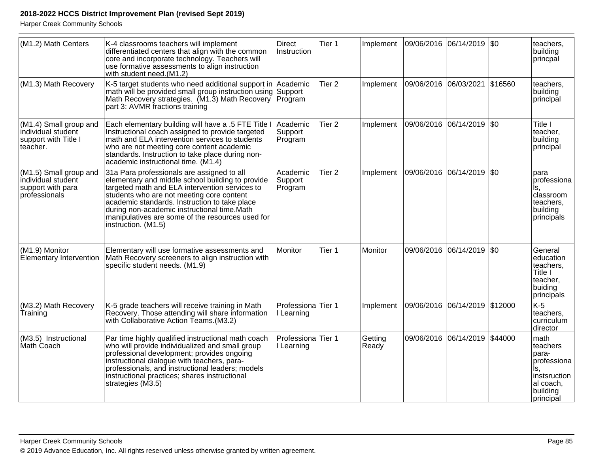| (M1.2) Math Centers                                                                | K-4 classrooms teachers will implement<br>differentiated centers that align with the common<br>core and incorporate technology. Teachers will<br>use formative assessments to align instruction<br>with student need.(M1.2)                                                                                                                                              | <b>Direct</b><br>Instruction     | Tier 1            | Implement        | 09/06/2016 06/14/2019 \$0     |                               | teachers,<br>building<br>princpal                                                                     |
|------------------------------------------------------------------------------------|--------------------------------------------------------------------------------------------------------------------------------------------------------------------------------------------------------------------------------------------------------------------------------------------------------------------------------------------------------------------------|----------------------------------|-------------------|------------------|-------------------------------|-------------------------------|-------------------------------------------------------------------------------------------------------|
| (M1.3) Math Recovery                                                               | K-5 target students who need additional support in Academic<br>math will be provided small group instruction using<br>Math Recovery strategies. (M1.3) Math Recovery Program<br>part 3: AVMR fractions training                                                                                                                                                          | Support                          | Tier <sub>2</sub> | Implement        | 09/06/2016 06/03/2021 \$16560 |                               | teachers,<br>building<br>principal                                                                    |
| (M1.4) Small group and<br>individual student<br>support with Title I<br>teacher.   | Each elementary building will have a .5 FTE Title I<br>Instructional coach assigned to provide targeted<br>math and ELA intervention services to students<br>who are not meeting core content academic<br>standards. Instruction to take place during non-<br>academic instructional time. (M1.4)                                                                        | Academic<br>Support<br>Program   | Tier <sub>2</sub> | Implement        | 09/06/2016 06/14/2019 \$0     |                               | Title I<br>teacher.<br>building<br>principal                                                          |
| (M1.5) Small group and<br>individual student<br>support with para<br>professionals | 31a Para professionals are assigned to all<br>elementary and middle school building to provide<br>targeted math and ELA intervention services to<br>students who are not meeting core content<br>academic standards. Instruction to take place<br>during non-academic instructional time.Math<br>manipulatives are some of the resources used for<br>instruction. (M1.5) | Academic<br>Support<br>Program   | Tier <sub>2</sub> | Implement        | 09/06/2016 06/14/2019 \$0     |                               | para<br>professiona<br>Is.<br>classroom<br>teachers,<br>building<br>principals                        |
| (M1.9) Monitor<br>Elementary Intervention                                          | Elementary will use formative assessments and<br>Math Recovery screeners to align instruction with<br>specific student needs. (M1.9)                                                                                                                                                                                                                                     | Monitor                          | Tier 1            | Monitor          |                               | 09/06/2016 06/14/2019 \$0     | General<br>education<br>teachers,<br>Title I<br>teacher,<br>buiding<br>principals                     |
| (M3.2) Math Recovery<br>Training                                                   | K-5 grade teachers will receive training in Math<br>Recovery. Those attending will share information<br>with Collaborative Action Teams. (M3.2)                                                                                                                                                                                                                          | Professiona Tier 1<br>I Learning |                   | Implement        | 09/06/2016 06/14/2019 \$12000 |                               | $K-5$<br>teachers.<br>curriculum<br>director                                                          |
| (M3.5) Instructional<br>Math Coach                                                 | Par time highly qualified instructional math coach<br>who will provide individualized and small group<br>professional development; provides ongoing<br>instructional dialogue with teachers, para-<br>professionals, and instructional leaders; models<br>instructional practices; shares instructional<br>strategies (M3.5)                                             | Professiona Tier 1<br>I Learning |                   | Getting<br>Ready |                               | 09/06/2016 06/14/2019 \$44000 | math<br>teachers<br>para-<br>professiona<br>ls.<br>instsruction<br>al coach,<br>building<br>principal |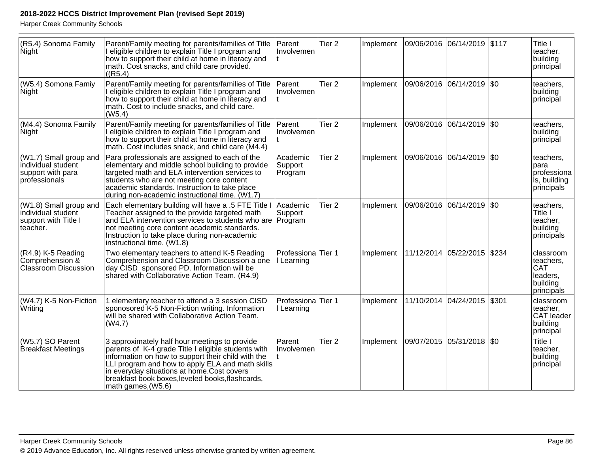| (R5.4) Sonoma Family<br>Night                                                      | Parent/Family meeting for parents/families of Title<br>I eligible children to explain Title I program and<br>how to support their child at home in literacy and<br>math. Cost snacks, and child care provided.<br>((R5.4)                                                                                                              | Parent<br>Involvemen             | Tier <sub>2</sub> | Implement | 09/06/2016 06/14/2019 |                             | \$117 | Title I<br>teacher.<br>building<br>principal                        |
|------------------------------------------------------------------------------------|----------------------------------------------------------------------------------------------------------------------------------------------------------------------------------------------------------------------------------------------------------------------------------------------------------------------------------------|----------------------------------|-------------------|-----------|-----------------------|-----------------------------|-------|---------------------------------------------------------------------|
| (W5.4) Somona Famiy<br>Night                                                       | Parent/Family meeting for parents/families of Title<br>I eligible children to explain Title I program and<br>how to support their child at home in literacy and<br>math. Cost to include snacks, and child care.<br>(W5.4)                                                                                                             | Parent<br>Involvemen             | Tier <sub>2</sub> | Implement | 09/06/2016 06/14/2019 |                             | \$0   | teachers,<br>building<br>principal                                  |
| (M4.4) Sonoma Family<br>Night                                                      | Parent/Family meeting for parents/families of Title<br>I eligible children to explain Title I program and<br>how to support their child at home in literacy and<br>math. Cost includes snack, and child care (M4.4)                                                                                                                    | Parent<br>Involvemen             | Tier <sub>2</sub> | Implement | 09/06/2016            | 06/14/2019                  | \$0   | teachers,<br>building<br>principal                                  |
| (W1,7) Small group and<br>individual student<br>support with para<br>professionals | Para professionals are assigned to each of the<br>elementary and middle school building to provide<br>targeted math and ELA intervention services to<br>students who are not meeting core content<br>academic standards. Instruction to take place<br>during non-academic instructional time. (W1.7)                                   | Academic<br>Support<br>Program   | Tier <sub>2</sub> | Implement | 09/06/2016 06/14/2019 |                             | \$0   | teachers,<br>para<br>professiona<br>is, building<br>principals      |
| (W1.8) Small group and<br>individual student<br>support with Title I<br>teacher.   | Each elementary building will have a .5 FTE Title I<br>Teacher assigned to the provide targeted math<br>and ELA intervention services to students who are<br>not meeting core content academic standards.<br>Instruction to take place during non-academic<br>instructional time. (W1.8)                                               | Academic<br>Support<br>Program   | Tier <sub>2</sub> | Implement | 09/06/2016 06/14/2019 |                             | \$0   | teachers,<br>Title I<br>teacher,<br>building<br>principals          |
| (R4.9) K-5 Reading<br>Comprehension &<br><b>Classroom Discussion</b>               | Two elementary teachers to attend K-5 Reading<br>Comprehension and Classroom Discussion a one<br>day CISD sponsored PD. Information will be<br>shared with Collaborative Action Team. (R4.9)                                                                                                                                           | Professiona Tier 1<br>I Learning |                   | Implement |                       | 11/12/2014 05/22/2015       | \$234 | classroom<br>teachers,<br>CAT<br>leaders,<br>building<br>principals |
| (W4.7) K-5 Non-Fiction<br>Writing                                                  | 1 elementary teacher to attend a 3 session CISD<br>sponosored K-5 Non-Fiction writing. Information<br>will be shared with Collaborative Action Team.<br>(W4.7)                                                                                                                                                                         | Professiona Tier 1<br>I Learning |                   | Implement |                       | 11/10/2014 04/24/2015 \$301 |       | classroom<br>teacher,<br><b>CAT</b> leader<br>building<br>principal |
| (W5.7) SO Parent<br><b>Breakfast Meetings</b>                                      | 3 approximately half hour meetings to provide<br>parents of K-4 grade Title I eligible students with<br>information on how to support their child with the<br>LLI program and how to apply ELA and math skills<br>in everyday situations at home.Cost covers<br>breakfast book boxes, leveled books, flashcards,<br>math games, (W5.6) | Parent<br>Involvemen             | Tier <sub>2</sub> | Implement | 09/07/2015            | 05/31/2018                  | \$0   | Title I<br>teacher,<br>building<br>principal                        |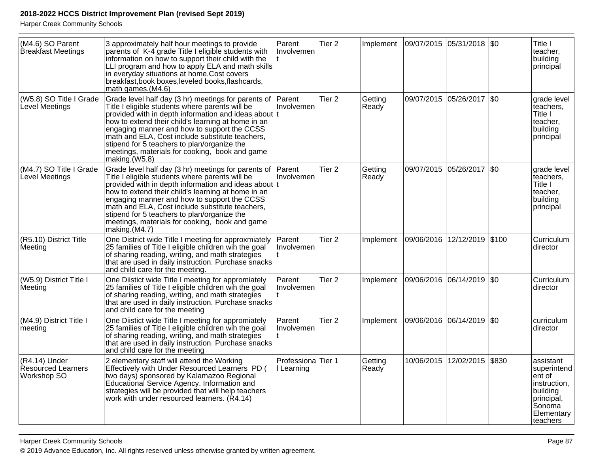| (M4.6) SO Parent<br>Breakfast Meetings             | 3 approximately half hour meetings to provide<br>parents of K-4 grade Title I eligible students with<br>information on how to support their child with the<br>LLI program and how to apply ELA and math skills<br>in everyday situations at home.Cost covers<br>breakfast, book boxes, leveled books, flashcards,<br>math games.(M4.6)                                                                                                          | Parent<br>Involvemen                        | Tier <sub>2</sub> | Implement        |            | 09/07/2015 05/31/2018 \$0   |         | Title I<br>teacher,<br>building<br>principal                                                                     |
|----------------------------------------------------|-------------------------------------------------------------------------------------------------------------------------------------------------------------------------------------------------------------------------------------------------------------------------------------------------------------------------------------------------------------------------------------------------------------------------------------------------|---------------------------------------------|-------------------|------------------|------------|-----------------------------|---------|------------------------------------------------------------------------------------------------------------------|
| (W5.8) SO Title I Grade<br>Level Meetings          | Grade level half day (3 hr) meetings for parents of Parent<br>Title I eligible students where parents will be<br>provided with in depth information and ideas about t<br>how to extend their child's learning at home in an<br>engaging manner and how to support the CCSS<br>math and ELA, Cost include substitute teachers,<br>stipend for 5 teachers to plan/organize the<br>meetings, materials for cooking, book and game<br>making.(W5.8) | Involvemen                                  | Tier <sub>2</sub> | Getting<br>Ready |            | 09/07/2015 05/26/2017       | $ $ \$0 | grade level<br>teachers.<br>Title I<br>teacher,<br>building<br>principal                                         |
| (M4.7) SO Title I Grade<br>Level Meetings          | Grade level half day (3 hr) meetings for parents of<br>Title I eligible students where parents will be<br>provided with in depth information and ideas about t<br>how to extend their child's learning at home in an<br>engaging manner and how to support the CCSS<br>math and ELA, Cost include substitute teachers,<br>stipend for 5 teachers to plan/organize the<br>meetings, materials for cooking, book and game<br>making.(M4.7)        | Parent<br>Involvemen                        | Tier <sub>2</sub> | Getting<br>Ready |            | 09/07/2015 05/26/2017       | $ $ \$0 | grade level<br>teachers,<br>Title I<br>teacher,<br>building<br>principal                                         |
| (R5.10) District Title<br>Meeting                  | One District wide Title I meeting for approxmiately<br>25 families of Title I eligible children win the goal<br>of sharing reading, writing, and math strategies<br>that are used in daily instruction. Purchase snacks<br>and child care for the meeting.                                                                                                                                                                                      | Parent<br>Ilnvolvemen                       | Tier <sub>2</sub> | Implement        |            | 09/06/2016 12/12/2019       | \$100   | Curriculum<br>director                                                                                           |
| (W5.9) District Title I<br>Meeting                 | One Diistict wide Title I meeting for appromiately<br>25 families of Title I eligible children wih the goal<br>of sharing reading, writing, and math strategies<br>that are used in daily instruction. Purchase snacks<br>and child care for the meeting                                                                                                                                                                                        | Parent<br>Involvemen                        | Tier <sub>2</sub> | Implement        |            | 09/06/2016  06/14/2019  \$0 |         | Curriculum<br>director                                                                                           |
| (M4.9) District Title I<br>meeting                 | One Diistict wide Title I meeting for appromiately<br>25 families of Title I eligible children win the goal<br>of sharing reading, writing, and math strategies<br>that are used in daily instruction. Purchase snacks<br>and child care for the meeting                                                                                                                                                                                        | Parent<br>Involvemen                        | Tier 2            | Implement        |            | 09/06/2016 06/14/2019 \$0   |         | curriculum<br>director                                                                                           |
| (R4.14) Under<br>Resourced Learners<br>Workshop SO | 2 elementary staff will attend the Working<br>Effectively with Under Resourced Learners PD (<br>two days) sponsored by Kalamazoo Regional<br>Educational Service Agency. Information and<br>strategies will be provided that will help teachers<br>work with under resourced learners. (R4.14)                                                                                                                                                  | Professiona <sup>Tier</sup> 1<br>I Learning |                   | Getting<br>Ready | 10/06/2015 | 12/02/2015                  | \$830   | assistant<br>superintend<br>ent of<br>instruction,<br>building<br>principal,<br>Sonoma<br>Elementary<br>teachers |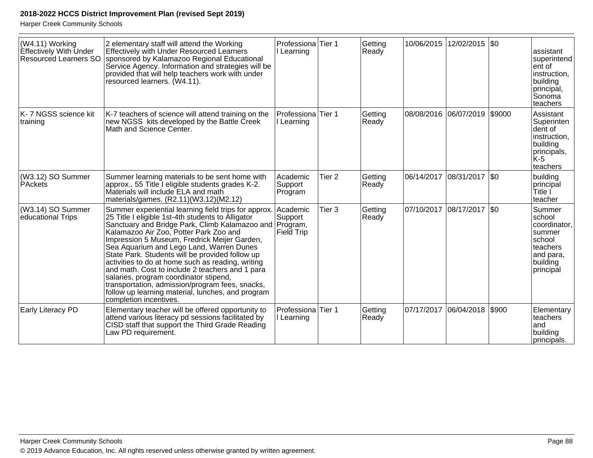| (W4.11) Working<br>Effectively With Under<br>Resourced Learners SO | 2 elementary staff will attend the Working<br><b>Effectively with Under Resourced Learners</b><br>sponsored by Kalamazoo Regional Educational<br>Service Agency. Information and strategies will be<br>provided that will help teachers work with under<br>resourced learners. (W4.11).                                                                                                                                                                                                                                                                                                                                                  | Professiona Tier 1<br>Learning                |                   | Getting<br>Ready | 10/06/2015 | 12/02/2015 \\$0 |        | assistant<br>superintend<br>ent of<br>instruction,<br>building<br>principal,<br>Sonoma<br>teachers      |
|--------------------------------------------------------------------|------------------------------------------------------------------------------------------------------------------------------------------------------------------------------------------------------------------------------------------------------------------------------------------------------------------------------------------------------------------------------------------------------------------------------------------------------------------------------------------------------------------------------------------------------------------------------------------------------------------------------------------|-----------------------------------------------|-------------------|------------------|------------|-----------------|--------|---------------------------------------------------------------------------------------------------------|
| K-7 NGSS science kit<br>training                                   | K-7 teachers of science will attend training on the<br>new NGSS kits developed by the Battle Creek<br>Math and Science Center.                                                                                                                                                                                                                                                                                                                                                                                                                                                                                                           | Professiona Tier 1<br>I Learning              |                   | Getting<br>Ready | 08/08/2016 | 06/07/2019      | \$9000 | Assistant<br>Superinten<br>dent of<br>instruction,<br>building<br>principals,<br>K-5<br>teachers        |
| (W3.12) SO Summer<br>PAckets                                       | Summer learning materials to be sent home with<br>approx 55 Title I eligible students grades K-2.<br>Materials will include ELA and math<br>materials/games. (R2.11)(W3.12)(M2.12)                                                                                                                                                                                                                                                                                                                                                                                                                                                       | Academic<br>Support<br>Program                | Tier <sub>2</sub> | Getting<br>Ready | 06/14/2017 | 08/31/2017      | \$0    | building<br>principal<br>Title l<br>teacher                                                             |
| (W3.14) SO Summer<br>educational Trips                             | Summer experiential learning field trips for approx.<br>25 Title I eligible 1st-4th students to Alligator<br>Sanctuary and Bridge Park, Climb Kalamazoo and<br>Kalamazoo Air Zoo, Potter Park Zoo and<br>Impression 5 Museum, Fredrick Meijer Garden,<br>Sea Aquarium and Lego Land, Warren Dunes<br>State Park. Students will be provided follow up<br>activities to do at home such as reading, writing<br>and math. Cost to include 2 teachers and 1 para<br>salaries, program coordinator stipend,<br>transportation, admission/program fees, snacks,<br>follow up learning material, lunches, and program<br>completion incentives. | Academic<br>Support<br>Program,<br>Field Trip | Tier <sub>3</sub> | Getting<br>Ready | 07/10/2017 | 08/17/2017      | \$0    | Summer<br>school<br>coordinator,<br>summer<br>school<br>lteachers<br>and para,<br>building<br>principal |
| <b>Early Literacy PD</b>                                           | Elementary teacher will be offered opportunity to<br>attend various literacy pd sessions facilitated by<br>CISD staff that support the Third Grade Reading<br>Law PD requirement.                                                                                                                                                                                                                                                                                                                                                                                                                                                        | Professiona<br>I Learning                     | Tier 1            | Getting<br>Ready | 07/17/2017 | 06/04/2018      | \$900  | Elementary<br>teachers<br>land<br>building<br>principals.                                               |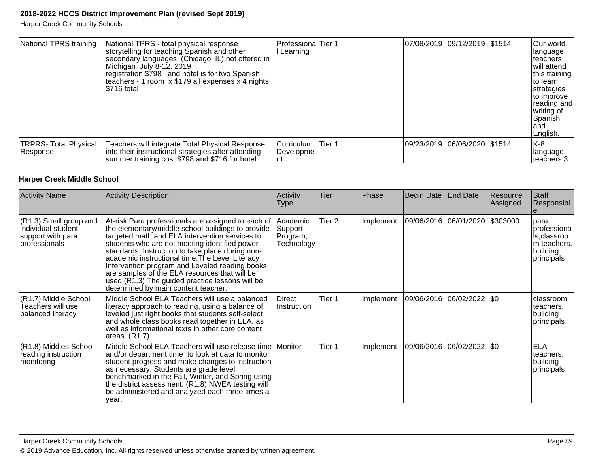Harper Creek Community Schools

| National TPRS training                    | National TPRS - total physical response<br>storytelling for teaching Spanish and other<br>secondary languages (Chicago, IL) not offered in<br>Michigan July 8-12, 2019<br>registration \$798 and hotel is for two Spanish<br>teachers - 1 room x \$179 all expenses x 4 nights<br>I\$716 total | Professiona Tier 1<br>Learning |         |            | 07/08/2019 09/12/2019 \$1514 | Our world<br>language<br>Iteachers<br>will attend<br>this training<br>Ito learn<br>strategies<br>to improve<br>reading and<br>writing of<br>Spanish<br>land<br>English. |
|-------------------------------------------|------------------------------------------------------------------------------------------------------------------------------------------------------------------------------------------------------------------------------------------------------------------------------------------------|--------------------------------|---------|------------|------------------------------|-------------------------------------------------------------------------------------------------------------------------------------------------------------------------|
| <b>TRPRS- Total Physical</b><br>∣Response | Teachers will integrate Total Physical Response<br>into their instructional strategies after attending<br>summer training cost \$798 and \$716 for hotel                                                                                                                                       | Curriculum<br>Developme<br>nt  | lTier 1 | 09/23/2019 | 06/06/2020   \$1514          | K-8<br>Ianguage<br>lteachers 3                                                                                                                                          |

#### **Harper Creek Middle School**

| <b>Activity Name</b>                                                                | <b>Activity Description</b>                                                                                                                                                                                                                                                                                                                                                                                                                                                                                    | Activity<br>Type                              | Tier   | Phase     | Begin Date | <b>End Date</b>                | Resource<br>Assigned | Staff<br>Responsibl                                                         |
|-------------------------------------------------------------------------------------|----------------------------------------------------------------------------------------------------------------------------------------------------------------------------------------------------------------------------------------------------------------------------------------------------------------------------------------------------------------------------------------------------------------------------------------------------------------------------------------------------------------|-----------------------------------------------|--------|-----------|------------|--------------------------------|----------------------|-----------------------------------------------------------------------------|
| (R1.3) Small group and<br>lindividual student<br>support with para<br>professionals | At-risk Para professionals are assigned to each of<br>the elementary/middle school buildings to provide<br>targeted math and ELA intervention services to<br>students who are not meeting identified power<br>standards. Instruction to take place during non-<br>academic instructional time. The Level Literacy<br>Intervention program and Leveled reading books<br>are samples of the ELA resources that will be<br>used.(R1.3) The guided practice lessons will be<br>determined by main content teacher. | Academic<br>Support<br>Program,<br>Technology | Tier 2 | Implement |            | 09/06/2016 06/01/2020 \$303000 |                      | para<br>professiona<br>ls,classroo<br>m teachers,<br>building<br>principals |
| (R1.7) Middle School<br>Teachers will use<br>balanced literacy                      | Middle School ELA Teachers will use a balanced<br>literacy approach to reading, using a balance of<br>leveled just right books that students self-select<br>and whole class books read together in ELA, as<br>well as informational texts in other core content<br>areas. (R1.7)                                                                                                                                                                                                                               | <b>Direct</b><br>Instruction                  | Tier 1 | Implement |            | 09/06/2016 06/02/2022  \$0     |                      | classroom<br>teachers,<br>building<br>principals                            |
| (R1.8) Middles School<br>reading instruction<br>monitoring                          | Middle School ELA Teachers will use release time<br>and/or department time to look at data to monitor<br>student progress and make changes to instruction<br>as necessary. Students are grade level<br>benchmarked in the Fall, Winter, and Spring using<br>the district assessment. (R1.8) NWEA testing will<br>be administered and analyzed each three times a<br>year.                                                                                                                                      | Monitor                                       | Tier 1 | Implement |            | 09/06/2016 06/02/2022 \$0      |                      | <b>ELA</b><br>teachers,<br>building<br>principals                           |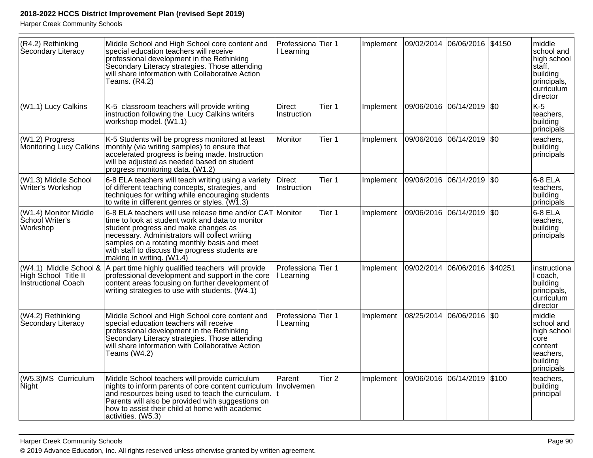| (R4.2) Rethinking<br>Secondary Literacy                                      | Middle School and High School core content and<br>special education teachers will receive<br>professional development in the Rethinking<br>Secondary Literacy strategies. Those attending<br>will share information with Collaborative Action<br>Teams. (R4.2)                                                                          | Professiona Tier 1<br>I Learning            |                   | Implement |            | 09/02/2014 06/06/2016 \$4150 |           | middle<br>school and<br>high school<br>staff,<br>building<br>principals,<br>curriculum<br>director |
|------------------------------------------------------------------------------|-----------------------------------------------------------------------------------------------------------------------------------------------------------------------------------------------------------------------------------------------------------------------------------------------------------------------------------------|---------------------------------------------|-------------------|-----------|------------|------------------------------|-----------|----------------------------------------------------------------------------------------------------|
| (W1.1) Lucy Calkins                                                          | K-5 classroom teachers will provide writing<br>instruction following the Lucy Calkins writers<br>workshop model. (W1.1)                                                                                                                                                                                                                 | <b>Direct</b><br>Instruction                | Tier 1            | Implement |            | 09/06/2016 06/14/2019        | <b>SO</b> | $K-5$<br>teachers,<br>building<br>principals                                                       |
| (W1.2) Progress<br>Monitoring Lucy Calkins                                   | K-5 Students will be progress monitored at least<br>monthly (via writing samples) to ensure that<br>accelerated progress is being made. Instruction<br>will be adjusted as needed based on student<br>progress monitoring data. (W1.2)                                                                                                  | Monitor                                     | Tier 1            | Implement |            | 09/06/2016 06/14/2019        | \$0       | teachers,<br>building<br>principals                                                                |
| (W1.3) Middle School<br>Writer's Workshop                                    | 6-8 ELA teachers will teach writing using a variety<br>of different teaching concepts, strategies, and<br>techniques for writing while encouraging students<br>to write in different genres or styles. (W1.3)                                                                                                                           | <b>Direct</b><br>Instruction                | Tier 1            | Implement |            | 09/06/2016 06/14/2019 \$0    |           | 6-8 ELA<br>teachers,<br>building<br>principals                                                     |
| (W1.4) Monitor Middle<br>School Writer's<br>Workshop                         | 6-8 ELA teachers will use release time and/or CAT Monitor<br>time to look at student work and data to monitor<br>student progress and make changes as<br>necessary. Administrators will collect writing<br>samples on a rotating monthly basis and meet<br>with staff to discuss the progress students are<br>making in writing. (W1.4) |                                             | Tier 1            | Implement |            | 09/06/2016 06/14/2019        | <b>SO</b> | 6-8 ELA<br>teachers,<br>building<br>principals                                                     |
| (W4.1) Middle School &<br>High School Title II<br><b>Instructional Coach</b> | A part time highly qualified teachers will provide<br>professional development and support in the core<br>content areas focusing on further development of<br>writing strategies to use with students. (W4.1)                                                                                                                           | Professiona Tier 1<br>I Learning            |                   | Implement |            | 09/02/2014 06/06/2016        | \$40251   | instructiona<br>I coach,<br>building<br>principals,<br>curriculum<br>director                      |
| (W4.2) Rethinking<br>Secondary Literacy                                      | Middle School and High School core content and<br>special education teachers will receive<br>professional development in the Rethinking<br>Secondary Literacy strategies. Those attending<br>will share information with Collaborative Action<br>Teams (W4.2)                                                                           | Professiona <sup>Tier</sup> 1<br>I Learning |                   | Implement | 08/25/2014 | 06/06/2016 \$0               |           | middle<br>school and<br>high school<br>core<br>content<br>teachers.<br>building<br>principals      |
| (W5.3)MS Curriculum<br>Night                                                 | Middle School teachers will provide curriculum<br>nights to inform parents of core content curriculum<br>and resources being used to teach the curriculum.<br>Parents will also be provided with suggestions on<br>how to assist their child at home with academic<br>activities. (W5.3)                                                | Parent<br>Involvemen                        | Tier <sub>2</sub> | Implement | 09/06/2016 | 06/14/2019                   | \$100     | teachers,<br>building<br>principal                                                                 |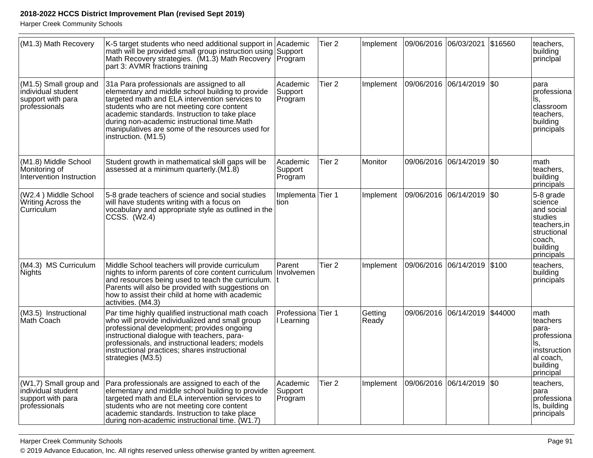Harper Creek Community Schools

| (M1.3) Math Recovery                                                               | K-5 target students who need additional support in<br>math will be provided small group instruction using Support<br>Math Recovery strategies. (M1.3) Math Recovery<br>part 3: AVMR fractions training                                                                                                                                                                   | Academic<br>Program                         | Tier <sub>2</sub> | Implement        | 09/06/2016  06/03/2021  \$16560 |                               | teachers,<br>building<br>principal                                                                               |
|------------------------------------------------------------------------------------|--------------------------------------------------------------------------------------------------------------------------------------------------------------------------------------------------------------------------------------------------------------------------------------------------------------------------------------------------------------------------|---------------------------------------------|-------------------|------------------|---------------------------------|-------------------------------|------------------------------------------------------------------------------------------------------------------|
| (M1.5) Small group and<br>individual student<br>support with para<br>professionals | 31a Para professionals are assigned to all<br>elementary and middle school building to provide<br>targeted math and ELA intervention services to<br>students who are not meeting core content<br>academic standards. Instruction to take place<br>during non-academic instructional time.Math<br>manipulatives are some of the resources used for<br>instruction. (M1.5) | Academic<br>Support<br>Program              | Tier <sub>2</sub> | Implement        | 09/06/2016 06/14/2019 \$0       |                               | para<br>professiona<br>ls.<br>classroom<br>teachers,<br>building<br>principals                                   |
| (M1.8) Middle School<br>Monitoring of<br>Intervention Instruction                  | Student growth in mathematical skill gaps will be<br>assessed at a minimum quarterly. (M1.8)                                                                                                                                                                                                                                                                             | Academic<br>Support<br>Program              | Tier 2            | <b>Monitor</b>   |                                 | 09/06/2016 06/14/2019 \$0     | math<br>teachers,<br>building<br>principals                                                                      |
| (W2.4) Middle School<br>Writing Across the<br>Curriculum                           | 5-8 grade teachers of science and social studies<br>will have students writing with a focus on<br>vocabulary and appropriate style as outlined in the<br>CCSS. (W2.4)                                                                                                                                                                                                    | Implementa Tier 1<br>tion                   |                   | Implement        | 09/06/2016                      | 06/14/2019 \$0                | 5-8 grade<br>science<br>and social<br>studies<br>teachers, in<br>structional<br>coach,<br>building<br>principals |
| (M4.3) MS Curriculum<br><b>Nights</b>                                              | Middle School teachers will provide curriculum<br>nights to inform parents of core content curriculum<br>and resources being used to teach the curriculum.<br>Parents will also be provided with suggestions on<br>how to assist their child at home with academic<br>activities. (M4.3)                                                                                 | Parent<br>Involvemen                        | Tier <sub>2</sub> | Implement        | 09/06/2016 06/14/2019 \$100     |                               | teachers,<br>building<br>principals                                                                              |
| (M3.5) Instructional<br>Math Coach                                                 | Par time highly qualified instructional math coach<br>who will provide individualized and small group<br>professional development; provides ongoing<br>instructional dialogue with teachers, para-<br>professionals, and instructional leaders; models<br>instructional practices; shares instructional<br>strategies (M3.5)                                             | Professiona <sup>Tier</sup> 1<br>I Learning |                   | Getting<br>Ready |                                 | 09/06/2016 06/14/2019 \$44000 | math<br>teachers<br>para-<br>professiona<br>Is.<br>instsruction<br>al coach,<br>building<br>principal            |
| (W1,7) Small group and<br>individual student<br>support with para<br>professionals | Para professionals are assigned to each of the<br>elementary and middle school building to provide<br>targeted math and ELA intervention services to<br>students who are not meeting core content<br>academic standards. Instruction to take place<br>during non-academic instructional time. (W1.7)                                                                     | Academic<br>Support<br>Program              | Tier <sub>2</sub> | Implement        | 09/06/2016  06/14/2019  \$0     |                               | teachers,<br>para<br>professiona<br>is, building<br>principals                                                   |

© 2019 Advance Education, Inc. All rights reserved unless otherwise granted by written agreement.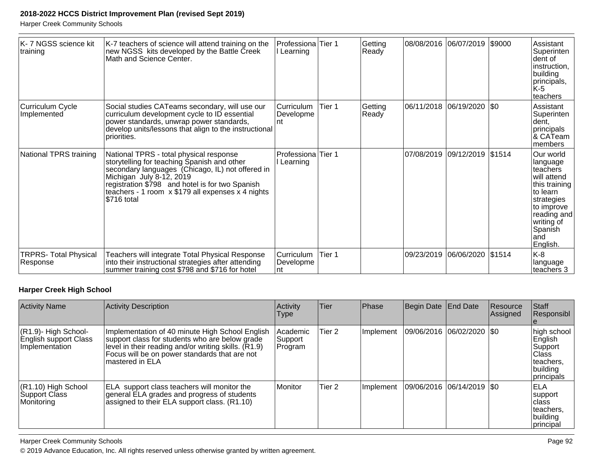Harper Creek Community Schools

| K-7 NGSS science kit<br> training        | K-7 teachers of science will attend training on the<br>new NGSS kits developed by the Battle Creek<br>Math and Science Center.                                                                                                                                                                | Professiona<br>l Learning       | lTier 1 | Getting<br>Ready | 08/08/2016  06/07/2019       | \$9000 | Assistant<br>Superinten<br>dent of<br>instruction,<br>building<br>principals,<br>K-5<br>teachers                                                                      |
|------------------------------------------|-----------------------------------------------------------------------------------------------------------------------------------------------------------------------------------------------------------------------------------------------------------------------------------------------|---------------------------------|---------|------------------|------------------------------|--------|-----------------------------------------------------------------------------------------------------------------------------------------------------------------------|
| Curriculum Cycle<br>Implemented          | Social studies CATeams secondary, will use our<br>curriculum development cycle to ID essential<br>power standards, unwrap power standards,<br>develop units/lessons that align to the instructional<br>priorities.                                                                            | lCurriculum<br>Developme<br>Int | Tier 1  | Getting<br>Ready | 06/11/2018 06/19/2020 \$0    |        | Assistant<br>Superinten<br>dent,<br>principals<br>& CATeam<br>members                                                                                                 |
| National TPRS training                   | National TPRS - total physical response<br>storytelling for teaching Spanish and other<br>secondary languages (Chicago, IL) not offered in<br>Michigan July 8-12, 2019<br>registration \$798 and hotel is for two Spanish<br>teachers - 1 room x \$179 all expenses x 4 nights<br>\$716 total | Professiona<br>Learning         | Tier 1  |                  | 07/08/2019 09/12/2019 \$1514 |        | Our world<br>language<br>teachers<br>will attend<br>this training<br>to learn<br>strategies<br>to improve<br>reading and<br>writing of<br>Spanish<br>land<br>English. |
| <b>TRPRS- Total Physical</b><br>Response | Teachers will integrate Total Physical Response<br>into their instructional strategies after attending<br>summer training cost \$798 and \$716 for hotel                                                                                                                                      | Curriculum<br>Developme<br>Int  | Tier 1  |                  | 09/23/2019 06/06/2020        | \$1514 | K-8<br> language<br>teachers 3                                                                                                                                        |

# **Harper Creek High School**

| <b>Activity Name</b>                                               | <b>Activity Description</b>                                                                                                                                                                                                   | Activity<br>Type                 | Tier   | Phase     | Begin Date End Date         | Resource<br>Assigned | <b>Staff</b><br>Responsibl                                                           |
|--------------------------------------------------------------------|-------------------------------------------------------------------------------------------------------------------------------------------------------------------------------------------------------------------------------|----------------------------------|--------|-----------|-----------------------------|----------------------|--------------------------------------------------------------------------------------|
| $(R1.9)$ - High School-<br>English support Class<br>Implementation | Implementation of 40 minute High School English<br>support class for students who are below grade<br>level in their reading and/or writing skills. (R1.9)<br>Focus will be on power standards that are not<br>mastered in ELA | l Academic<br>Support<br>Program | Tier 2 | Implement | 09/06/2016  06/02/2020  \$0 |                      | high school<br>English<br>Support<br>lClass<br>Iteachers.<br>building<br> principals |
| $(R1.10)$ High School<br><b>Support Class</b><br>Monitoring        | ELA support class teachers will monitor the<br>general ELA grades and progress of students<br>assigned to their ELA support class. (R1.10)                                                                                    | Monitor                          | Tier 2 | Implement | 09/06/2016 06/14/2019 \$0   |                      | <b>ELA</b><br>support<br>Iclass<br>lteachers.<br>building<br>principal               |

Harper Creek Community Schools

© 2019 Advance Education, Inc. All rights reserved unless otherwise granted by written agreement.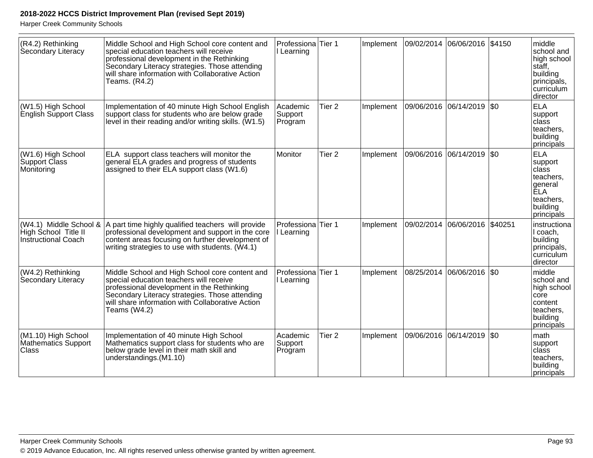| (R4.2) Rethinking<br>Secondary Literacy                               | Middle School and High School core content and<br>special education teachers will receive<br>professional development in the Rethinking<br>Secondary Literacy strategies. Those attending<br>will share information with Collaborative Action<br>Teams. (R4.2) | Professiona Tier 1<br>I Learning |                   | Implement | 09/02/2014 06/06/2016 \$4150 |                               | middle<br>school and<br>high school<br>stăff.<br>building<br>principals,<br>curriculum<br>director     |
|-----------------------------------------------------------------------|----------------------------------------------------------------------------------------------------------------------------------------------------------------------------------------------------------------------------------------------------------------|----------------------------------|-------------------|-----------|------------------------------|-------------------------------|--------------------------------------------------------------------------------------------------------|
| (W1.5) High School<br>English Support Class                           | Implementation of 40 minute High School English<br>support class for students who are below grade<br>level in their reading and/or writing skills. (W1.5)                                                                                                      | Academic<br>Support<br>Program   | Tier <sub>2</sub> | Implement | 09/06/2016  06/14/2019  \$0  |                               | <b>ELA</b><br>support<br>class<br>teachers,<br>building<br>principals                                  |
| (W1.6) High School<br>Support Class<br>Monitoring                     | ELA support class teachers will monitor the<br>general ELA grades and progress of students<br>assigned to their ELA support class (W1.6)                                                                                                                       | Monitor                          | Tier <sub>2</sub> | Implement |                              | 09/06/2016 06/14/2019  \$0    | <b>ELA</b><br>support<br> class<br>teachers,<br>general<br> ĔLA<br>teachers,<br>building<br>principals |
| (W4.1) Middle School &<br>High School Title II<br>Instructional Coach | A part time highly qualified teachers will provide<br>professional development and support in the core<br>content areas focusing on further development of<br>writing strategies to use with students. (W4.1)                                                  | Professiona Tier 1<br>I Learning |                   | Implement |                              | 09/02/2014 06/06/2016 \$40251 | instructiona<br>l coach,<br>building<br>principals,<br>curriculum<br>director                          |
| (W4.2) Rethinking<br>Secondary Literacy                               | Middle School and High School core content and<br>special education teachers will receive<br>professional development in the Rethinking<br>Secondary Literacy strategies. Those attending<br>will share information with Collaborative Action<br>Teams (W4.2)  | Professiona Tier 1<br>I Learning |                   | Implement | 08/25/2014                   | 06/06/2016   \$0              | middle<br>school and<br>high school<br>core<br>content<br>teachers,<br>building<br>principals          |
| (M1.10) High School<br>Mathematics Support<br>Class                   | Implementation of 40 minute High School<br>Mathematics support class for students who are<br>below grade level in their math skill and<br>understandings.(M1.10)                                                                                               | Academic<br>Support<br>Program   | Tier <sub>2</sub> | Implement | 09/06/2016 06/14/2019  \$0   |                               | Imath<br>support<br>lclass<br>teachers,<br>building<br>principals                                      |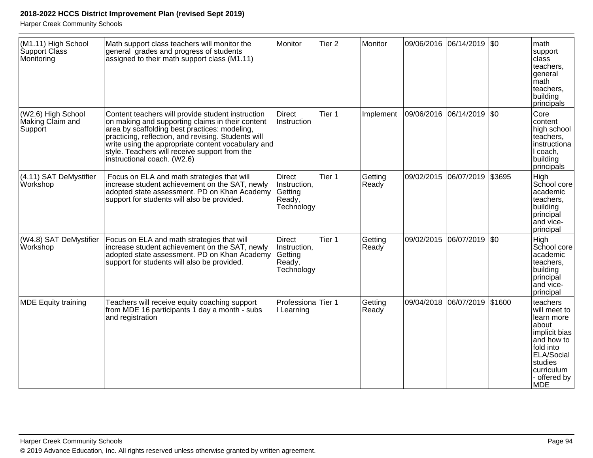| (M1.11) High School<br>Support Class<br>Monitoring | Math support class teachers will monitor the<br>general grades and progress of students<br>assigned to their math support class (M1.11)                                                                                                                                                                                                             | Monitor                                                          | Tier <sub>2</sub> | Monitor          |                           | 09/06/2016 06/14/2019 \$0    | math<br>support<br>class<br>teachers,<br>general<br>math<br>teachers,<br>building                                                                                 |
|----------------------------------------------------|-----------------------------------------------------------------------------------------------------------------------------------------------------------------------------------------------------------------------------------------------------------------------------------------------------------------------------------------------------|------------------------------------------------------------------|-------------------|------------------|---------------------------|------------------------------|-------------------------------------------------------------------------------------------------------------------------------------------------------------------|
| (W2.6) High School<br>Making Claim and<br>Support  | Content teachers will provide student instruction<br>on making and supporting claims in their content<br>area by scaffolding best practices: modeling,<br>practicing, reflection, and revising. Students will<br>write using the appropriate content vocabulary and<br>style. Teachers will receive support from the<br>instructional coach. (W2.6) | <b>Direct</b><br>Instruction                                     | Tier 1            | Implement        | 09/06/2016 06/14/2019 \$0 |                              | principals<br>Core<br>content<br>high school<br>teachers,<br>instructiona<br>I coach,<br>building<br>principals                                                   |
| (4.11) SAT DeMystifier<br>Workshop                 | Focus on ELA and math strategies that will<br>increase student achievement on the SAT, newly<br>adopted state assessment. PD on Khan Academy<br>support for students will also be provided.                                                                                                                                                         | <b>Direct</b><br>Instruction,<br>Getting<br>Ready,<br>Technology | Tier 1            | Getting<br>Ready | 09/02/2015                | 06/07/2019 \$3695            | High<br>School core<br>academic<br>teachers,<br>building<br>principal<br>and vice-<br>principal                                                                   |
| (W4.8) SAT DeMystifier<br><b>Workshop</b>          | Focus on ELA and math strategies that will<br>increase student achievement on the SAT, newly<br>adopted state assessment. PD on Khan Academy<br>support for students will also be provided.                                                                                                                                                         | <b>Direct</b><br>Instruction,<br>Getting<br>Ready,<br>Technology | Tier 1            | Getting<br>Ready |                           | 09/02/2015 06/07/2019 \$0    | High<br>School core<br>academic<br>teachers,<br>building<br>principal<br>and vice-<br>principal                                                                   |
| <b>MDE Equity training</b>                         | Teachers will receive equity coaching support<br>from MDE 16 participants 1 day a month - subs<br>and registration                                                                                                                                                                                                                                  | Professiona <sup>Tier</sup> 1<br>I Learning                      |                   | Getting<br>Ready |                           | 09/04/2018 06/07/2019 \$1600 | teachers<br>will meet to<br>learn more<br>about<br>implicit bias<br>and how to<br>fold into<br>ELA/Social<br>studies<br>curriculum<br>- offered by<br><b>IMDE</b> |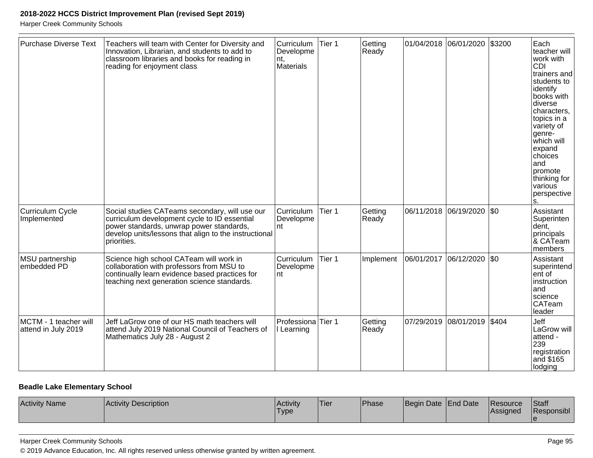Harper Creek Community Schools

| Purchase Diverse Text                        | Teachers will team with Center for Diversity and<br>Innovation, Librarian, and students to add to<br>classroom libraries and books for reading in<br>reading for enjoyment class                                   | Curriculum<br>Developme<br>Int.<br>Materials | Tier 1 | Getting<br>Ready |            | 01/04/2018  06/01/2020  \$3200 |     | Each<br>teacher will<br>work with<br><b>CDI</b><br>trainers and<br>students to<br>identify<br>books with<br>diverse<br>characters,<br>topics in a<br>variety of<br>genre-<br>which will<br>expand<br>choices<br>and<br>promote<br>thinking for<br>various<br>perspective |
|----------------------------------------------|--------------------------------------------------------------------------------------------------------------------------------------------------------------------------------------------------------------------|----------------------------------------------|--------|------------------|------------|--------------------------------|-----|--------------------------------------------------------------------------------------------------------------------------------------------------------------------------------------------------------------------------------------------------------------------------|
| Curriculum Cycle<br>Implemented              | Social studies CATeams secondary, will use our<br>curriculum development cycle to ID essential<br>power standards, unwrap power standards,<br>develop units/lessons that align to the instructional<br>priorities. | Curriculum<br>Developme<br>nt                | Tier 1 | Getting<br>Ready |            | 06/11/2018 06/19/2020          | \$0 | Assistant<br>Superinten<br>dent,<br>principals<br>& CATeam<br>members                                                                                                                                                                                                    |
| MSU partnership<br>embedded PD               | Science high school CATeam will work in<br>collaboration with professors from MSU to<br>continually learn evidence based practices for<br>teaching next generation science standards.                              | Curriculum<br>Developme<br>nt                | Tier 1 | Implement        | 06/01/2017 | 06/12/2020 \\$0                |     | Assistant<br>superintend<br>ent of<br>instruction<br>and<br>science<br><b>CATeam</b><br>leader                                                                                                                                                                           |
| MCTM - 1 teacher will<br>attend in July 2019 | Jeff LaGrow one of our HS math teachers will<br>attend July 2019 National Council of Teachers of<br>Mathematics July 28 - August 2                                                                                 | Professiona Tier 1<br>I Learning             |        | Getting<br>Ready |            | 07/29/2019 08/01/2019 \$404    |     | Jeff<br>LaGrow will<br>attend -<br>239<br>registration<br>and \$165<br>lodging                                                                                                                                                                                           |

#### **Beadle Lake Elementary School**

| <b>Activity Name</b><br><b>Activity Description</b> | Activity<br>'Type | 'Tier | Phase | 'Beain | Date End Date | <b>Resource</b><br>lAssianed | Staff<br>Responsibl |
|-----------------------------------------------------|-------------------|-------|-------|--------|---------------|------------------------------|---------------------|
|-----------------------------------------------------|-------------------|-------|-------|--------|---------------|------------------------------|---------------------|

#### Harper Creek Community Schools

© 2019 Advance Education, Inc. All rights reserved unless otherwise granted by written agreement.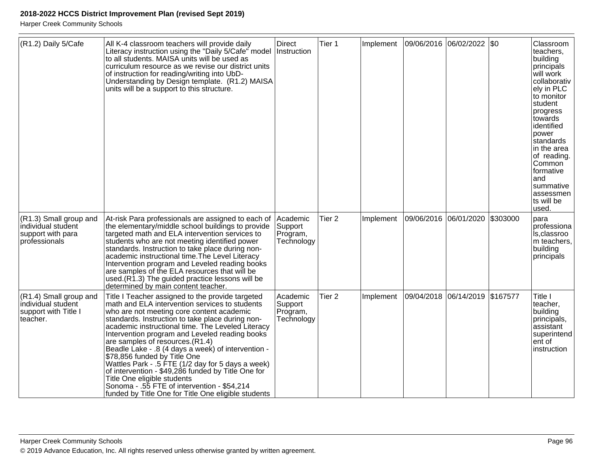| (R1.2) Daily 5/Cafe                                                                | All K-4 classroom teachers will provide daily<br>Literacy instruction using the "Daily 5/Cafe" model<br>to all students. MAISA units will be used as<br>curriculum resource as we revise our district units<br>of instruction for reading/writing into UbD-<br>Understanding by Design template. (R1.2) MAISA<br>units will be a support to this structure.                                                                                                                                                                                                                                                                                                                          | <b>Direct</b><br>Instruction                  | Tier 1            | Implement |                       | 09/06/2016  06/02/2022  \$0    |          | Classroom<br>teachers.<br>building<br>principals<br>will work<br>collaborativ<br>ely in PLC<br>to monitor<br>student<br>progress<br>towards<br>identified<br>power<br>standards<br>in the area<br>of reading.<br>Common<br>formative<br>and<br>summative<br>assessmen<br>ts will be<br>used. |
|------------------------------------------------------------------------------------|--------------------------------------------------------------------------------------------------------------------------------------------------------------------------------------------------------------------------------------------------------------------------------------------------------------------------------------------------------------------------------------------------------------------------------------------------------------------------------------------------------------------------------------------------------------------------------------------------------------------------------------------------------------------------------------|-----------------------------------------------|-------------------|-----------|-----------------------|--------------------------------|----------|----------------------------------------------------------------------------------------------------------------------------------------------------------------------------------------------------------------------------------------------------------------------------------------------|
| (R1.3) Small group and<br>individual student<br>support with para<br>professionals | At-risk Para professionals are assigned to each of<br>the elementary/middle school buildings to provide<br>targeted math and ELA intervention services to<br>students who are not meeting identified power<br>standards. Instruction to take place during non-<br>academic instructional time. The Level Literacy<br>Intervention program and Leveled reading books<br>are samples of the ELA resources that will be<br>used. (R1.3) The guided practice lessons will be<br>determined by main content teacher.                                                                                                                                                                      | Academic<br>Support<br>Program,<br>Technology | Tier <sub>2</sub> | Implement | 09/06/2016 06/01/2020 |                                | \$303000 | para<br>professiona<br>Is, classroo<br>m teachers,<br>building<br>principals                                                                                                                                                                                                                 |
| (R1.4) Small group and<br>individual student<br>support with Title I<br>teacher.   | Title I Teacher assigned to the provide targeted<br>math and ELA intervention services to students<br>who are not meeting core content academic<br>standards. Instruction to take place during non-<br>academic instructional time. The Leveled Literacy<br>Intervention program and Leveled reading books<br>are samples of resources. (R1.4)<br>Beadle Lake - .8 (4 days a week) of intervention -<br>\$78,856 funded by Title One<br>Wattles Park - .5 FTE (1/2 day for 5 days a week)<br>of intervention - \$49,286 funded by Title One for<br>Title One eligible students<br>Sonoma - .55 FTE of intervention - \$54,214<br>funded by Title One for Title One eligible students | Academic<br>Support<br>Program,<br>Technology | Tier <sub>2</sub> | Implement |                       | 09/04/2018 06/14/2019 \$167577 |          | Title I<br>teacher.<br>building<br>principals,<br>assistant<br>superintend<br>ent of<br>Instruction                                                                                                                                                                                          |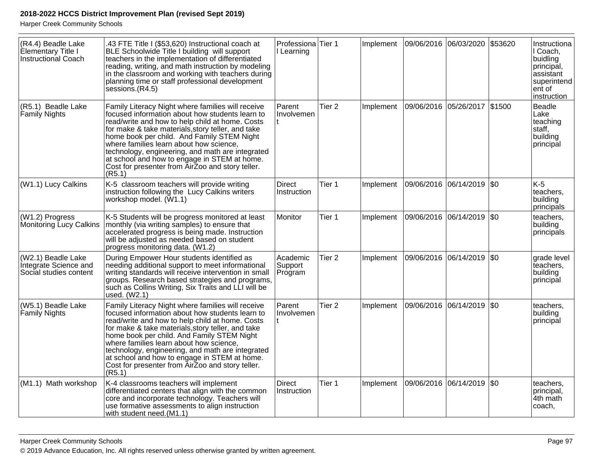| (R4.4) Beadle Lake<br>Elementary Title I<br>Instructional Coach       | .43 FTE Title I (\$53,620) Instructional coach at<br>BLE Schoolwide Title I building will support<br>teachers in the implementation of differentiated<br>reading, writing, and math instruction by modeling<br>in the classroom and working with teachers during<br>planning time or staff professional development<br>sessions.(R4.5)                                                                                                                                  | Professiona Tier 1<br>I Learning |                   | Implement | 09/06/2016 06/03/2020        | \$53620     | Instructiona<br>I Coach,<br>buidling<br>principal,<br>assistant<br>superintend<br>ent of<br>instruction |
|-----------------------------------------------------------------------|-------------------------------------------------------------------------------------------------------------------------------------------------------------------------------------------------------------------------------------------------------------------------------------------------------------------------------------------------------------------------------------------------------------------------------------------------------------------------|----------------------------------|-------------------|-----------|------------------------------|-------------|---------------------------------------------------------------------------------------------------------|
| (R5.1) Beadle Lake<br>Family Nights                                   | Family Literacy Night where families will receive<br>focused information about how students learn to<br>read/write and how to help child at home. Costs<br>for make & take materials, story teller, and take<br>home book per child. And Family STEM Night<br>where families learn about how science,<br>technology, engineering, and math are integrated<br>at school and how to engage in STEM at home.<br>Cost for presenter from AirZoo and story teller.<br>(R5.1) | Parent<br>Involvemen             | Tier <sub>2</sub> | Implement | 09/06/2016 05/26/2017 \$1500 |             | <b>Beadle</b><br>Lake<br>teaching<br>staff,<br>building<br>principal                                    |
| (W1.1) Lucy Calkins                                                   | K-5 classroom teachers will provide writing<br>instruction following the Lucy Calkins writers<br>workshop model. (W1.1)                                                                                                                                                                                                                                                                                                                                                 | <b>Direct</b><br>Instruction     | Tier 1            | Implement | 09/06/2016 06/14/2019        | \$0         | $K-5$<br>teachers,<br>building<br>principals                                                            |
| (W1.2) Progress<br>Monitoring Lucy Calkins                            | K-5 Students will be progress monitored at least<br>monthly (via writing samples) to ensure that<br>accelerated progress is being made. Instruction<br>will be adjusted as needed based on student<br>progress monitoring data. (W1.2)                                                                                                                                                                                                                                  | Monitor                          | Tier 1            | Implement | 09/06/2016 06/14/2019        | $\sqrt{50}$ | teachers.<br>building<br>principals                                                                     |
| (W2.1) Beadle Lake<br>Integrate Science and<br>Social studies content | During Empower Hour students identified as<br>needing additional support to meet informational<br>writing standards will receive intervention in small<br>groups. Research based strategies and programs,<br>such as Collins Writing, Six Traits and LLI will be<br>used. (W2.1)                                                                                                                                                                                        | Academic<br>Support<br>Program   | Tier <sub>2</sub> | Implement | 09/06/2016  06/14/2019  \$0  |             | grade level<br>teachers,<br>building<br>principal                                                       |
| (W5.1) Beadle Lake<br>Family Nights                                   | Family Literacy Night where families will receive<br>focused information about how students learn to<br>read/write and how to help child at home. Costs<br>for make & take materials, story teller, and take<br>home book per child. And Family STEM Night<br>where families learn about how science,<br>technology, engineering, and math are integrated<br>at school and how to engage in STEM at home.<br>Cost for presenter from AirZoo and story teller.<br>(R5.1) | Parent<br>Involvemen             | Tier <sub>2</sub> | Implement | 09/06/2016 06/14/2019 \$0    |             | teachers,<br>building<br>principal                                                                      |
| (M1.1) Math workshop                                                  | K-4 classrooms teachers will implement<br>differentiated centers that align with the common<br>core and incorporate technology. Teachers will<br>use formative assessments to align instruction<br>with student need.(M1.1)                                                                                                                                                                                                                                             | Direct<br>Instruction            | Tier 1            | Implement | 09/06/2016 06/14/2019 \$0    |             | teachers,<br>principal,<br>4th math<br>coach,                                                           |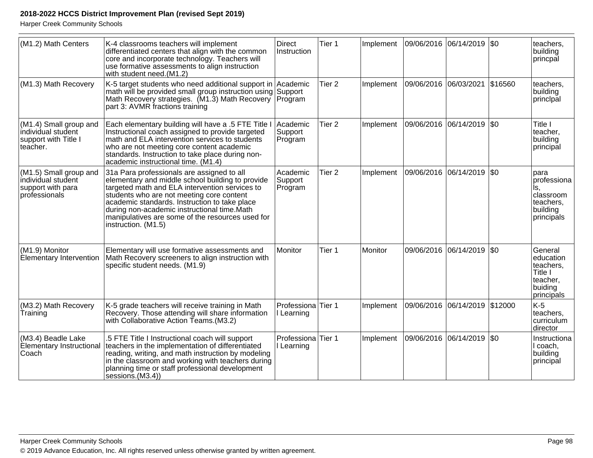| (M1.2) Math Centers                                                                | K-4 classrooms teachers will implement<br>differentiated centers that align with the common<br>core and incorporate technology. Teachers will<br>use formative assessments to align instruction<br>with student need.(M1.2)                                                                                                                                              | <b>Direct</b><br>Instruction     | Tier 1            | Implement | 09/06/2016 06/14/2019 \$0   |                    |         | teachers,<br>building<br>princpal                                                 |
|------------------------------------------------------------------------------------|--------------------------------------------------------------------------------------------------------------------------------------------------------------------------------------------------------------------------------------------------------------------------------------------------------------------------------------------------------------------------|----------------------------------|-------------------|-----------|-----------------------------|--------------------|---------|-----------------------------------------------------------------------------------|
| (M1.3) Math Recovery                                                               | K-5 target students who need additional support in<br>math will be provided small group instruction using Support<br>Math Recovery strategies. (M1.3) Math Recovery Program<br>part 3: AVMR fractions training                                                                                                                                                           | Academic                         | Tier <sub>2</sub> | Implement | 09/06/2016                  | 06/03/2021         | \$16560 | teachers,<br>building<br>principal                                                |
| (M1.4) Small group and<br>individual student<br>support with Title I<br>teacher.   | Each elementary building will have a .5 FTE Title I<br>Instructional coach assigned to provide targeted<br>math and ELA intervention services to students<br>who are not meeting core content academic<br>standards. Instruction to take place during non-<br>academic instructional time. (M1.4)                                                                        | Academic<br>Support<br>Program   | Tier <sub>2</sub> | Implement | 09/06/2016  06/14/2019  \$0 |                    |         | Title I<br>teacher,<br>building<br>principal                                      |
| (M1.5) Small group and<br>individual student<br>support with para<br>professionals | 31a Para professionals are assigned to all<br>elementary and middle school building to provide<br>targeted math and ELA intervention services to<br>students who are not meeting core content<br>academic standards. Instruction to take place<br>during non-academic instructional time.Math<br>manipulatives are some of the resources used for<br>instruction. (M1.5) | Academic<br>Support<br>Program   | Tier <sub>2</sub> | Implement | 09/06/2016  06/14/2019  \$0 |                    |         | lpara<br>professiona<br>Is.<br>classroom<br>teachers,<br>building<br>principals   |
| (M1.9) Monitor<br>Elementary Intervention                                          | Elementary will use formative assessments and<br>Math Recovery screeners to align instruction with<br>specific student needs. (M1.9)                                                                                                                                                                                                                                     | Monitor                          | Tier 1            | Monitor   | 09/06/2016                  | 06/14/2019 \\$0    |         | General<br>education<br>teachers,<br>Title I<br>teacher,<br>buiding<br>principals |
| (M3.2) Math Recovery<br>Training                                                   | K-5 grade teachers will receive training in Math<br>Recovery. Those attending will share information<br>with Collaborative Action Teams. (M3.2)                                                                                                                                                                                                                          | Professiona<br>I Learning        | Tier 1            | Implement | 09/06/2016                  | 06/14/2019 \$12000 |         | $K-5$<br>teachers,<br>curriculum<br>director                                      |
| (M3.4) Beadle Lake<br><b>Elementary Instructional</b><br>Coach                     | 5 FTE Title I Instructional coach will support<br>teachers in the implementation of differentiated<br>reading, writing, and math instruction by modeling<br>in the classroom and working with teachers during<br>planning time or staff professional development<br>sessions.(M3.4))                                                                                     | Professiona Tier 1<br>I Learning |                   | Implement | 09/06/2016 06/14/2019 \$0   |                    |         | Instructiona<br>l coach,<br>building<br>principal                                 |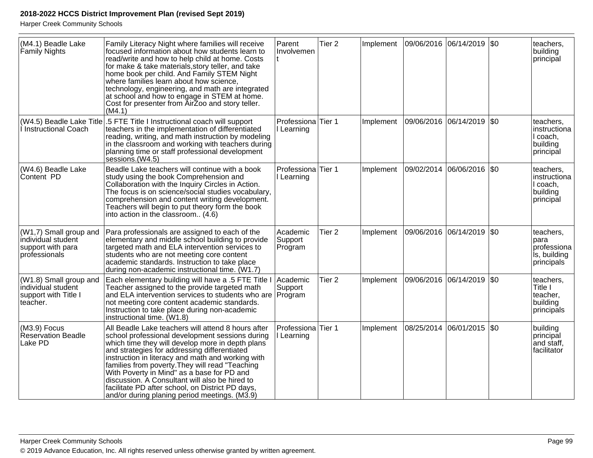| (M4.1) Beadle Lake<br>Family Nights                                                  | Family Literacy Night where families will receive<br>focused information about how students learn to<br>read/write and how to help child at home. Costs<br>for make & take materials, story teller, and take<br>home book per child. And Family STEM Night<br>where families learn about how science,<br>technology, engineering, and math are integrated<br>at school and how to engage in STEM at home.<br>Cost for presenter from AirZoo and story teller.<br>(M4.1)                                                | Parent<br>Involvemen                        | Tier <sub>2</sub> | Implement |            | 09/06/2016 06/14/2019 | \$0         | teachers,<br>building<br>principal                             |
|--------------------------------------------------------------------------------------|------------------------------------------------------------------------------------------------------------------------------------------------------------------------------------------------------------------------------------------------------------------------------------------------------------------------------------------------------------------------------------------------------------------------------------------------------------------------------------------------------------------------|---------------------------------------------|-------------------|-----------|------------|-----------------------|-------------|----------------------------------------------------------------|
| (W4.5) Beadle Lake Title<br>I Instructional Coach                                    | .5 FTE Title I Instructional coach will support<br>teachers in the implementation of differentiated<br>reading, writing, and math instruction by modeling<br>in the classroom and working with teachers during<br>planning time or staff professional development<br>sessions.(W4.5)                                                                                                                                                                                                                                   | Professiona Tier 1<br>l Learning            |                   | Implement |            | 09/06/2016 06/14/2019 | \$0         | teachers,<br>Instructiona<br>I coach,<br>building<br>principal |
| (W4.6) Beadle Lake<br>Content PD                                                     | Beadle Lake teachers will continue with a book<br>study using the book Comprehension and<br>Collaboration with the Inquiry Circles in Action.<br>The focus is on science/social studies vocabulary,<br>comprehension and content writing development.<br>Teachers will begin to put theory form the book<br>into action in the classroom (4.6)                                                                                                                                                                         | Professiona <sup>Tier</sup> 1<br>I Learning |                   | Implement | 09/02/2014 | 06/06/2016            | $\sqrt{50}$ | teachers,<br>instructiona<br>I coach.<br>building<br>principal |
| $(W1,7)$ Small group and<br>individual student<br>support with para<br>professionals | Para professionals are assigned to each of the<br>elementary and middle school building to provide<br>targeted math and ELA intervention services to<br>students who are not meeting core content<br>academic standards. Instruction to take place<br>during non-academic instructional time. (W1.7)                                                                                                                                                                                                                   | Academic<br>Support<br>Program              | Tier <sub>2</sub> | Implement | 09/06/2016 | 06/14/2019            | <b>SO</b>   | teachers,<br>para<br>professiona<br>is, building<br>principals |
| (W1.8) Small group and<br>individual student<br>support with Title I<br>teacher.     | Each elementary building will have a .5 FTE Title I<br>Teacher assigned to the provide targeted math<br>and ELA intervention services to students who are<br>not meeting core content academic standards.<br>Instruction to take place during non-academic<br>instructional time. (W1.8)                                                                                                                                                                                                                               | Academic<br>Support<br>Program              | Tier <sub>2</sub> | Implement | 09/06/2016 | 06/14/2019            | \$0         | teachers.<br>Title I<br>teacher,<br>building<br>principals     |
| $(M3.9)$ Focus<br><b>Reservation Beadle</b><br>Lake PD                               | All Beadle Lake teachers will attend 8 hours after<br>school professional development sessions during<br>which time they will develop more in depth plans<br>and strategies for addressing differentiated<br>instruction in literacy and math and working with<br>families from poverty. They will read "Teaching<br>With Poverty in Mind" as a base for PD and<br>discussion. A Consultant will also be hired to<br>facilitate PD after school, on District PD days,<br>and/or during planing period meetings. (M3.9) | Professiona<br>I Learning                   | Tier 1            | Implement | 08/25/2014 | 06/01/2015            | \$0         | building<br>principal<br>and staff,<br>facilitator             |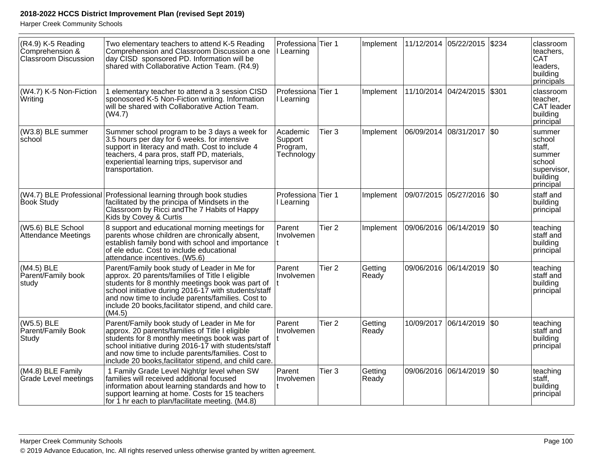| (R4.9) K-5 Reading<br>Comprehension &<br><b>Classroom Discussion</b> | Two elementary teachers to attend K-5 Reading<br>Comprehension and Classroom Discussion a one<br>day CISD sponsored PD. Information will be<br>shared with Collaborative Action Team. (R4.9)                                                                                                                                         | Professiona Tier 1<br>Learning                |                   | Implement        |                       | 11/12/2014 05/22/2015     | \$234   | classroom<br>teachers.<br><b>CAT</b><br>leaders,<br>building<br>principals             |
|----------------------------------------------------------------------|--------------------------------------------------------------------------------------------------------------------------------------------------------------------------------------------------------------------------------------------------------------------------------------------------------------------------------------|-----------------------------------------------|-------------------|------------------|-----------------------|---------------------------|---------|----------------------------------------------------------------------------------------|
| (W4.7) K-5 Non-Fiction<br>Writing                                    | 1 elementary teacher to attend a 3 session CISD<br>sponosored K-5 Non-Fiction writing. Information<br>will be shared with Collaborative Action Team.<br>(W4.7)                                                                                                                                                                       | Professiona<br>I Learning                     | Tier 1            | Implement        |                       | 11/10/2014 04/24/2015     | \$301   | classroom<br>teacher,<br><b>CAT</b> leader<br>building<br>principal                    |
| (W3.8) BLE summer<br>school                                          | Summer school program to be 3 days a week for<br>3.5 hours per day for 6 weeks. for intensive<br>support in literacy and math. Cost to include 4<br>teachers, 4 para pros, staff PD, materials,<br>experiential learning trips, supervisor and<br>transportation.                                                                    | Academic<br>Support<br>Program,<br>Technology | Tier <sub>3</sub> | Implement        |                       | 06/09/2014 08/31/2017     | $ $ \$0 | summer<br>school<br>staff,<br>summer<br>school<br>supervisor,<br>building<br>principal |
| <b>Book Study</b>                                                    | (W4.7) BLE Professional Professional learning through book studies<br>facilitated by the principa of Mindsets in the<br>Classroom by Ricci and The 7 Habits of Happy<br>Kids by Covey & Curtis                                                                                                                                       | Professiona<br>I Learning                     | Tier 1            | Implement        | 09/07/2015            | 05/27/2016 \\$0           |         | staff and<br>building<br>principal                                                     |
| (W5.6) BLE School<br>Attendance Meetings                             | 8 support and educational morning meetings for<br>parents whose children are chronically absent,<br>establish family bond with school and importance<br>of ele educ. Cost to include educational<br>attendance incentives. (W5.6)                                                                                                    | Parent<br>Involvemen                          | Tier <sub>2</sub> | Implement        | 09/06/2016 06/14/2019 |                           | $ $ \$0 | teaching<br>staff and<br>building<br>principal                                         |
| $(M4.5)$ BLE<br>Parent/Family book<br>study                          | Parent/Family book study of Leader in Me for<br>approx. 20 parents/families of Title I eligible<br>students for 8 monthly meetings book was part of<br>school initiative during 2016-17 with students/staff<br>and now time to include parents/families. Cost to<br>include 20 books, facilitator stipend, and child care.<br>(M4.5) | Parent<br>Involvemen                          | Tier <sub>2</sub> | Getting<br>Ready |                       | 09/06/2016 06/14/2019 \$0 |         | teaching<br>staff and<br>building<br>principal                                         |
| (W5.5) BLE<br>Parent/Family Book<br>Study                            | Parent/Family book study of Leader in Me for<br>approx. 20 parents/families of Title I eligible<br>students for 8 monthly meetings book was part of<br>school initiative during 2016-17 with students/staff<br>and now time to include parents/families. Cost to<br>include 20 books, facilitator stipend, and child care.           | Parent<br>Involvemen                          | Tier <sub>2</sub> | Getting<br>Ready | 10/09/2017            | 06/14/2019                | $ $ \$0 | teaching<br>staff and<br>building<br>principal                                         |
| (M4.8) BLE Family<br>Grade Level meetings                            | 1 Family Grade Level Night/gr level when SW<br>families will received additional focused<br>information about learning standards and how to<br>support learning at home. Costs for 15 teachers<br>for 1 hr each to plan/facilitate meeting. (M4.8)                                                                                   | Parent<br>Involvemen                          | Tier <sub>3</sub> | Getting<br>Ready |                       | 09/06/2016 06/14/2019     | $ $ \$0 | teaching<br>staff.<br>building<br>principal                                            |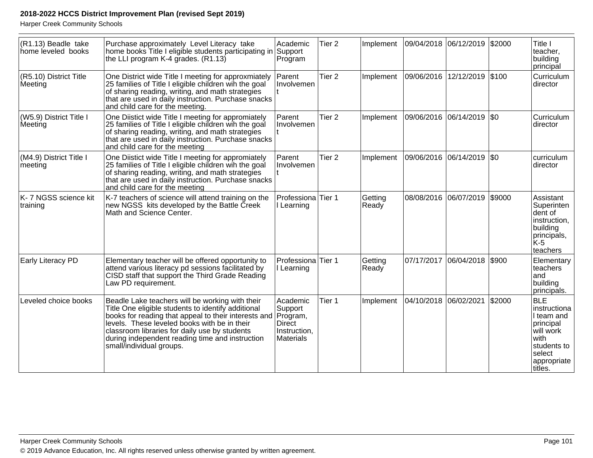| (R1.13) Beadle take<br>home leveled books | Purchase approximately Level Literacy take<br>home books Title I eligible students participating in Support<br>the LLI program K-4 grades. (R1.13)                                                                                                                                                                                            | Academic<br>Program                                                           | Tier <sub>2</sub> | Implement        | 09/04/2018 06/12/2019 |                             | \$2000 | Title I<br>teacher,<br>building<br>principal                                                                                   |
|-------------------------------------------|-----------------------------------------------------------------------------------------------------------------------------------------------------------------------------------------------------------------------------------------------------------------------------------------------------------------------------------------------|-------------------------------------------------------------------------------|-------------------|------------------|-----------------------|-----------------------------|--------|--------------------------------------------------------------------------------------------------------------------------------|
| (R5.10) District Title<br>Meeting         | One District wide Title I meeting for approxmiately<br>25 families of Title I eligible children wih the goal<br>of sharing reading, writing, and math strategies<br>that are used in daily instruction. Purchase snacks<br>and child care for the meeting.                                                                                    | Parent<br>Involvemen                                                          | Tier <sub>2</sub> | Implement        |                       | 09/06/2016 12/12/2019 \$100 |        | Curriculum<br>director                                                                                                         |
| (W5.9) District Title I<br>Meeting        | One Diistict wide Title I meeting for appromiately<br>25 families of Title I eligible children wih the goal<br>of sharing reading, writing, and math strategies<br>that are used in daily instruction. Purchase snacks<br>and child care for the meeting                                                                                      | Parent<br>Involvemen                                                          | Tier <sub>2</sub> | Implement        |                       | 09/06/2016 06/14/2019 \$0   |        | Curriculum<br>director                                                                                                         |
| (M4.9) District Title I<br>meeting        | One Diistict wide Title I meeting for appromiately<br>25 families of Title I eligible children win the goal<br>of sharing reading, writing, and math strategies<br>that are used in daily instruction. Purchase snacks<br>and child care for the meeting                                                                                      | Parent<br>Involvemen                                                          | Tier <sub>2</sub> | Implement        |                       | 09/06/2016  06/14/2019  \$0 |        | curriculum<br>director                                                                                                         |
| K- 7 NGSS science kit<br>training         | K-7 teachers of science will attend training on the<br>new NGSS kits developed by the Battle Creek<br>Math and Science Center.                                                                                                                                                                                                                | Professiona Tier 1<br>I Learning                                              |                   | Getting<br>Ready |                       | 08/08/2016 06/07/2019       | \$9000 | Assistant<br>Superinten<br>dent of<br>instruction,<br>building<br>principals,<br>K-5<br>teachers                               |
| Early Literacy PD                         | Elementary teacher will be offered opportunity to<br>attend various literacy pd sessions facilitated by<br>CISD staff that support the Third Grade Reading<br>Law PD requirement.                                                                                                                                                             | Professiona<br>I Learning                                                     | Tier 1            | Getting<br>Ready | 07/17/2017            | 06/04/2018                  | \$900  | Elementary<br>teachers<br>and<br>building<br>principals.                                                                       |
| Leveled choice books                      | Beadle Lake teachers will be working with their<br>Title One eligible students to identify additional<br>books for reading that appeal to their interests and<br>levels. These leveled books with be in their<br>classroom libraries for daily use by students<br>during independent reading time and instruction<br>small/individual groups. | Academic<br>Support<br>Program,<br><b>Direct</b><br>Instruction,<br>Materials | Tier 1            | Implement        | 04/10/2018 06/02/2021 |                             | \$2000 | <b>BLE</b><br>instructiona<br>I team and<br>principal<br>will work<br>with<br>students to<br>select<br>appropriate<br>ltitles. |